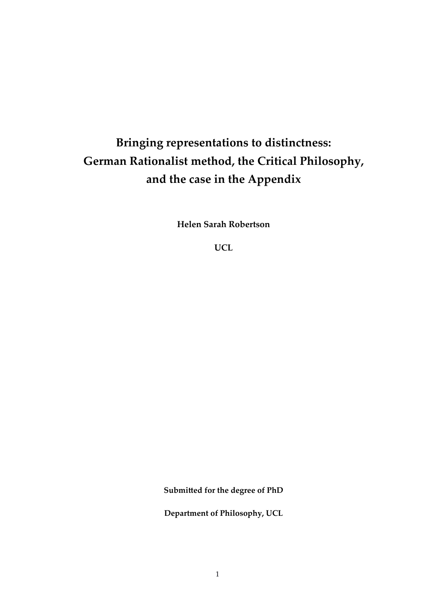# **Bringing representations to distinctness: German Rationalist method, the Critical Philosophy, and the case in the Appendix**

**Helen Sarah Robertson**

**UCL**

**Submitted for the degree of PhD**

**Department of Philosophy, UCL**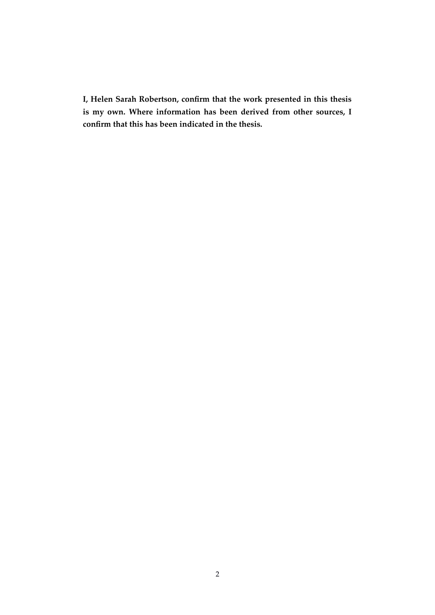**I, Helen Sarah Robertson, confrm that the work presented in this thesis is my own. Where information has been derived from other sources, I confrm that this has been indicated in the thesis.**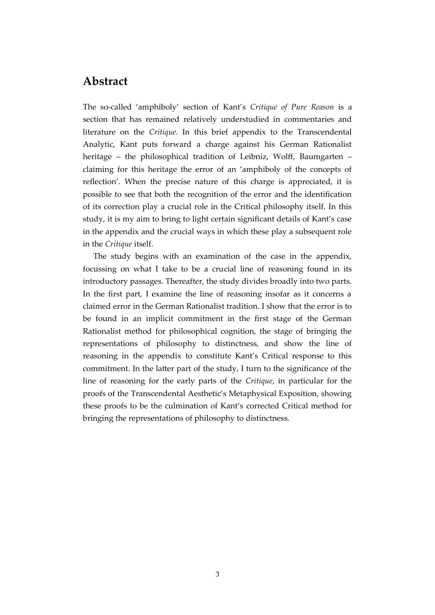### **Abstract**

The so-called 'amphiboly' section of Kant's *Critique of Pure Reason* is a section that has remained relatively understudied in commentaries and literature on the *Critique*. In this brief appendix to the Transcendental Analytic, Kant puts forward a charge against his German Rationalist heritage – the philosophical tradition of Leibniz, Wolf, Baumgarten – claiming for this heritage the error of an 'amphiboly of the concepts of reflection'. When the precise nature of this charge is appreciated, it is possible to see that both the recognition of the error and the identifcation of its correction play a crucial role in the Critical philosophy itself. In this study, it is my aim to bring to light certain signifcant details of Kant's case in the appendix and the crucial ways in which these play a subsequent role in the *Critique* itself.

The study begins with an examination of the case in the appendix, focussing on what I take to be a crucial line of reasoning found in its introductory passages. Thereafter, the study divides broadly into two parts. In the frst part, I examine the line of reasoning insofar as it concerns a claimed error in the German Rationalist tradition. I show that the error is to be found in an implicit commitment in the frst stage of the German Rationalist method for philosophical cognition, the stage of bringing the representations of philosophy to distinctness, and show the line of reasoning in the appendix to constitute Kant's Critical response to this commitment. In the later part of the study, I turn to the signifcance of the line of reasoning for the early parts of the *Critique*, in particular for the proofs of the Transcendental Aesthetic's Metaphysical Exposition, showing these proofs to be the culmination of Kant's corrected Critical method for bringing the representations of philosophy to distinctness.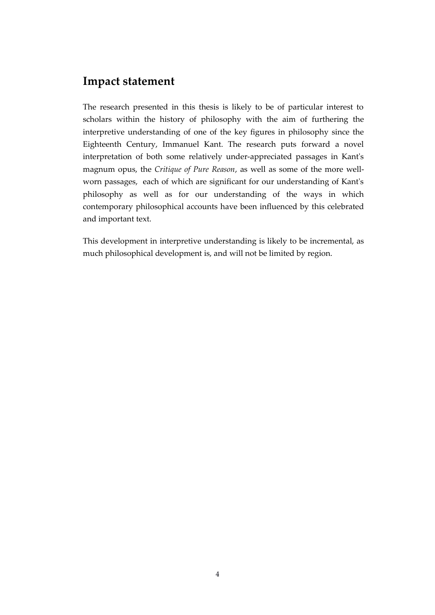### **Impact statement**

The research presented in this thesis is likely to be of particular interest to scholars within the history of philosophy with the aim of furthering the interpretive understanding of one of the key fgures in philosophy since the Eighteenth Century, Immanuel Kant. The research puts forward a novel interpretation of both some relatively under-appreciated passages in Kant's magnum opus, the *Critique of Pure Reason*, as well as some of the more wellworn passages, each of which are signifcant for our understanding of Kant's philosophy as well as for our understanding of the ways in which contemporary philosophical accounts have been influenced by this celebrated and important text.

This development in interpretive understanding is likely to be incremental, as much philosophical development is, and will not be limited by region.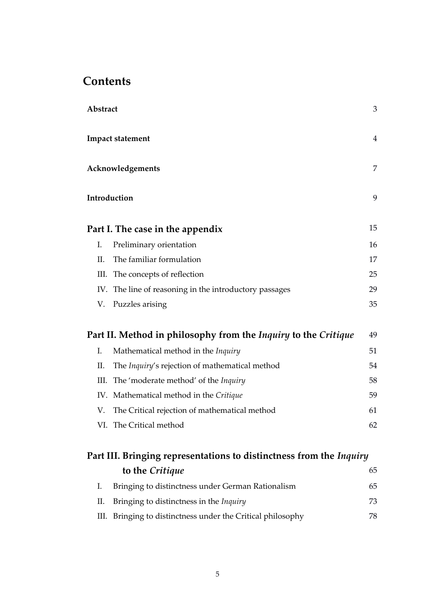## **Contents**

| Abstract     |                                                                     | 3  |
|--------------|---------------------------------------------------------------------|----|
|              | <b>Impact statement</b>                                             | 4  |
|              | Acknowledgements                                                    |    |
| Introduction |                                                                     | 9  |
|              | Part I. The case in the appendix                                    | 15 |
| $I_{\cdot}$  | Preliminary orientation                                             | 16 |
| Π.           | The familiar formulation                                            | 17 |
| Ш.           | The concepts of reflection                                          | 25 |
| IV.          | The line of reasoning in the introductory passages                  | 29 |
| V.           | Puzzles arising                                                     | 35 |
|              | Part II. Method in philosophy from the Inquiry to the Critique      | 49 |
| I.           | Mathematical method in the Inquiry                                  | 51 |
| П.           | The Inquiry's rejection of mathematical method                      | 54 |
| Ш.           | The 'moderate method' of the Inquiry                                | 58 |
|              | IV. Mathematical method in the Critique                             | 59 |
| V.           | The Critical rejection of mathematical method                       | 61 |
|              | VI. The Critical method                                             | 62 |
|              | Part III. Bringing representations to distinctness from the Inquiry |    |
|              | to the Critique                                                     | 65 |
| $I_{\cdot}$  | Bringing to distinctness under German Rationalism                   | 65 |
| Π.           | Bringing to distinctness in the <i>Inquiry</i>                      | 73 |
| Ш.           | Bringing to distinctness under the Critical philosophy              | 78 |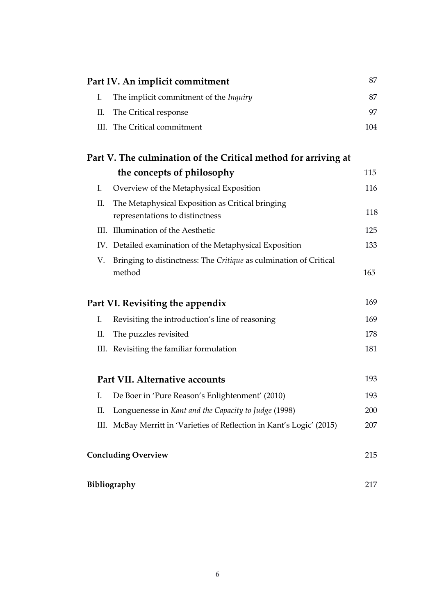|                                  | Part IV. An implicit commitment                                             | 87  |
|----------------------------------|-----------------------------------------------------------------------------|-----|
| $I_{\cdot}$                      | The implicit commitment of the Inquiry                                      | 87  |
| Π.                               | The Critical response                                                       | 97  |
|                                  | III. The Critical commitment                                                | 104 |
|                                  |                                                                             |     |
|                                  | Part V. The culmination of the Critical method for arriving at              |     |
|                                  | the concepts of philosophy                                                  | 115 |
| $I_{\cdot}$                      | Overview of the Metaphysical Exposition                                     | 116 |
| П.                               | The Metaphysical Exposition as Critical bringing                            |     |
|                                  | representations to distinctness                                             | 118 |
| Ш.                               | Illumination of the Aesthetic                                               | 125 |
|                                  | IV. Detailed examination of the Metaphysical Exposition                     | 133 |
| V.                               | Bringing to distinctness: The Critique as culmination of Critical<br>method | 165 |
|                                  |                                                                             |     |
| Part VI. Revisiting the appendix |                                                                             | 169 |
| $I_{\cdot}$                      | Revisiting the introduction's line of reasoning                             | 169 |
| П.                               | The puzzles revisited                                                       | 178 |
|                                  | III. Revisiting the familiar formulation                                    | 181 |
|                                  | <b>Part VII. Alternative accounts</b>                                       | 193 |
| I.                               | De Boer in 'Pure Reason's Enlightenment' (2010)                             | 193 |
| П.                               | Longuenesse in Kant and the Capacity to Judge (1998)                        | 200 |
| Ш.                               | McBay Merritt in 'Varieties of Reflection in Kant's Logic' (2015)           | 207 |
| <b>Concluding Overview</b>       |                                                                             | 215 |
|                                  | Bibliography                                                                |     |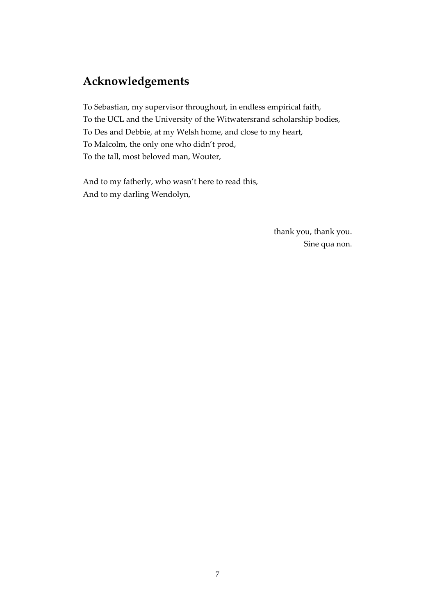### **Acknowledgements**

To Sebastian, my supervisor throughout, in endless empirical faith, To the UCL and the University of the Witwatersrand scholarship bodies, To Des and Debbie, at my Welsh home, and close to my heart, To Malcolm, the only one who didn't prod, To the tall, most beloved man, Wouter,

And to my fatherly, who wasn't here to read this, And to my darling Wendolyn,

> thank you, thank you. Sine qua non.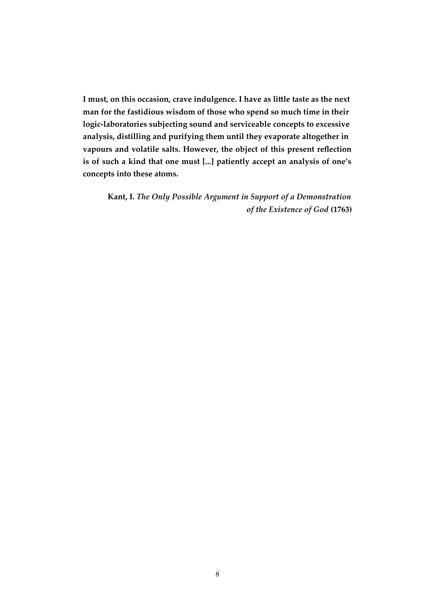**I must, on this occasion, crave indulgence. I have as little taste as the next man for the fastidious wisdom of those who spend so much time in their logic-laboratories subjecting sound and serviceable concepts to excessive analysis, distilling and purifying them until they evaporate altogether in vapours and volatile salts. However, the object of this present refection is of such a kind that one must [...] patiently accept an analysis of one's concepts into these atoms.** 

**Kant, I.** *The Only Possible Argument in Support of a Demonstration of the Existence of God* **(1763)**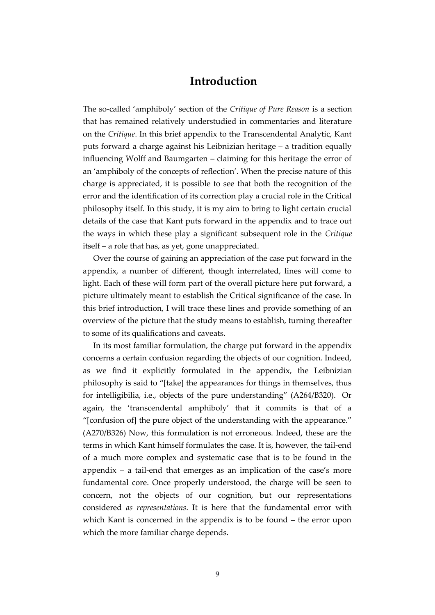### **Introduction**

The so-called 'amphiboly' section of the *Critique of Pure Reason* is a section that has remained relatively understudied in commentaries and literature on the *Critique*. In this brief appendix to the Transcendental Analytic, Kant puts forward a charge against his Leibnizian heritage – a tradition equally influencing Wolf and Baumgarten – claiming for this heritage the error of an 'amphiboly of the concepts of reflection'. When the precise nature of this charge is appreciated, it is possible to see that both the recognition of the error and the identifcation of its correction play a crucial role in the Critical philosophy itself. In this study, it is my aim to bring to light certain crucial details of the case that Kant puts forward in the appendix and to trace out the ways in which these play a signifcant subsequent role in the *Critique* itself – a role that has, as yet, gone unappreciated.

Over the course of gaining an appreciation of the case put forward in the appendix, a number of diferent, though interrelated, lines will come to light. Each of these will form part of the overall picture here put forward, a picture ultimately meant to establish the Critical signifcance of the case. In this brief introduction, I will trace these lines and provide something of an overview of the picture that the study means to establish, turning thereafter to some of its qualifcations and caveats.

In its most familiar formulation, the charge put forward in the appendix concerns a certain confusion regarding the objects of our cognition. Indeed, as we fnd it explicitly formulated in the appendix, the Leibnizian philosophy is said to "[take] the appearances for things in themselves, thus for intelligibilia, i.e., objects of the pure understanding" (A264/B320). Or again, the 'transcendental amphiboly' that it commits is that of a "[confusion of] the pure object of the understanding with the appearance." (A270/B326) Now, this formulation is not erroneous. Indeed, these are the terms in which Kant himself formulates the case. It is, however, the tail-end of a much more complex and systematic case that is to be found in the appendix – a tail-end that emerges as an implication of the case's more fundamental core. Once properly understood, the charge will be seen to concern, not the objects of our cognition, but our representations considered *as representations*. It is here that the fundamental error with which Kant is concerned in the appendix is to be found – the error upon which the more familiar charge depends.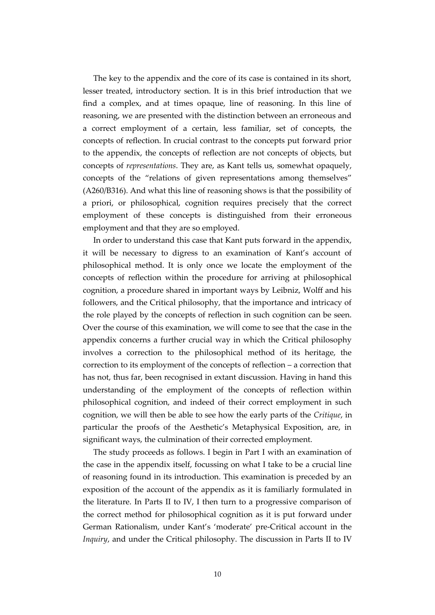The key to the appendix and the core of its case is contained in its short, lesser treated, introductory section. It is in this brief introduction that we find a complex, and at times opaque, line of reasoning. In this line of reasoning, we are presented with the distinction between an erroneous and a correct employment of a certain, less familiar, set of concepts, the concepts of reflection. In crucial contrast to the concepts put forward prior to the appendix, the concepts of reflection are not concepts of objects, but concepts of *representations*. They are, as Kant tells us, somewhat opaquely, concepts of the "relations of given representations among themselves" (A260/B316). And what this line of reasoning shows is that the possibility of a priori, or philosophical, cognition requires precisely that the correct employment of these concepts is distinguished from their erroneous employment and that they are so employed.

In order to understand this case that Kant puts forward in the appendix, it will be necessary to digress to an examination of Kant's account of philosophical method. It is only once we locate the employment of the concepts of reflection within the procedure for arriving at philosophical cognition, a procedure shared in important ways by Leibniz, Wolf and his followers, and the Critical philosophy, that the importance and intricacy of the role played by the concepts of reflection in such cognition can be seen. Over the course of this examination, we will come to see that the case in the appendix concerns a further crucial way in which the Critical philosophy involves a correction to the philosophical method of its heritage, the correction to its employment of the concepts of reflection – a correction that has not, thus far, been recognised in extant discussion. Having in hand this understanding of the employment of the concepts of reflection within philosophical cognition, and indeed of their correct employment in such cognition, we will then be able to see how the early parts of the *Critique*, in particular the proofs of the Aesthetic's Metaphysical Exposition, are, in significant ways, the culmination of their corrected employment.

The study proceeds as follows. I begin in Part I with an examination of the case in the appendix itself, focussing on what I take to be a crucial line of reasoning found in its introduction. This examination is preceded by an exposition of the account of the appendix as it is familiarly formulated in the literature. In Parts II to IV, I then turn to a progressive comparison of the correct method for philosophical cognition as it is put forward under German Rationalism, under Kant's 'moderate' pre-Critical account in the *Inquiry*, and under the Critical philosophy. The discussion in Parts II to IV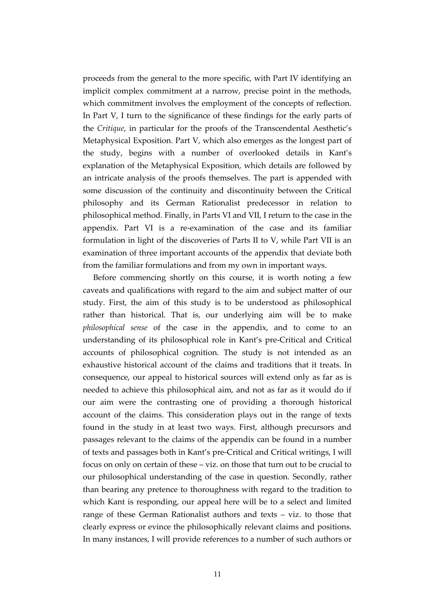proceeds from the general to the more specifc, with Part IV identifying an implicit complex commitment at a narrow, precise point in the methods, which commitment involves the employment of the concepts of reflection. In Part V, I turn to the signifcance of these fndings for the early parts of the *Critique*, in particular for the proofs of the Transcendental Aesthetic's Metaphysical Exposition. Part V, which also emerges as the longest part of the study, begins with a number of overlooked details in Kant's explanation of the Metaphysical Exposition, which details are followed by an intricate analysis of the proofs themselves. The part is appended with some discussion of the continuity and discontinuity between the Critical philosophy and its German Rationalist predecessor in relation to philosophical method. Finally, in Parts VI and VII, I return to the case in the appendix. Part VI is a re-examination of the case and its familiar formulation in light of the discoveries of Parts II to V, while Part VII is an examination of three important accounts of the appendix that deviate both from the familiar formulations and from my own in important ways.

Before commencing shortly on this course, it is worth noting a few caveats and qualifcations with regard to the aim and subject mater of our study. First, the aim of this study is to be understood as philosophical rather than historical. That is, our underlying aim will be to make *philosophical sense* of the case in the appendix, and to come to an understanding of its philosophical role in Kant's pre-Critical and Critical accounts of philosophical cognition. The study is not intended as an exhaustive historical account of the claims and traditions that it treats. In consequence, our appeal to historical sources will extend only as far as is needed to achieve this philosophical aim, and not as far as it would do if our aim were the contrasting one of providing a thorough historical account of the claims. This consideration plays out in the range of texts found in the study in at least two ways. First, although precursors and passages relevant to the claims of the appendix can be found in a number of texts and passages both in Kant's pre-Critical and Critical writings, I will focus on only on certain of these – viz. on those that turn out to be crucial to our philosophical understanding of the case in question. Secondly, rather than bearing any pretence to thoroughness with regard to the tradition to which Kant is responding, our appeal here will be to a select and limited range of these German Rationalist authors and texts – viz. to those that clearly express or evince the philosophically relevant claims and positions. In many instances, I will provide references to a number of such authors or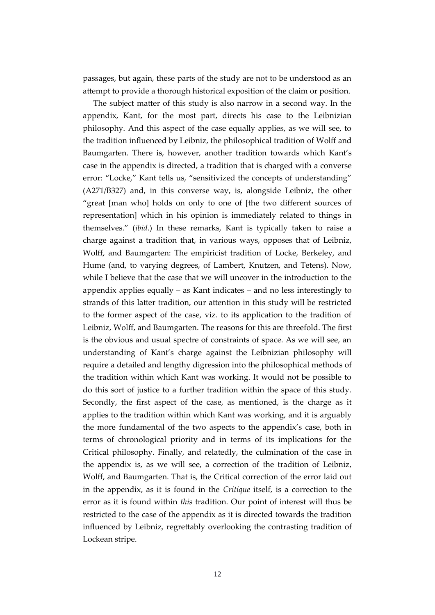passages, but again, these parts of the study are not to be understood as an atempt to provide a thorough historical exposition of the claim or position.

The subject mater of this study is also narrow in a second way. In the appendix, Kant, for the most part, directs his case to the Leibnizian philosophy. And this aspect of the case equally applies, as we will see, to the tradition influenced by Leibniz, the philosophical tradition of Wolf and Baumgarten. There is, however, another tradition towards which Kant's case in the appendix is directed, a tradition that is charged with a converse error: "Locke," Kant tells us, "sensitivized the concepts of understanding" (A271/B327) and, in this converse way, is, alongside Leibniz, the other "great [man who] holds on only to one of [the two different sources of representation] which in his opinion is immediately related to things in themselves." (*ibid*.) In these remarks, Kant is typically taken to raise a charge against a tradition that, in various ways, opposes that of Leibniz, Wolf, and Baumgarten: The empiricist tradition of Locke, Berkeley, and Hume (and, to varying degrees, of Lambert, Knutzen, and Tetens). Now, while I believe that the case that we will uncover in the introduction to the appendix applies equally – as Kant indicates – and no less interestingly to strands of this later tradition, our atention in this study will be restricted to the former aspect of the case, viz. to its application to the tradition of Leibniz, Wolff, and Baumgarten. The reasons for this are threefold. The first is the obvious and usual spectre of constraints of space. As we will see, an understanding of Kant's charge against the Leibnizian philosophy will require a detailed and lengthy digression into the philosophical methods of the tradition within which Kant was working. It would not be possible to do this sort of justice to a further tradition within the space of this study. Secondly, the first aspect of the case, as mentioned, is the charge as it applies to the tradition within which Kant was working, and it is arguably the more fundamental of the two aspects to the appendix's case, both in terms of chronological priority and in terms of its implications for the Critical philosophy. Finally, and relatedly, the culmination of the case in the appendix is, as we will see, a correction of the tradition of Leibniz, Wolf, and Baumgarten. That is, the Critical correction of the error laid out in the appendix, as it is found in the *Critique* itself, is a correction to the error as it is found within *this* tradition. Our point of interest will thus be restricted to the case of the appendix as it is directed towards the tradition influenced by Leibniz, regretably overlooking the contrasting tradition of Lockean stripe.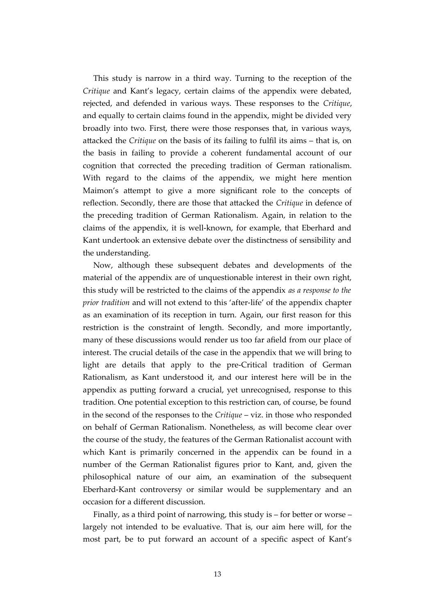This study is narrow in a third way. Turning to the reception of the *Critique* and Kant's legacy, certain claims of the appendix were debated, rejected, and defended in various ways. These responses to the *Critique*, and equally to certain claims found in the appendix, might be divided very broadly into two. First, there were those responses that, in various ways, atacked the *Critique* on the basis of its failing to fulfl its aims – that is, on the basis in failing to provide a coherent fundamental account of our cognition that corrected the preceding tradition of German rationalism. With regard to the claims of the appendix, we might here mention Maimon's attempt to give a more significant role to the concepts of reflection. Secondly, there are those that atacked the *Critique* in defence of the preceding tradition of German Rationalism. Again, in relation to the claims of the appendix, it is well-known, for example, that Eberhard and Kant undertook an extensive debate over the distinctness of sensibility and the understanding.

Now, although these subsequent debates and developments of the material of the appendix are of unquestionable interest in their own right, this study will be restricted to the claims of the appendix *as a response to the prior tradition* and will not extend to this 'after-life' of the appendix chapter as an examination of its reception in turn. Again, our frst reason for this restriction is the constraint of length. Secondly, and more importantly, many of these discussions would render us too far afeld from our place of interest. The crucial details of the case in the appendix that we will bring to light are details that apply to the pre-Critical tradition of German Rationalism, as Kant understood it, and our interest here will be in the appendix as puting forward a crucial, yet unrecognised, response to this tradition. One potential exception to this restriction can, of course, be found in the second of the responses to the *Critique* – viz. in those who responded on behalf of German Rationalism. Nonetheless, as will become clear over the course of the study, the features of the German Rationalist account with which Kant is primarily concerned in the appendix can be found in a number of the German Rationalist fgures prior to Kant, and, given the philosophical nature of our aim, an examination of the subsequent Eberhard-Kant controversy or similar would be supplementary and an occasion for a diferent discussion.

Finally, as a third point of narrowing, this study is – for better or worse – largely not intended to be evaluative. That is, our aim here will, for the most part, be to put forward an account of a specifc aspect of Kant's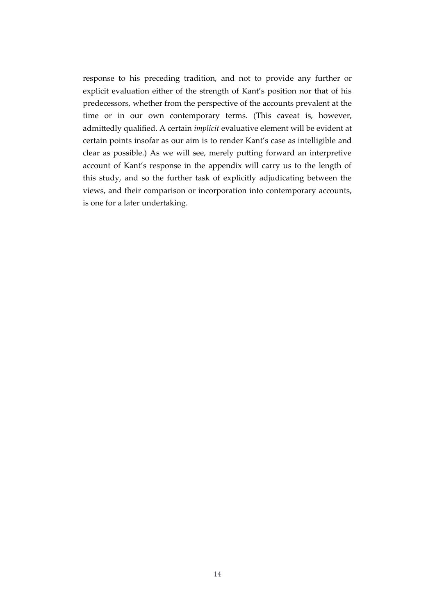response to his preceding tradition, and not to provide any further or explicit evaluation either of the strength of Kant's position nor that of his predecessors, whether from the perspective of the accounts prevalent at the time or in our own contemporary terms. (This caveat is, however, admitedly qualifed. A certain *implicit* evaluative element will be evident at certain points insofar as our aim is to render Kant's case as intelligible and clear as possible.) As we will see, merely puting forward an interpretive account of Kant's response in the appendix will carry us to the length of this study, and so the further task of explicitly adjudicating between the views, and their comparison or incorporation into contemporary accounts, is one for a later undertaking.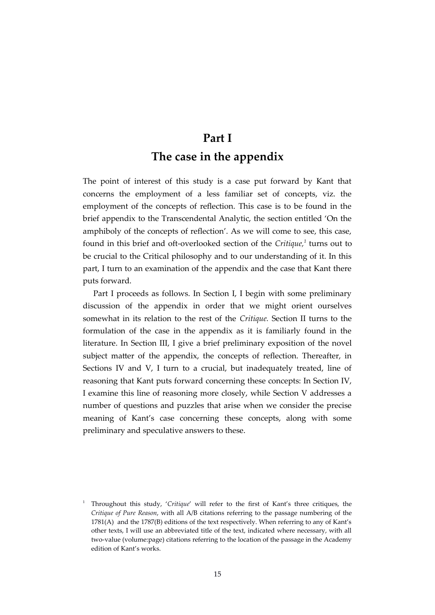## **Part I The case in the appendix**

The point of interest of this study is a case put forward by Kant that concerns the employment of a less familiar set of concepts, viz. the employment of the concepts of reflection. This case is to be found in the brief appendix to the Transcendental Analytic, the section entitled 'On the amphiboly of the concepts of reflection'. As we will come to see, this case, found in this brief and oft-overlooked section of the *Critique,[1](#page-14-0)* turns out to be crucial to the Critical philosophy and to our understanding of it. In this part, I turn to an examination of the appendix and the case that Kant there puts forward.

Part I proceeds as follows. In Section I, I begin with some preliminary discussion of the appendix in order that we might orient ourselves somewhat in its relation to the rest of the *Critique.* Section II turns to the formulation of the case in the appendix as it is familiarly found in the literature. In Section III, I give a brief preliminary exposition of the novel subject matter of the appendix, the concepts of reflection. Thereafter, in Sections IV and V, I turn to a crucial, but inadequately treated, line of reasoning that Kant puts forward concerning these concepts: In Section IV, I examine this line of reasoning more closely, while Section V addresses a number of questions and puzzles that arise when we consider the precise meaning of Kant's case concerning these concepts, along with some preliminary and speculative answers to these.

<span id="page-14-0"></span><sup>1</sup> Throughout this study, '*Critique*' will refer to the frst of Kant's three critiques, the *Critique of Pure Reason*, with all A/B citations referring to the passage numbering of the 1781(A) and the 1787(B) editions of the text respectively. When referring to any of Kant's other texts, I will use an abbreviated title of the text, indicated where necessary, with all two-value (volume:page) citations referring to the location of the passage in the Academy edition of Kant's works.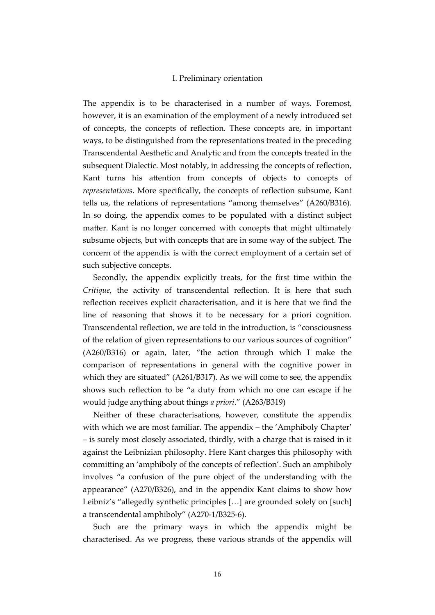#### I. Preliminary orientation

The appendix is to be characterised in a number of ways. Foremost, however, it is an examination of the employment of a newly introduced set of concepts, the concepts of reflection. These concepts are, in important ways, to be distinguished from the representations treated in the preceding Transcendental Aesthetic and Analytic and from the concepts treated in the subsequent Dialectic. Most notably, in addressing the concepts of reflection, Kant turns his atention from concepts of objects to concepts of *representations*. More specifcally, the concepts of reflection subsume, Kant tells us, the relations of representations "among themselves" (A260/B316). In so doing, the appendix comes to be populated with a distinct subject mater. Kant is no longer concerned with concepts that might ultimately subsume objects, but with concepts that are in some way of the subject. The concern of the appendix is with the correct employment of a certain set of such subjective concepts.

Secondly, the appendix explicitly treats, for the first time within the *Critique*, the activity of transcendental reflection. It is here that such reflection receives explicit characterisation, and it is here that we fnd the line of reasoning that shows it to be necessary for a priori cognition. Transcendental reflection, we are told in the introduction, is "consciousness of the relation of given representations to our various sources of cognition" (A260/B316) or again, later, "the action through which I make the comparison of representations in general with the cognitive power in which they are situated" (A261/B317). As we will come to see, the appendix shows such reflection to be "a duty from which no one can escape if he would judge anything about things *a priori*." (A263/B319)

Neither of these characterisations, however, constitute the appendix with which we are most familiar. The appendix – the 'Amphiboly Chapter' – is surely most closely associated, thirdly, with a charge that is raised in it against the Leibnizian philosophy. Here Kant charges this philosophy with commiting an 'amphiboly of the concepts of reflection'. Such an amphiboly involves "a confusion of the pure object of the understanding with the appearance" (A270/B326), and in the appendix Kant claims to show how Leibniz's "allegedly synthetic principles […] are grounded solely on [such] a transcendental amphiboly" (A270-1/B325-6).

Such are the primary ways in which the appendix might be characterised. As we progress, these various strands of the appendix will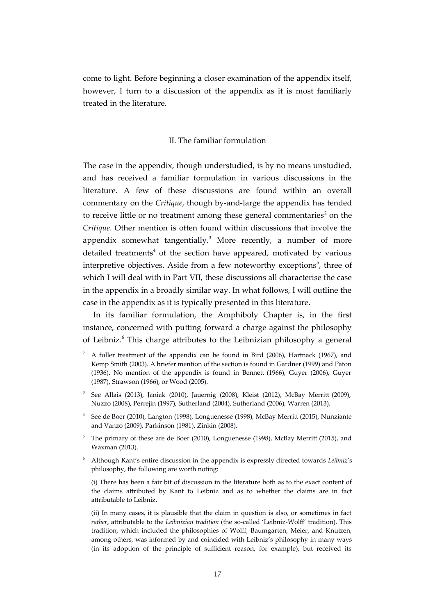come to light. Before beginning a closer examination of the appendix itself, however, I turn to a discussion of the appendix as it is most familiarly treated in the literature.

### II. The familiar formulation

The case in the appendix, though understudied, is by no means unstudied, and has received a familiar formulation in various discussions in the literature. A few of these discussions are found within an overall commentary on the *Critique*, though by-and-large the appendix has tended to receive little or no treatment among these general commentaries<sup>[2](#page-16-0)</sup> on the *Critique*. Other mention is often found within discussions that involve the appendix somewhat tangentially. $3$  More recently, a number of more detailed treatments<sup>[4](#page-16-2)</sup> of the section have appeared, motivated by various interpretive objectives. Aside from a few noteworthy exceptions<sup>[5](#page-16-3)</sup>, three of which I will deal with in Part VII, these discussions all characterise the case in the appendix in a broadly similar way. In what follows, I will outline the case in the appendix as it is typically presented in this literature.

In its familiar formulation, the Amphiboly Chapter is, in the frst instance, concerned with puting forward a charge against the philosophy of Leibniz.<sup>[6](#page-16-4)</sup> This charge attributes to the Leibnizian philosophy a general

- <span id="page-16-0"></span> $2^{\circ}$  A fuller treatment of the appendix can be found in Bird (2006), Hartnack (1967), and Kemp Smith (2003). A briefer mention of the section is found in Gardner (1999) and Paton (1936). No mention of the appendix is found in Bennet (1966), Guyer (2006), Guyer (1987), Strawson (1966), or Wood (2005).
- <span id="page-16-1"></span>3 See Allais (2013), Janiak (2010), Jauernig (2008), Kleist (2012), McBay Merrit (2009), Nuzzo (2008), Perrejin (1997), Sutherland (2004), Sutherland (2006), Warren (2013).
- <span id="page-16-2"></span>4 See de Boer (2010), Langton (1998), Longuenesse (1998), McBay Merrit (2015), Nunziante and Vanzo (2009), Parkinson (1981), Zinkin (2008).
- <span id="page-16-3"></span><sup>5</sup> The primary of these are de Boer (2010), Longuenesse (1998), McBay Merritt (2015), and Waxman (2013).
- <span id="page-16-4"></span><sup>6</sup> Although Kant's entire discussion in the appendix is expressly directed towards *Leibniz*'s philosophy, the following are worth noting:

(i) There has been a fair bit of discussion in the literature both as to the exact content of the claims atributed by Kant to Leibniz and as to whether the claims are in fact atributable to Leibniz.

(ii) In many cases, it is plausible that the claim in question is also, or sometimes in fact *rather*, atributable to the *Leibnizian tradition* (the so-called 'Leibniz-Wolf' tradition). This tradition, which included the philosophies of Wolff, Baumgarten, Meier, and Knutzen, among others, was informed by and coincided with Leibniz's philosophy in many ways (in its adoption of the principle of sufficient reason, for example), but received its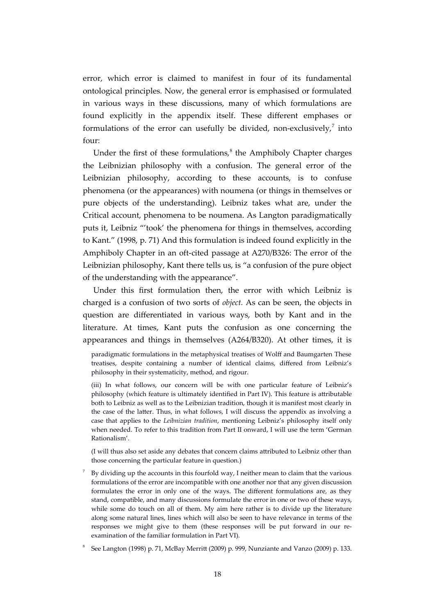error, which error is claimed to manifest in four of its fundamental ontological principles. Now, the general error is emphasised or formulated in various ways in these discussions, many of which formulations are found explicitly in the appendix itself. These diferent emphases or formulations of the error can usefully be divided, non-exclusively, $\frac{7}{1}$  $\frac{7}{1}$  $\frac{7}{1}$  into four:

Under the first of these formulations, $<sup>8</sup>$  $<sup>8</sup>$  $<sup>8</sup>$  the Amphiboly Chapter charges</sup> the Leibnizian philosophy with a confusion. The general error of the Leibnizian philosophy, according to these accounts, is to confuse phenomena (or the appearances) with noumena (or things in themselves or pure objects of the understanding). Leibniz takes what are, under the Critical account, phenomena to be noumena. As Langton paradigmatically puts it, Leibniz "'took' the phenomena for things in themselves, according to Kant." (1998, p. 71) And this formulation is indeed found explicitly in the Amphiboly Chapter in an oft-cited passage at A270/B326: The error of the Leibnizian philosophy, Kant there tells us, is "a confusion of the pure object of the understanding with the appearance".

Under this frst formulation then, the error with which Leibniz is charged is a confusion of two sorts of *object.* As can be seen, the objects in question are diferentiated in various ways, both by Kant and in the literature. At times, Kant puts the confusion as one concerning the appearances and things in themselves (A264/B320). At other times, it is

paradigmatic formulations in the metaphysical treatises of Wolf and Baumgarten These treatises, despite containing a number of identical claims, difered from Leibniz's philosophy in their systematicity, method, and rigour.

(iii) In what follows, our concern will be with one particular feature of Leibniz's philosophy (which feature is ultimately identifed in Part IV). This feature is atributable both to Leibniz as well as to the Leibnizian tradition, though it is manifest most clearly in the case of the later. Thus, in what follows, I will discuss the appendix as involving a case that applies to the *Leibnizian tradition*, mentioning Leibniz's philosophy itself only when needed. To refer to this tradition from Part II onward, I will use the term 'German Rationalism'.

(I will thus also set aside any debates that concern claims atributed to Leibniz other than those concerning the particular feature in question.)

- <span id="page-17-0"></span><sup>7</sup> By dividing up the accounts in this fourfold way, I neither mean to claim that the various formulations of the error are incompatible with one another nor that any given discussion formulates the error in only one of the ways. The diferent formulations are, as they stand, compatible, and many discussions formulate the error in one or two of these ways, while some do touch on all of them. My aim here rather is to divide up the literature along some natural lines, lines which will also be seen to have relevance in terms of the responses we might give to them (these responses will be put forward in our reexamination of the familiar formulation in Part VI).
- <span id="page-17-1"></span>8 See Langton (1998) p. 71, McBay Merrit (2009) p. 999, Nunziante and Vanzo (2009) p. 133.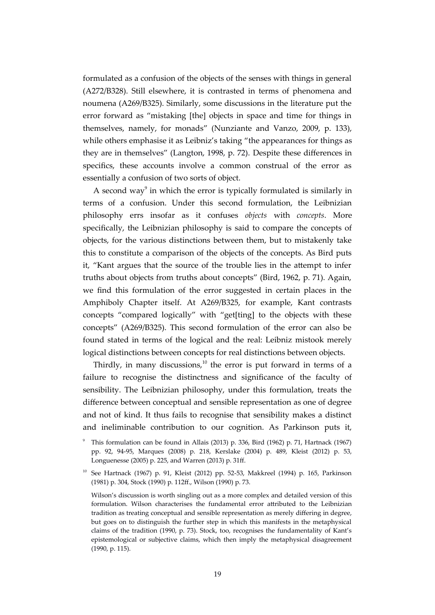formulated as a confusion of the objects of the senses with things in general (A272/B328). Still elsewhere, it is contrasted in terms of phenomena and noumena (A269/B325). Similarly, some discussions in the literature put the error forward as "mistaking [the] objects in space and time for things in themselves, namely, for monads" (Nunziante and Vanzo, 2009, p. 133), while others emphasise it as Leibniz's taking "the appearances for things as they are in themselves" (Langton, 1998, p. 72). Despite these diferences in specifics, these accounts involve a common construal of the error as essentially a confusion of two sorts of object.

A second way<sup>[9](#page-18-0)</sup> in which the error is typically formulated is similarly in terms of a confusion. Under this second formulation, the Leibnizian philosophy errs insofar as it confuses *objects* with *concepts*. More specifically, the Leibnizian philosophy is said to compare the concepts of objects, for the various distinctions between them, but to mistakenly take this to constitute a comparison of the objects of the concepts. As Bird puts it, "Kant argues that the source of the trouble lies in the atempt to infer truths about objects from truths about concepts" (Bird, 1962, p. 71). Again, we fnd this formulation of the error suggested in certain places in the Amphiboly Chapter itself. At A269/B325, for example, Kant contrasts concepts "compared logically" with "get[ting] to the objects with these concepts" (A269/B325). This second formulation of the error can also be found stated in terms of the logical and the real: Leibniz mistook merely logical distinctions between concepts for real distinctions between objects.

Thirdly, in many discussions, $10$  the error is put forward in terms of a failure to recognise the distinctness and significance of the faculty of sensibility. The Leibnizian philosophy, under this formulation, treats the diference between conceptual and sensible representation as one of degree and not of kind. It thus fails to recognise that sensibility makes a distinct and ineliminable contribution to our cognition. As Parkinson puts it,

<span id="page-18-0"></span><sup>&</sup>lt;sup>9</sup> This formulation can be found in Allais (2013) p. 336, Bird (1962) p. 71, Hartnack (1967) pp. 92, 94-95, Marques (2008) p. 218, Kerslake (2004) p. 489, Kleist (2012) p. 53, Longuenesse (2005) p. 225, and Warren (2013) p. 31f.

<span id="page-18-1"></span><sup>10</sup> See Hartnack (1967) p. 91, Kleist (2012) pp. 52-53, Makkreel (1994) p. 165, Parkinson (1981) p. 304, Stock (1990) p. 112f., Wilson (1990) p. 73.

Wilson's discussion is worth singling out as a more complex and detailed version of this formulation. Wilson characterises the fundamental error atributed to the Leibnizian tradition as treating conceptual and sensible representation as merely difering in degree, but goes on to distinguish the further step in which this manifests in the metaphysical claims of the tradition (1990, p. 73). Stock, too, recognises the fundamentality of Kant's epistemological or subjective claims, which then imply the metaphysical disagreement (1990, p. 115).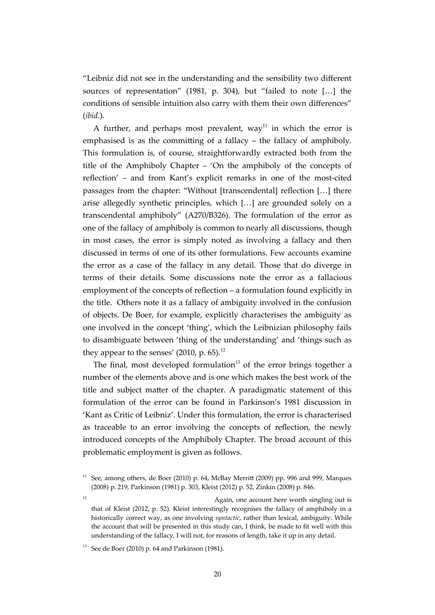"Leibniz did not see in the understanding and the sensibility two diferent sources of representation" (1981, p. 304), but "failed to note […] the conditions of sensible intuition also carry with them their own diferences" (*ibid*.).

A further, and perhaps most prevalent,  $way<sup>11</sup>$  $way<sup>11</sup>$  $way<sup>11</sup>$  in which the error is emphasised is as the commiting of a fallacy – the fallacy of amphiboly. This formulation is, of course, straightforwardly extracted both from the title of the Amphiboly Chapter – 'On the amphiboly of the concepts of reflection' – and from Kant's explicit remarks in one of the most-cited passages from the chapter: "Without [transcendental] reflection […] there arise allegedly synthetic principles, which […] are grounded solely on a transcendental amphiboly" (A270/B326). The formulation of the error as one of the fallacy of amphiboly is common to nearly all discussions, though in most cases, the error is simply noted as involving a fallacy and then discussed in terms of one of its other formulations. Few accounts examine the error as a case of the fallacy in any detail. Those that do diverge in terms of their details. Some discussions note the error as a fallacious employment of the concepts of reflection – a formulation found explicitly in the title. Others note it as a fallacy of ambiguity involved in the confusion of objects. De Boer, for example, explicitly characterises the ambiguity as one involved in the concept 'thing', which the Leibnizian philosophy fails to disambiguate between 'thing of the understanding' and 'things such as they appear to the senses'  $(2010, p. 65).$ <sup>[12](#page-19-1)</sup>

The final, most developed formulation<sup>[13](#page-19-2)</sup> of the error brings together a number of the elements above and is one which makes the best work of the title and subject matter of the chapter. A paradigmatic statement of this formulation of the error can be found in Parkinson's 1981 discussion in 'Kant as Critic of Leibniz'. Under this formulation, the error is characterised as traceable to an error involving the concepts of reflection, the newly introduced concepts of the Amphiboly Chapter. The broad account of this problematic employment is given as follows.

<span id="page-19-0"></span> $11$  See, among others, de Boer (2010) p. 64, McBay Merritt (2009) pp. 996 and 999, Marques (2008) p. 219, Parkinson (1981) p. 303, Kleist (2012) p. 52, Zinkin (2008) p. 846.

<span id="page-19-1"></span><sup>&</sup>lt;sup>12</sup> Again, one account here worth singling out is that of Kleist (2012, p. 52). Kleist interestingly recognises the fallacy of amphiboly in a historically correct way, as one involving *syntactic*, rather than lexical, ambiguity. While the account that will be presented in this study can, I think, be made to fit well with this understanding of the fallacy, I will not, for reasons of length, take it up in any detail.

<span id="page-19-2"></span> $13$  See de Boer (2010) p. 64 and Parkinson (1981).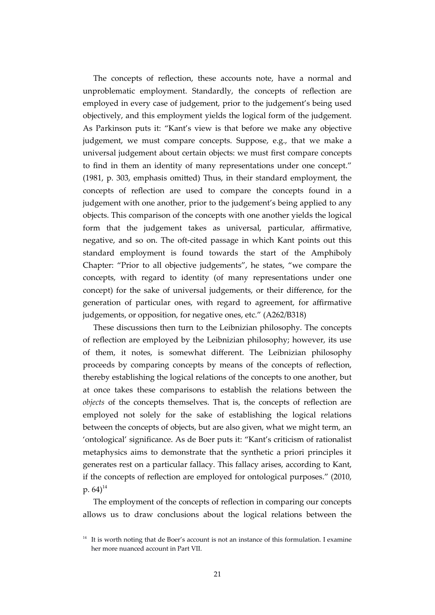The concepts of reflection, these accounts note, have a normal and unproblematic employment. Standardly, the concepts of reflection are employed in every case of judgement, prior to the judgement's being used objectively, and this employment yields the logical form of the judgement. As Parkinson puts it: "Kant's view is that before we make any objective judgement, we must compare concepts. Suppose, e.g., that we make a universal judgement about certain objects: we must first compare concepts to fnd in them an identity of many representations under one concept." (1981, p. 303, emphasis omited) Thus, in their standard employment, the concepts of reflection are used to compare the concepts found in a judgement with one another, prior to the judgement's being applied to any objects. This comparison of the concepts with one another yields the logical form that the judgement takes as universal, particular, affirmative, negative, and so on. The oft-cited passage in which Kant points out this standard employment is found towards the start of the Amphiboly Chapter: "Prior to all objective judgements", he states, "we compare the concepts, with regard to identity (of many representations under one concept) for the sake of universal judgements, or their diference, for the generation of particular ones, with regard to agreement, for affirmative judgements, or opposition, for negative ones, etc." (A262/B318)

These discussions then turn to the Leibnizian philosophy. The concepts of reflection are employed by the Leibnizian philosophy; however, its use of them, it notes, is somewhat diferent. The Leibnizian philosophy proceeds by comparing concepts by means of the concepts of reflection, thereby establishing the logical relations of the concepts to one another, but at once takes these comparisons to establish the relations between the *objects* of the concepts themselves. That is, the concepts of reflection are employed not solely for the sake of establishing the logical relations between the concepts of objects, but are also given, what we might term, an 'ontological' signifcance. As de Boer puts it: "Kant's criticism of rationalist metaphysics aims to demonstrate that the synthetic a priori principles it generates rest on a particular fallacy. This fallacy arises, according to Kant, if the concepts of reflection are employed for ontological purposes." (2010, p.  $64)^{14}$  $64)^{14}$  $64)^{14}$ 

The employment of the concepts of reflection in comparing our concepts allows us to draw conclusions about the logical relations between the

<span id="page-20-0"></span> $14$  It is worth noting that de Boer's account is not an instance of this formulation. I examine her more nuanced account in Part VII.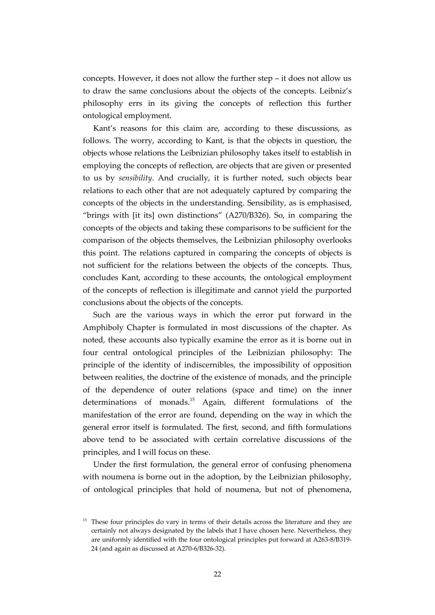concepts. However, it does not allow the further step – it does not allow us to draw the same conclusions about the objects of the concepts. Leibniz's philosophy errs in its giving the concepts of reflection this further ontological employment.

Kant's reasons for this claim are, according to these discussions, as follows. The worry, according to Kant, is that the objects in question, the objects whose relations the Leibnizian philosophy takes itself to establish in employing the concepts of reflection, are objects that are given or presented to us by *sensibility*. And crucially, it is further noted, such objects bear relations to each other that are not adequately captured by comparing the concepts of the objects in the understanding. Sensibility, as is emphasised, "brings with [it its] own distinctions" (A270/B326). So, in comparing the concepts of the objects and taking these comparisons to be sufficient for the comparison of the objects themselves, the Leibnizian philosophy overlooks this point. The relations captured in comparing the concepts of objects is not sufficient for the relations between the objects of the concepts. Thus, concludes Kant, according to these accounts, the ontological employment of the concepts of reflection is illegitimate and cannot yield the purported conclusions about the objects of the concepts.

Such are the various ways in which the error put forward in the Amphiboly Chapter is formulated in most discussions of the chapter. As noted, these accounts also typically examine the error as it is borne out in four central ontological principles of the Leibnizian philosophy: The principle of the identity of indiscernibles, the impossibility of opposition between realities, the doctrine of the existence of monads, and the principle of the dependence of outer relations (space and time) on the inner determinations of monads.<sup>[15](#page-21-0)</sup> Again, different formulations of the manifestation of the error are found, depending on the way in which the general error itself is formulated. The frst, second, and ffth formulations above tend to be associated with certain correlative discussions of the principles, and I will focus on these.

Under the frst formulation, the general error of confusing phenomena with noumena is borne out in the adoption, by the Leibnizian philosophy, of ontological principles that hold of noumena, but not of phenomena,

<span id="page-21-0"></span><sup>&</sup>lt;sup>15</sup> These four principles do vary in terms of their details across the literature and they are certainly not always designated by the labels that I have chosen here. Nevertheless, they are uniformly identifed with the four ontological principles put forward at A263-8/B319- 24 (and again as discussed at A270-6/B326-32).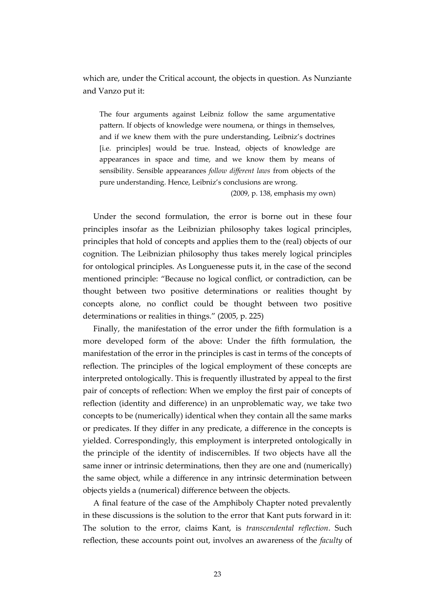which are, under the Critical account, the objects in question. As Nunziante and Vanzo put it:

The four arguments against Leibniz follow the same argumentative patern. If objects of knowledge were noumena, or things in themselves, and if we knew them with the pure understanding, Leibniz's doctrines [i.e. principles] would be true. Instead, objects of knowledge are appearances in space and time, and we know them by means of sensibility. Sensible appearances *follow diferent laws* from objects of the pure understanding. Hence, Leibniz's conclusions are wrong.

(2009, p. 138, emphasis my own)

Under the second formulation, the error is borne out in these four principles insofar as the Leibnizian philosophy takes logical principles, principles that hold of concepts and applies them to the (real) objects of our cognition. The Leibnizian philosophy thus takes merely logical principles for ontological principles. As Longuenesse puts it, in the case of the second mentioned principle: "Because no logical conflict, or contradiction, can be thought between two positive determinations or realities thought by concepts alone, no conflict could be thought between two positive determinations or realities in things." (2005, p. 225)

Finally, the manifestation of the error under the ffth formulation is a more developed form of the above: Under the ffth formulation, the manifestation of the error in the principles is cast in terms of the concepts of reflection. The principles of the logical employment of these concepts are interpreted ontologically. This is frequently illustrated by appeal to the frst pair of concepts of reflection: When we employ the frst pair of concepts of reflection (identity and diference) in an unproblematic way, we take two concepts to be (numerically) identical when they contain all the same marks or predicates. If they difer in any predicate, a diference in the concepts is yielded. Correspondingly, this employment is interpreted ontologically in the principle of the identity of indiscernibles. If two objects have all the same inner or intrinsic determinations, then they are one and (numerically) the same object, while a diference in any intrinsic determination between objects yields a (numerical) diference between the objects.

A fnal feature of the case of the Amphiboly Chapter noted prevalently in these discussions is the solution to the error that Kant puts forward in it: The solution to the error, claims Kant, is *transcendental refection*. Such reflection, these accounts point out, involves an awareness of the *faculty* of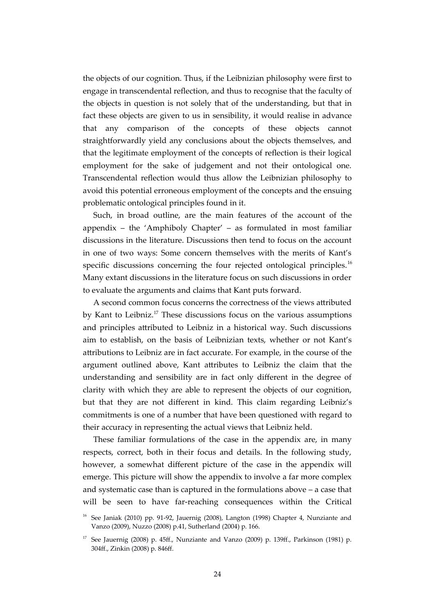the objects of our cognition. Thus, if the Leibnizian philosophy were frst to engage in transcendental reflection, and thus to recognise that the faculty of the objects in question is not solely that of the understanding, but that in fact these objects are given to us in sensibility, it would realise in advance that any comparison of the concepts of these objects cannot straightforwardly yield any conclusions about the objects themselves, and that the legitimate employment of the concepts of reflection is their logical employment for the sake of judgement and not their ontological one. Transcendental reflection would thus allow the Leibnizian philosophy to avoid this potential erroneous employment of the concepts and the ensuing problematic ontological principles found in it.

Such, in broad outline, are the main features of the account of the appendix – the 'Amphiboly Chapter' – as formulated in most familiar discussions in the literature. Discussions then tend to focus on the account in one of two ways: Some concern themselves with the merits of Kant's specific discussions concerning the four rejected ontological principles.<sup>[16](#page-23-0)</sup> Many extant discussions in the literature focus on such discussions in order to evaluate the arguments and claims that Kant puts forward.

A second common focus concerns the correctness of the views atributed by Kant to Leibniz.<sup>[17](#page-23-1)</sup> These discussions focus on the various assumptions and principles atributed to Leibniz in a historical way. Such discussions aim to establish, on the basis of Leibnizian texts, whether or not Kant's atributions to Leibniz are in fact accurate. For example, in the course of the argument outlined above, Kant atributes to Leibniz the claim that the understanding and sensibility are in fact only diferent in the degree of clarity with which they are able to represent the objects of our cognition, but that they are not diferent in kind. This claim regarding Leibniz's commitments is one of a number that have been questioned with regard to their accuracy in representing the actual views that Leibniz held.

These familiar formulations of the case in the appendix are, in many respects, correct, both in their focus and details. In the following study, however, a somewhat diferent picture of the case in the appendix will emerge. This picture will show the appendix to involve a far more complex and systematic case than is captured in the formulations above – a case that will be seen to have far-reaching consequences within the Critical

<span id="page-23-0"></span> $16$  See Janiak (2010) pp. 91-92, Jauernig (2008), Langton (1998) Chapter 4, Nunziante and Vanzo (2009), Nuzzo (2008) p.41, Sutherland (2004) p. 166.

<span id="page-23-1"></span> $17$  See Jauernig (2008) p. 45ff., Nunziante and Vanzo (2009) p. 139ff., Parkinson (1981) p. 304f., Zinkin (2008) p. 846f.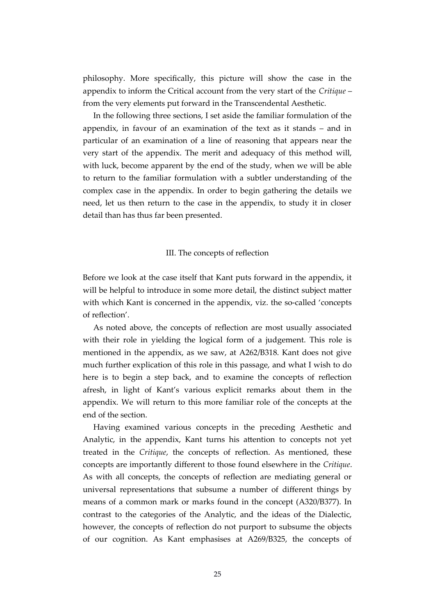philosophy. More specifcally, this picture will show the case in the appendix to inform the Critical account from the very start of the *Critique* – from the very elements put forward in the Transcendental Aesthetic.

In the following three sections, I set aside the familiar formulation of the appendix, in favour of an examination of the text as it stands – and in particular of an examination of a line of reasoning that appears near the very start of the appendix. The merit and adequacy of this method will, with luck, become apparent by the end of the study, when we will be able to return to the familiar formulation with a subtler understanding of the complex case in the appendix. In order to begin gathering the details we need, let us then return to the case in the appendix, to study it in closer detail than has thus far been presented.

#### III. The concepts of reflection

Before we look at the case itself that Kant puts forward in the appendix, it will be helpful to introduce in some more detail, the distinct subject matter with which Kant is concerned in the appendix, viz. the so-called 'concepts of reflection'.

As noted above, the concepts of reflection are most usually associated with their role in yielding the logical form of a judgement. This role is mentioned in the appendix, as we saw, at A262/B318. Kant does not give much further explication of this role in this passage, and what I wish to do here is to begin a step back, and to examine the concepts of reflection afresh, in light of Kant's various explicit remarks about them in the appendix. We will return to this more familiar role of the concepts at the end of the section.

Having examined various concepts in the preceding Aesthetic and Analytic, in the appendix, Kant turns his atention to concepts not yet treated in the *Critique*, the concepts of reflection. As mentioned, these concepts are importantly diferent to those found elsewhere in the *Critique*. As with all concepts, the concepts of reflection are mediating general or universal representations that subsume a number of diferent things by means of a common mark or marks found in the concept (A320/B377). In contrast to the categories of the Analytic, and the ideas of the Dialectic, however, the concepts of reflection do not purport to subsume the objects of our cognition. As Kant emphasises at A269/B325, the concepts of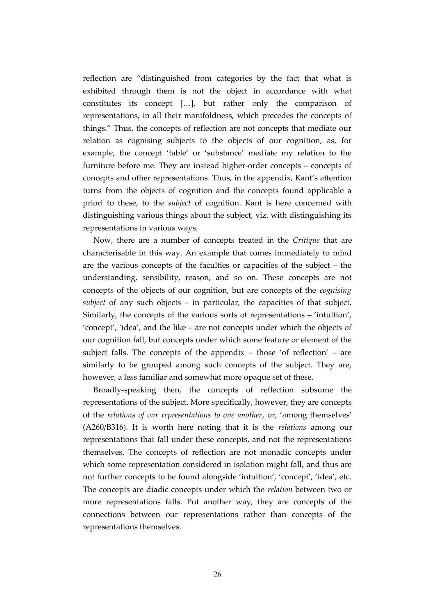reflection are "distinguished from categories by the fact that what is exhibited through them is not the object in accordance with what constitutes its concept […], but rather only the comparison of representations, in all their manifoldness, which precedes the concepts of things." Thus, the concepts of reflection are not concepts that mediate our relation as cognising subjects to the objects of our cognition, as, for example, the concept 'table' or 'substance' mediate my relation to the furniture before me. They are instead higher-order concepts – concepts of concepts and other representations. Thus, in the appendix, Kant's atention turns from the objects of cognition and the concepts found applicable a priori to these, to the *subject* of cognition. Kant is here concerned with distinguishing various things about the subject, viz. with distinguishing its representations in various ways.

Now, there are a number of concepts treated in the *Critique* that are characterisable in this way. An example that comes immediately to mind are the various concepts of the faculties or capacities of the subject – the understanding, sensibility, reason, and so on. These concepts are not concepts of the objects of our cognition, but are concepts of the *cognising subject* of any such objects – in particular, the capacities of that subject. Similarly, the concepts of the various sorts of representations – 'intuition', 'concept', 'idea', and the like – are not concepts under which the objects of our cognition fall, but concepts under which some feature or element of the subject falls. The concepts of the appendix  $-$  those 'of reflection'  $-$  are similarly to be grouped among such concepts of the subject. They are, however, a less familiar and somewhat more opaque set of these.

Broadly-speaking then, the concepts of reflection subsume the representations of the subject. More specifically, however, they are concepts of the *relations of our representations to one another*, or, 'among themselves' (A260/B316). It is worth here noting that it is the *relations* among our representations that fall under these concepts, and not the representations themselves. The concepts of reflection are not monadic concepts under which some representation considered in isolation might fall, and thus are not further concepts to be found alongside 'intuition', 'concept', 'idea', etc. The concepts are diadic concepts under which the *relation* between two or more representations falls. Put another way, they are concepts of the connections between our representations rather than concepts of the representations themselves.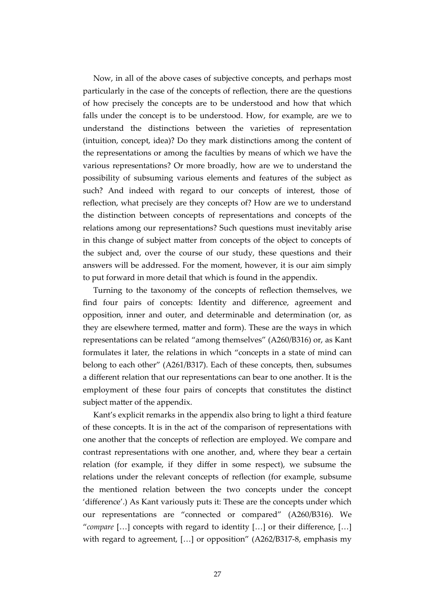Now, in all of the above cases of subjective concepts, and perhaps most particularly in the case of the concepts of reflection, there are the questions of how precisely the concepts are to be understood and how that which falls under the concept is to be understood. How, for example, are we to understand the distinctions between the varieties of representation (intuition, concept, idea)? Do they mark distinctions among the content of the representations or among the faculties by means of which we have the various representations? Or more broadly, how are we to understand the possibility of subsuming various elements and features of the subject as such? And indeed with regard to our concepts of interest, those of reflection, what precisely are they concepts of? How are we to understand the distinction between concepts of representations and concepts of the relations among our representations? Such questions must inevitably arise in this change of subject mater from concepts of the object to concepts of the subject and, over the course of our study, these questions and their answers will be addressed. For the moment, however, it is our aim simply to put forward in more detail that which is found in the appendix.

Turning to the taxonomy of the concepts of reflection themselves, we fnd four pairs of concepts: Identity and diference, agreement and opposition, inner and outer, and determinable and determination (or, as they are elsewhere termed, matter and form). These are the ways in which representations can be related "among themselves" (A260/B316) or, as Kant formulates it later, the relations in which "concepts in a state of mind can belong to each other" (A261/B317). Each of these concepts, then, subsumes a diferent relation that our representations can bear to one another. It is the employment of these four pairs of concepts that constitutes the distinct subject matter of the appendix.

Kant's explicit remarks in the appendix also bring to light a third feature of these concepts. It is in the act of the comparison of representations with one another that the concepts of reflection are employed. We compare and contrast representations with one another, and, where they bear a certain relation (for example, if they difer in some respect), we subsume the relations under the relevant concepts of reflection (for example, subsume the mentioned relation between the two concepts under the concept 'diference'.) As Kant variously puts it: These are the concepts under which our representations are "connected or compared" (A260/B316). We "*compare* […] concepts with regard to identity […] or their diference, […] with regard to agreement, […] or opposition" (A262/B317-8, emphasis my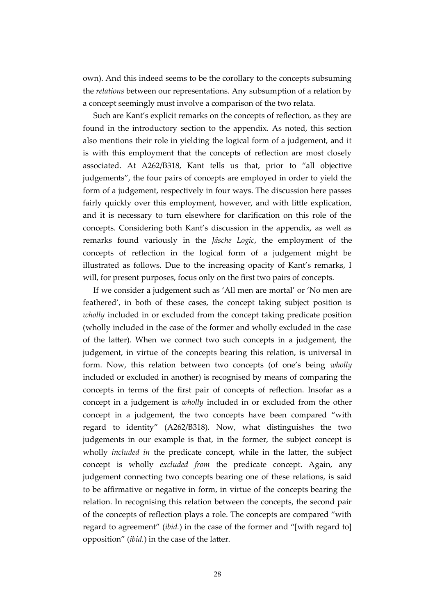own). And this indeed seems to be the corollary to the concepts subsuming the *relations* between our representations. Any subsumption of a relation by a concept seemingly must involve a comparison of the two relata.

Such are Kant's explicit remarks on the concepts of reflection, as they are found in the introductory section to the appendix. As noted, this section also mentions their role in yielding the logical form of a judgement, and it is with this employment that the concepts of reflection are most closely associated. At A262/B318, Kant tells us that, prior to "all objective judgements", the four pairs of concepts are employed in order to yield the form of a judgement, respectively in four ways. The discussion here passes fairly quickly over this employment, however, and with litle explication, and it is necessary to turn elsewhere for clarifcation on this role of the concepts. Considering both Kant's discussion in the appendix, as well as remarks found variously in the *Jäsche Logic*, the employment of the concepts of reflection in the logical form of a judgement might be illustrated as follows. Due to the increasing opacity of Kant's remarks, I will, for present purposes, focus only on the first two pairs of concepts.

If we consider a judgement such as 'All men are mortal' or 'No men are feathered', in both of these cases, the concept taking subject position is *wholly* included in or excluded from the concept taking predicate position (wholly included in the case of the former and wholly excluded in the case of the later). When we connect two such concepts in a judgement, the judgement, in virtue of the concepts bearing this relation, is universal in form. Now, this relation between two concepts (of one's being *wholly* included or excluded in another) is recognised by means of comparing the concepts in terms of the frst pair of concepts of reflection. Insofar as a concept in a judgement is *wholly* included in or excluded from the other concept in a judgement, the two concepts have been compared "with regard to identity" (A262/B318). Now, what distinguishes the two judgements in our example is that, in the former, the subject concept is wholly *included in* the predicate concept, while in the latter, the subject concept is wholly *excluded from* the predicate concept. Again, any judgement connecting two concepts bearing one of these relations, is said to be afrmative or negative in form, in virtue of the concepts bearing the relation. In recognising this relation between the concepts, the second pair of the concepts of reflection plays a role. The concepts are compared "with regard to agreement" (*ibid.*) in the case of the former and "[with regard to] opposition" (*ibid.*) in the case of the latter.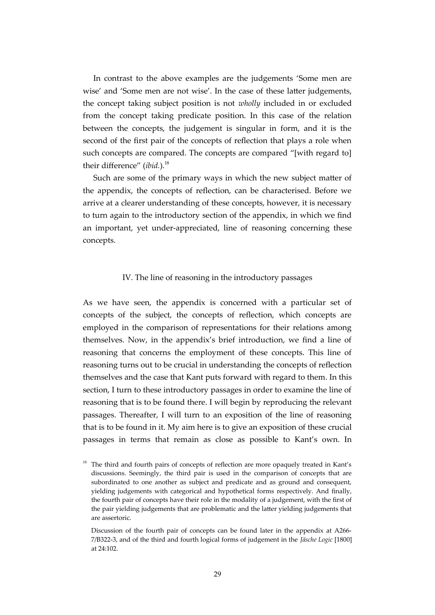In contrast to the above examples are the judgements 'Some men are wise' and 'Some men are not wise'. In the case of these latter judgements, the concept taking subject position is not *wholly* included in or excluded from the concept taking predicate position. In this case of the relation between the concepts, the judgement is singular in form, and it is the second of the frst pair of the concepts of reflection that plays a role when such concepts are compared. The concepts are compared "[with regard to] their difference" (*ibid.*).<sup>[18](#page-28-0)</sup>

Such are some of the primary ways in which the new subject matter of the appendix, the concepts of reflection, can be characterised. Before we arrive at a clearer understanding of these concepts, however, it is necessary to turn again to the introductory section of the appendix, in which we fnd an important, yet under-appreciated, line of reasoning concerning these concepts.

#### IV. The line of reasoning in the introductory passages

As we have seen, the appendix is concerned with a particular set of concepts of the subject, the concepts of reflection, which concepts are employed in the comparison of representations for their relations among themselves. Now, in the appendix's brief introduction, we fnd a line of reasoning that concerns the employment of these concepts. This line of reasoning turns out to be crucial in understanding the concepts of reflection themselves and the case that Kant puts forward with regard to them. In this section, I turn to these introductory passages in order to examine the line of reasoning that is to be found there. I will begin by reproducing the relevant passages. Thereafter, I will turn to an exposition of the line of reasoning that is to be found in it. My aim here is to give an exposition of these crucial passages in terms that remain as close as possible to Kant's own. In

<span id="page-28-0"></span> $18$  The third and fourth pairs of concepts of reflection are more opaquely treated in Kant's discussions. Seemingly, the third pair is used in the comparison of concepts that are subordinated to one another as subject and predicate and as ground and consequent, yielding judgements with categorical and hypothetical forms respectively. And fnally, the fourth pair of concepts have their role in the modality of a judgement, with the frst of the pair yielding judgements that are problematic and the later yielding judgements that are assertoric.

Discussion of the fourth pair of concepts can be found later in the appendix at A266- 7/B322-3, and of the third and fourth logical forms of judgement in the *Jäsche Logic* [1800] at 24:102.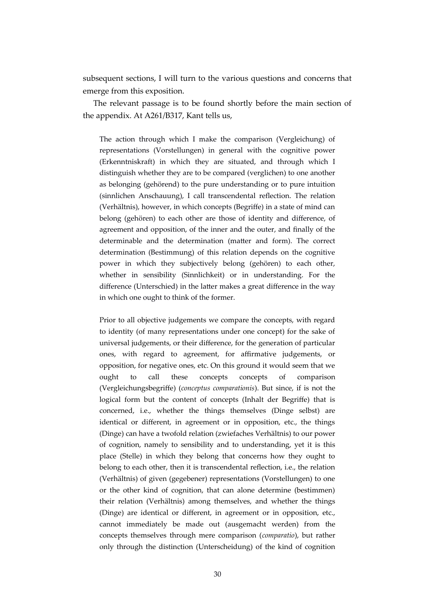subsequent sections, I will turn to the various questions and concerns that emerge from this exposition.

The relevant passage is to be found shortly before the main section of the appendix. At A261/B317, Kant tells us,

The action through which I make the comparison (Vergleichung) of representations (Vorstellungen) in general with the cognitive power (Erkenntniskraft) in which they are situated, and through which I distinguish whether they are to be compared (verglichen) to one another as belonging (gehörend) to the pure understanding or to pure intuition (sinnlichen Anschauung), I call transcendental reflection. The relation (Verhältnis), however, in which concepts (Begrife) in a state of mind can belong (gehören) to each other are those of identity and diference, of agreement and opposition, of the inner and the outer, and fnally of the determinable and the determination (matter and form). The correct determination (Bestimmung) of this relation depends on the cognitive power in which they subjectively belong (gehören) to each other, whether in sensibility (Sinnlichkeit) or in understanding. For the difference (Unterschied) in the latter makes a great difference in the way in which one ought to think of the former.

Prior to all objective judgements we compare the concepts, with regard to identity (of many representations under one concept) for the sake of universal judgements, or their diference, for the generation of particular ones, with regard to agreement, for affirmative judgements, or opposition, for negative ones, etc. On this ground it would seem that we ought to call these concepts concepts of comparison (Vergleichungsbegrife) (*conceptus comparationis*). But since, if is not the logical form but the content of concepts (Inhalt der Begrife) that is concerned, i.e., whether the things themselves (Dinge selbst) are identical or diferent, in agreement or in opposition, etc., the things (Dinge) can have a twofold relation (zwiefaches Verhältnis) to our power of cognition, namely to sensibility and to understanding, yet it is this place (Stelle) in which they belong that concerns how they ought to belong to each other, then it is transcendental reflection, i.e., the relation (Verhältnis) of given (gegebener) representations (Vorstellungen) to one or the other kind of cognition, that can alone determine (bestimmen) their relation (Verhältnis) among themselves, and whether the things (Dinge) are identical or diferent, in agreement or in opposition, etc., cannot immediately be made out (ausgemacht werden) from the concepts themselves through mere comparison (*comparatio*), but rather only through the distinction (Unterscheidung) of the kind of cognition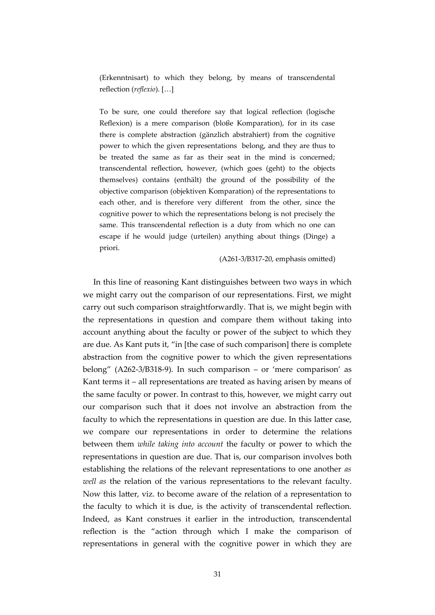(Erkenntnisart) to which they belong, by means of transcendental reflection (*refexio*). […]

To be sure, one could therefore say that logical reflection (logische Reflexion) is a mere comparison (bloße Komparation), for in its case there is complete abstraction (gänzlich abstrahiert) from the cognitive power to which the given representations belong, and they are thus to be treated the same as far as their seat in the mind is concerned; transcendental reflection, however, (which goes (geht) to the objects themselves) contains (enthält) the ground of the possibility of the objective comparison (objektiven Komparation) of the representations to each other, and is therefore very diferent from the other, since the cognitive power to which the representations belong is not precisely the same. This transcendental reflection is a duty from which no one can escape if he would judge (urteilen) anything about things (Dinge) a priori.

(A261-3/B317-20, emphasis omited)

In this line of reasoning Kant distinguishes between two ways in which we might carry out the comparison of our representations. First, we might carry out such comparison straightforwardly. That is, we might begin with the representations in question and compare them without taking into account anything about the faculty or power of the subject to which they are due. As Kant puts it, "in [the case of such comparison] there is complete abstraction from the cognitive power to which the given representations belong" (A262-3/B318-9). In such comparison – or 'mere comparison' as Kant terms it – all representations are treated as having arisen by means of the same faculty or power. In contrast to this, however, we might carry out our comparison such that it does not involve an abstraction from the faculty to which the representations in question are due. In this later case, we compare our representations in order to determine the relations between them *while taking into account* the faculty or power to which the representations in question are due. That is, our comparison involves both establishing the relations of the relevant representations to one another *as well as* the relation of the various representations to the relevant faculty. Now this later, viz. to become aware of the relation of a representation to the faculty to which it is due, is the activity of transcendental reflection. Indeed, as Kant construes it earlier in the introduction, transcendental reflection is the "action through which I make the comparison of representations in general with the cognitive power in which they are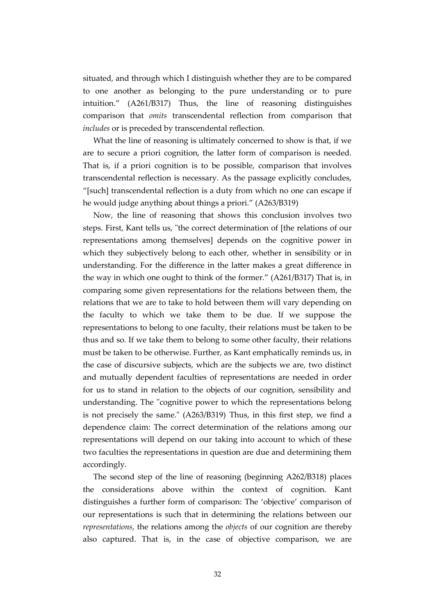situated, and through which I distinguish whether they are to be compared to one another as belonging to the pure understanding or to pure intuition." (A261/B317) Thus, the line of reasoning distinguishes comparison that *omits* transcendental reflection from comparison that *includes* or is preceded by transcendental reflection.

What the line of reasoning is ultimately concerned to show is that, if we are to secure a priori cognition, the later form of comparison is needed. That is, if a priori cognition is to be possible, comparison that involves transcendental reflection is necessary. As the passage explicitly concludes, "[such] transcendental reflection is a duty from which no one can escape if he would judge anything about things a priori." (A263/B319)

Now, the line of reasoning that shows this conclusion involves two steps. First, Kant tells us, "the correct determination of [the relations of our representations among themselves] depends on the cognitive power in which they subjectively belong to each other, whether in sensibility or in understanding. For the diference in the later makes a great diference in the way in which one ought to think of the former." (A261/B317) That is, in comparing some given representations for the relations between them, the relations that we are to take to hold between them will vary depending on the faculty to which we take them to be due. If we suppose the representations to belong to one faculty, their relations must be taken to be thus and so. If we take them to belong to some other faculty, their relations must be taken to be otherwise. Further, as Kant emphatically reminds us, in the case of discursive subjects, which are the subjects we are, two distinct and mutually dependent faculties of representations are needed in order for us to stand in relation to the objects of our cognition, sensibility and understanding. The "cognitive power to which the representations belong is not precisely the same." (A263/B319) Thus, in this first step, we find a dependence claim: The correct determination of the relations among our representations will depend on our taking into account to which of these two faculties the representations in question are due and determining them accordingly.

The second step of the line of reasoning (beginning A262/B318) places the considerations above within the context of cognition. Kant distinguishes a further form of comparison: The 'objective' comparison of our representations is such that in determining the relations between our *representations*, the relations among the *objects* of our cognition are thereby also captured. That is, in the case of objective comparison, we are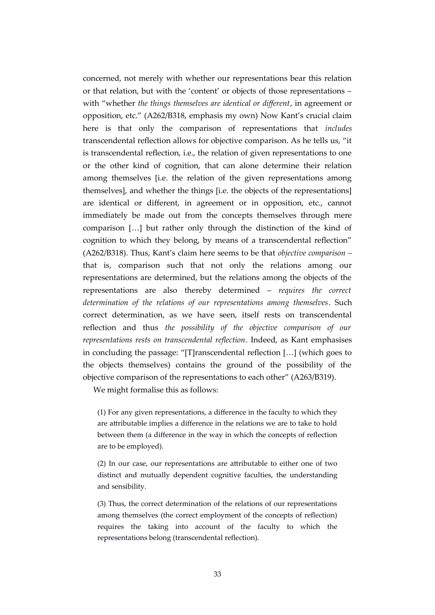concerned, not merely with whether our representations bear this relation or that relation, but with the 'content' or objects of those representations – with "whether *the things themselves are identical or diferent*, in agreement or opposition, etc." (A262/B318, emphasis my own) Now Kant's crucial claim here is that only the comparison of representations that *includes* transcendental reflection allows for objective comparison. As he tells us, "it is transcendental reflection, i.e., the relation of given representations to one or the other kind of cognition, that can alone determine their relation among themselves [i.e. the relation of the given representations among themselves], and whether the things [i.e. the objects of the representations] are identical or diferent, in agreement or in opposition, etc., cannot immediately be made out from the concepts themselves through mere comparison […] but rather only through the distinction of the kind of cognition to which they belong, by means of a transcendental reflection" (A262/B318). Thus, Kant's claim here seems to be that *objective comparison –* that is, comparison such that not only the relations among our representations are determined, but the relations among the objects of the representations are also thereby determined – *requires the correct determination of the relations of our representations among themselves*. Such correct determination, as we have seen, itself rests on transcendental reflection and thus *the possibility of the objective comparison of our representations rests on transcendental refection*. Indeed, as Kant emphasises in concluding the passage: "[T]ranscendental reflection […] (which goes to the objects themselves) contains the ground of the possibility of the objective comparison of the representations to each other" (A263/B319).

We might formalise this as follows:

(1) For any given representations, a diference in the faculty to which they are atributable implies a diference in the relations we are to take to hold between them (a diference in the way in which the concepts of reflection are to be employed).

(2) In our case, our representations are atributable to either one of two distinct and mutually dependent cognitive faculties, the understanding and sensibility.

(3) Thus, the correct determination of the relations of our representations among themselves (the correct employment of the concepts of reflection) requires the taking into account of the faculty to which the representations belong (transcendental reflection).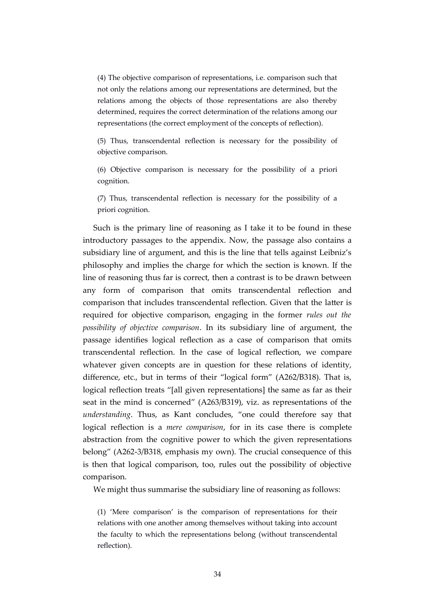(4) The objective comparison of representations, i.e. comparison such that not only the relations among our representations are determined, but the relations among the objects of those representations are also thereby determined, requires the correct determination of the relations among our representations (the correct employment of the concepts of reflection).

(5) Thus, transcendental reflection is necessary for the possibility of objective comparison.

(6) Objective comparison is necessary for the possibility of a priori cognition.

(7) Thus, transcendental reflection is necessary for the possibility of a priori cognition.

Such is the primary line of reasoning as I take it to be found in these introductory passages to the appendix. Now, the passage also contains a subsidiary line of argument, and this is the line that tells against Leibniz's philosophy and implies the charge for which the section is known. If the line of reasoning thus far is correct, then a contrast is to be drawn between any form of comparison that omits transcendental reflection and comparison that includes transcendental reflection. Given that the later is required for objective comparison, engaging in the former *rules out the possibility of objective comparison*. In its subsidiary line of argument, the passage identifes logical reflection as a case of comparison that omits transcendental reflection. In the case of logical reflection, we compare whatever given concepts are in question for these relations of identity, diference, etc., but in terms of their "logical form" (A262/B318). That is, logical reflection treats "[all given representations] the same as far as their seat in the mind is concerned" (A263/B319), viz. as representations of the *understanding*. Thus, as Kant concludes, "one could therefore say that logical reflection is a *mere comparison*, for in its case there is complete abstraction from the cognitive power to which the given representations belong" (A262-3/B318, emphasis my own). The crucial consequence of this is then that logical comparison, too, rules out the possibility of objective comparison.

We might thus summarise the subsidiary line of reasoning as follows:

(1) 'Mere comparison' is the comparison of representations for their relations with one another among themselves without taking into account the faculty to which the representations belong (without transcendental reflection).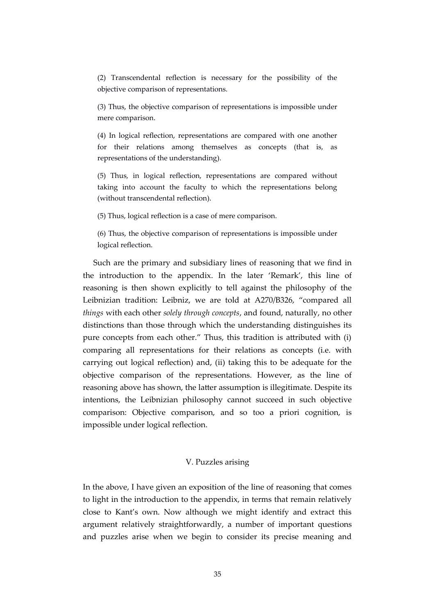(2) Transcendental reflection is necessary for the possibility of the objective comparison of representations.

(3) Thus, the objective comparison of representations is impossible under mere comparison.

(4) In logical reflection, representations are compared with one another for their relations among themselves as concepts (that is, as representations of the understanding).

(5) Thus, in logical reflection, representations are compared without taking into account the faculty to which the representations belong (without transcendental reflection).

(5) Thus, logical reflection is a case of mere comparison.

(6) Thus, the objective comparison of representations is impossible under logical reflection.

Such are the primary and subsidiary lines of reasoning that we fnd in the introduction to the appendix. In the later 'Remark', this line of reasoning is then shown explicitly to tell against the philosophy of the Leibnizian tradition: Leibniz, we are told at A270/B326, "compared all *things* with each other *solely through concepts*, and found, naturally, no other distinctions than those through which the understanding distinguishes its pure concepts from each other." Thus, this tradition is atributed with (i) comparing all representations for their relations as concepts (i.e. with carrying out logical reflection) and, (ii) taking this to be adequate for the objective comparison of the representations. However, as the line of reasoning above has shown, the later assumption is illegitimate. Despite its intentions, the Leibnizian philosophy cannot succeed in such objective comparison: Objective comparison, and so too a priori cognition, is impossible under logical reflection.

#### V. Puzzles arising

In the above, I have given an exposition of the line of reasoning that comes to light in the introduction to the appendix, in terms that remain relatively close to Kant's own. Now although we might identify and extract this argument relatively straightforwardly, a number of important questions and puzzles arise when we begin to consider its precise meaning and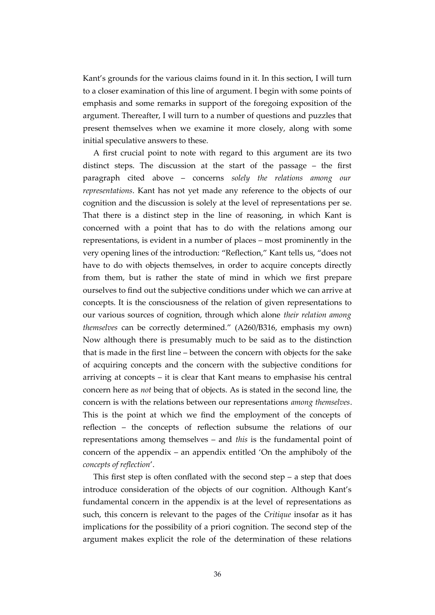Kant's grounds for the various claims found in it. In this section, I will turn to a closer examination of this line of argument. I begin with some points of emphasis and some remarks in support of the foregoing exposition of the argument. Thereafter, I will turn to a number of questions and puzzles that present themselves when we examine it more closely, along with some initial speculative answers to these.

A frst crucial point to note with regard to this argument are its two distinct steps. The discussion at the start of the passage – the first paragraph cited above – concerns *solely the relations among our representations*. Kant has not yet made any reference to the objects of our cognition and the discussion is solely at the level of representations per se. That there is a distinct step in the line of reasoning, in which Kant is concerned with a point that has to do with the relations among our representations, is evident in a number of places – most prominently in the very opening lines of the introduction: "Reflection," Kant tells us, "does not have to do with objects themselves, in order to acquire concepts directly from them, but is rather the state of mind in which we frst prepare ourselves to fnd out the subjective conditions under which we can arrive at concepts. It is the consciousness of the relation of given representations to our various sources of cognition, through which alone *their relation among themselves* can be correctly determined." (A260/B316, emphasis my own) Now although there is presumably much to be said as to the distinction that is made in the frst line – between the concern with objects for the sake of acquiring concepts and the concern with the subjective conditions for arriving at concepts – it is clear that Kant means to emphasise his central concern here as *not* being that of objects. As is stated in the second line, the concern is with the relations between our representations *among themselves*. This is the point at which we fnd the employment of the concepts of reflection – the concepts of reflection subsume the relations of our representations among themselves – and *this* is the fundamental point of concern of the appendix – an appendix entitled 'On the amphiboly of the *concepts of refection*'.

This first step is often conflated with the second step  $-$  a step that does introduce consideration of the objects of our cognition. Although Kant's fundamental concern in the appendix is at the level of representations as such, this concern is relevant to the pages of the *Critique* insofar as it has implications for the possibility of a priori cognition. The second step of the argument makes explicit the role of the determination of these relations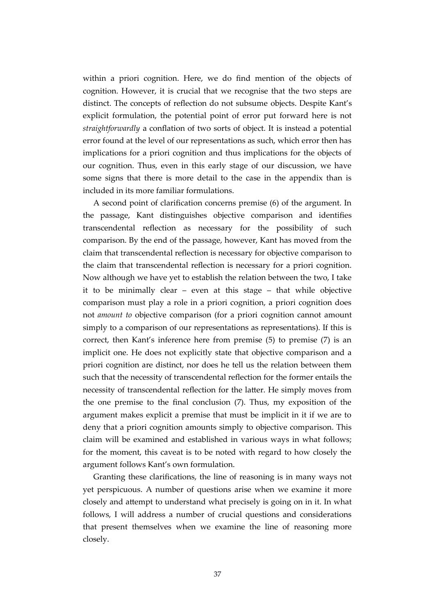within a priori cognition. Here, we do find mention of the objects of cognition. However, it is crucial that we recognise that the two steps are distinct. The concepts of reflection do not subsume objects. Despite Kant's explicit formulation, the potential point of error put forward here is not *straightforwardly* a conflation of two sorts of object. It is instead a potential error found at the level of our representations as such, which error then has implications for a priori cognition and thus implications for the objects of our cognition. Thus, even in this early stage of our discussion, we have some signs that there is more detail to the case in the appendix than is included in its more familiar formulations.

A second point of clarifcation concerns premise (6) of the argument. In the passage, Kant distinguishes objective comparison and identifes transcendental reflection as necessary for the possibility of such comparison. By the end of the passage, however, Kant has moved from the claim that transcendental reflection is necessary for objective comparison to the claim that transcendental reflection is necessary for a priori cognition. Now although we have yet to establish the relation between the two, I take it to be minimally clear – even at this stage – that while objective comparison must play a role in a priori cognition, a priori cognition does not *amount to* objective comparison (for a priori cognition cannot amount simply to a comparison of our representations as representations). If this is correct, then Kant's inference here from premise (5) to premise (7) is an implicit one. He does not explicitly state that objective comparison and a priori cognition are distinct, nor does he tell us the relation between them such that the necessity of transcendental reflection for the former entails the necessity of transcendental reflection for the later. He simply moves from the one premise to the fnal conclusion (7). Thus, my exposition of the argument makes explicit a premise that must be implicit in it if we are to deny that a priori cognition amounts simply to objective comparison. This claim will be examined and established in various ways in what follows; for the moment, this caveat is to be noted with regard to how closely the argument follows Kant's own formulation.

Granting these clarifcations, the line of reasoning is in many ways not yet perspicuous. A number of questions arise when we examine it more closely and atempt to understand what precisely is going on in it. In what follows, I will address a number of crucial questions and considerations that present themselves when we examine the line of reasoning more closely.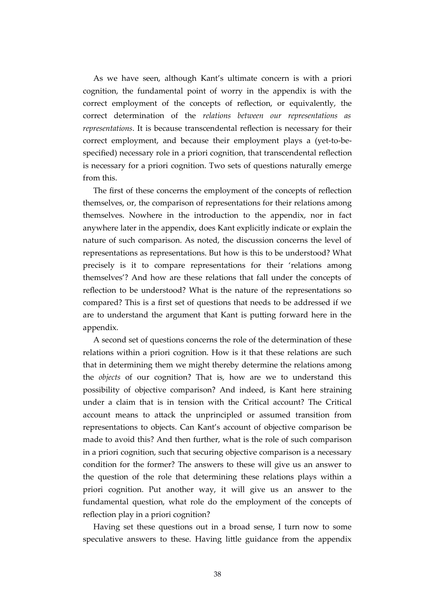As we have seen, although Kant's ultimate concern is with a priori cognition, the fundamental point of worry in the appendix is with the correct employment of the concepts of reflection, or equivalently, the correct determination of the *relations between our representations as representations*. It is because transcendental reflection is necessary for their correct employment, and because their employment plays a (yet-to-bespecifed) necessary role in a priori cognition, that transcendental reflection is necessary for a priori cognition. Two sets of questions naturally emerge from this.

The frst of these concerns the employment of the concepts of reflection themselves, or, the comparison of representations for their relations among themselves. Nowhere in the introduction to the appendix, nor in fact anywhere later in the appendix, does Kant explicitly indicate or explain the nature of such comparison. As noted, the discussion concerns the level of representations as representations. But how is this to be understood? What precisely is it to compare representations for their 'relations among themselves'? And how are these relations that fall under the concepts of reflection to be understood? What is the nature of the representations so compared? This is a frst set of questions that needs to be addressed if we are to understand the argument that Kant is puting forward here in the appendix.

A second set of questions concerns the role of the determination of these relations within a priori cognition. How is it that these relations are such that in determining them we might thereby determine the relations among the *objects* of our cognition? That is, how are we to understand this possibility of objective comparison? And indeed, is Kant here straining under a claim that is in tension with the Critical account? The Critical account means to atack the unprincipled or assumed transition from representations to objects. Can Kant's account of objective comparison be made to avoid this? And then further, what is the role of such comparison in a priori cognition, such that securing objective comparison is a necessary condition for the former? The answers to these will give us an answer to the question of the role that determining these relations plays within a priori cognition. Put another way, it will give us an answer to the fundamental question, what role do the employment of the concepts of reflection play in a priori cognition?

Having set these questions out in a broad sense, I turn now to some speculative answers to these. Having litle guidance from the appendix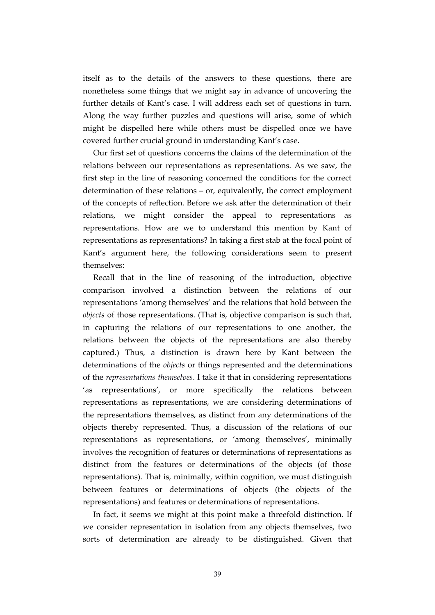itself as to the details of the answers to these questions, there are nonetheless some things that we might say in advance of uncovering the further details of Kant's case. I will address each set of questions in turn. Along the way further puzzles and questions will arise, some of which might be dispelled here while others must be dispelled once we have covered further crucial ground in understanding Kant's case.

Our frst set of questions concerns the claims of the determination of the relations between our representations as representations. As we saw, the first step in the line of reasoning concerned the conditions for the correct determination of these relations – or, equivalently, the correct employment of the concepts of reflection. Before we ask after the determination of their relations, we might consider the appeal to representations as representations. How are we to understand this mention by Kant of representations as representations? In taking a first stab at the focal point of Kant's argument here, the following considerations seem to present themselves:

Recall that in the line of reasoning of the introduction, objective comparison involved a distinction between the relations of our representations 'among themselves' and the relations that hold between the *objects* of those representations. (That is, objective comparison is such that, in capturing the relations of our representations to one another, the relations between the objects of the representations are also thereby captured.) Thus, a distinction is drawn here by Kant between the determinations of the *objects* or things represented and the determinations of the *representations themselves*. I take it that in considering representations 'as representations', or more specifcally the relations between representations as representations, we are considering determinations of the representations themselves, as distinct from any determinations of the objects thereby represented. Thus, a discussion of the relations of our representations as representations, or 'among themselves', minimally involves the *r*ecognition of features or determinations of representations as distinct from the features or determinations of the objects (of those representations). That is, minimally, within cognition, we must distinguish between features or determinations of objects (the objects of the representations) and features or determinations of representations.

In fact, it seems we might at this point make a threefold distinction. If we consider representation in isolation from any objects themselves, two sorts of determination are already to be distinguished. Given that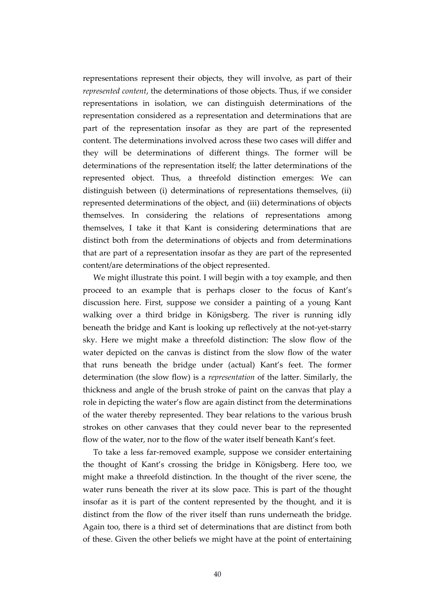representations represent their objects, they will involve, as part of their *represented content*, the determinations of those objects. Thus, if we consider representations in isolation, we can distinguish determinations of the representation considered as a representation and determinations that are part of the representation insofar as they are part of the represented content. The determinations involved across these two cases will difer and they will be determinations of diferent things. The former will be determinations of the representation itself; the latter determinations of the represented object. Thus, a threefold distinction emerges: We can distinguish between (i) determinations of representations themselves, (ii) represented determinations of the object, and (iii) determinations of objects themselves. In considering the relations of representations among themselves, I take it that Kant is considering determinations that are distinct both from the determinations of objects and from determinations that are part of a representation insofar as they are part of the represented content/are determinations of the object represented.

We might illustrate this point. I will begin with a toy example, and then proceed to an example that is perhaps closer to the focus of Kant's discussion here. First, suppose we consider a painting of a young Kant walking over a third bridge in Königsberg. The river is running idly beneath the bridge and Kant is looking up reflectively at the not-yet-starry sky. Here we might make a threefold distinction: The slow flow of the water depicted on the canvas is distinct from the slow flow of the water that runs beneath the bridge under (actual) Kant's feet. The former determination (the slow flow) is a *representation* of the later. Similarly, the thickness and angle of the brush stroke of paint on the canvas that play a role in depicting the water's flow are again distinct from the determinations of the water thereby represented. They bear relations to the various brush strokes on other canvases that they could never bear to the represented flow of the water, nor to the flow of the water itself beneath Kant's feet.

To take a less far-removed example, suppose we consider entertaining the thought of Kant's crossing the bridge in Königsberg. Here too, we might make a threefold distinction. In the thought of the river scene, the water runs beneath the river at its slow pace. This is part of the thought insofar as it is part of the content represented by the thought, and it is distinct from the flow of the river itself than runs underneath the bridge. Again too, there is a third set of determinations that are distinct from both of these. Given the other beliefs we might have at the point of entertaining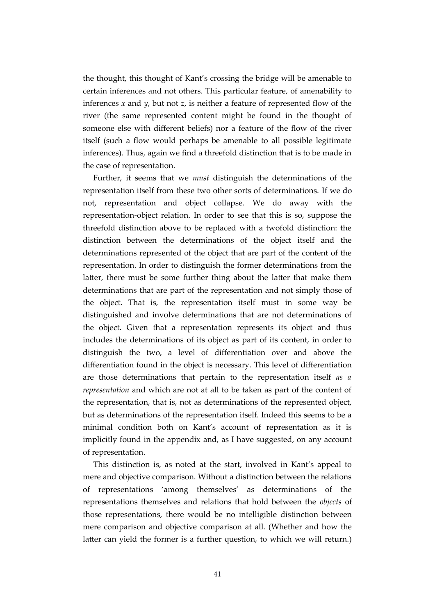the thought, this thought of Kant's crossing the bridge will be amenable to certain inferences and not others. This particular feature, of amenability to inferences *x* and *y*, but not *z*, is neither a feature of represented flow of the river (the same represented content might be found in the thought of someone else with diferent beliefs) nor a feature of the flow of the river itself (such a flow would perhaps be amenable to all possible legitimate inferences). Thus, again we fnd a threefold distinction that is to be made in the case of representation.

Further, it seems that we *must* distinguish the determinations of the representation itself from these two other sorts of determinations. If we do not, representation and object collapse. We do away with the representation-object relation. In order to see that this is so, suppose the threefold distinction above to be replaced with a twofold distinction: the distinction between the determinations of the object itself and the determinations represented of the object that are part of the content of the representation. In order to distinguish the former determinations from the latter, there must be some further thing about the latter that make them determinations that are part of the representation and not simply those of the object. That is, the representation itself must in some way be distinguished and involve determinations that are not determinations of the object. Given that a representation represents its object and thus includes the determinations of its object as part of its content, in order to distinguish the two, a level of diferentiation over and above the diferentiation found in the object is necessary. This level of diferentiation are those determinations that pertain to the representation itself *as a representation* and which are not at all to be taken as part of the content of the representation, that is, not as determinations of the represented object, but as determinations of the representation itself. Indeed this seems to be a minimal condition both on Kant's account of representation as it is implicitly found in the appendix and, as I have suggested, on any account of representation.

This distinction is, as noted at the start, involved in Kant's appeal to mere and objective comparison. Without a distinction between the relations of representations 'among themselves' as determinations of the representations themselves and relations that hold between the *objects* of those representations, there would be no intelligible distinction between mere comparison and objective comparison at all. (Whether and how the later can yield the former is a further question, to which we will return.)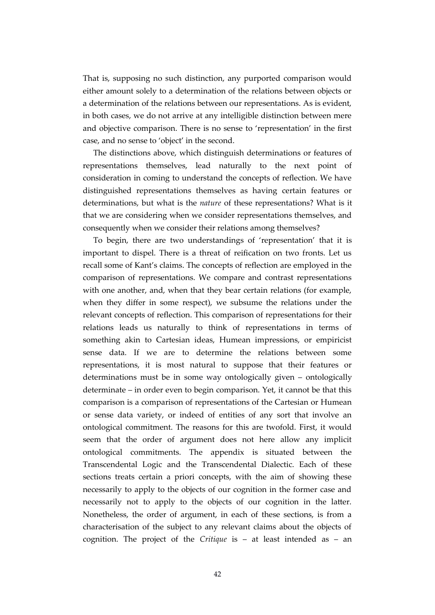That is, supposing no such distinction, any purported comparison would either amount solely to a determination of the relations between objects or a determination of the relations between our representations. As is evident, in both cases, we do not arrive at any intelligible distinction between mere and objective comparison. There is no sense to 'representation' in the frst case, and no sense to 'object' in the second.

The distinctions above, which distinguish determinations or features of representations themselves, lead naturally to the next point of consideration in coming to understand the concepts of reflection. We have distinguished representations themselves as having certain features or determinations, but what is the *nature* of these representations? What is it that we are considering when we consider representations themselves, and consequently when we consider their relations among themselves?

To begin, there are two understandings of 'representation' that it is important to dispel. There is a threat of reifcation on two fronts. Let us recall some of Kant's claims. The concepts of reflection are employed in the comparison of representations. We compare and contrast representations with one another, and, when that they bear certain relations (for example, when they difer in some respect), we subsume the relations under the relevant concepts of reflection. This comparison of representations for their relations leads us naturally to think of representations in terms of something akin to Cartesian ideas, Humean impressions, or empiricist sense data. If we are to determine the relations between some representations, it is most natural to suppose that their features or determinations must be in some way ontologically given – ontologically determinate – in order even to begin comparison. Yet, it cannot be that this comparison is a comparison of representations of the Cartesian or Humean or sense data variety, or indeed of entities of any sort that involve an ontological commitment. The reasons for this are twofold. First, it would seem that the order of argument does not here allow any implicit ontological commitments. The appendix is situated between the Transcendental Logic and the Transcendental Dialectic. Each of these sections treats certain a priori concepts, with the aim of showing these necessarily to apply to the objects of our cognition in the former case and necessarily not to apply to the objects of our cognition in the later. Nonetheless, the order of argument, in each of these sections, is from a characterisation of the subject to any relevant claims about the objects of cognition. The project of the *Critique* is – at least intended as – an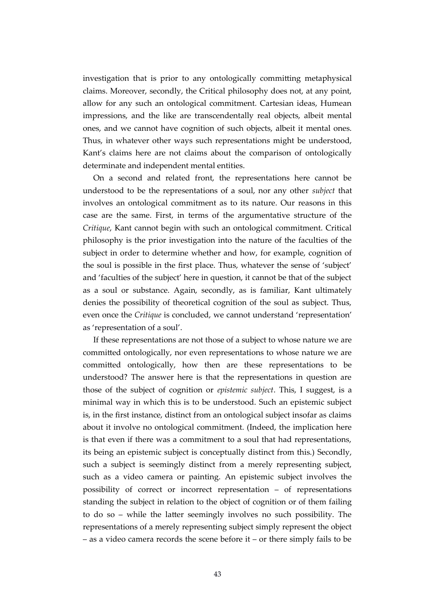investigation that is prior to any ontologically commiting metaphysical claims. Moreover, secondly, the Critical philosophy does not, at any point, allow for any such an ontological commitment. Cartesian ideas, Humean impressions, and the like are transcendentally real objects, albeit mental ones, and we cannot have cognition of such objects, albeit it mental ones. Thus, in whatever other ways such representations might be understood, Kant's claims here are not claims about the comparison of ontologically determinate and independent mental entities.

On a second and related front, the representations here cannot be understood to be the representations of a soul, nor any other *subject* that involves an ontological commitment as to its nature. Our reasons in this case are the same. First, in terms of the argumentative structure of the *Critique*, Kant cannot begin with such an ontological commitment. Critical philosophy is the prior investigation into the nature of the faculties of the subject in order to determine whether and how, for example, cognition of the soul is possible in the frst place. Thus, whatever the sense of 'subject' and 'faculties of the subject' here in question, it cannot be that of the subject as a soul or substance. Again, secondly, as is familiar, Kant ultimately denies the possibility of theoretical cognition of the soul as subject. Thus, even once the *Critique* is concluded, we cannot understand 'representation' as 'representation of a soul'.

If these representations are not those of a subject to whose nature we are commited ontologically, nor even representations to whose nature we are commited ontologically, how then are these representations to be understood? The answer here is that the representations in question are those of the subject of cognition or *epistemic subject*. This, I suggest, is a minimal way in which this is to be understood. Such an epistemic subject is, in the frst instance, distinct from an ontological subject insofar as claims about it involve no ontological commitment. (Indeed, the implication here is that even if there was a commitment to a soul that had representations, its being an epistemic subject is conceptually distinct from this.) Secondly, such a subject is seemingly distinct from a merely representing subject, such as a video camera or painting. An epistemic subject involves the possibility of correct or incorrect representation – of representations standing the subject in relation to the object of cognition or of them failing to do so – while the later seemingly involves no such possibility. The representations of a merely representing subject simply represent the object – as a video camera records the scene before it – or there simply fails to be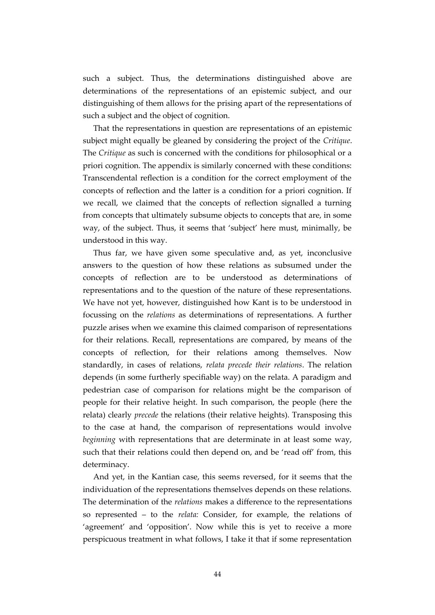such a subject. Thus, the determinations distinguished above are determinations of the representations of an epistemic subject, and our distinguishing of them allows for the prising apart of the representations of such a subject and the object of cognition.

That the representations in question are representations of an epistemic subject might equally be gleaned by considering the project of the *Critique*. The *Critique* as such is concerned with the conditions for philosophical or a priori cognition. The appendix is similarly concerned with these conditions: Transcendental reflection is a condition for the correct employment of the concepts of reflection and the later is a condition for a priori cognition. If we recall, we claimed that the concepts of reflection signalled a turning from concepts that ultimately subsume objects to concepts that are, in some way, of the subject. Thus, it seems that 'subject' here must, minimally, be understood in this way.

Thus far, we have given some speculative and, as yet, inconclusive answers to the question of how these relations as subsumed under the concepts of reflection are to be understood as determinations of representations and to the question of the nature of these representations. We have not yet, however, distinguished how Kant is to be understood in focussing on the *relations* as determinations of representations. A further puzzle arises when we examine this claimed comparison of representations for their relations. Recall, representations are compared, by means of the concepts of reflection, for their relations among themselves. Now standardly, in cases of relations, *relata precede their relations*. The relation depends (in some furtherly specifable way) on the relata. A paradigm and pedestrian case of comparison for relations might be the comparison of people for their relative height. In such comparison, the people (here the relata) clearly *precede* the relations (their relative heights). Transposing this to the case at hand, the comparison of representations would involve *beginning* with representations that are determinate in at least some way, such that their relations could then depend on, and be 'read off' from, this determinacy.

And yet, in the Kantian case, this seems reversed, for it seems that the individuation of the representations themselves depends on these relations. The determination of the *relations* makes a diference to the representations so represented – to the *relata:* Consider, for example, the relations of 'agreement' and 'opposition'. Now while this is yet to receive a more perspicuous treatment in what follows, I take it that if some representation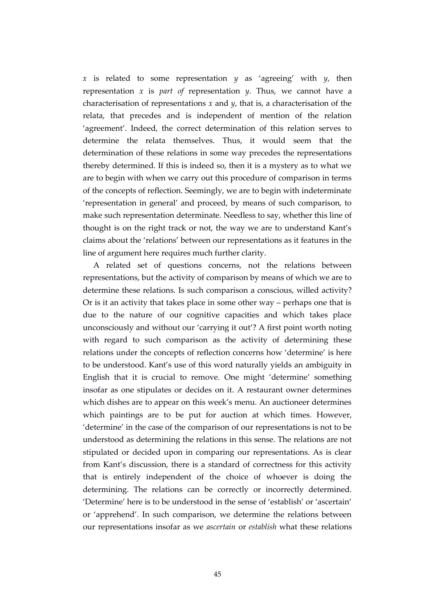$x$  is related to some representation  $y$  as 'agreeing' with  $y$ , then representation *x* is *part of* representation *y.* Thus, we cannot have a characterisation of representations *x* and *y*, that is, a characterisation of the relata, that precedes and is independent of mention of the relation 'agreement'. Indeed, the correct determination of this relation serves to determine the relata themselves. Thus, it would seem that the determination of these relations in some way precedes the representations thereby determined. If this is indeed so, then it is a mystery as to what we are to begin with when we carry out this procedure of comparison in terms of the concepts of reflection. Seemingly, we are to begin with indeterminate 'representation in general' and proceed, by means of such comparison, to make such representation determinate. Needless to say, whether this line of thought is on the right track or not, the way we are to understand Kant's claims about the 'relations' between our representations as it features in the line of argument here requires much further clarity.

A related set of questions concerns, not the relations between representations, but the activity of comparison by means of which we are to determine these relations. Is such comparison a conscious, willed activity? Or is it an activity that takes place in some other way – perhaps one that is due to the nature of our cognitive capacities and which takes place unconsciously and without our 'carrying it out'? A frst point worth noting with regard to such comparison as the activity of determining these relations under the concepts of reflection concerns how 'determine' is here to be understood. Kant's use of this word naturally yields an ambiguity in English that it is crucial to remove. One might 'determine' something insofar as one stipulates or decides on it. A restaurant owner determines which dishes are to appear on this week's menu. An auctioneer determines which paintings are to be put for auction at which times. However, 'determine' in the case of the comparison of our representations is not to be understood as determining the relations in this sense. The relations are not stipulated or decided upon in comparing our representations. As is clear from Kant's discussion, there is a standard of correctness for this activity that is entirely independent of the choice of whoever is doing the determining. The relations can be correctly or incorrectly determined. 'Determine' here is to be understood in the sense of 'establish' or 'ascertain' or 'apprehend'. In such comparison, we determine the relations between our representations insofar as we *ascertain* or *establish* what these relations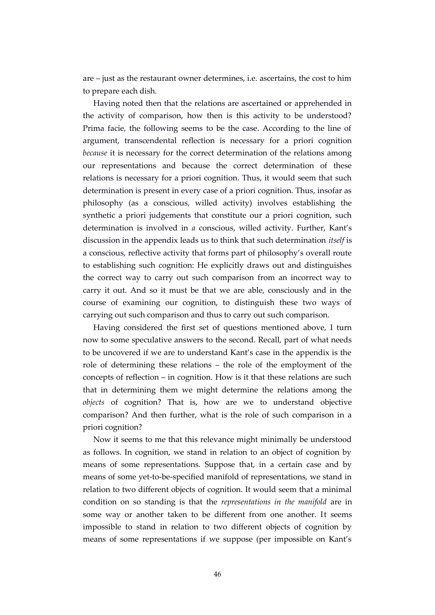are – just as the restaurant owner determines, i.e. ascertains, the cost to him to prepare each dish.

Having noted then that the relations are ascertained or apprehended in the activity of comparison, how then is this activity to be understood? Prima facie, the following seems to be the case. According to the line of argument, transcendental reflection is necessary for a priori cognition *because* it is necessary for the correct determination of the relations among our representations and because the correct determination of these relations is necessary for a priori cognition. Thus, it would seem that such determination is present in every case of a priori cognition. Thus, insofar as philosophy (as a conscious, willed activity) involves establishing the synthetic a priori judgements that constitute our a priori cognition, such determination is involved in *a* conscious, willed activity. Further, Kant's discussion in the appendix leads us to think that such determination *itself* is a conscious, reflective activity that forms part of philosophy's overall route to establishing such cognition: He explicitly draws out and distinguishes the correct way to carry out such comparison from an incorrect way to carry it out. And so it must be that we are able, consciously and in the course of examining our cognition, to distinguish these two ways of carrying out such comparison and thus to carry out such comparison.

Having considered the frst set of questions mentioned above, I turn now to some speculative answers to the second. Recall, part of what needs to be uncovered if we are to understand Kant's case in the appendix is the role of determining these relations – the role of the employment of the concepts of reflection – in cognition. How is it that these relations are such that in determining them we might determine the relations among the *objects* of cognition? That is, how are we to understand objective comparison? And then further, what is the role of such comparison in a priori cognition?

Now it seems to me that this relevance might minimally be understood as follows. In cognition, we stand in relation to an object of cognition by means of some representations. Suppose that, in a certain case and by means of some yet-to-be-specifed manifold of representations, we stand in relation to two diferent objects of cognition. It would seem that a minimal condition on so standing is that the *representations in the manifold* are in some way or another taken to be diferent from one another. It seems impossible to stand in relation to two diferent objects of cognition by means of some representations if we suppose (per impossible on Kant's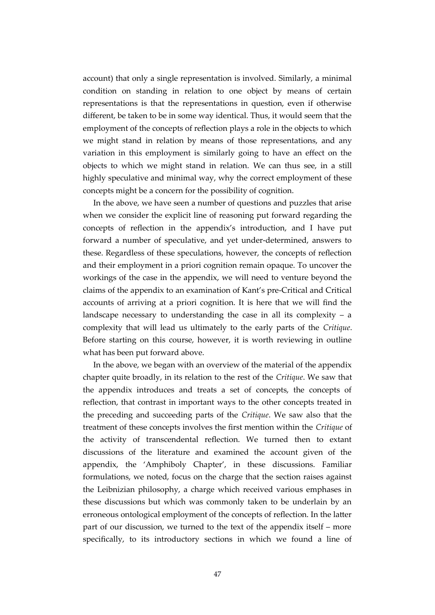account) that only a single representation is involved. Similarly, a minimal condition on standing in relation to one object by means of certain representations is that the representations in question, even if otherwise diferent, be taken to be in some way identical. Thus, it would seem that the employment of the concepts of reflection plays a role in the objects to which we might stand in relation by means of those representations, and any variation in this employment is similarly going to have an efect on the objects to which we might stand in relation. We can thus see, in a still highly speculative and minimal way, why the correct employment of these concepts might be a concern for the possibility of cognition.

In the above, we have seen a number of questions and puzzles that arise when we consider the explicit line of reasoning put forward regarding the concepts of reflection in the appendix's introduction, and I have put forward a number of speculative, and yet under-determined, answers to these. Regardless of these speculations, however, the concepts of reflection and their employment in a priori cognition remain opaque. To uncover the workings of the case in the appendix, we will need to venture beyond the claims of the appendix to an examination of Kant's pre-Critical and Critical accounts of arriving at a priori cognition. It is here that we will find the landscape necessary to understanding the case in all its complexity  $-$  a complexity that will lead us ultimately to the early parts of the *Critique*. Before starting on this course, however, it is worth reviewing in outline what has been put forward above.

In the above, we began with an overview of the material of the appendix chapter quite broadly, in its relation to the rest of the *Critique*. We saw that the appendix introduces and treats a set of concepts, the concepts of reflection, that contrast in important ways to the other concepts treated in the preceding and succeeding parts of the *Critique*. We saw also that the treatment of these concepts involves the frst mention within the *Critique* of the activity of transcendental reflection. We turned then to extant discussions of the literature and examined the account given of the appendix, the 'Amphiboly Chapter', in these discussions. Familiar formulations, we noted, focus on the charge that the section raises against the Leibnizian philosophy, a charge which received various emphases in these discussions but which was commonly taken to be underlain by an erroneous ontological employment of the concepts of reflection. In the later part of our discussion, we turned to the text of the appendix itself – more specifically, to its introductory sections in which we found a line of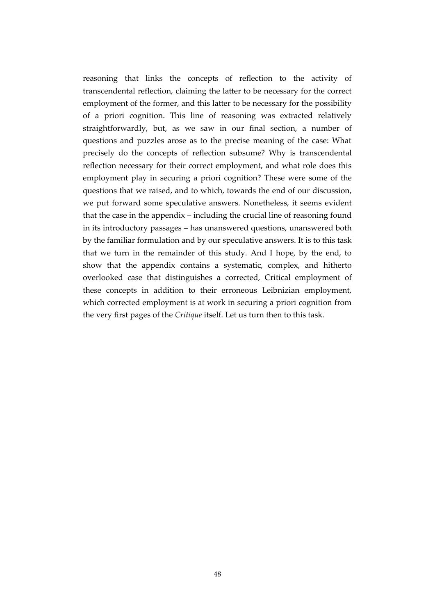reasoning that links the concepts of reflection to the activity of transcendental reflection, claiming the later to be necessary for the correct employment of the former, and this latter to be necessary for the possibility of a priori cognition. This line of reasoning was extracted relatively straightforwardly, but, as we saw in our final section, a number of questions and puzzles arose as to the precise meaning of the case: What precisely do the concepts of reflection subsume? Why is transcendental reflection necessary for their correct employment, and what role does this employment play in securing a priori cognition? These were some of the questions that we raised, and to which, towards the end of our discussion, we put forward some speculative answers. Nonetheless, it seems evident that the case in the appendix – including the crucial line of reasoning found in its introductory passages – has unanswered questions, unanswered both by the familiar formulation and by our speculative answers. It is to this task that we turn in the remainder of this study. And I hope, by the end, to show that the appendix contains a systematic, complex, and hitherto overlooked case that distinguishes a corrected, Critical employment of these concepts in addition to their erroneous Leibnizian employment, which corrected employment is at work in securing a priori cognition from the very frst pages of the *Critique* itself. Let us turn then to this task.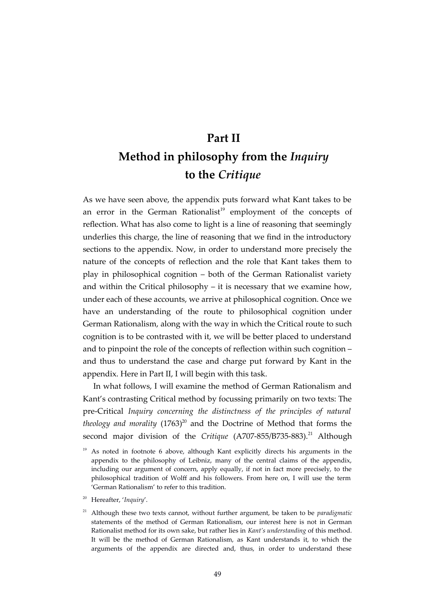# **Part II Method in philosophy from the** *Inquiry* **to the** *Critique*

As we have seen above, the appendix puts forward what Kant takes to be an error in the German Rationalist<sup>[19](#page-48-0)</sup> employment of the concepts of reflection. What has also come to light is a line of reasoning that seemingly underlies this charge, the line of reasoning that we find in the introductory sections to the appendix. Now, in order to understand more precisely the nature of the concepts of reflection and the role that Kant takes them to play in philosophical cognition – both of the German Rationalist variety and within the Critical philosophy – it is necessary that we examine how, under each of these accounts, we arrive at philosophical cognition. Once we have an understanding of the route to philosophical cognition under German Rationalism, along with the way in which the Critical route to such cognition is to be contrasted with it, we will be beter placed to understand and to pinpoint the role of the concepts of reflection within such cognition – and thus to understand the case and charge put forward by Kant in the appendix. Here in Part II, I will begin with this task.

In what follows, I will examine the method of German Rationalism and Kant's contrasting Critical method by focussing primarily on two texts: The pre-Critical *Inquiry concerning the distinctness of the principles of natural theology and morality*  $(1763)^{20}$  $(1763)^{20}$  $(1763)^{20}$  and the Doctrine of Method that forms the second major division of the *Critique* (A707-855/B735-883).<sup>[21](#page-48-2)</sup> Although

<span id="page-48-0"></span><sup>&</sup>lt;sup>19</sup> As noted in footnote 6 above, although Kant explicitly directs his arguments in the appendix to the philosophy of Leibniz, many of the central claims of the appendix, including our argument of concern, apply equally, if not in fact more precisely, to the philosophical tradition of Wolf and his followers. From here on, I will use the term 'German Rationalism' to refer to this tradition.

<span id="page-48-1"></span><sup>20</sup> Hereafter, '*Inquiry*'.

<span id="page-48-2"></span><sup>21</sup> Although these two texts cannot, without further argument, be taken to be *paradigmatic* statements of the method of German Rationalism, our interest here is not in German Rationalist method for its own sake, but rather lies in *Kant's understanding* of this method. It will be the method of German Rationalism, as Kant understands it, to which the arguments of the appendix are directed and, thus, in order to understand these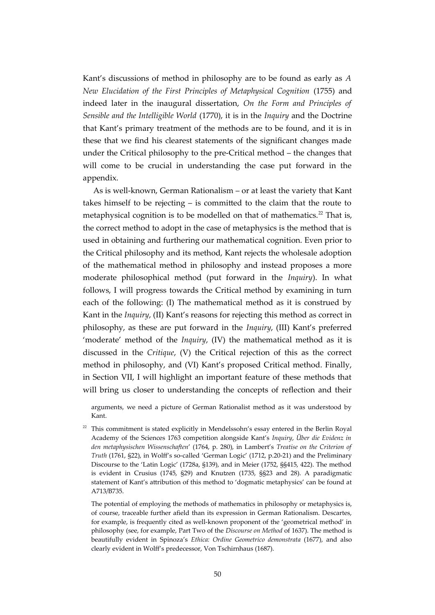Kant's discussions of method in philosophy are to be found as early as *A New Elucidation of the First Principles of Metaphysical Cognition* (1755) and indeed later in the inaugural dissertation, *On the Form and Principles of Sensible and the Intelligible World* (1770), it is in the *Inquiry* and the Doctrine that Kant's primary treatment of the methods are to be found, and it is in these that we find his clearest statements of the significant changes made under the Critical philosophy to the pre-Critical method – the changes that will come to be crucial in understanding the case put forward in the appendix.

As is well-known, German Rationalism – or at least the variety that Kant takes himself to be rejecting – is commited to the claim that the route to metaphysical cognition is to be modelled on that of mathematics.<sup>[22](#page-49-0)</sup> That is, the correct method to adopt in the case of metaphysics is the method that is used in obtaining and furthering our mathematical cognition. Even prior to the Critical philosophy and its method, Kant rejects the wholesale adoption of the mathematical method in philosophy and instead proposes a more moderate philosophical method (put forward in the *Inquiry*). In what follows, I will progress towards the Critical method by examining in turn each of the following: (I) The mathematical method as it is construed by Kant in the *Inquiry*, (II) Kant's reasons for rejecting this method as correct in philosophy, as these are put forward in the *Inquiry*, (III) Kant's preferred 'moderate' method of the *Inquiry*, (IV) the mathematical method as it is discussed in the *Critique*, (V) the Critical rejection of this as the correct method in philosophy, and (VI) Kant's proposed Critical method. Finally, in Section VII, I will highlight an important feature of these methods that will bring us closer to understanding the concepts of reflection and their

arguments, we need a picture of German Rationalist method as it was understood by Kant.

<span id="page-49-0"></span> $22$  This commitment is stated explicitly in Mendelssohn's essay entered in the Berlin Royal Academy of the Sciences 1763 competition alongside Kant's *Inquiry*, *Über die Evidenz in den metaphysischen Wissenschaften*' (1764, p. 280), in Lambert's *Treatise on the Criterion of Truth* (1761, §22), in Wolf's so-called 'German Logic' (1712, p.20-21) and the Preliminary Discourse to the 'Latin Logic' (1728a, §139), and in Meier (1752, §§415, 422). The method is evident in Crusius (1745, §29) and Knuten (1735, §§23 and 28). A paradigmatic statement of Kant's atribution of this method to 'dogmatic metaphysics' can be found at A713/B735.

The potential of employing the methods of mathematics in philosophy or metaphysics is, of course, traceable further afield than its expression in German Rationalism. Descartes, for example, is frequently cited as well-known proponent of the 'geometrical method' in philosophy (see, for example, Part Two of the *Discourse on Method* of 1637). The method is beautifully evident in Spinoza's *Ethica: Ordine Geometrico demonstrata* (1677), and also clearly evident in Wolf's predecessor, Von Tschirnhaus (1687).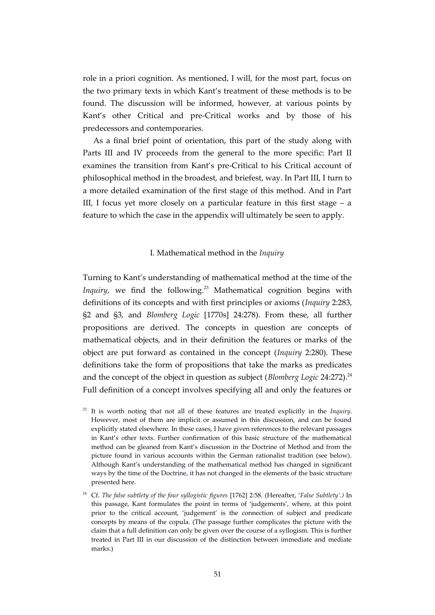role in a priori cognition. As mentioned, I will, for the most part, focus on the two primary texts in which Kant's treatment of these methods is to be found. The discussion will be informed, however, at various points by Kant's other Critical and pre-Critical works and by those of his predecessors and contemporaries.

As a final brief point of orientation, this part of the study along with Parts III and IV proceeds from the general to the more specifc: Part II examines the transition from Kant's pre-Critical to his Critical account of philosophical method in the broadest, and briefest, way. In Part III, I turn to a more detailed examination of the frst stage of this method. And in Part III, I focus yet more closely on a particular feature in this first stage  $-$  a feature to which the case in the appendix will ultimately be seen to apply.

#### I. Mathematical method in the *Inquiry*

Turning to Kant's understanding of mathematical method at the time of the *Inquiry*, we find the following.<sup>[23](#page-50-0)</sup> Mathematical cognition begins with defnitions of its concepts and with frst principles or axioms (*Inquiry* 2:283, §2 and §3, and *Blomberg Logic* [1770s] 24:278). From these, all further propositions are derived. The concepts in question are concepts of mathematical objects, and in their defnition the features or marks of the object are put forward as contained in the concept (*Inquiry* 2:280). These defnitions take the form of propositions that take the marks as predicates and the concept of the object in question as subject (*Blomberg Logic* [24](#page-50-1):272).<sup>24</sup> Full defnition of a concept involves specifying all and only the features or

<span id="page-50-0"></span><sup>23</sup> It is worth noting that not all of these features are treated explicitly in the *Inquiry*. However, most of them are implicit or assumed in this discussion, and can be found explicitly stated elsewhere. In these cases, I have given references to the relevant passages in Kant's other texts. Further confrmation of this basic structure of the mathematical method can be gleaned from Kant's discussion in the Doctrine of Method and from the picture found in various accounts within the German rationalist tradition (see below). Although Kant's understanding of the mathematical method has changed in signifcant ways by the time of the Doctrine, it has not changed in the elements of the basic structure presented here.

<span id="page-50-1"></span><sup>24</sup> Cf. *The false subtlety of the four syllogistic fgures* [1762] 2:58. (Hereafter, '*False Subtlety'.)* In this passage, Kant formulates the point in terms of 'judgements', where, at this point prior to the critical account, 'judgement' is the connection of subject and predicate concepts by means of the copula. (The passage further complicates the picture with the claim that a full defnition can only be given over the course of a syllogism. This is further treated in Part III in our discussion of the distinction between immediate and mediate marks.)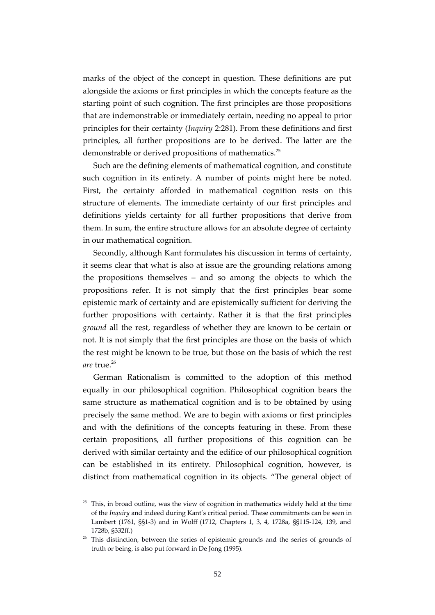marks of the object of the concept in question. These defnitions are put alongside the axioms or frst principles in which the concepts feature as the starting point of such cognition. The first principles are those propositions that are indemonstrable or immediately certain, needing no appeal to prior principles for their certainty (*Inquiry* 2:281). From these defnitions and frst principles, all further propositions are to be derived. The later are the demonstrable or derived propositions of mathematics.<sup>[25](#page-51-0)</sup>

Such are the defning elements of mathematical cognition, and constitute such cognition in its entirety. A number of points might here be noted. First, the certainty afforded in mathematical cognition rests on this structure of elements. The immediate certainty of our frst principles and defnitions yields certainty for all further propositions that derive from them. In sum, the entire structure allows for an absolute degree of certainty in our mathematical cognition.

Secondly, although Kant formulates his discussion in terms of certainty, it seems clear that what is also at issue are the grounding relations among the propositions themselves – and so among the objects to which the propositions refer. It is not simply that the frst principles bear some epistemic mark of certainty and are epistemically sufficient for deriving the further propositions with certainty. Rather it is that the first principles *ground* all the rest, regardless of whether they are known to be certain or not. It is not simply that the frst principles are those on the basis of which the rest might be known to be true, but those on the basis of which the rest  $are$  true  $^{26}$  $^{26}$  $^{26}$ 

German Rationalism is commited to the adoption of this method equally in our philosophical cognition. Philosophical cognition bears the same structure as mathematical cognition and is to be obtained by using precisely the same method. We are to begin with axioms or frst principles and with the defnitions of the concepts featuring in these. From these certain propositions, all further propositions of this cognition can be derived with similar certainty and the edifice of our philosophical cognition can be established in its entirety. Philosophical cognition, however, is distinct from mathematical cognition in its objects. "The general object of

<span id="page-51-0"></span> $25$  This, in broad outline, was the view of cognition in mathematics widely held at the time of the *Inquiry* and indeed during Kant's critical period. These commitments can be seen in Lambert (1761, §§1-3) and in Wolf (1712, Chapters 1, 3, 4, 1728a, §§115-124, 139, and 1728b, §332f.)

<span id="page-51-1"></span> $26$  This distinction, between the series of epistemic grounds and the series of grounds of truth or being, is also put forward in De Jong (1995).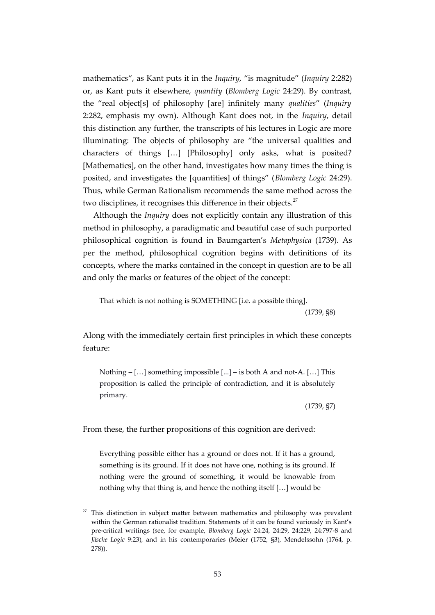mathematics", as Kant puts it in the *Inquiry*, "is magnitude" (*Inquiry* 2:282) or, as Kant puts it elsewhere, *quantity* (*Blomberg Logic* 24:29). By contrast, the "real object[s] of philosophy [are] infnitely many *qualities*" (*Inquiry* 2:282, emphasis my own). Although Kant does not, in the *Inquiry*, detail this distinction any further, the transcripts of his lectures in Logic are more illuminating: The objects of philosophy are "the universal qualities and characters of things […] [Philosophy] only asks, what is posited? [Mathematics], on the other hand, investigates how many times the thing is posited, and investigates the [quantities] of things" (*Blomberg Logic* 24:29). Thus, while German Rationalism recommends the same method across the two disciplines, it recognises this difference in their objects. $27$ 

Although the *Inquiry* does not explicitly contain any illustration of this method in philosophy, a paradigmatic and beautiful case of such purported philosophical cognition is found in Baumgarten's *Metaphysica* (1739). As per the method, philosophical cognition begins with defnitions of its concepts, where the marks contained in the concept in question are to be all and only the marks or features of the object of the concept:

That which is not nothing is SOMETHING [i.e. a possible thing].

(1739, §8)

Along with the immediately certain frst principles in which these concepts feature:

Nothing – […] something impossible [...] – is both A and not-A. […] This proposition is called the principle of contradiction, and it is absolutely primary.

(1739, §7)

From these, the further propositions of this cognition are derived:

Everything possible either has a ground or does not. If it has a ground, something is its ground. If it does not have one, nothing is its ground. If nothing were the ground of something, it would be knowable from nothing why that thing is, and hence the nothing itself […] would be

<span id="page-52-0"></span> $27$  This distinction in subject matter between mathematics and philosophy was prevalent within the German rationalist tradition. Statements of it can be found variously in Kant's pre-critical writings (see, for example, *Blomberg Logic* 24:24, 24:29, 24:229, 24:797-8 and *Jäsche Logic* 9:23), and in his contemporaries (Meier (1752, §3), Mendelssohn (1764, p. 278)).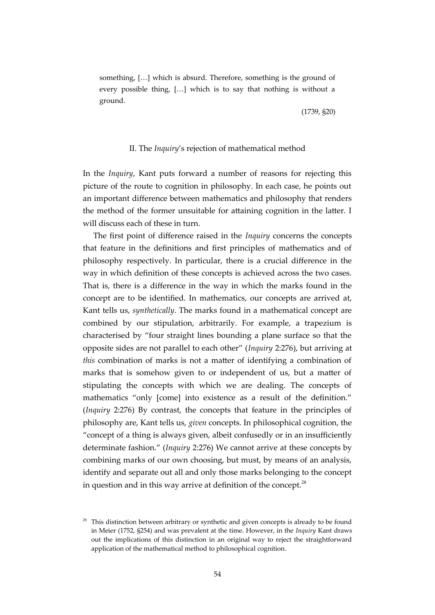something, […] which is absurd. Therefore, something is the ground of every possible thing, […] which is to say that nothing is without a ground.

(1739, §20)

## II. The *Inquiry*'s rejection of mathematical method

In the *Inquiry*, Kant puts forward a number of reasons for rejecting this picture of the route to cognition in philosophy. In each case, he points out an important diference between mathematics and philosophy that renders the method of the former unsuitable for ataining cognition in the later. I will discuss each of these in turn.

The frst point of diference raised in the *Inquiry* concerns the concepts that feature in the defnitions and frst principles of mathematics and of philosophy respectively. In particular, there is a crucial diference in the way in which defnition of these concepts is achieved across the two cases. That is, there is a diference in the way in which the marks found in the concept are to be identifed. In mathematics, our concepts are arrived at, Kant tells us, *synthetically*. The marks found in a mathematical concept are combined by our stipulation, arbitrarily. For example, a trapezium is characterised by "four straight lines bounding a plane surface so that the opposite sides are not parallel to each other" (*Inquiry* 2:276), but arriving at *this* combination of marks is not a mater of identifying a combination of marks that is somehow given to or independent of us, but a mater of stipulating the concepts with which we are dealing. The concepts of mathematics "only [come] into existence as a result of the defnition." (*Inquiry* 2:276) By contrast, the concepts that feature in the principles of philosophy are, Kant tells us, *given* concepts. In philosophical cognition, the "concept of a thing is always given, albeit confusedly or in an insufficiently determinate fashion." (*Inquiry* 2:276) We cannot arrive at these concepts by combining marks of our own choosing, but must, by means of an analysis, identify and separate out all and only those marks belonging to the concept in question and in this way arrive at definition of the concept. $^{28}$  $^{28}$  $^{28}$ 

<span id="page-53-0"></span> $28$  This distinction between arbitrary or synthetic and given concepts is already to be found in Meier (1752, §254) and was prevalent at the time. However, in the *Inquiry* Kant draws out the implications of this distinction in an original way to reject the straightforward application of the mathematical method to philosophical cognition.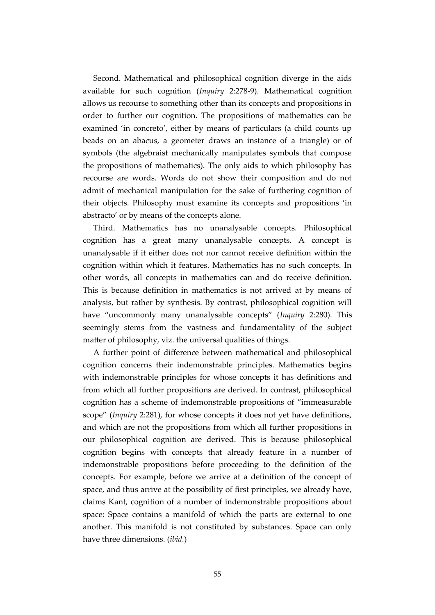Second. Mathematical and philosophical cognition diverge in the aids available for such cognition (*Inquiry* 2:278-9). Mathematical cognition allows us recourse to something other than its concepts and propositions in order to further our cognition. The propositions of mathematics can be examined 'in concreto', either by means of particulars (a child counts up beads on an abacus, a geometer draws an instance of a triangle) or of symbols (the algebraist mechanically manipulates symbols that compose the propositions of mathematics). The only aids to which philosophy has recourse are words. Words do not show their composition and do not admit of mechanical manipulation for the sake of furthering cognition of their objects. Philosophy must examine its concepts and propositions 'in abstracto' or by means of the concepts alone.

Third. Mathematics has no unanalysable concepts. Philosophical cognition has a great many unanalysable concepts. A concept is unanalysable if it either does not nor cannot receive defnition within the cognition within which it features. Mathematics has no such concepts. In other words, all concepts in mathematics can and do receive defnition. This is because defnition in mathematics is not arrived at by means of analysis, but rather by synthesis. By contrast, philosophical cognition will have "uncommonly many unanalysable concepts" (*Inquiry* 2:280). This seemingly stems from the vastness and fundamentality of the subject mater of philosophy, viz. the universal qualities of things.

A further point of diference between mathematical and philosophical cognition concerns their indemonstrable principles. Mathematics begins with indemonstrable principles for whose concepts it has defnitions and from which all further propositions are derived. In contrast, philosophical cognition has a scheme of indemonstrable propositions of "immeasurable scope" (*Inquiry* 2:281), for whose concepts it does not yet have defnitions, and which are not the propositions from which all further propositions in our philosophical cognition are derived. This is because philosophical cognition begins with concepts that already feature in a number of indemonstrable propositions before proceeding to the defnition of the concepts. For example, before we arrive at a defnition of the concept of space, and thus arrive at the possibility of first principles, we already have, claims Kant, cognition of a number of indemonstrable propositions about space: Space contains a manifold of which the parts are external to one another. This manifold is not constituted by substances. Space can only have three dimensions. (*ibid.*)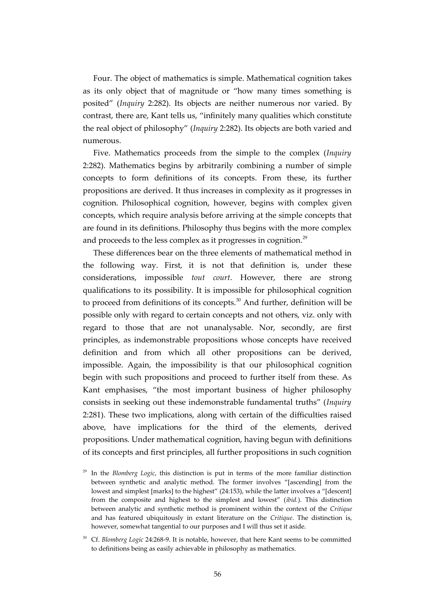Four. The object of mathematics is simple. Mathematical cognition takes as its only object that of magnitude or "how many times something is posited" (*Inquiry* 2:282). Its objects are neither numerous nor varied. By contrast, there are, Kant tells us, "infnitely many qualities which constitute the real object of philosophy" (*Inquiry* 2:282). Its objects are both varied and numerous.

Five. Mathematics proceeds from the simple to the complex (*Inquiry* 2:282). Mathematics begins by arbitrarily combining a number of simple concepts to form defnitions of its concepts. From these, its further propositions are derived. It thus increases in complexity as it progresses in cognition. Philosophical cognition, however, begins with complex given concepts, which require analysis before arriving at the simple concepts that are found in its defnitions. Philosophy thus begins with the more complex and proceeds to the less complex as it progresses in cognition.<sup>[29](#page-55-0)</sup>

These diferences bear on the three elements of mathematical method in the following way. First, it is not that defnition is, under these considerations, impossible *tout court*. However, there are strong qualifcations to its possibility. It is impossible for philosophical cognition to proceed from definitions of its concepts.<sup>[30](#page-55-1)</sup> And further, definition will be possible only with regard to certain concepts and not others, viz. only with regard to those that are not unanalysable. Nor, secondly, are first principles, as indemonstrable propositions whose concepts have received defnition and from which all other propositions can be derived, impossible. Again, the impossibility is that our philosophical cognition begin with such propositions and proceed to further itself from these. As Kant emphasises, "the most important business of higher philosophy consists in seeking out these indemonstrable fundamental truths" (*Inquiry* 2:281). These two implications, along with certain of the difficulties raised above, have implications for the third of the elements, derived propositions. Under mathematical cognition, having begun with defnitions of its concepts and frst principles, all further propositions in such cognition

<span id="page-55-0"></span><sup>29</sup> In the *Blomberg Logic*, this distinction is put in terms of the more familiar distinction between synthetic and analytic method. The former involves "[ascending] from the lowest and simplest [marks] to the highest" (24:153), while the latter involves a "[descent] from the composite and highest to the simplest and lowest" (*ibid.*). This distinction between analytic and synthetic method is prominent within the context of the *Critique* and has featured ubiquitously in extant literature on the *Critique*. The distinction is, however, somewhat tangential to our purposes and I will thus set it aside.

<span id="page-55-1"></span><sup>30</sup> Cf. *Blomberg Logic* 24:268-9. It is notable, however, that here Kant seems to be commited to defnitions being as easily achievable in philosophy as mathematics.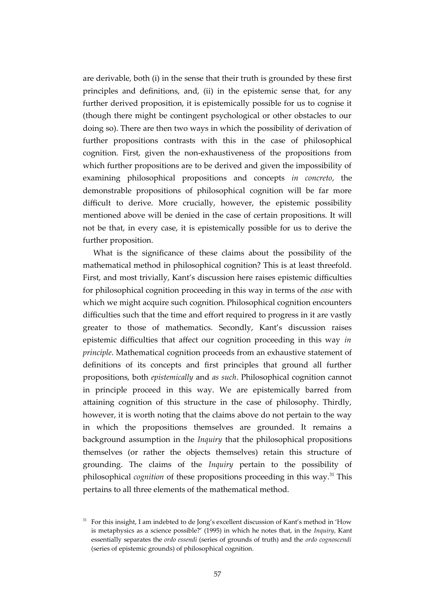are derivable, both (i) in the sense that their truth is grounded by these frst principles and defnitions, and, (ii) in the epistemic sense that, for any further derived proposition, it is epistemically possible for us to cognise it (though there might be contingent psychological or other obstacles to our doing so). There are then two ways in which the possibility of derivation of further propositions contrasts with this in the case of philosophical cognition. First, given the non-exhaustiveness of the propositions from which further propositions are to be derived and given the impossibility of examining philosophical propositions and concepts *in concreto*, the demonstrable propositions of philosophical cognition will be far more difficult to derive. More crucially, however, the epistemic possibility mentioned above will be denied in the case of certain propositions. It will not be that, in every case, it is epistemically possible for us to derive the further proposition.

What is the significance of these claims about the possibility of the mathematical method in philosophical cognition? This is at least threefold. First, and most trivially, Kant's discussion here raises epistemic difficulties for philosophical cognition proceeding in this way in terms of the *ease* with which we might acquire such cognition. Philosophical cognition encounters difficulties such that the time and effort required to progress in it are vastly greater to those of mathematics. Secondly, Kant's discussion raises epistemic difficulties that affect our cognition proceeding in this way *in principle*. Mathematical cognition proceeds from an exhaustive statement of defnitions of its concepts and frst principles that ground all further propositions, both *epistemically* and *as such*. Philosophical cognition cannot in principle proceed in this way. We are epistemically barred from ataining cognition of this structure in the case of philosophy. Thirdly, however, it is worth noting that the claims above do not pertain to the way in which the propositions themselves are grounded. It remains a background assumption in the *Inquiry* that the philosophical propositions themselves (or rather the objects themselves) retain this structure of grounding. The claims of the *Inquiry* pertain to the possibility of philosophical *cognition* of these propositions proceeding in this way.[31](#page-56-0) This pertains to all three elements of the mathematical method.

<span id="page-56-0"></span> $31$  For this insight, I am indebted to de Jong's excellent discussion of Kant's method in 'How is metaphysics as a science possible?' (1995) in which he notes that, in the *Inquiry*, Kant essentially separates the *ordo essendi* (series of grounds of truth) and the *ordo cognoscendi* (series of epistemic grounds) of philosophical cognition.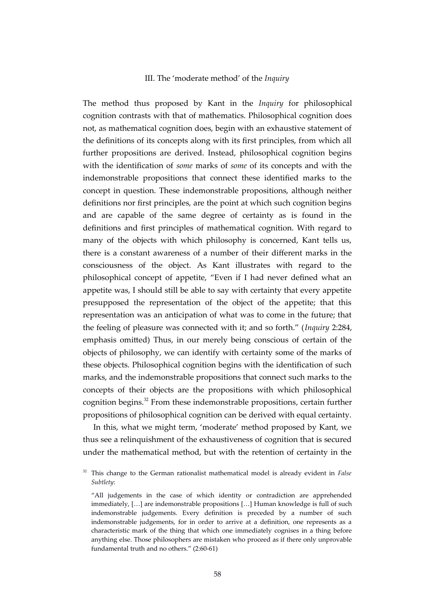#### III. The 'moderate method' of the *Inquiry*

The method thus proposed by Kant in the *Inquiry* for philosophical cognition contrasts with that of mathematics. Philosophical cognition does not, as mathematical cognition does, begin with an exhaustive statement of the defnitions of its concepts along with its frst principles, from which all further propositions are derived. Instead, philosophical cognition begins with the identifcation of *some* marks of *some* of its concepts and with the indemonstrable propositions that connect these identifed marks to the concept in question. These indemonstrable propositions, although neither defnitions nor frst principles, are the point at which such cognition begins and are capable of the same degree of certainty as is found in the defnitions and frst principles of mathematical cognition. With regard to many of the objects with which philosophy is concerned, Kant tells us, there is a constant awareness of a number of their diferent marks in the consciousness of the object. As Kant illustrates with regard to the philosophical concept of appetite, "Even if I had never defned what an appetite was, I should still be able to say with certainty that every appetite presupposed the representation of the object of the appetite; that this representation was an anticipation of what was to come in the future; that the feeling of pleasure was connected with it; and so forth." (*Inquiry* 2:284, emphasis omited) Thus, in our merely being conscious of certain of the objects of philosophy, we can identify with certainty some of the marks of these objects. Philosophical cognition begins with the identifcation of such marks, and the indemonstrable propositions that connect such marks to the concepts of their objects are the propositions with which philosophical cognition begins.<sup>[32](#page-57-0)</sup> From these indemonstrable propositions, certain further propositions of philosophical cognition can be derived with equal certainty.

In this, what we might term, 'moderate' method proposed by Kant, we thus see a relinquishment of the exhaustiveness of cognition that is secured under the mathematical method, but with the retention of certainty in the

<span id="page-57-0"></span><sup>32</sup> This change to the German rationalist mathematical model is already evident in *False Subtlety*:

<sup>&</sup>quot;All judgements in the case of which identity or contradiction are apprehended immediately, […] are indemonstrable propositions […] Human knowledge is full of such indemonstrable judgements. Every defnition is preceded by a number of such indemonstrable judgements, for in order to arrive at a defnition, one represents as a characteristic mark of the thing that which one immediately cognises in a thing before anything else. Those philosophers are mistaken who proceed as if there only unprovable fundamental truth and no others." (2:60-61)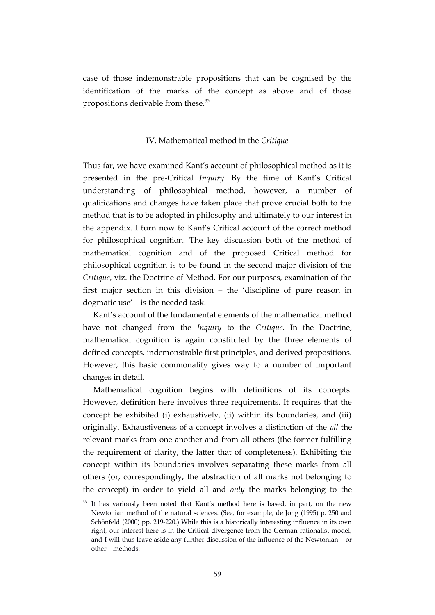case of those indemonstrable propositions that can be cognised by the identifcation of the marks of the concept as above and of those propositions derivable from these.<sup>[33](#page-58-0)</sup>

#### IV. Mathematical method in the *Critique*

Thus far, we have examined Kant's account of philosophical method as it is presented in the pre-Critical *Inquiry*. By the time of Kant's Critical understanding of philosophical method, however, a number of qualifcations and changes have taken place that prove crucial both to the method that is to be adopted in philosophy and ultimately to our interest in the appendix. I turn now to Kant's Critical account of the correct method for philosophical cognition. The key discussion both of the method of mathematical cognition and of the proposed Critical method for philosophical cognition is to be found in the second major division of the *Critique*, viz. the Doctrine of Method. For our purposes, examination of the frst major section in this division – the 'discipline of pure reason in dogmatic use' – is the needed task.

Kant's account of the fundamental elements of the mathematical method have not changed from the *Inquiry* to the *Critique*. In the Doctrine, mathematical cognition is again constituted by the three elements of defned concepts, indemonstrable frst principles, and derived propositions. However, this basic commonality gives way to a number of important changes in detail.

Mathematical cognition begins with defnitions of its concepts. However, defnition here involves three requirements. It requires that the concept be exhibited (i) exhaustively, (ii) within its boundaries, and (iii) originally. Exhaustiveness of a concept involves a distinction of the *all* the relevant marks from one another and from all others (the former fulflling the requirement of clarity, the later that of completeness). Exhibiting the concept within its boundaries involves separating these marks from all others (or, correspondingly, the abstraction of all marks not belonging to the concept) in order to yield all and *only* the marks belonging to the

<span id="page-58-0"></span><sup>&</sup>lt;sup>33</sup> It has variously been noted that Kant's method here is based, in part, on the new Newtonian method of the natural sciences. (See, for example, de Jong (1995) p. 250 and Schönfeld (2000) pp. 219-220.) While this is a historically interesting influence in its own right, our interest here is in the Critical divergence from the German rationalist model, and I will thus leave aside any further discussion of the influence of the Newtonian – or other – methods.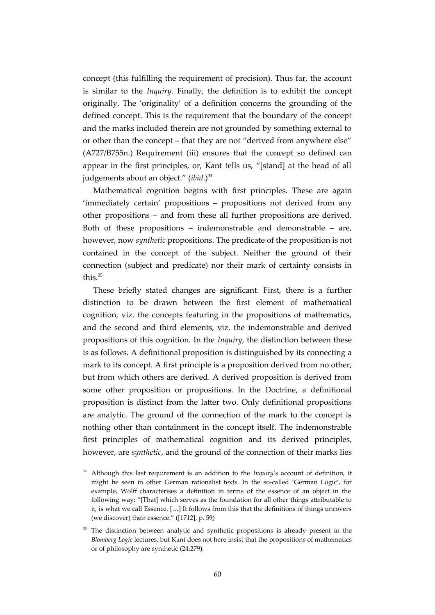concept (this fulflling the requirement of precision). Thus far, the account is similar to the *Inquiry*. Finally, the defnition is to exhibit the concept originally. The 'originality' of a defnition concerns the grounding of the defned concept. This is the requirement that the boundary of the concept and the marks included therein are not grounded by something external to or other than the concept – that they are not "derived from anywhere else" (A727/B755n.) Requirement (iii) ensures that the concept so defned can appear in the frst principles, or, Kant tells us, "[stand] at the head of all judgements about an object." *(ibid.*)<sup>[34](#page-59-0)</sup>

Mathematical cognition begins with frst principles. These are again 'immediately certain' propositions – propositions not derived from any other propositions – and from these all further propositions are derived. Both of these propositions – indemonstrable and demonstrable – are, however, now *synthetic* propositions. The predicate of the proposition is not contained in the concept of the subject. Neither the ground of their connection (subject and predicate) nor their mark of certainty consists in this.[35](#page-59-1)

These briefly stated changes are significant. First, there is a further distinction to be drawn between the frst element of mathematical cognition, viz. the concepts featuring in the propositions of mathematics, and the second and third elements, viz. the indemonstrable and derived propositions of this cognition. In the *Inquiry*, the distinction between these is as follows. A defnitional proposition is distinguished by its connecting a mark to its concept. A first principle is a proposition derived from no other, but from which others are derived. A derived proposition is derived from some other proposition or propositions. In the Doctrine, a defnitional proposition is distinct from the later two. Only defnitional propositions are analytic. The ground of the connection of the mark to the concept is nothing other than containment in the concept itself. The indemonstrable first principles of mathematical cognition and its derived principles, however, are *synthetic*, and the ground of the connection of their marks lies

<span id="page-59-0"></span><sup>&</sup>lt;sup>34</sup> Although this last requirement is an addition to the *Inquiry's* account of definition, it might be seen in other German rationalist texts. In the so-called 'German Logic', for example, Wolff characterises a definition in terms of the essence of an object in the following way: "[That] which serves as the foundation for all other things atributable to it, is what we call Essence. […] It follows from this that the defnitions of things uncovers (we discover) their essence." ([1712], p. 59)

<span id="page-59-1"></span> $35$  The distinction between analytic and synthetic propositions is already present in the *Blomberg Logic* lectures, but Kant does not here insist that the propositions of mathematics or of philosophy are synthetic (24:279).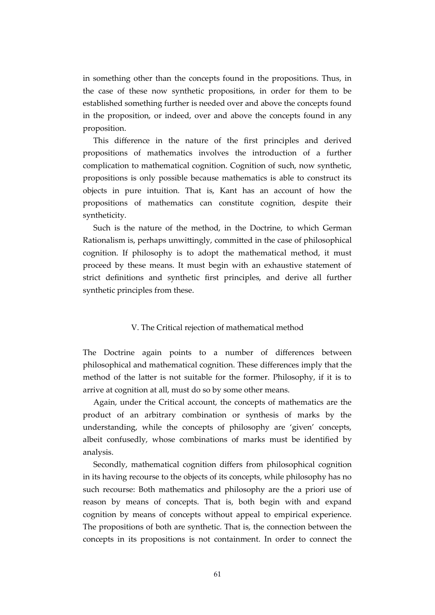in something other than the concepts found in the propositions. Thus, in the case of these now synthetic propositions, in order for them to be established something further is needed over and above the concepts found in the proposition, or indeed, over and above the concepts found in any proposition.

This difference in the nature of the first principles and derived propositions of mathematics involves the introduction of a further complication to mathematical cognition. Cognition of such, now synthetic, propositions is only possible because mathematics is able to construct its objects in pure intuition. That is, Kant has an account of how the propositions of mathematics can constitute cognition, despite their syntheticity.

Such is the nature of the method, in the Doctrine, to which German Rationalism is, perhaps unwitingly, commited in the case of philosophical cognition. If philosophy is to adopt the mathematical method, it must proceed by these means. It must begin with an exhaustive statement of strict defnitions and synthetic frst principles, and derive all further synthetic principles from these.

### V. The Critical rejection of mathematical method

The Doctrine again points to a number of diferences between philosophical and mathematical cognition. These diferences imply that the method of the later is not suitable for the former. Philosophy, if it is to arrive at cognition at all, must do so by some other means.

Again, under the Critical account, the concepts of mathematics are the product of an arbitrary combination or synthesis of marks by the understanding, while the concepts of philosophy are 'given' concepts, albeit confusedly, whose combinations of marks must be identifed by analysis.

Secondly, mathematical cognition difers from philosophical cognition in its having recourse to the objects of its concepts, while philosophy has no such recourse: Both mathematics and philosophy are the a priori use of reason by means of concepts. That is, both begin with and expand cognition by means of concepts without appeal to empirical experience. The propositions of both are synthetic. That is, the connection between the concepts in its propositions is not containment. In order to connect the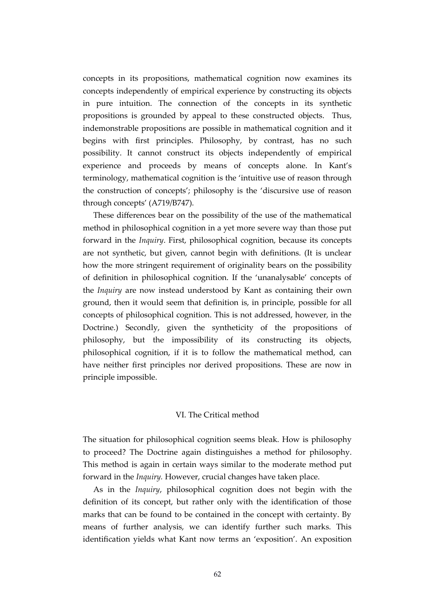concepts in its propositions, mathematical cognition now examines its concepts independently of empirical experience by constructing its objects in pure intuition. The connection of the concepts in its synthetic propositions is grounded by appeal to these constructed objects. Thus, indemonstrable propositions are possible in mathematical cognition and it begins with frst principles. Philosophy, by contrast, has no such possibility. It cannot construct its objects independently of empirical experience and proceeds by means of concepts alone. In Kant's terminology, mathematical cognition is the 'intuitive use of reason through the construction of concepts'; philosophy is the 'discursive use of reason through concepts' (A719/B747).

These diferences bear on the possibility of the use of the mathematical method in philosophical cognition in a yet more severe way than those put forward in the *Inquiry*. First, philosophical cognition, because its concepts are not synthetic, but given, cannot begin with defnitions. (It is unclear how the more stringent requirement of originality bears on the possibility of defnition in philosophical cognition. If the 'unanalysable' concepts of the *Inquiry* are now instead understood by Kant as containing their own ground, then it would seem that defnition is, in principle, possible for all concepts of philosophical cognition. This is not addressed, however, in the Doctrine.) Secondly, given the syntheticity of the propositions of philosophy, but the impossibility of its constructing its objects, philosophical cognition, if it is to follow the mathematical method, can have neither frst principles nor derived propositions. These are now in principle impossible.

### VI. The Critical method

The situation for philosophical cognition seems bleak. How is philosophy to proceed? The Doctrine again distinguishes a method for philosophy. This method is again in certain ways similar to the moderate method put forward in the *Inquiry.* However, crucial changes have taken place.

As in the *Inquiry*, philosophical cognition does not begin with the defnition of its concept, but rather only with the identifcation of those marks that can be found to be contained in the concept with certainty. By means of further analysis, we can identify further such marks. This identifcation yields what Kant now terms an 'exposition'. An exposition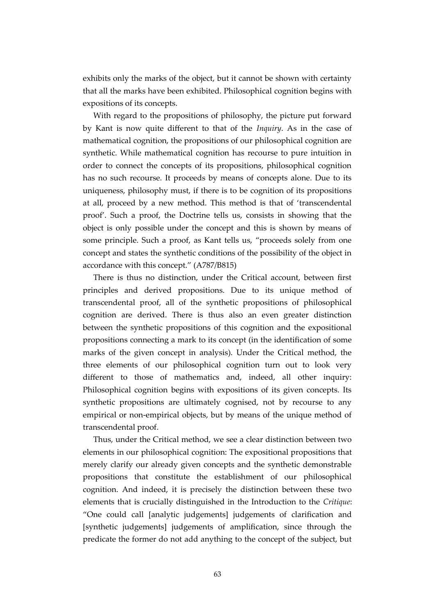exhibits only the marks of the object, but it cannot be shown with certainty that all the marks have been exhibited. Philosophical cognition begins with expositions of its concepts.

With regard to the propositions of philosophy, the picture put forward by Kant is now quite diferent to that of the *Inquiry*. As in the case of mathematical cognition, the propositions of our philosophical cognition are synthetic. While mathematical cognition has recourse to pure intuition in order to connect the concepts of its propositions, philosophical cognition has no such recourse. It proceeds by means of concepts alone. Due to its uniqueness, philosophy must, if there is to be cognition of its propositions at all, proceed by a new method. This method is that of 'transcendental proof'. Such a proof, the Doctrine tells us, consists in showing that the object is only possible under the concept and this is shown by means of some principle. Such a proof, as Kant tells us, "proceeds solely from one concept and states the synthetic conditions of the possibility of the object in accordance with this concept." (A787/B815)

There is thus no distinction, under the Critical account, between frst principles and derived propositions. Due to its unique method of transcendental proof, all of the synthetic propositions of philosophical cognition are derived. There is thus also an even greater distinction between the synthetic propositions of this cognition and the expositional propositions connecting a mark to its concept (in the identifcation of some marks of the given concept in analysis). Under the Critical method, the three elements of our philosophical cognition turn out to look very diferent to those of mathematics and, indeed, all other inquiry: Philosophical cognition begins with expositions of its given concepts. Its synthetic propositions are ultimately cognised, not by recourse to any empirical or non-empirical objects, but by means of the unique method of transcendental proof.

Thus, under the Critical method, we see a clear distinction between two elements in our philosophical cognition: The expositional propositions that merely clarify our already given concepts and the synthetic demonstrable propositions that constitute the establishment of our philosophical cognition. And indeed, it is precisely the distinction between these two elements that is crucially distinguished in the Introduction to the *Critique*: "One could call [analytic judgements] judgements of clarifcation and [synthetic judgements] judgements of amplification, since through the predicate the former do not add anything to the concept of the subject, but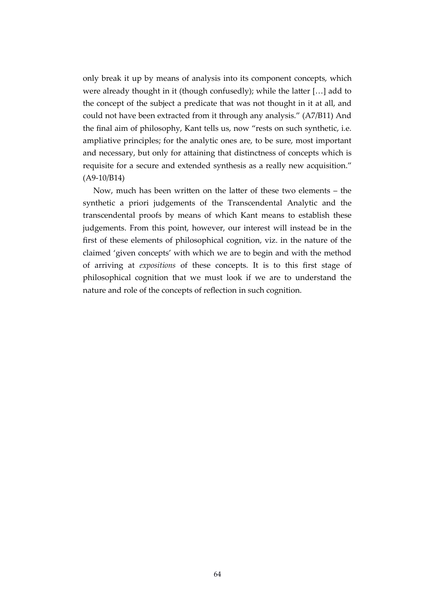only break it up by means of analysis into its component concepts, which were already thought in it (though confusedly); while the latter  $[...]$  add to the concept of the subject a predicate that was not thought in it at all, and could not have been extracted from it through any analysis." (A7/B11) And the fnal aim of philosophy, Kant tells us, now "rests on such synthetic, i.e. ampliative principles; for the analytic ones are, to be sure, most important and necessary, but only for ataining that distinctness of concepts which is requisite for a secure and extended synthesis as a really new acquisition." (A9-10/B14)

Now, much has been writen on the later of these two elements – the synthetic a priori judgements of the Transcendental Analytic and the transcendental proofs by means of which Kant means to establish these judgements. From this point, however, our interest will instead be in the frst of these elements of philosophical cognition, viz. in the nature of the claimed 'given concepts' with which we are to begin and with the method of arriving at *expositions* of these concepts. It is to this frst stage of philosophical cognition that we must look if we are to understand the nature and role of the concepts of reflection in such cognition.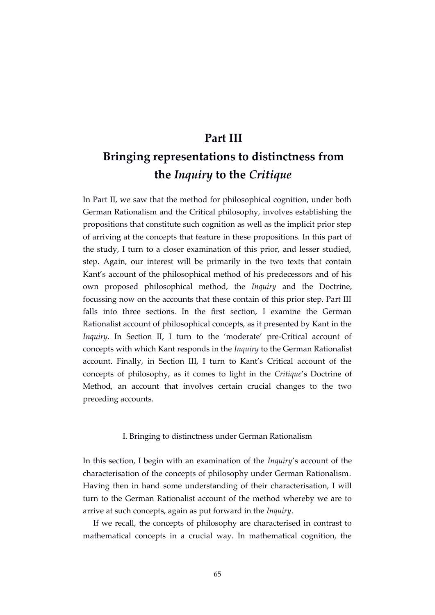# **Part III**

# **Bringing representations to distinctness from the** *Inquiry* **to the** *Critique*

In Part II, we saw that the method for philosophical cognition, under both German Rationalism and the Critical philosophy, involves establishing the propositions that constitute such cognition as well as the implicit prior step of arriving at the concepts that feature in these propositions. In this part of the study, I turn to a closer examination of this prior, and lesser studied, step. Again, our interest will be primarily in the two texts that contain Kant's account of the philosophical method of his predecessors and of his own proposed philosophical method, the *Inquiry* and the Doctrine, focussing now on the accounts that these contain of this prior step. Part III falls into three sections. In the frst section, I examine the German Rationalist account of philosophical concepts, as it presented by Kant in the *Inquiry.* In Section II, I turn to the 'moderate' pre-Critical account of concepts with which Kant responds in the *Inquiry* to the German Rationalist account. Finally, in Section III, I turn to Kant's Critical account of the concepts of philosophy, as it comes to light in the *Critique*'s Doctrine of Method, an account that involves certain crucial changes to the two preceding accounts.

### I. Bringing to distinctness under German Rationalism

In this section, I begin with an examination of the *Inquiry*'s account of the characterisation of the concepts of philosophy under German Rationalism*.* Having then in hand some understanding of their characterisation, I will turn to the German Rationalist account of the method whereby we are to arrive at such concepts, again as put forward in the *Inquiry*.

If we recall, the concepts of philosophy are characterised in contrast to mathematical concepts in a crucial way. In mathematical cognition, the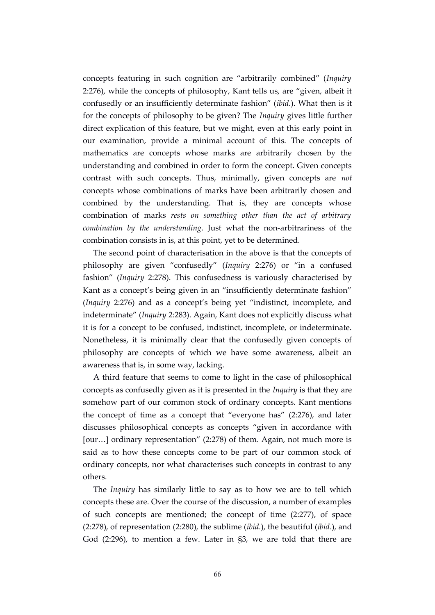concepts featuring in such cognition are "arbitrarily combined" (*Inquiry* 2:276), while the concepts of philosophy, Kant tells us, are "given, albeit it confusedly or an insufficiently determinate fashion" (*ibid.*). What then is it for the concepts of philosophy to be given? The *Inquiry* gives litle further direct explication of this feature, but we might, even at this early point in our examination, provide a minimal account of this. The concepts of mathematics are concepts whose marks are arbitrarily chosen by the understanding and combined in order to form the concept. Given concepts contrast with such concepts. Thus, minimally, given concepts are *not* concepts whose combinations of marks have been arbitrarily chosen and combined by the understanding. That is, they are concepts whose combination of marks *rests on something other than the act of arbitrary combination by the understanding*. Just what the non-arbitrariness of the combination consists in is, at this point, yet to be determined.

The second point of characterisation in the above is that the concepts of philosophy are given "confusedly" (*Inquiry* 2:276) or "in a confused fashion" (*Inquiry* 2:278). This confusedness is variously characterised by Kant as a concept's being given in an "insufficiently determinate fashion" (*Inquiry* 2:276) and as a concept's being yet "indistinct, incomplete, and indeterminate" (*Inquiry* 2:283). Again, Kant does not explicitly discuss what it is for a concept to be confused, indistinct, incomplete, or indeterminate. Nonetheless, it is minimally clear that the confusedly given concepts of philosophy are concepts of which we have some awareness, albeit an awareness that is, in some way, lacking.

A third feature that seems to come to light in the case of philosophical concepts as confusedly given as it is presented in the *Inquiry* is that they are somehow part of our common stock of ordinary concepts. Kant mentions the concept of time as a concept that "everyone has" (2:276), and later discusses philosophical concepts as concepts "given in accordance with [our...] ordinary representation" (2:278) of them. Again, not much more is said as to how these concepts come to be part of our common stock of ordinary concepts, nor what characterises such concepts in contrast to any others.

The *Inquiry* has similarly litle to say as to how we are to tell which concepts these are. Over the course of the discussion, a number of examples of such concepts are mentioned; the concept of time  $(2:277)$ , of space (2:278), of representation (2:280), the sublime (*ibid.*), the beautiful (*ibid*.), and God (2:296), to mention a few. Later in §3, we are told that there are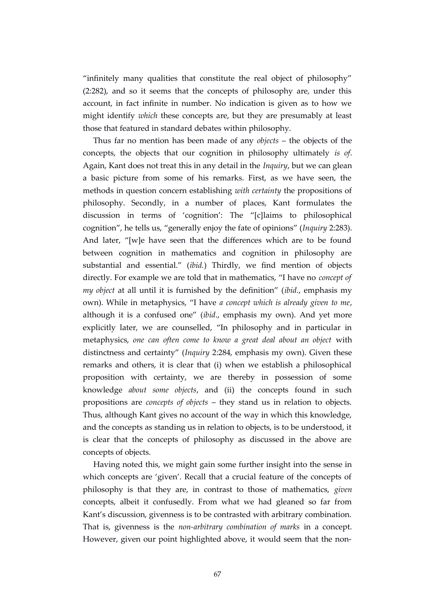"infnitely many qualities that constitute the real object of philosophy" (2:282), and so it seems that the concepts of philosophy are, under this account, in fact infnite in number. No indication is given as to how we might identify *which* these concepts are, but they are presumably at least those that featured in standard debates within philosophy.

Thus far no mention has been made of any *objects* – the objects of the concepts, the objects that our cognition in philosophy ultimately *is of*. Again, Kant does not treat this in any detail in the *Inquiry*, but we can glean a basic picture from some of his remarks. First, as we have seen, the methods in question concern establishing *with certainty* the propositions of philosophy. Secondly, in a number of places, Kant formulates the discussion in terms of 'cognition': The "[c]laims to philosophical cognition", he tells us, "generally enjoy the fate of opinions" (*Inquiry* 2:283). And later, "[w]e have seen that the diferences which are to be found between cognition in mathematics and cognition in philosophy are substantial and essential." (*ibid.*) Thirdly, we find mention of objects directly. For example we are told that in mathematics, "I have no *concept of my object* at all until it is furnished by the defnition" (*ibid.*, emphasis my own). While in metaphysics, "I have *a concept which is already given to me*, although it is a confused one" (*ibid*., emphasis my own). And yet more explicitly later, we are counselled, "In philosophy and in particular in metaphysics, *one can often come to know a great deal about an object* with distinctness and certainty" (*Inquiry* 2:284, emphasis my own). Given these remarks and others, it is clear that (i) when we establish a philosophical proposition with certainty, we are thereby in possession of some knowledge *about some objects*, and (ii) the concepts found in such propositions are *concepts of objects* – they stand us in relation to objects. Thus, although Kant gives no account of the way in which this knowledge, and the concepts as standing us in relation to objects, is to be understood, it is clear that the concepts of philosophy as discussed in the above are concepts of objects.

Having noted this, we might gain some further insight into the sense in which concepts are 'given'. Recall that a crucial feature of the concepts of philosophy is that they are, in contrast to those of mathematics, *given* concepts, albeit it confusedly. From what we had gleaned so far from Kant's discussion, givenness is to be contrasted with arbitrary combination. That is, givenness is the *non-arbitrary combination of marks* in a concept. However, given our point highlighted above, it would seem that the non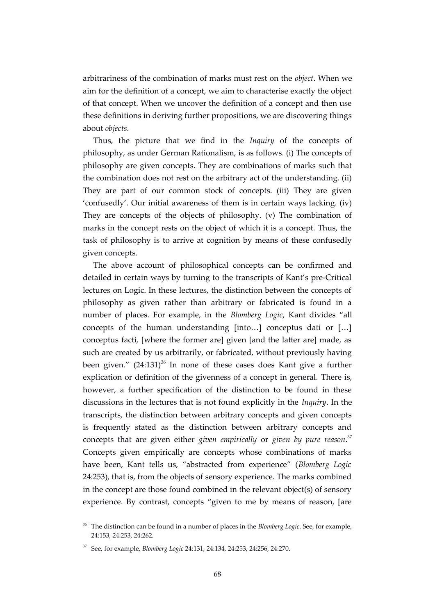arbitrariness of the combination of marks must rest on the *object*. When we aim for the defnition of a concept, we aim to characterise exactly the object of that concept. When we uncover the defnition of a concept and then use these defnitions in deriving further propositions, we are discovering things about *objects*.

Thus, the picture that we find in the *Inquiry* of the concepts of philosophy, as under German Rationalism, is as follows. (i) The concepts of philosophy are given concepts. They are combinations of marks such that the combination does not rest on the arbitrary act of the understanding. (ii) They are part of our common stock of concepts. (iii) They are given 'confusedly'. Our initial awareness of them is in certain ways lacking. (iv) They are concepts of the objects of philosophy. (v) The combination of marks in the concept rests on the object of which it is a concept. Thus, the task of philosophy is to arrive at cognition by means of these confusedly given concepts.

The above account of philosophical concepts can be confrmed and detailed in certain ways by turning to the transcripts of Kant's pre-Critical lectures on Logic. In these lectures, the distinction between the concepts of philosophy as given rather than arbitrary or fabricated is found in a number of places. For example, in the *Blomberg Logic*, Kant divides "all concepts of the human understanding [into…] conceptus dati or […] conceptus facti, [where the former are] given [and the later are] made, as such are created by us arbitrarily, or fabricated, without previously having been given."  $(24:131)^{36}$  $(24:131)^{36}$  $(24:131)^{36}$  In none of these cases does Kant give a further explication or defnition of the givenness of a concept in general. There is, however, a further specification of the distinction to be found in these discussions in the lectures that is not found explicitly in the *Inquiry*. In the transcripts, the distinction between arbitrary concepts and given concepts is frequently stated as the distinction between arbitrary concepts and concepts that are given either *given empirically* or *given by pure reason*. [37](#page-67-1) Concepts given empirically are concepts whose combinations of marks have been, Kant tells us, "abstracted from experience" (*Blomberg Logic* 24:253), that is, from the objects of sensory experience. The marks combined in the concept are those found combined in the relevant object(s) of sensory experience. By contrast, concepts "given to me by means of reason, [are

<span id="page-67-0"></span><sup>36</sup> The distinction can be found in a number of places in the *Blomberg Logic*. See, for example, 24:153, 24:253, 24:262.

<span id="page-67-1"></span><sup>37</sup> See, for example, *Blomberg Logic* 24:131, 24:134, 24:253, 24:256, 24:270.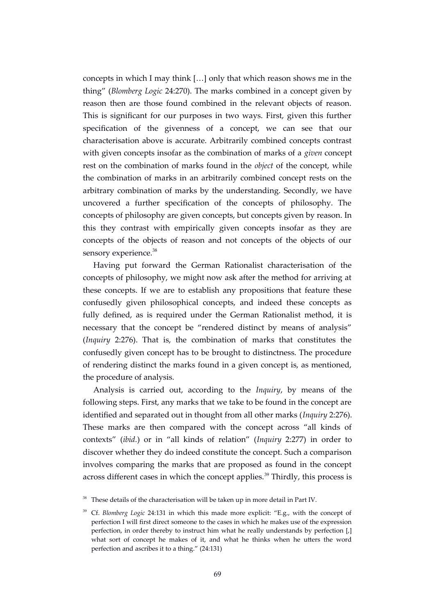concepts in which I may think […] only that which reason shows me in the thing" (*Blomberg Logic* 24:270). The marks combined in a concept given by reason then are those found combined in the relevant objects of reason. This is signifcant for our purposes in two ways. First, given this further specifcation of the givenness of a concept, we can see that our characterisation above is accurate. Arbitrarily combined concepts contrast with given concepts insofar as the combination of marks of a *given* concept rest on the combination of marks found in the *object* of the concept, while the combination of marks in an arbitrarily combined concept rests on the arbitrary combination of marks by the understanding. Secondly, we have uncovered a further specifcation of the concepts of philosophy. The concepts of philosophy are given concepts, but concepts given by reason. In this they contrast with empirically given concepts insofar as they are concepts of the objects of reason and not concepts of the objects of our sensory experience.<sup>[38](#page-68-0)</sup>

Having put forward the German Rationalist characterisation of the concepts of philosophy, we might now ask after the method for arriving at these concepts. If we are to establish any propositions that feature these confusedly given philosophical concepts, and indeed these concepts as fully defined, as is required under the German Rationalist method, it is necessary that the concept be "rendered distinct by means of analysis" (*Inquiry* 2:276). That is, the combination of marks that constitutes the confusedly given concept has to be brought to distinctness. The procedure of rendering distinct the marks found in a given concept is, as mentioned, the procedure of analysis.

Analysis is carried out, according to the *Inquiry*, by means of the following steps. First, any marks that we take to be found in the concept are identifed and separated out in thought from all other marks (*Inquiry* 2:276). These marks are then compared with the concept across "all kinds of contexts" (*ibid.*) or in "all kinds of relation" (*Inquiry* 2:277) in order to discover whether they do indeed constitute the concept. Such a comparison involves comparing the marks that are proposed as found in the concept across different cases in which the concept applies. $39$  Thirdly, this process is

<span id="page-68-0"></span><sup>&</sup>lt;sup>38</sup> These details of the characterisation will be taken up in more detail in Part IV.

<span id="page-68-1"></span><sup>39</sup> Cf. *Blomberg Logic* 24:131 in which this made more explicit: "E.g., with the concept of perfection I will frst direct someone to the cases in which he makes use of the expression perfection, in order thereby to instruct him what he really understands by perfection [,] what sort of concept he makes of it, and what he thinks when he uters the word perfection and ascribes it to a thing." (24:131)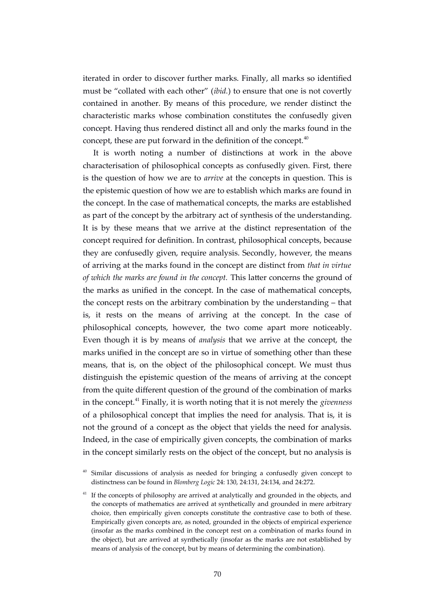iterated in order to discover further marks. Finally, all marks so identifed must be "collated with each other" (*ibid.*) to ensure that one is not covertly contained in another. By means of this procedure, we render distinct the characteristic marks whose combination constitutes the confusedly given concept. Having thus rendered distinct all and only the marks found in the concept, these are put forward in the definition of the concept. $40$ 

It is worth noting a number of distinctions at work in the above characterisation of philosophical concepts as confusedly given. First, there is the question of how we are to *arrive* at the concepts in question. This is the epistemic question of how we are to establish which marks are found in the concept. In the case of mathematical concepts, the marks are established as part of the concept by the arbitrary act of synthesis of the understanding. It is by these means that we arrive at the distinct representation of the concept required for defnition. In contrast, philosophical concepts, because they are confusedly given, require analysis. Secondly, however, the means of arriving at the marks found in the concept are distinct from *that in virtue of which the marks are found in the concept.* This later concerns the ground of the marks as unifed in the concept. In the case of mathematical concepts, the concept rests on the arbitrary combination by the understanding – that is, it rests on the means of arriving at the concept. In the case of philosophical concepts, however, the two come apart more noticeably. Even though it is by means of *analysis* that we arrive at the concept, the marks unifed in the concept are so in virtue of something other than these means, that is, on the object of the philosophical concept. We must thus distinguish the epistemic question of the means of arriving at the concept from the quite diferent question of the ground of the combination of marks in the concept.[41](#page-69-1) Finally, it is worth noting that it is not merely the *givenness* of a philosophical concept that implies the need for analysis. That is, it is not the ground of a concept as the object that yields the need for analysis. Indeed, in the case of empirically given concepts, the combination of marks in the concept similarly rests on the object of the concept, but no analysis is

<span id="page-69-0"></span><sup>&</sup>lt;sup>40</sup> Similar discussions of analysis as needed for bringing a confusedly given concept to distinctness can be found in *Blomberg Logic* 24: 130, 24:131, 24:134, and 24:272.

<span id="page-69-1"></span><sup>&</sup>lt;sup>41</sup> If the concepts of philosophy are arrived at analytically and grounded in the objects, and the concepts of mathematics are arrived at synthetically and grounded in mere arbitrary choice, then empirically given concepts constitute the contrastive case to both of these. Empirically given concepts are, as noted, grounded in the objects of empirical experience (insofar as the marks combined in the concept rest on a combination of marks found in the object), but are arrived at synthetically (insofar as the marks are not established by means of analysis of the concept, but by means of determining the combination).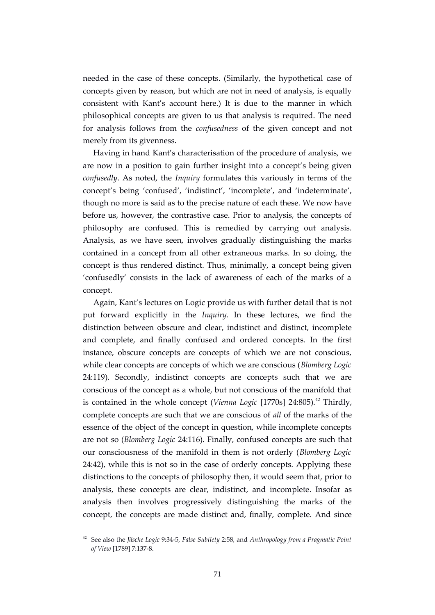needed in the case of these concepts. (Similarly, the hypothetical case of concepts given by reason, but which are not in need of analysis, is equally consistent with Kant's account here.) It is due to the manner in which philosophical concepts are given to us that analysis is required. The need for analysis follows from the *confusedness* of the given concept and not merely from its givenness.

Having in hand Kant's characterisation of the procedure of analysis, we are now in a position to gain further insight into a concept's being given *confusedly*. As noted, the *Inquiry* formulates this variously in terms of the concept's being 'confused', 'indistinct', 'incomplete', and 'indeterminate', though no more is said as to the precise nature of each these. We now have before us, however, the contrastive case. Prior to analysis, the concepts of philosophy are confused. This is remedied by carrying out analysis. Analysis, as we have seen, involves gradually distinguishing the marks contained in a concept from all other extraneous marks. In so doing, the concept is thus rendered distinct. Thus, minimally, a concept being given 'confusedly' consists in the lack of awareness of each of the marks of a concept.

Again, Kant's lectures on Logic provide us with further detail that is not put forward explicitly in the *Inquiry*. In these lectures, we fnd the distinction between obscure and clear, indistinct and distinct, incomplete and complete, and finally confused and ordered concepts. In the first instance, obscure concepts are concepts of which we are not conscious, while clear concepts are concepts of which we are conscious (*Blomberg Logic* 24:119). Secondly, indistinct concepts are concepts such that we are conscious of the concept as a whole, but not conscious of the manifold that is contained in the whole concept (*Vienna Logic* [1770s] 24:805).<sup>[42](#page-70-0)</sup> Thirdly, complete concepts are such that we are conscious of *all* of the marks of the essence of the object of the concept in question, while incomplete concepts are not so (*Blomberg Logic* 24:116). Finally, confused concepts are such that our consciousness of the manifold in them is not orderly (*Blomberg Logic* 24:42), while this is not so in the case of orderly concepts. Applying these distinctions to the concepts of philosophy then, it would seem that, prior to analysis, these concepts are clear, indistinct, and incomplete. Insofar as analysis then involves progressively distinguishing the marks of the concept, the concepts are made distinct and, fnally, complete. And since

<span id="page-70-0"></span><sup>42</sup> See also the *Jäsche Logic* 9:34-5, *False Subtlety* 2:58, and *Anthropology from a Pragmatic Point of View* [1789] 7:137-8.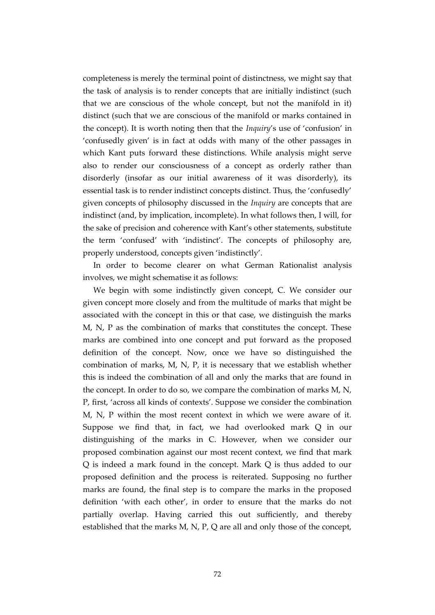completeness is merely the terminal point of distinctness, we might say that the task of analysis is to render concepts that are initially indistinct (such that we are conscious of the whole concept, but not the manifold in it) distinct (such that we are conscious of the manifold or marks contained in the concept). It is worth noting then that the *Inquiry*'s use of 'confusion' in 'confusedly given' is in fact at odds with many of the other passages in which Kant puts forward these distinctions. While analysis might serve also to render our consciousness of a concept as orderly rather than disorderly (insofar as our initial awareness of it was disorderly), its essential task is to render indistinct concepts distinct. Thus, the 'confusedly' given concepts of philosophy discussed in the *Inquiry* are concepts that are indistinct (and, by implication, incomplete). In what follows then, I will, for the sake of precision and coherence with Kant's other statements, substitute the term 'confused' with 'indistinct'. The concepts of philosophy are, properly understood, concepts given 'indistinctly'.

In order to become clearer on what German Rationalist analysis involves, we might schematise it as follows:

We begin with some indistinctly given concept, C. We consider our given concept more closely and from the multitude of marks that might be associated with the concept in this or that case, we distinguish the marks M, N, P as the combination of marks that constitutes the concept. These marks are combined into one concept and put forward as the proposed defnition of the concept. Now, once we have so distinguished the combination of marks, M, N, P, it is necessary that we establish whether this is indeed the combination of all and only the marks that are found in the concept. In order to do so, we compare the combination of marks M, N, P, frst, 'across all kinds of contexts'. Suppose we consider the combination M, N, P within the most recent context in which we were aware of it. Suppose we find that, in fact, we had overlooked mark Q in our distinguishing of the marks in C. However, when we consider our proposed combination against our most recent context, we fnd that mark Q is indeed a mark found in the concept. Mark Q is thus added to our proposed defnition and the process is reiterated. Supposing no further marks are found, the final step is to compare the marks in the proposed defnition 'with each other', in order to ensure that the marks do not partially overlap. Having carried this out sufficiently, and thereby established that the marks M, N, P, Q are all and only those of the concept,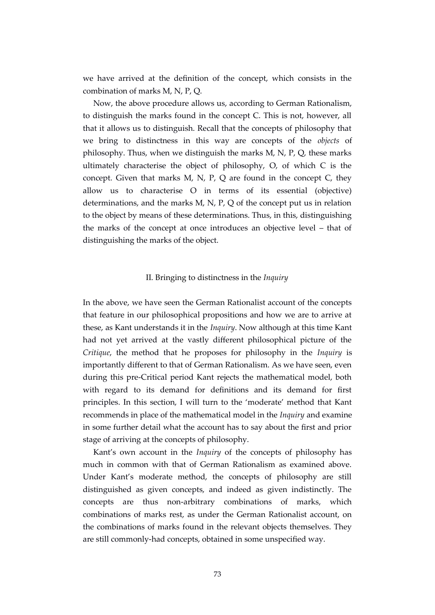we have arrived at the defnition of the concept, which consists in the combination of marks M, N, P, Q.

Now, the above procedure allows us, according to German Rationalism, to distinguish the marks found in the concept C. This is not, however, all that it allows us to distinguish. Recall that the concepts of philosophy that we bring to distinctness in this way are concepts of the *objects* of philosophy. Thus, when we distinguish the marks M, N, P, Q, these marks ultimately characterise the object of philosophy, O, of which C is the concept. Given that marks M, N, P, Q are found in the concept C, they allow us to characterise O in terms of its essential (objective) determinations, and the marks M, N, P, Q of the concept put us in relation to the object by means of these determinations. Thus, in this, distinguishing the marks of the concept at once introduces an objective level – that of distinguishing the marks of the object.

## II. Bringing to distinctness in the *Inquiry*

In the above, we have seen the German Rationalist account of the concepts that feature in our philosophical propositions and how we are to arrive at these, as Kant understands it in the *Inquiry*. Now although at this time Kant had not yet arrived at the vastly diferent philosophical picture of the *Critique*, the method that he proposes for philosophy in the *Inquiry* is importantly diferent to that of German Rationalism. As we have seen, even during this pre-Critical period Kant rejects the mathematical model, both with regard to its demand for defnitions and its demand for frst principles. In this section, I will turn to the 'moderate' method that Kant recommends in place of the mathematical model in the *Inquiry* and examine in some further detail what the account has to say about the frst and prior stage of arriving at the concepts of philosophy.

Kant's own account in the *Inquiry* of the concepts of philosophy has much in common with that of German Rationalism as examined above. Under Kant's moderate method, the concepts of philosophy are still distinguished as given concepts, and indeed as given indistinctly. The concepts are thus non-arbitrary combinations of marks, which combinations of marks rest, as under the German Rationalist account, on the combinations of marks found in the relevant objects themselves. They are still commonly-had concepts, obtained in some unspecifed way.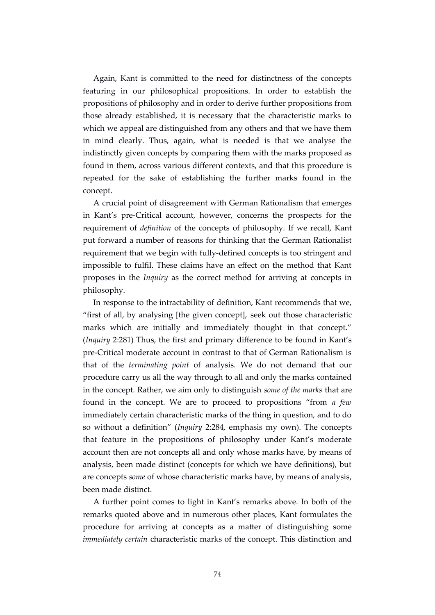Again, Kant is commited to the need for distinctness of the concepts featuring in our philosophical propositions. In order to establish the propositions of philosophy and in order to derive further propositions from those already established, it is necessary that the characteristic marks to which we appeal are distinguished from any others and that we have them in mind clearly. Thus, again, what is needed is that we analyse the indistinctly given concepts by comparing them with the marks proposed as found in them, across various diferent contexts, and that this procedure is repeated for the sake of establishing the further marks found in the concept.

A crucial point of disagreement with German Rationalism that emerges in Kant's pre-Critical account, however, concerns the prospects for the requirement of *defnition* of the concepts of philosophy. If we recall, Kant put forward a number of reasons for thinking that the German Rationalist requirement that we begin with fully-defned concepts is too stringent and impossible to fulfl. These claims have an efect on the method that Kant proposes in the *Inquiry* as the correct method for arriving at concepts in philosophy.

In response to the intractability of defnition, Kant recommends that we, "frst of all, by analysing [the given concept], seek out those characteristic marks which are initially and immediately thought in that concept." (*Inquiry* 2:281) Thus, the frst and primary diference to be found in Kant's pre-Critical moderate account in contrast to that of German Rationalism is that of the *terminating point* of analysis. We do not demand that our procedure carry us all the way through to all and only the marks contained in the concept. Rather, we aim only to distinguish *some of the marks* that are found in the concept. We are to proceed to propositions "from *a few* immediately certain characteristic marks of the thing in question, and to do so without a defnition" (*Inquiry* 2:284, emphasis my own). The concepts that feature in the propositions of philosophy under Kant's moderate account then are not concepts all and only whose marks have, by means of analysis, been made distinct (concepts for which we have defnitions), but are concepts *some* of whose characteristic marks have, by means of analysis, been made distinct.

A further point comes to light in Kant's remarks above. In both of the remarks quoted above and in numerous other places, Kant formulates the procedure for arriving at concepts as a mater of distinguishing some *immediately certain* characteristic marks of the concept. This distinction and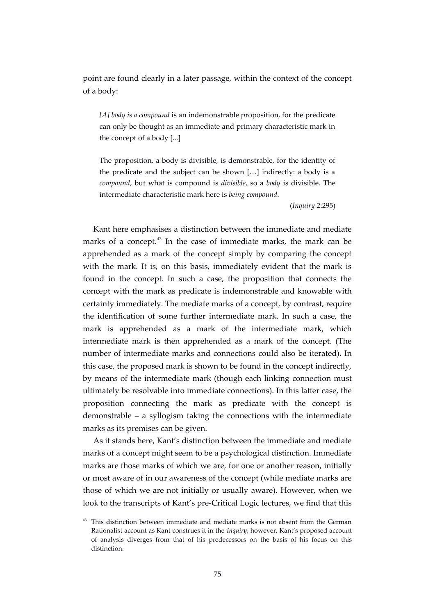point are found clearly in a later passage, within the context of the concept of a body:

*[A] body is a compound* is an indemonstrable proposition, for the predicate can only be thought as an immediate and primary characteristic mark in the concept of a body [...]

The proposition, a body is divisible, is demonstrable, for the identity of the predicate and the subject can be shown […] indirectly: a body is a *compound*, but what is compound is *divisible*, so a *body* is divisible. The intermediate characteristic mark here is *being compound*.

(*Inquiry* 2:295)

Kant here emphasises a distinction between the immediate and mediate marks of a concept.<sup>[43](#page-74-0)</sup> In the case of immediate marks, the mark can be apprehended as a mark of the concept simply by comparing the concept with the mark. It is, on this basis, immediately evident that the mark is found in the concept. In such a case, the proposition that connects the concept with the mark as predicate is indemonstrable and knowable with certainty immediately. The mediate marks of a concept, by contrast, require the identifcation of some further intermediate mark. In such a case, the mark is apprehended as a mark of the intermediate mark, which intermediate mark is then apprehended as a mark of the concept. (The number of intermediate marks and connections could also be iterated). In this case, the proposed mark is shown to be found in the concept indirectly, by means of the intermediate mark (though each linking connection must ultimately be resolvable into immediate connections). In this later case, the proposition connecting the mark as predicate with the concept is demonstrable – a syllogism taking the connections with the intermediate marks as its premises can be given.

As it stands here, Kant's distinction between the immediate and mediate marks of a concept might seem to be a psychological distinction. Immediate marks are those marks of which we are, for one or another reason, initially or most aware of in our awareness of the concept (while mediate marks are those of which we are not initially or usually aware). However, when we look to the transcripts of Kant's pre-Critical Logic lectures, we fnd that this

<span id="page-74-0"></span> $43$  This distinction between immediate and mediate marks is not absent from the German Rationalist account as Kant construes it in the *Inquiry*; however, Kant's proposed account of analysis diverges from that of his predecessors on the basis of his focus on this distinction.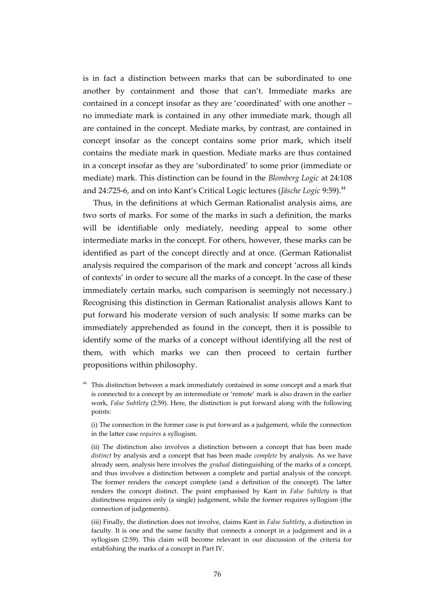is in fact a distinction between marks that can be subordinated to one another by containment and those that can't. Immediate marks are contained in a concept insofar as they are 'coordinated' with one another – no immediate mark is contained in any other immediate mark, though all are contained in the concept. Mediate marks, by contrast, are contained in concept insofar as the concept contains some prior mark, which itself contains the mediate mark in question. Mediate marks are thus contained in a concept insofar as they are 'subordinated' to some prior (immediate or mediate) mark. This distinction can be found in the *Blomberg Logic* at 24:108 and 24:725-6, and on into Kant's Critical Logic lectures (*Jäsche Logic* 9:59).<sup>[44](#page-75-0)</sup>

Thus, in the defnitions at which German Rationalist analysis aims, are two sorts of marks. For some of the marks in such a defnition, the marks will be identifable only mediately, needing appeal to some other intermediate marks in the concept. For others, however, these marks can be identifed as part of the concept directly and at once. (German Rationalist analysis required the comparison of the mark and concept 'across all kinds of contexts' in order to secure all the marks of a concept. In the case of these immediately certain marks, such comparison is seemingly not necessary.) Recognising this distinction in German Rationalist analysis allows Kant to put forward his moderate version of such analysis: If some marks can be immediately apprehended as found in the concept, then it is possible to identify some of the marks of a concept without identifying all the rest of them, with which marks we can then proceed to certain further propositions within philosophy.

<span id="page-75-0"></span><sup>44</sup> This distinction between a mark immediately contained in some concept and a mark that is connected to a concept by an intermediate or 'remote' mark is also drawn in the earlier work, *False Subtlety* (2:59). Here, the distinction is put forward along with the following points:

(i) The connection in the former case is put forward as a judgement, while the connection in the later case *requires* a syllogism.

(ii) The distinction also involves a distinction between a concept that has been made *distinct* by analysis and a concept that has been made *complete* by analysis. As we have already seen, analysis here involves the *gradual* distinguishing of the marks of a concept, and thus involves a distinction between a complete and partial analysis of the concept. The former renders the concept complete (and a definition of the concept). The latter renders the concept distinct. The point emphasised by Kant in *False Subtlety* is that distinctness requires only (a single) judgement, while the former requires syllogism (the connection of judgements).

(iii) Finally, the distinction does not involve, claims Kant in *False Subtlety*, a distinction in faculty. It is one and the same faculty that connects a concept in a judgement and in a syllogism (2:59). This claim will become relevant in our discussion of the criteria for establishing the marks of a concept in Part IV.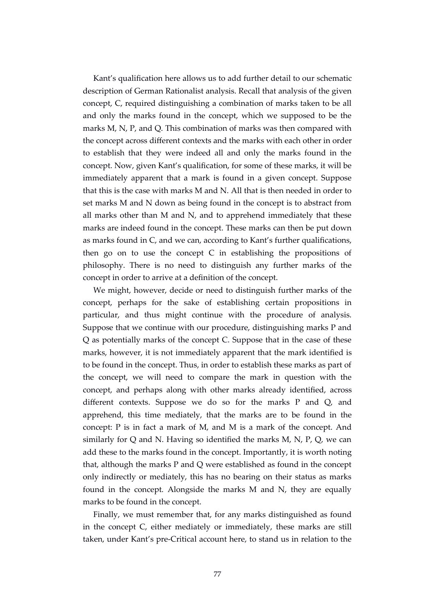Kant's qualifcation here allows us to add further detail to our schematic description of German Rationalist analysis. Recall that analysis of the given concept, C, required distinguishing a combination of marks taken to be all and only the marks found in the concept, which we supposed to be the marks M, N, P, and Q. This combination of marks was then compared with the concept across diferent contexts and the marks with each other in order to establish that they were indeed all and only the marks found in the concept. Now, given Kant's qualifcation, for some of these marks, it will be immediately apparent that a mark is found in a given concept. Suppose that this is the case with marks M and N. All that is then needed in order to set marks M and N down as being found in the concept is to abstract from all marks other than M and N, and to apprehend immediately that these marks are indeed found in the concept. These marks can then be put down as marks found in C, and we can, according to Kant's further qualifcations, then go on to use the concept C in establishing the propositions of philosophy. There is no need to distinguish any further marks of the concept in order to arrive at a defnition of the concept.

We might, however, decide or need to distinguish further marks of the concept, perhaps for the sake of establishing certain propositions in particular, and thus might continue with the procedure of analysis. Suppose that we continue with our procedure, distinguishing marks P and Q as potentially marks of the concept C. Suppose that in the case of these marks, however, it is not immediately apparent that the mark identifed is to be found in the concept. Thus, in order to establish these marks as part of the concept, we will need to compare the mark in question with the concept, and perhaps along with other marks already identifed, across diferent contexts. Suppose we do so for the marks P and Q, and apprehend, this time mediately, that the marks are to be found in the concept: P is in fact a mark of M, and M is a mark of the concept. And similarly for Q and N. Having so identifed the marks M, N, P, Q, we can add these to the marks found in the concept. Importantly, it is worth noting that, although the marks P and Q were established as found in the concept only indirectly or mediately, this has no bearing on their status as marks found in the concept. Alongside the marks M and N, they are equally marks to be found in the concept.

Finally, we must remember that, for any marks distinguished as found in the concept C, either mediately or immediately, these marks are still taken, under Kant's pre-Critical account here, to stand us in relation to the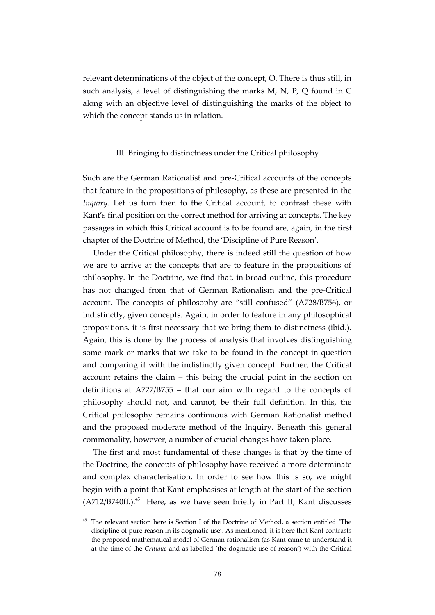relevant determinations of the object of the concept, O. There is thus still, in such analysis, a level of distinguishing the marks M, N, P, Q found in C along with an objective level of distinguishing the marks of the object to which the concept stands us in relation.

## III. Bringing to distinctness under the Critical philosophy

Such are the German Rationalist and pre-Critical accounts of the concepts that feature in the propositions of philosophy, as these are presented in the *Inquiry*. Let us turn then to the Critical account, to contrast these with Kant's final position on the correct method for arriving at concepts. The key passages in which this Critical account is to be found are, again, in the frst chapter of the Doctrine of Method, the 'Discipline of Pure Reason'.

Under the Critical philosophy, there is indeed still the question of how we are to arrive at the concepts that are to feature in the propositions of philosophy. In the Doctrine, we fnd that, in broad outline, this procedure has not changed from that of German Rationalism and the pre-Critical account. The concepts of philosophy are "still confused" (A728/B756), or indistinctly, given concepts. Again, in order to feature in any philosophical propositions, it is frst necessary that we bring them to distinctness (ibid.). Again, this is done by the process of analysis that involves distinguishing some mark or marks that we take to be found in the concept in question and comparing it with the indistinctly given concept. Further, the Critical account retains the claim – this being the crucial point in the section on defnitions at A727/B755 – that our aim with regard to the concepts of philosophy should not, and cannot, be their full defnition. In this, the Critical philosophy remains continuous with German Rationalist method and the proposed moderate method of the Inquiry. Beneath this general commonality, however, a number of crucial changes have taken place.

The first and most fundamental of these changes is that by the time of the Doctrine, the concepts of philosophy have received a more determinate and complex characterisation. In order to see how this is so, we might begin with a point that Kant emphasises at length at the start of the section  $(A712/B740ff.)$ <sup>[45](#page-77-0)</sup> Here, as we have seen briefly in Part II, Kant discusses

<span id="page-77-0"></span><sup>&</sup>lt;sup>45</sup> The relevant section here is Section I of the Doctrine of Method, a section entitled 'The discipline of pure reason in its dogmatic use'. As mentioned, it is here that Kant contrasts the proposed mathematical model of German rationalism (as Kant came to understand it at the time of the *Critique* and as labelled 'the dogmatic use of reason') with the Critical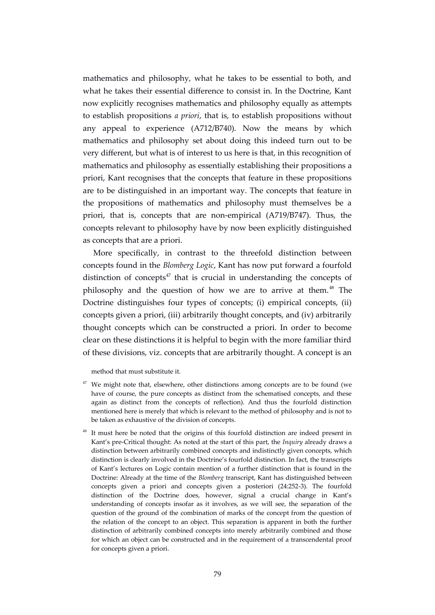mathematics and philosophy, what he takes to be essential to both, and what he takes their essential diference to consist in. In the Doctrine, Kant now explicitly recognises mathematics and philosophy equally as atempts to establish propositions *a priori*, that is, to establish propositions without any appeal to experience (A712/B740). Now the means by which mathematics and philosophy set about doing this indeed turn out to be very diferent, but what is of interest to us here is that, in this recognition of mathematics and philosophy as essentially establishing their propositions a priori, Kant recognises that the concepts that feature in these propositions are to be distinguished in an important way. The concepts that feature in the propositions of mathematics and philosophy must themselves be a priori, that is, concepts that are non-empirical (A719/B747). Thus, the concepts relevant to philosophy have by now been explicitly distinguished as concepts that are a priori.

More specifically, in contrast to the threefold distinction between concepts found in the *Blomberg Logic*, Kant has now put forward a fourfold distinction of concepts $47$  that is crucial in understanding the concepts of philosophy and the question of how we are to arrive at them. [48](#page-78-1) The Doctrine distinguishes four types of concepts; (i) empirical concepts, (ii) concepts given a priori, (iii) arbitrarily thought concepts, and (iv) arbitrarily thought concepts which can be constructed a priori. In order to become clear on these distinctions it is helpful to begin with the more familiar third of these divisions, viz. concepts that are arbitrarily thought. A concept is an

method that must substitute it.

- <span id="page-78-0"></span> $47$  We might note that, elsewhere, other distinctions among concepts are to be found (we have of course, the pure concepts as distinct from the schematised concepts, and these again as distinct from the concepts of reflection). And thus the fourfold distinction mentioned here is merely that which is relevant to the method of philosophy and is not to be taken as exhaustive of the division of concepts.
- <span id="page-78-1"></span>It must here be noted that the origins of this fourfold distinction are indeed present in Kant's pre-Critical thought: As noted at the start of this part, the *Inquiry* already draws a distinction between arbitrarily combined concepts and indistinctly given concepts, which distinction is clearly involved in the Doctrine's fourfold distinction. In fact, the transcripts of Kant's lectures on Logic contain mention of a further distinction that is found in the Doctrine: Already at the time of the *Blomberg* transcript, Kant has distinguished between concepts given a priori and concepts given a posteriori (24:252-3). The fourfold distinction of the Doctrine does, however, signal a crucial change in Kant's understanding of concepts insofar as it involves, as we will see, the separation of the question of the ground of the combination of marks of the concept from the question of the relation of the concept to an object. This separation is apparent in both the further distinction of arbitrarily combined concepts into merely arbitrarily combined and those for which an object can be constructed and in the requirement of a transcendental proof for concepts given a priori.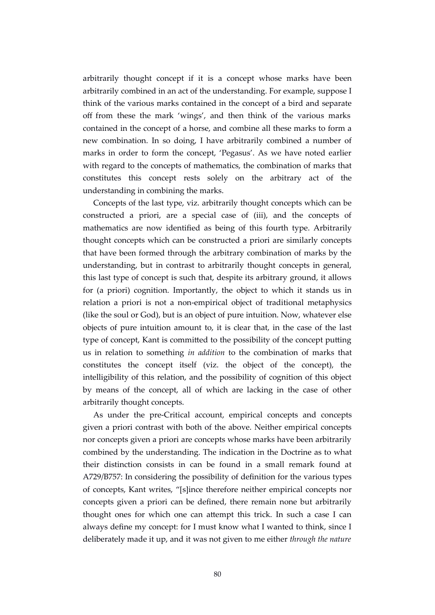arbitrarily thought concept if it is a concept whose marks have been arbitrarily combined in an act of the understanding. For example, suppose I think of the various marks contained in the concept of a bird and separate off from these the mark 'wings', and then think of the various marks contained in the concept of a horse, and combine all these marks to form a new combination. In so doing, I have arbitrarily combined a number of marks in order to form the concept, 'Pegasus'. As we have noted earlier with regard to the concepts of mathematics, the combination of marks that constitutes this concept rests solely on the arbitrary act of the understanding in combining the marks.

Concepts of the last type, viz. arbitrarily thought concepts which can be constructed a priori, are a special case of (iii), and the concepts of mathematics are now identifed as being of this fourth type. Arbitrarily thought concepts which can be constructed a priori are similarly concepts that have been formed through the arbitrary combination of marks by the understanding, but in contrast to arbitrarily thought concepts in general, this last type of concept is such that, despite its arbitrary ground, it allows for (a priori) cognition. Importantly, the object to which it stands us in relation a priori is not a non-empirical object of traditional metaphysics (like the soul or God), but is an object of pure intuition. Now, whatever else objects of pure intuition amount to, it is clear that, in the case of the last type of concept, Kant is commited to the possibility of the concept puting us in relation to something *in addition* to the combination of marks that constitutes the concept itself (viz. the object of the concept), the intelligibility of this relation, and the possibility of cognition of this object by means of the concept, all of which are lacking in the case of other arbitrarily thought concepts.

As under the pre-Critical account, empirical concepts and concepts given a priori contrast with both of the above. Neither empirical concepts nor concepts given a priori are concepts whose marks have been arbitrarily combined by the understanding. The indication in the Doctrine as to what their distinction consists in can be found in a small remark found at A729/B757: In considering the possibility of defnition for the various types of concepts, Kant writes, "[s]ince therefore neither empirical concepts nor concepts given a priori can be defned, there remain none but arbitrarily thought ones for which one can atempt this trick. In such a case I can always defne my concept: for I must know what I wanted to think, since I deliberately made it up, and it was not given to me either *through the nature*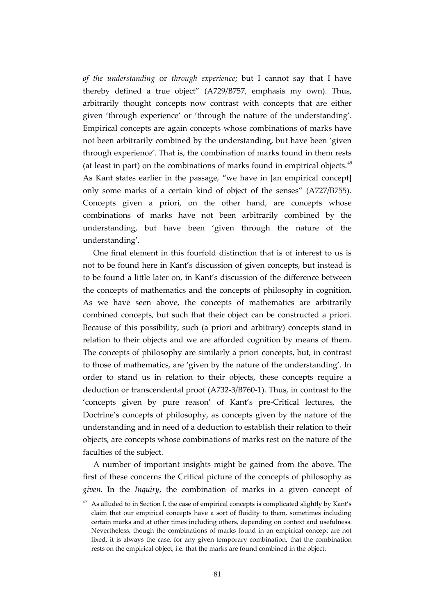*of the understanding or through experience*; but I cannot say that I have thereby defned a true object" (A729/B757, emphasis my own). Thus, arbitrarily thought concepts now contrast with concepts that are either given 'through experience' or 'through the nature of the understanding'. Empirical concepts are again concepts whose combinations of marks have not been arbitrarily combined by the understanding, but have been 'given through experience'. That is, the combination of marks found in them rests (at least in part) on the combinations of marks found in empirical objects. $49$ As Kant states earlier in the passage, "we have in [an empirical concept] only some marks of a certain kind of object of the senses" (A727/B755). Concepts given a priori, on the other hand, are concepts whose combinations of marks have not been arbitrarily combined by the understanding, but have been 'given through the nature of the understanding'.

One fnal element in this fourfold distinction that is of interest to us is not to be found here in Kant's discussion of given concepts, but instead is to be found a litle later on, in Kant's discussion of the diference between the concepts of mathematics and the concepts of philosophy in cognition. As we have seen above, the concepts of mathematics are arbitrarily combined concepts, but such that their object can be constructed a priori. Because of this possibility, such (a priori and arbitrary) concepts stand in relation to their objects and we are aforded cognition by means of them. The concepts of philosophy are similarly a priori concepts, but, in contrast to those of mathematics, are 'given by the nature of the understanding'. In order to stand us in relation to their objects, these concepts require a deduction or transcendental proof (A732-3/B760-1). Thus, in contrast to the 'concepts given by pure reason' of Kant's pre-Critical lectures, the Doctrine's concepts of philosophy, as concepts given by the nature of the understanding and in need of a deduction to establish their relation to their objects, are concepts whose combinations of marks rest on the nature of the faculties of the subject.

A number of important insights might be gained from the above. The frst of these concerns the Critical picture of the concepts of philosophy as *given.* In the *Inquiry*, the combination of marks in a given concept of

<span id="page-80-0"></span><sup>&</sup>lt;sup>49</sup> As alluded to in Section I, the case of empirical concepts is complicated slightly by Kant's claim that our empirical concepts have a sort of fluidity to them, sometimes including certain marks and at other times including others, depending on context and usefulness. Nevertheless, though the combinations of marks found in an empirical concept are not fxed, it is always the case, for any given temporary combination, that the combination rests on the empirical object, i.e. that the marks are found combined in the object.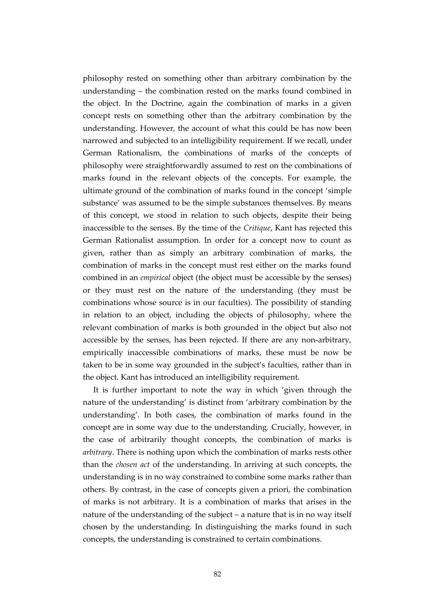philosophy rested on something other than arbitrary combination by the understanding – the combination rested on the marks found combined in the object. In the Doctrine, again the combination of marks in a given concept rests on something other than the arbitrary combination by the understanding. However, the account of what this could be has now been narrowed and subjected to an intelligibility requirement. If we recall, under German Rationalism, the combinations of marks of the concepts of philosophy were straightforwardly assumed to rest on the combinations of marks found in the relevant objects of the concepts. For example, the ultimate ground of the combination of marks found in the concept 'simple substance' was assumed to be the simple substances themselves. By means of this concept, we stood in relation to such objects, despite their being inaccessible to the senses. By the time of the *Critique*, Kant has rejected this German Rationalist assumption. In order for a concept now to count as given, rather than as simply an arbitrary combination of marks, the combination of marks in the concept must rest either on the marks found combined in an *empirical* object (the object must be accessible by the senses) or they must rest on the nature of the understanding (they must be combinations whose source is in our faculties). The possibility of standing in relation to an object, including the objects of philosophy, where the relevant combination of marks is both grounded in the object but also not accessible by the senses, has been rejected. If there are any non-arbitrary, empirically inaccessible combinations of marks, these must be now be taken to be in some way grounded in the subject's faculties, rather than in the object. Kant has introduced an intelligibility requirement.

It is further important to note the way in which 'given through the nature of the understanding' is distinct from 'arbitrary combination by the understanding'. In both cases, the combination of marks found in the concept are in some way due to the understanding. Crucially, however, in the case of arbitrarily thought concepts, the combination of marks is *arbitrary*. There is nothing upon which the combination of marks rests other than the *chosen act* of the understanding. In arriving at such concepts, the understanding is in no way constrained to combine some marks rather than others. By contrast, in the case of concepts given a priori, the combination of marks is not arbitrary. It is a combination of marks that arises in the nature of the understanding of the subject – a nature that is in no way itself chosen by the understanding. In distinguishing the marks found in such concepts, the understanding is constrained to certain combinations.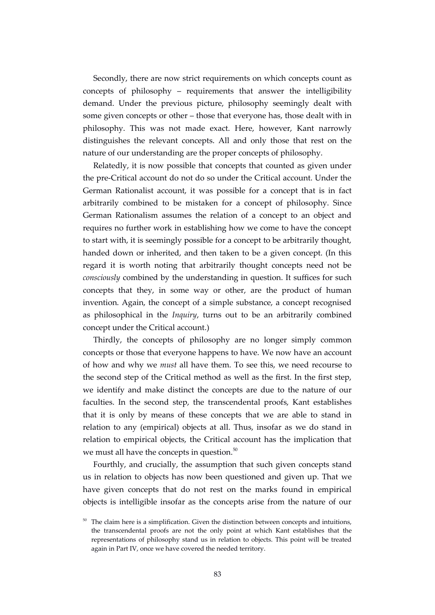Secondly, there are now strict requirements on which concepts count as concepts of philosophy – requirements that answer the intelligibility demand. Under the previous picture, philosophy seemingly dealt with some given concepts or other – those that everyone has, those dealt with in philosophy. This was not made exact. Here, however, Kant narrowly distinguishes the relevant concepts. All and only those that rest on the nature of our understanding are the proper concepts of philosophy.

Relatedly, it is now possible that concepts that counted as given under the pre-Critical account do not do so under the Critical account. Under the German Rationalist account, it was possible for a concept that is in fact arbitrarily combined to be mistaken for a concept of philosophy. Since German Rationalism assumes the relation of a concept to an object and requires no further work in establishing how we come to have the concept to start with, it is seemingly possible for a concept to be arbitrarily thought, handed down or inherited, and then taken to be a given concept. (In this regard it is worth noting that arbitrarily thought concepts need not be *consciously* combined by the understanding in question. It suffices for such concepts that they, in some way or other, are the product of human invention. Again, the concept of a simple substance, a concept recognised as philosophical in the *Inquiry*, turns out to be an arbitrarily combined concept under the Critical account.)

Thirdly, the concepts of philosophy are no longer simply common concepts or those that everyone happens to have. We now have an account of how and why we *must* all have them. To see this, we need recourse to the second step of the Critical method as well as the first. In the first step, we identify and make distinct the concepts are due to the nature of our faculties. In the second step, the transcendental proofs, Kant establishes that it is only by means of these concepts that we are able to stand in relation to any (empirical) objects at all. Thus, insofar as we do stand in relation to empirical objects, the Critical account has the implication that we must all have the concepts in question.<sup>[50](#page-82-0)</sup>

Fourthly, and crucially, the assumption that such given concepts stand us in relation to objects has now been questioned and given up. That we have given concepts that do not rest on the marks found in empirical objects is intelligible insofar as the concepts arise from the nature of our

<span id="page-82-0"></span> $50$  The claim here is a simplification. Given the distinction between concepts and intuitions, the transcendental proofs are not the only point at which Kant establishes that the representations of philosophy stand us in relation to objects. This point will be treated again in Part IV, once we have covered the needed territory.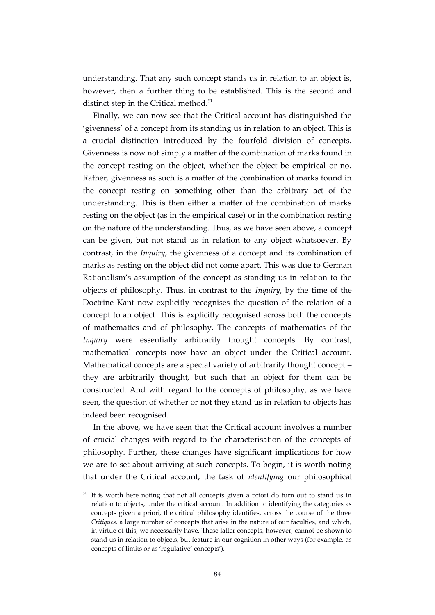understanding. That any such concept stands us in relation to an object is, however, then a further thing to be established. This is the second and distinct step in the Critical method. $51$ 

Finally, we can now see that the Critical account has distinguished the 'givenness' of a concept from its standing us in relation to an object. This is a crucial distinction introduced by the fourfold division of concepts. Givenness is now not simply a mater of the combination of marks found in the concept resting on the object, whether the object be empirical or no. Rather, givenness as such is a mater of the combination of marks found in the concept resting on something other than the arbitrary act of the understanding. This is then either a mater of the combination of marks resting on the object (as in the empirical case) or in the combination resting on the nature of the understanding. Thus, as we have seen above, a concept can be given, but not stand us in relation to any object whatsoever. By contrast, in the *Inquiry*, the givenness of a concept and its combination of marks as resting on the object did not come apart. This was due to German Rationalism's assumption of the concept as standing us in relation to the objects of philosophy. Thus, in contrast to the *Inquiry*, by the time of the Doctrine Kant now explicitly recognises the question of the relation of a concept to an object. This is explicitly recognised across both the concepts of mathematics and of philosophy. The concepts of mathematics of the *Inquiry* were essentially arbitrarily thought concepts. By contrast, mathematical concepts now have an object under the Critical account. Mathematical concepts are a special variety of arbitrarily thought concept – they are arbitrarily thought, but such that an object for them can be constructed. And with regard to the concepts of philosophy, as we have seen, the question of whether or not they stand us in relation to objects has indeed been recognised.

In the above, we have seen that the Critical account involves a number of crucial changes with regard to the characterisation of the concepts of philosophy. Further, these changes have signifcant implications for how we are to set about arriving at such concepts. To begin, it is worth noting that under the Critical account, the task of *identifying* our philosophical

<span id="page-83-0"></span><sup>&</sup>lt;sup>51</sup> It is worth here noting that not all concepts given a priori do turn out to stand us in relation to objects, under the critical account. In addition to identifying the categories as concepts given a priori, the critical philosophy identifes, across the course of the three *Critiques*, a large number of concepts that arise in the nature of our faculties, and which, in virtue of this, we necessarily have. These later concepts, however, cannot be shown to stand us in relation to objects, but feature in our cognition in other ways (for example, as concepts of limits or as 'regulative' concepts').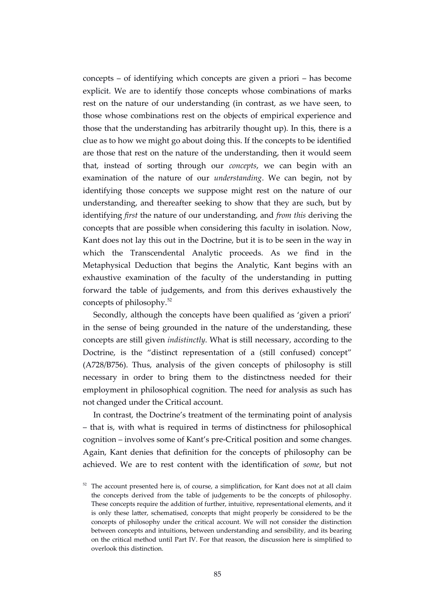concepts – of identifying which concepts are given a priori – has become explicit. We are to identify those concepts whose combinations of marks rest on the nature of our understanding (in contrast, as we have seen, to those whose combinations rest on the objects of empirical experience and those that the understanding has arbitrarily thought up). In this, there is a clue as to how we might go about doing this. If the concepts to be identifed are those that rest on the nature of the understanding, then it would seem that, instead of sorting through our *concepts*, we can begin with an examination of the nature of our *understanding*. We can begin, not by identifying those concepts we suppose might rest on the nature of our understanding, and thereafter seeking to show that they are such, but by identifying *frst* the nature of our understanding, and *from this* deriving the concepts that are possible when considering this faculty in isolation. Now, Kant does not lay this out in the Doctrine, but it is to be seen in the way in which the Transcendental Analytic proceeds. As we find in the Metaphysical Deduction that begins the Analytic, Kant begins with an exhaustive examination of the faculty of the understanding in puting forward the table of judgements, and from this derives exhaustively the concepts of philosophy.[52](#page-84-0)

Secondly, although the concepts have been qualified as 'given a priori' in the sense of being grounded in the nature of the understanding, these concepts are still given *indistinctly*. What is still necessary, according to the Doctrine, is the "distinct representation of a (still confused) concept" (A728/B756). Thus, analysis of the given concepts of philosophy is still necessary in order to bring them to the distinctness needed for their employment in philosophical cognition. The need for analysis as such has not changed under the Critical account.

In contrast, the Doctrine's treatment of the terminating point of analysis – that is, with what is required in terms of distinctness for philosophical cognition – involves some of Kant's pre-Critical position and some changes. Again, Kant denies that defnition for the concepts of philosophy can be achieved. We are to rest content with the identifcation of *some*, but not

<span id="page-84-0"></span> $52$  The account presented here is, of course, a simplification, for Kant does not at all claim the concepts derived from the table of judgements to be the concepts of philosophy. These concepts require the addition of further, intuitive, representational elements, and it is only these later, schematised, concepts that might properly be considered to be the concepts of philosophy under the critical account. We will not consider the distinction between concepts and intuitions, between understanding and sensibility, and its bearing on the critical method until Part IV. For that reason, the discussion here is simplifed to overlook this distinction.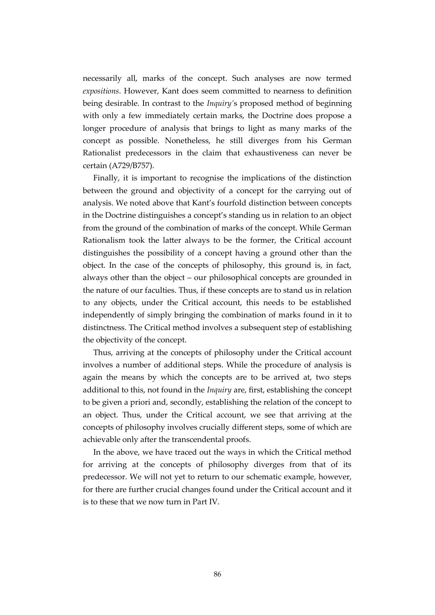necessarily all, marks of the concept. Such analyses are now termed *expositions*. However, Kant does seem commited to nearness to defnition being desirable. In contrast to the *Inquiry'*s proposed method of beginning with only a few immediately certain marks, the Doctrine does propose a longer procedure of analysis that brings to light as many marks of the concept as possible. Nonetheless, he still diverges from his German Rationalist predecessors in the claim that exhaustiveness can never be certain (A729/B757).

Finally, it is important to recognise the implications of the distinction between the ground and objectivity of a concept for the carrying out of analysis. We noted above that Kant's fourfold distinction between concepts in the Doctrine distinguishes a concept's standing us in relation to an object from the ground of the combination of marks of the concept. While German Rationalism took the later always to be the former, the Critical account distinguishes the possibility of a concept having a ground other than the object. In the case of the concepts of philosophy, this ground is, in fact, always other than the object – our philosophical concepts are grounded in the nature of our faculties. Thus, if these concepts are to stand us in relation to any objects, under the Critical account, this needs to be established independently of simply bringing the combination of marks found in it to distinctness. The Critical method involves a subsequent step of establishing the objectivity of the concept.

Thus, arriving at the concepts of philosophy under the Critical account involves a number of additional steps. While the procedure of analysis is again the means by which the concepts are to be arrived at, two steps additional to this, not found in the *Inquiry* are, first, establishing the concept to be given a priori and, secondly, establishing the relation of the concept to an object. Thus, under the Critical account, we see that arriving at the concepts of philosophy involves crucially diferent steps, some of which are achievable only after the transcendental proofs.

In the above, we have traced out the ways in which the Critical method for arriving at the concepts of philosophy diverges from that of its predecessor. We will not yet to return to our schematic example, however, for there are further crucial changes found under the Critical account and it is to these that we now turn in Part IV.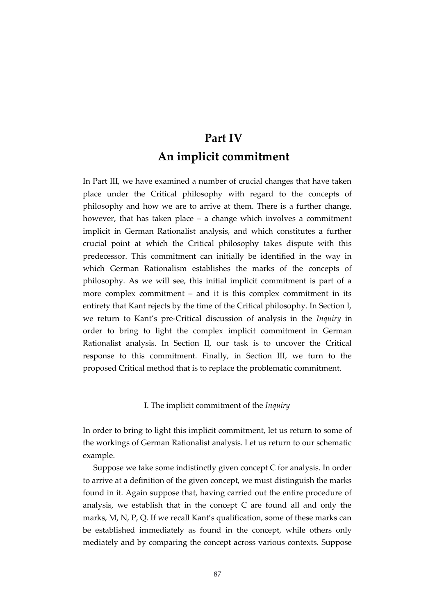# **Part IV An implicit commitment**

In Part III, we have examined a number of crucial changes that have taken place under the Critical philosophy with regard to the concepts of philosophy and how we are to arrive at them. There is a further change, however, that has taken place – a change which involves a commitment implicit in German Rationalist analysis, and which constitutes a further crucial point at which the Critical philosophy takes dispute with this predecessor. This commitment can initially be identifed in the way in which German Rationalism establishes the marks of the concepts of philosophy. As we will see, this initial implicit commitment is part of a more complex commitment – and it is this complex commitment in its entirety that Kant rejects by the time of the Critical philosophy. In Section I, we return to Kant's pre-Critical discussion of analysis in the *Inquiry* in order to bring to light the complex implicit commitment in German Rationalist analysis. In Section II, our task is to uncover the Critical response to this commitment. Finally, in Section III, we turn to the proposed Critical method that is to replace the problematic commitment.

I. The implicit commitment of the *Inquiry*

In order to bring to light this implicit commitment, let us return to some of the workings of German Rationalist analysis. Let us return to our schematic example.

Suppose we take some indistinctly given concept C for analysis. In order to arrive at a defnition of the given concept, we must distinguish the marks found in it. Again suppose that, having carried out the entire procedure of analysis, we establish that in the concept C are found all and only the marks, M, N, P, Q. If we recall Kant's qualification, some of these marks can be established immediately as found in the concept, while others only mediately and by comparing the concept across various contexts. Suppose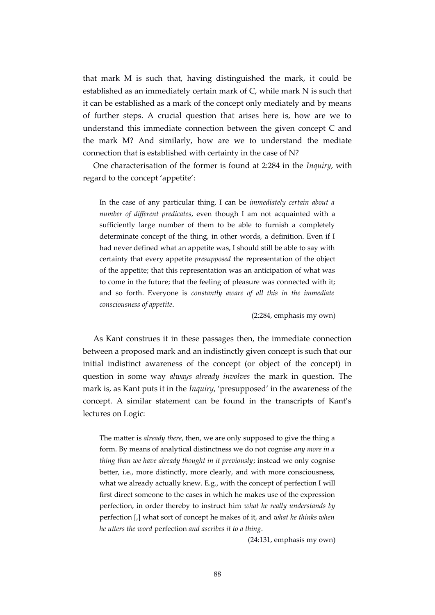that mark M is such that, having distinguished the mark, it could be established as an immediately certain mark of C, while mark N is such that it can be established as a mark of the concept only mediately and by means of further steps. A crucial question that arises here is, how are we to understand this immediate connection between the given concept C and the mark M? And similarly, how are we to understand the mediate connection that is established with certainty in the case of N?

One characterisation of the former is found at 2:284 in the *Inquiry*, with regard to the concept 'appetite':

In the case of any particular thing, I can be *immediately certain about a number of diferent predicates*, even though I am not acquainted with a sufficiently large number of them to be able to furnish a completely determinate concept of the thing, in other words, a defnition. Even if I had never defned what an appetite was, I should still be able to say with certainty that every appetite *presupposed* the representation of the object of the appetite; that this representation was an anticipation of what was to come in the future; that the feeling of pleasure was connected with it; and so forth. Everyone is *constantly aware of all this in the immediate consciousness of appetite*.

(2:284, emphasis my own)

As Kant construes it in these passages then, the immediate connection between a proposed mark and an indistinctly given concept is such that our initial indistinct awareness of the concept (or object of the concept) in question in some way *always already involves* the mark in question. The mark is, as Kant puts it in the *Inquiry*, 'presupposed' in the awareness of the concept. A similar statement can be found in the transcripts of Kant's lectures on Logic:

The matter is *already there*, then, we are only supposed to give the thing a form. By means of analytical distinctness we do not cognise *any more in a thing than we have already thought in it previously; instead we only cognise* better, i.e., more distinctly, more clearly, and with more consciousness, what we already actually knew. E.g., with the concept of perfection I will frst direct someone to the cases in which he makes use of the expression perfection, in order thereby to instruct him *what he really understands by* perfection [,] what sort of concept he makes of it, and *what he thinks when he utters the word* perfection *and ascribes it to a thing*.

(24:131, emphasis my own)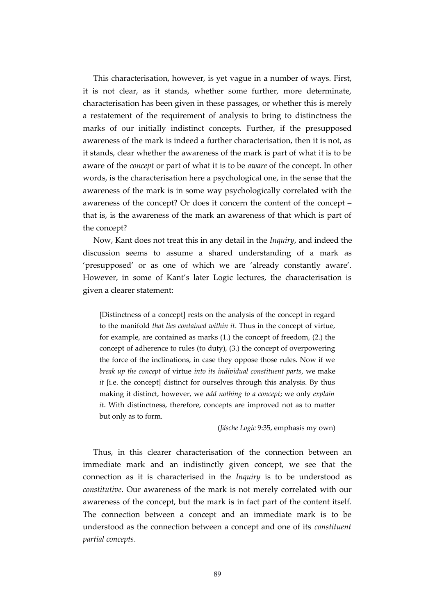This characterisation, however, is yet vague in a number of ways. First, it is not clear, as it stands, whether some further, more determinate, characterisation has been given in these passages, or whether this is merely a restatement of the requirement of analysis to bring to distinctness the marks of our initially indistinct concepts. Further, if the presupposed awareness of the mark is indeed a further characterisation, then it is not, as it stands, clear whether the awareness of the mark is part of what it is to be aware of the *concept* or part of what it is to be *aware* of the concept. In other words, is the characterisation here a psychological one, in the sense that the awareness of the mark is in some way psychologically correlated with the awareness of the concept? Or does it concern the content of the concept – that is, is the awareness of the mark an awareness of that which is part of the concept?

Now, Kant does not treat this in any detail in the *Inquiry*, and indeed the discussion seems to assume a shared understanding of a mark as 'presupposed' or as one of which we are 'already constantly aware'. However, in some of Kant's later Logic lectures, the characterisation is given a clearer statement:

[Distinctness of a concept] rests on the analysis of the concept in regard to the manifold *that lies contained within it*. Thus in the concept of virtue, for example, are contained as marks (1.) the concept of freedom, (2.) the concept of adherence to rules (to duty), (3.) the concept of overpowering the force of the inclinations, in case they oppose those rules. Now if we *break up the concept* of virtue *into its individual constituent parts*, we make *it* [i.e. the concept] distinct for ourselves through this analysis. By thus making it distinct, however, we *add nothing to a concept*; we only *explain it*. With distinctness, therefore, concepts are improved not as to matter but only as to form.

(*Jäsche Logic* 9:35, emphasis my own)

Thus, in this clearer characterisation of the connection between an immediate mark and an indistinctly given concept, we see that the connection as it is characterised in the *Inquiry* is to be understood as *constitutive*. Our awareness of the mark is not merely correlated with our awareness of the concept, but the mark is in fact part of the content itself. The connection between a concept and an immediate mark is to be understood as the connection between a concept and one of its *constituent partial concepts*.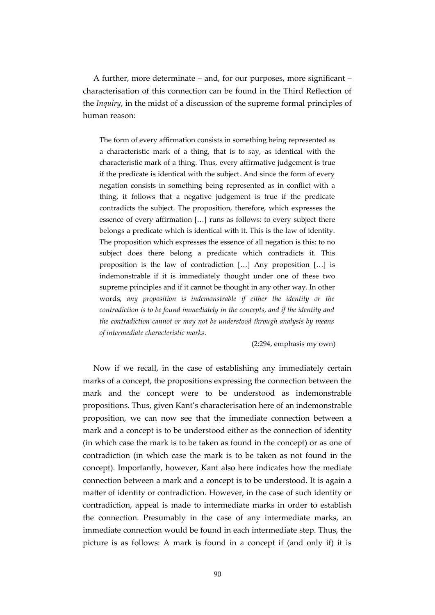A further, more determinate – and, for our purposes, more signifcant – characterisation of this connection can be found in the Third Reflection of the *Inquiry*, in the midst of a discussion of the supreme formal principles of human reason:

The form of every affirmation consists in something being represented as a characteristic mark of a thing, that is to say, as identical with the characteristic mark of a thing. Thus, every affirmative judgement is true if the predicate is identical with the subject. And since the form of every negation consists in something being represented as in conflict with a thing, it follows that a negative judgement is true if the predicate contradicts the subject. The proposition, therefore, which expresses the essence of every affirmation [...] runs as follows: to every subject there belongs a predicate which is identical with it. This is the law of identity. The proposition which expresses the essence of all negation is this: to no subject does there belong a predicate which contradicts it. This proposition is the law of contradiction […] Any proposition […] is indemonstrable if it is immediately thought under one of these two supreme principles and if it cannot be thought in any other way. In other words, *any proposition is indemonstrable if either the identity or the contradiction is to be found immediately in the concepts, and if the identity and the contradiction cannot or may not be understood through analysis by means of intermediate characteristic marks*.

(2:294, emphasis my own)

Now if we recall, in the case of establishing any immediately certain marks of a concept, the propositions expressing the connection between the mark and the concept were to be understood as indemonstrable propositions. Thus, given Kant's characterisation here of an indemonstrable proposition, we can now see that the immediate connection between a mark and a concept is to be understood either as the connection of identity (in which case the mark is to be taken as found in the concept) or as one of contradiction (in which case the mark is to be taken as not found in the concept). Importantly, however, Kant also here indicates how the mediate connection between a mark and a concept is to be understood. It is again a mater of identity or contradiction. However, in the case of such identity or contradiction, appeal is made to intermediate marks in order to establish the connection. Presumably in the case of any intermediate marks, an immediate connection would be found in each intermediate step. Thus, the picture is as follows: A mark is found in a concept if (and only if) it is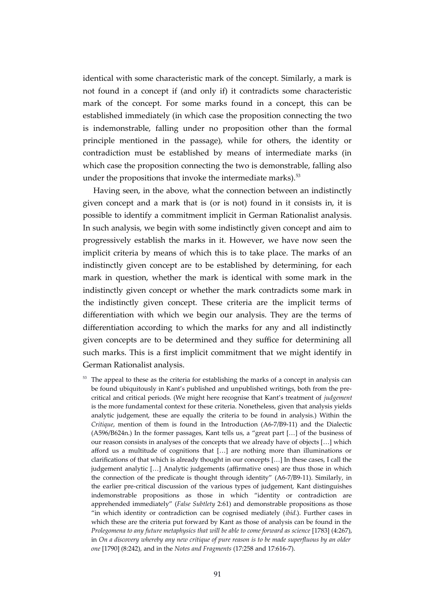identical with some characteristic mark of the concept. Similarly, a mark is not found in a concept if (and only if) it contradicts some characteristic mark of the concept. For some marks found in a concept, this can be established immediately (in which case the proposition connecting the two is indemonstrable, falling under no proposition other than the formal principle mentioned in the passage), while for others, the identity or contradiction must be established by means of intermediate marks (in which case the proposition connecting the two is demonstrable, falling also under the propositions that invoke the intermediate marks). $53$ 

Having seen, in the above, what the connection between an indistinctly given concept and a mark that is (or is not) found in it consists in, it is possible to identify a commitment implicit in German Rationalist analysis. In such analysis, we begin with some indistinctly given concept and aim to progressively establish the marks in it. However, we have now seen the implicit criteria by means of which this is to take place. The marks of an indistinctly given concept are to be established by determining, for each mark in question, whether the mark is identical with some mark in the indistinctly given concept or whether the mark contradicts some mark in the indistinctly given concept. These criteria are the implicit terms of diferentiation with which we begin our analysis. They are the terms of diferentiation according to which the marks for any and all indistinctly given concepts are to be determined and they suffice for determining all such marks. This is a first implicit commitment that we might identify in German Rationalist analysis.

<span id="page-90-0"></span>The appeal to these as the criteria for establishing the marks of a concept in analysis can be found ubiquitously in Kant's published and unpublished writings, both from the precritical and critical periods. (We might here recognise that Kant's treatment of *judgement* is the more fundamental context for these criteria. Nonetheless, given that analysis yields analytic judgement, these are equally the criteria to be found in analysis.) Within the *Critique*, mention of them is found in the Introduction (A6-7/B9-11) and the Dialectic (A596/B624n.) In the former passages, Kant tells us, a "great part […] of the business of our reason consists in analyses of the concepts that we already have of objects […] which aford us a multitude of cognitions that […] are nothing more than illuminations or clarifcations of that which is already thought in our concepts […] In these cases, I call the judgement analytic [...] Analytic judgements (affirmative ones) are thus those in which the connection of the predicate is thought through identity" (A6-7/B9-11). Similarly, in the earlier pre-critical discussion of the various types of judgement, Kant distinguishes indemonstrable propositions as those in which "identity or contradiction are apprehended immediately" (*False Subtlety* 2:61) and demonstrable propositions as those "in which identity or contradiction can be cognised mediately (*ibid*.). Further cases in which these are the criteria put forward by Kant as those of analysis can be found in the *Prolegomena to any future metaphysics that will be able to come forward as science* [1783] (4:267), in *On a discovery whereby any new critique of pure reason is to be made superfuous by an older one* [1790] (8:242), and in the *Notes and Fragments* (17:258 and 17:616-7).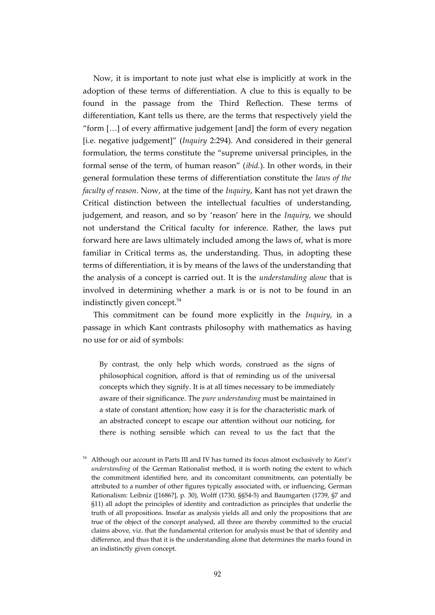Now, it is important to note just what else is implicitly at work in the adoption of these terms of diferentiation. A clue to this is equally to be found in the passage from the Third Reflection. These terms of diferentiation, Kant tells us there, are the terms that respectively yield the "form [...] of every affirmative judgement [and] the form of every negation [i.e. negative judgement]" (*Inquiry* 2:294). And considered in their general formulation, the terms constitute the "supreme universal principles, in the formal sense of the term, of human reason" (*ibid.*). In other words, in their general formulation these terms of diferentiation constitute the *laws of the faculty of reason*. Now, at the time of the *Inquiry*, Kant has not yet drawn the Critical distinction between the intellectual faculties of understanding, judgement, and reason, and so by 'reason' here in the *Inquiry*, we should not understand the Critical faculty for inference. Rather, the laws put forward here are laws ultimately included among the laws of, what is more familiar in Critical terms as, the understanding. Thus, in adopting these terms of diferentiation, it is by means of the laws of the understanding that the analysis of a concept is carried out. It is the *understanding alone* that is involved in determining whether a mark is or is not to be found in an indistinctly given concept.<sup>[54](#page-91-0)</sup>

This commitment can be found more explicitly in the *Inquiry*, in a passage in which Kant contrasts philosophy with mathematics as having no use for or aid of symbols:

By contrast, the only help which words, construed as the signs of philosophical cognition, afford is that of reminding us of the universal concepts which they signify. It is at all times necessary to be immediately aware of their signifcance. The *pure understanding* must be maintained in a state of constant attention; how easy it is for the characteristic mark of an abstracted concept to escape our atention without our noticing, for there is nothing sensible which can reveal to us the fact that the

<span id="page-91-0"></span><sup>54</sup> Although our account in Parts III and IV has turned its focus almost exclusively to *Kant's understanding* of the German Rationalist method, it is worth noting the extent to which the commitment identifed here, and its concomitant commitments, can potentially be atributed to a number of other fgures typically associated with, or influencing, German Rationalism: Leibniz ([1686?], p. 30), Wolf (1730, §§54-5) and Baumgarten (1739, §7 and §11) all adopt the principles of identity and contradiction as principles that underlie the truth of all propositions. Insofar as analysis yields all and only the propositions that are true of the object of the concept analysed, all three are thereby commited to the crucial claims above, viz. that the fundamental criterion for analysis must be that of identity and diference, and thus that it is the understanding alone that determines the marks found in an indistinctly given concept.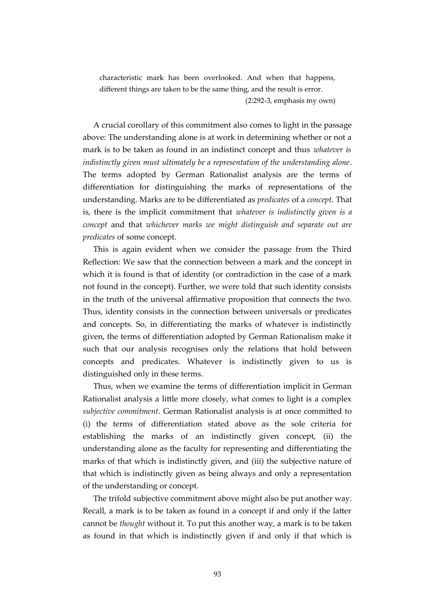characteristic mark has been overlooked. And when that happens, diferent things are taken to be the same thing, and the result is error. (2:292-3, emphasis my own)

A crucial corollary of this commitment also comes to light in the passage above: The understanding alone is at work in determining whether or not a mark is to be taken as found in an indistinct concept and thus *whatever is indistinctly given must ultimately be a representation of the understanding alone*. The terms adopted by German Rationalist analysis are the terms of diferentiation for distinguishing the marks of representations of the understanding. Marks are to be diferentiated as *predicates* of a *concept*. That is, there is the implicit commitment that *whatever is indistinctly given is a concept* and that *whichever marks we might distinguish and separate out are predicates* of some concept.

This is again evident when we consider the passage from the Third Reflection: We saw that the connection between a mark and the concept in which it is found is that of identity (or contradiction in the case of a mark not found in the concept). Further, we were told that such identity consists in the truth of the universal affirmative proposition that connects the two. Thus, identity consists in the connection between universals or predicates and concepts. So, in diferentiating the marks of whatever is indistinctly given, the terms of diferentiation adopted by German Rationalism make it such that our analysis recognises only the relations that hold between concepts and predicates. Whatever is indistinctly given to us is distinguished only in these terms.

Thus, when we examine the terms of diferentiation implicit in German Rationalist analysis a litle more closely, what comes to light is a complex *subjective commitment*. German Rationalist analysis is at once commited to (i) the terms of diferentiation stated above as the sole criteria for establishing the marks of an indistinctly given concept, (ii) the understanding alone as the faculty for representing and diferentiating the marks of that which is indistinctly given, and (iii) the subjective nature of that which is indistinctly given as being always and only a representation of the understanding or concept.

The trifold subjective commitment above might also be put another way. Recall, a mark is to be taken as found in a concept if and only if the later cannot be *thought* without it. To put this another way, a mark is to be taken as found in that which is indistinctly given if and only if that which is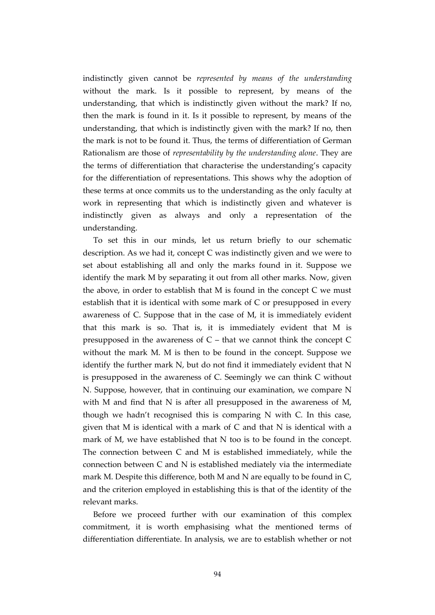indistinctly given cannot be *represented by means of the understanding* without the mark. Is it possible to represent, by means of the understanding, that which is indistinctly given without the mark? If no, then the mark is found in it. Is it possible to represent, by means of the understanding, that which is indistinctly given with the mark? If no, then the mark is not to be found it. Thus, the terms of diferentiation of German Rationalism are those of *representability by the understanding alone*. They are the terms of diferentiation that characterise the understanding's capacity for the diferentiation of representations. This shows why the adoption of these terms at once commits us to the understanding as the only faculty at work in representing that which is indistinctly given and whatever is indistinctly given as always and only a representation of the understanding.

To set this in our minds, let us return briefly to our schematic description. As we had it, concept C was indistinctly given and we were to set about establishing all and only the marks found in it. Suppose we identify the mark M by separating it out from all other marks. Now, given the above, in order to establish that M is found in the concept C we must establish that it is identical with some mark of C or presupposed in every awareness of C. Suppose that in the case of M, it is immediately evident that this mark is so. That is, it is immediately evident that M is presupposed in the awareness of C – that we cannot think the concept C without the mark M. M is then to be found in the concept. Suppose we identify the further mark N, but do not find it immediately evident that N is presupposed in the awareness of C. Seemingly we can think C without N. Suppose, however, that in continuing our examination, we compare N with  $M$  and find that  $N$  is after all presupposed in the awareness of  $M$ , though we hadn't recognised this is comparing N with C. In this case, given that M is identical with a mark of C and that N is identical with a mark of M, we have established that N too is to be found in the concept. The connection between C and M is established immediately, while the connection between C and N is established mediately via the intermediate mark M. Despite this diference, both M and N are equally to be found in C, and the criterion employed in establishing this is that of the identity of the relevant marks.

Before we proceed further with our examination of this complex commitment, it is worth emphasising what the mentioned terms of diferentiation diferentiate. In analysis, we are to establish whether or not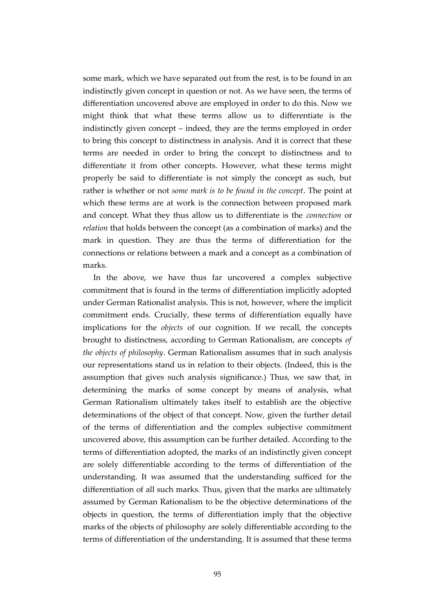some mark, which we have separated out from the rest, is to be found in an indistinctly given concept in question or not. As we have seen, the terms of diferentiation uncovered above are employed in order to do this. Now we might think that what these terms allow us to diferentiate is the indistinctly given concept – indeed, they are the terms employed in order to bring this concept to distinctness in analysis. And it is correct that these terms are needed in order to bring the concept to distinctness and to diferentiate it from other concepts. However, what these terms might properly be said to diferentiate is not simply the concept as such, but rather is whether or not *some mark is to be found in the concept*. The point at which these terms are at work is the connection between proposed mark and concept. What they thus allow us to diferentiate is the *connection* or *relation* that holds between the concept (as a combination of marks) and the mark in question. They are thus the terms of diferentiation for the connections or relations between a mark and a concept as a combination of marks.

In the above, we have thus far uncovered a complex subjective commitment that is found in the terms of diferentiation implicitly adopted under German Rationalist analysis. This is not, however, where the implicit commitment ends. Crucially, these terms of diferentiation equally have implications for the *objects* of our cognition. If we recall, the concepts brought to distinctness, according to German Rationalism, are concepts *of the objects of philosophy*. German Rationalism assumes that in such analysis our representations stand us in relation to their objects. (Indeed, this is the assumption that gives such analysis signifcance.) Thus, we saw that, in determining the marks of some concept by means of analysis, what German Rationalism ultimately takes itself to establish are the objective determinations of the object of that concept. Now, given the further detail of the terms of diferentiation and the complex subjective commitment uncovered above, this assumption can be further detailed. According to the terms of diferentiation adopted, the marks of an indistinctly given concept are solely diferentiable according to the terms of diferentiation of the understanding. It was assumed that the understanding sufficed for the diferentiation of all such marks. Thus, given that the marks are ultimately assumed by German Rationalism to be the objective determinations of the objects in question, the terms of diferentiation imply that the objective marks of the objects of philosophy are solely diferentiable according to the terms of diferentiation of the understanding. It is assumed that these terms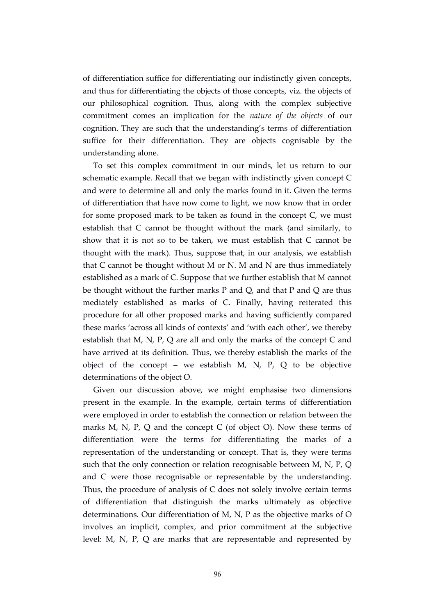of differentiation suffice for differentiating our indistinctly given concepts, and thus for diferentiating the objects of those concepts, viz. the objects of our philosophical cognition. Thus, along with the complex subjective commitment comes an implication for the *nature of the objects* of our cognition. They are such that the understanding's terms of diferentiation suffice for their differentiation. They are objects cognisable by the understanding alone.

To set this complex commitment in our minds, let us return to our schematic example. Recall that we began with indistinctly given concept C and were to determine all and only the marks found in it. Given the terms of diferentiation that have now come to light, we now know that in order for some proposed mark to be taken as found in the concept C, we must establish that C cannot be thought without the mark (and similarly, to show that it is not so to be taken, we must establish that C cannot be thought with the mark). Thus, suppose that, in our analysis, we establish that C cannot be thought without M or N. M and N are thus immediately established as a mark of C. Suppose that we further establish that M cannot be thought without the further marks P and Q, and that P and Q are thus mediately established as marks of C. Finally, having reiterated this procedure for all other proposed marks and having sufficiently compared these marks 'across all kinds of contexts' and 'with each other', we thereby establish that M, N, P, Q are all and only the marks of the concept C and have arrived at its definition. Thus, we thereby establish the marks of the object of the concept – we establish M, N, P, Q to be objective determinations of the object O.

Given our discussion above, we might emphasise two dimensions present in the example. In the example, certain terms of diferentiation were employed in order to establish the connection or relation between the marks M, N, P, Q and the concept C (of object O). Now these terms of diferentiation were the terms for diferentiating the marks of a representation of the understanding or concept. That is, they were terms such that the only connection or relation recognisable between M, N, P, Q and C were those recognisable or representable by the understanding. Thus, the procedure of analysis of C does not solely involve certain terms of diferentiation that distinguish the marks ultimately as objective determinations. Our diferentiation of M, N, P as the objective marks of O involves an implicit, complex, and prior commitment at the subjective level: M, N, P, Q are marks that are representable and represented by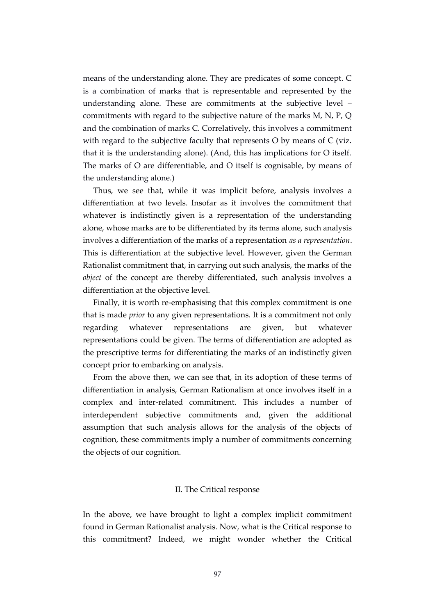means of the understanding alone. They are predicates of some concept. C is a combination of marks that is representable and represented by the understanding alone. These are commitments at the subjective level – commitments with regard to the subjective nature of the marks M, N, P, Q and the combination of marks C. Correlatively, this involves a commitment with regard to the subjective faculty that represents O by means of C (viz. that it is the understanding alone). (And, this has implications for O itself. The marks of O are diferentiable, and O itself is cognisable, by means of the understanding alone.)

Thus, we see that, while it was implicit before, analysis involves a diferentiation at two levels. Insofar as it involves the commitment that whatever is indistinctly given is a representation of the understanding alone, whose marks are to be diferentiated by its terms alone, such analysis involves a diferentiation of the marks of a representation *as a representation*. This is diferentiation at the subjective level. However, given the German Rationalist commitment that, in carrying out such analysis, the marks of the *object* of the concept are thereby diferentiated, such analysis involves a diferentiation at the objective level.

Finally, it is worth re-emphasising that this complex commitment is one that is made *prior* to any given representations. It is a commitment not only regarding whatever representations are given, but whatever representations could be given. The terms of diferentiation are adopted as the prescriptive terms for diferentiating the marks of an indistinctly given concept prior to embarking on analysis.

From the above then, we can see that, in its adoption of these terms of diferentiation in analysis, German Rationalism at once involves itself in a complex and inter-related commitment. This includes a number of interdependent subjective commitments and, given the additional assumption that such analysis allows for the analysis of the objects of cognition, these commitments imply a number of commitments concerning the objects of our cognition.

#### II. The Critical response

In the above, we have brought to light a complex implicit commitment found in German Rationalist analysis. Now, what is the Critical response to this commitment? Indeed, we might wonder whether the Critical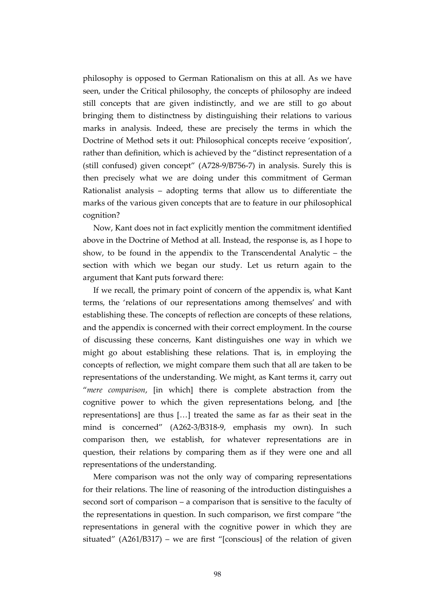philosophy is opposed to German Rationalism on this at all. As we have seen, under the Critical philosophy, the concepts of philosophy are indeed still concepts that are given indistinctly, and we are still to go about bringing them to distinctness by distinguishing their relations to various marks in analysis. Indeed, these are precisely the terms in which the Doctrine of Method sets it out: Philosophical concepts receive 'exposition', rather than defnition, which is achieved by the "distinct representation of a (still confused) given concept" (A728-9/B756-7) in analysis. Surely this is then precisely what we are doing under this commitment of German Rationalist analysis – adopting terms that allow us to diferentiate the marks of the various given concepts that are to feature in our philosophical cognition?

Now, Kant does not in fact explicitly mention the commitment identifed above in the Doctrine of Method at all. Instead, the response is, as I hope to show, to be found in the appendix to the Transcendental Analytic – the section with which we began our study. Let us return again to the argument that Kant puts forward there:

If we recall, the primary point of concern of the appendix is, what Kant terms, the 'relations of our representations among themselves' and with establishing these. The concepts of reflection are concepts of these relations, and the appendix is concerned with their correct employment. In the course of discussing these concerns, Kant distinguishes one way in which we might go about establishing these relations. That is, in employing the concepts of reflection, we might compare them such that all are taken to be representations of the understanding. We might, as Kant terms it, carry out "*mere comparison*, [in which] there is complete abstraction from the cognitive power to which the given representations belong, and [the representations] are thus […] treated the same as far as their seat in the mind is concerned" (A262-3/B318-9, emphasis my own). In such comparison then, we establish, for whatever representations are in question, their relations by comparing them as if they were one and all representations of the understanding.

Mere comparison was not the only way of comparing representations for their relations. The line of reasoning of the introduction distinguishes a second sort of comparison – a comparison that is sensitive to the faculty of the representations in question. In such comparison, we frst compare "the representations in general with the cognitive power in which they are situated"  $(A261/B317)$  – we are first "[conscious] of the relation of given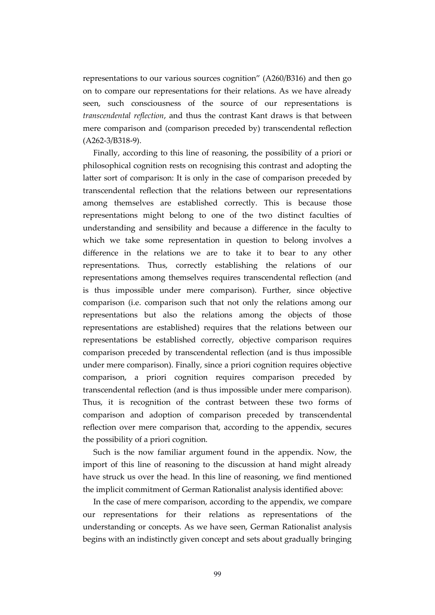representations to our various sources cognition" (A260/B316) and then go on to compare our representations for their relations. As we have already seen, such consciousness of the source of our representations is *transcendental refection*, and thus the contrast Kant draws is that between mere comparison and (comparison preceded by) transcendental reflection (A262-3/B318-9).

Finally, according to this line of reasoning, the possibility of a priori or philosophical cognition rests on recognising this contrast and adopting the later sort of comparison: It is only in the case of comparison preceded by transcendental reflection that the relations between our representations among themselves are established correctly. This is because those representations might belong to one of the two distinct faculties of understanding and sensibility and because a diference in the faculty to which we take some representation in question to belong involves a diference in the relations we are to take it to bear to any other representations. Thus, correctly establishing the relations of our representations among themselves requires transcendental reflection (and is thus impossible under mere comparison). Further, since objective comparison (i.e. comparison such that not only the relations among our representations but also the relations among the objects of those representations are established) requires that the relations between our representations be established correctly, objective comparison requires comparison preceded by transcendental reflection (and is thus impossible under mere comparison). Finally, since a priori cognition requires objective comparison, a priori cognition requires comparison preceded by transcendental reflection (and is thus impossible under mere comparison). Thus, it is recognition of the contrast between these two forms of comparison and adoption of comparison preceded by transcendental reflection over mere comparison that, according to the appendix, secures the possibility of a priori cognition.

Such is the now familiar argument found in the appendix. Now, the import of this line of reasoning to the discussion at hand might already have struck us over the head. In this line of reasoning, we find mentioned the implicit commitment of German Rationalist analysis identifed above:

In the case of mere comparison, according to the appendix, we compare our representations for their relations as representations of the understanding or concepts. As we have seen, German Rationalist analysis begins with an indistinctly given concept and sets about gradually bringing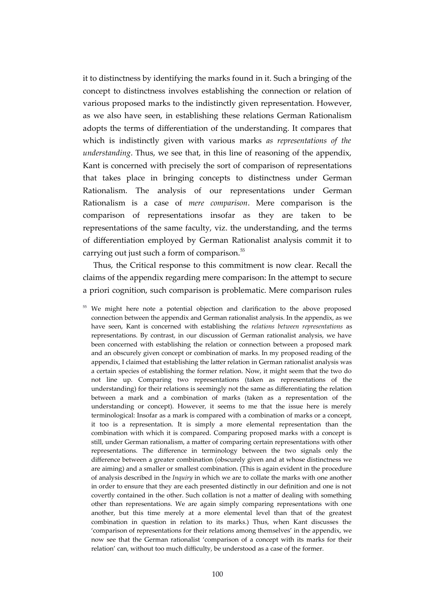it to distinctness by identifying the marks found in it. Such a bringing of the concept to distinctness involves establishing the connection or relation of various proposed marks to the indistinctly given representation. However, as we also have seen, in establishing these relations German Rationalism adopts the terms of diferentiation of the understanding. It compares that which is indistinctly given with various marks *as representations of the understanding*. Thus, we see that, in this line of reasoning of the appendix, Kant is concerned with precisely the sort of comparison of representations that takes place in bringing concepts to distinctness under German Rationalism. The analysis of our representations under German Rationalism is a case of *mere comparison*. Mere comparison is the comparison of representations insofar as they are taken to be representations of the same faculty, viz. the understanding, and the terms of diferentiation employed by German Rationalist analysis commit it to carrying out just such a form of comparison.<sup>[55](#page-99-0)</sup>

Thus, the Critical response to this commitment is now clear. Recall the claims of the appendix regarding mere comparison: In the atempt to secure a priori cognition, such comparison is problematic. Mere comparison rules

<span id="page-99-0"></span><sup>&</sup>lt;sup>55</sup> We might here note a potential objection and clarification to the above proposed connection between the appendix and German rationalist analysis. In the appendix, as we have seen, Kant is concerned with establishing the *relations between representations* as representations. By contrast, in our discussion of German rationalist analysis, we have been concerned with establishing the relation or connection between a proposed mark and an obscurely given concept or combination of marks. In my proposed reading of the appendix, I claimed that establishing the later relation in German rationalist analysis was a certain species of establishing the former relation. Now, it might seem that the two do not line up. Comparing two representations (taken as representations of the understanding) for their relations is seemingly not the same as diferentiating the relation between a mark and a combination of marks (taken as a representation of the understanding or concept). However, it seems to me that the issue here is merely terminological: Insofar as a mark is compared with a combination of marks or a concept, it too is a representation. It is simply a more elemental representation than the combination with which it is compared. Comparing proposed marks with a concept is still, under German rationalism, a mater of comparing certain representations with other representations. The diference in terminology between the two signals only the diference between a greater combination (obscurely given and at whose distinctness we are aiming) and a smaller or smallest combination. (This is again evident in the procedure of analysis described in the *Inquiry* in which we are to collate the marks with one another in order to ensure that they are each presented distinctly in our defnition and one is not covertly contained in the other. Such collation is not a mater of dealing with something other than representations. We are again simply comparing representations with one another, but this time merely at a more elemental level than that of the greatest combination in question in relation to its marks.) Thus, when Kant discusses the 'comparison of representations for their relations among themselves' in the appendix, we now see that the German rationalist 'comparison of a concept with its marks for their relation' can, without too much difficulty, be understood as a case of the former.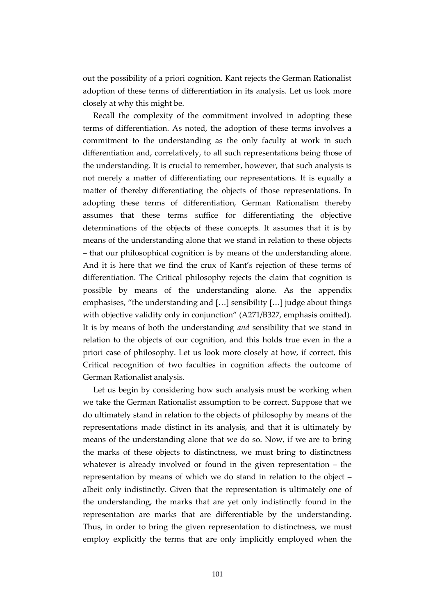out the possibility of a priori cognition. Kant rejects the German Rationalist adoption of these terms of diferentiation in its analysis. Let us look more closely at why this might be.

Recall the complexity of the commitment involved in adopting these terms of diferentiation. As noted, the adoption of these terms involves a commitment to the understanding as the only faculty at work in such diferentiation and, correlatively, to all such representations being those of the understanding. It is crucial to remember, however, that such analysis is not merely a mater of diferentiating our representations. It is equally a mater of thereby diferentiating the objects of those representations. In adopting these terms of diferentiation, German Rationalism thereby assumes that these terms suffice for differentiating the objective determinations of the objects of these concepts. It assumes that it is by means of the understanding alone that we stand in relation to these objects – that our philosophical cognition is by means of the understanding alone. And it is here that we fnd the crux of Kant's rejection of these terms of diferentiation. The Critical philosophy rejects the claim that cognition is possible by means of the understanding alone. As the appendix emphasises, "the understanding and […] sensibility […] judge about things with objective validity only in conjunction" (A271/B327, emphasis omited). It is by means of both the understanding *and* sensibility that we stand in relation to the objects of our cognition, and this holds true even in the a priori case of philosophy. Let us look more closely at how, if correct, this Critical recognition of two faculties in cognition afects the outcome of German Rationalist analysis.

Let us begin by considering how such analysis must be working when we take the German Rationalist assumption to be correct. Suppose that we do ultimately stand in relation to the objects of philosophy by means of the representations made distinct in its analysis, and that it is ultimately by means of the understanding alone that we do so. Now, if we are to bring the marks of these objects to distinctness, we must bring to distinctness whatever is already involved or found in the given representation – the representation by means of which we do stand in relation to the object – albeit only indistinctly. Given that the representation is ultimately one of the understanding, the marks that are yet only indistinctly found in the representation are marks that are diferentiable by the understanding. Thus, in order to bring the given representation to distinctness, we must employ explicitly the terms that are only implicitly employed when the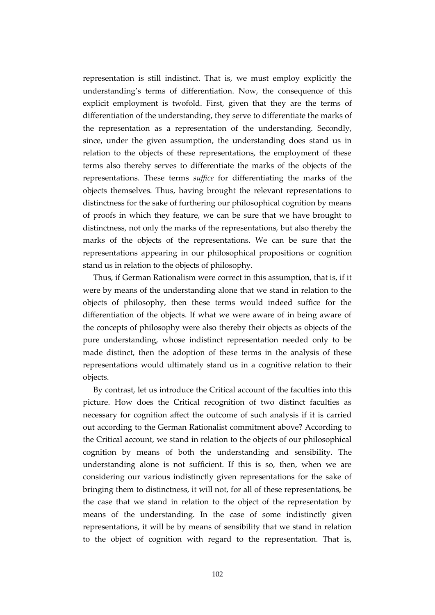representation is still indistinct. That is, we must employ explicitly the understanding's terms of diferentiation. Now, the consequence of this explicit employment is twofold. First, given that they are the terms of diferentiation of the understanding, they serve to diferentiate the marks of the representation as a representation of the understanding. Secondly, since, under the given assumption, the understanding does stand us in relation to the objects of these representations, the employment of these terms also thereby serves to diferentiate the marks of the objects of the representations. These terms *suffice* for diferentiating the marks of the objects themselves. Thus, having brought the relevant representations to distinctness for the sake of furthering our philosophical cognition by means of proofs in which they feature, we can be sure that we have brought to distinctness, not only the marks of the representations, but also thereby the marks of the objects of the representations. We can be sure that the representations appearing in our philosophical propositions or cognition stand us in relation to the objects of philosophy.

Thus, if German Rationalism were correct in this assumption, that is, if it were by means of the understanding alone that we stand in relation to the objects of philosophy, then these terms would indeed suffice for the diferentiation of the objects. If what we were aware of in being aware of the concepts of philosophy were also thereby their objects as objects of the pure understanding, whose indistinct representation needed only to be made distinct, then the adoption of these terms in the analysis of these representations would ultimately stand us in a cognitive relation to their objects.

By contrast, let us introduce the Critical account of the faculties into this picture. How does the Critical recognition of two distinct faculties as necessary for cognition afect the outcome of such analysis if it is carried out according to the German Rationalist commitment above? According to the Critical account, we stand in relation to the objects of our philosophical cognition by means of both the understanding and sensibility. The understanding alone is not sufficient. If this is so, then, when we are considering our various indistinctly given representations for the sake of bringing them to distinctness, it will not, for all of these representations, be the case that we stand in relation to the object of the representation by means of the understanding. In the case of some indistinctly given representations, it will be by means of sensibility that we stand in relation to the object of cognition with regard to the representation. That is,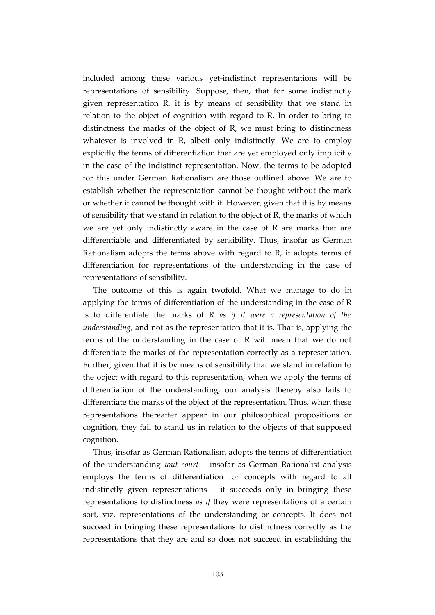included among these various yet-indistinct representations will be representations of sensibility. Suppose, then, that for some indistinctly given representation R, it is by means of sensibility that we stand in relation to the object of cognition with regard to R. In order to bring to distinctness the marks of the object of R, we must bring to distinctness whatever is involved in R, albeit only indistinctly. We are to employ explicitly the terms of diferentiation that are yet employed only implicitly in the case of the indistinct representation. Now, the terms to be adopted for this under German Rationalism are those outlined above. We are to establish whether the representation cannot be thought without the mark or whether it cannot be thought with it. However, given that it is by means of sensibility that we stand in relation to the object of R, the marks of which we are yet only indistinctly aware in the case of R are marks that are diferentiable and diferentiated by sensibility. Thus, insofar as German Rationalism adopts the terms above with regard to R, it adopts terms of diferentiation for representations of the understanding in the case of representations of sensibility.

The outcome of this is again twofold. What we manage to do in applying the terms of diferentiation of the understanding in the case of R is to diferentiate the marks of R *as if it were a representation of the understanding*, and not as the representation that it is. That is, applying the terms of the understanding in the case of R will mean that we do not diferentiate the marks of the representation correctly as a representation. Further, given that it is by means of sensibility that we stand in relation to the object with regard to this representation, when we apply the terms of diferentiation of the understanding, our analysis thereby also fails to diferentiate the marks of the object of the representation. Thus, when these representations thereafter appear in our philosophical propositions or cognition, they fail to stand us in relation to the objects of that supposed cognition.

Thus, insofar as German Rationalism adopts the terms of diferentiation of the understanding *tout court –* insofar as German Rationalist analysis employs the terms of diferentiation for concepts with regard to all indistinctly given representations – it succeeds only in bringing these representations to distinctness *as if* they were representations of a certain sort, viz. representations of the understanding or concepts. It does not succeed in bringing these representations to distinctness correctly as the representations that they are and so does not succeed in establishing the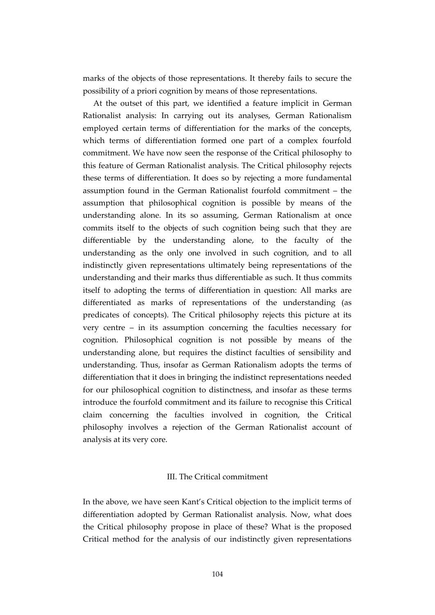marks of the objects of those representations. It thereby fails to secure the possibility of a priori cognition by means of those representations.

At the outset of this part, we identifed a feature implicit in German Rationalist analysis: In carrying out its analyses, German Rationalism employed certain terms of diferentiation for the marks of the concepts, which terms of diferentiation formed one part of a complex fourfold commitment. We have now seen the response of the Critical philosophy to this feature of German Rationalist analysis. The Critical philosophy rejects these terms of diferentiation. It does so by rejecting a more fundamental assumption found in the German Rationalist fourfold commitment – the assumption that philosophical cognition is possible by means of the understanding alone. In its so assuming, German Rationalism at once commits itself to the objects of such cognition being such that they are diferentiable by the understanding alone, to the faculty of the understanding as the only one involved in such cognition, and to all indistinctly given representations ultimately being representations of the understanding and their marks thus diferentiable as such. It thus commits itself to adopting the terms of diferentiation in question: All marks are diferentiated as marks of representations of the understanding (as predicates of concepts). The Critical philosophy rejects this picture at its very centre – in its assumption concerning the faculties necessary for cognition. Philosophical cognition is not possible by means of the understanding alone, but requires the distinct faculties of sensibility and understanding. Thus, insofar as German Rationalism adopts the terms of diferentiation that it does in bringing the indistinct representations needed for our philosophical cognition to distinctness, and insofar as these terms introduce the fourfold commitment and its failure to recognise this Critical claim concerning the faculties involved in cognition, the Critical philosophy involves a rejection of the German Rationalist account of analysis at its very core.

## III. The Critical commitment

In the above, we have seen Kant's Critical objection to the implicit terms of diferentiation adopted by German Rationalist analysis. Now, what does the Critical philosophy propose in place of these? What is the proposed Critical method for the analysis of our indistinctly given representations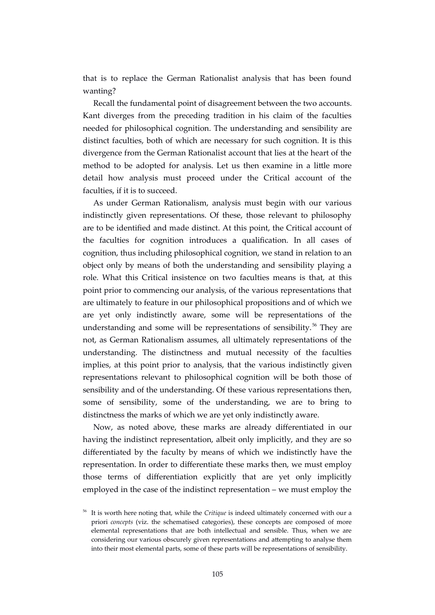that is to replace the German Rationalist analysis that has been found wanting?

Recall the fundamental point of disagreement between the two accounts. Kant diverges from the preceding tradition in his claim of the faculties needed for philosophical cognition. The understanding and sensibility are distinct faculties, both of which are necessary for such cognition. It is this divergence from the German Rationalist account that lies at the heart of the method to be adopted for analysis. Let us then examine in a litle more detail how analysis must proceed under the Critical account of the faculties, if it is to succeed.

As under German Rationalism, analysis must begin with our various indistinctly given representations. Of these, those relevant to philosophy are to be identifed and made distinct. At this point, the Critical account of the faculties for cognition introduces a qualifcation. In all cases of cognition, thus including philosophical cognition, we stand in relation to an object only by means of both the understanding and sensibility playing a role. What this Critical insistence on two faculties means is that, at this point prior to commencing our analysis, of the various representations that are ultimately to feature in our philosophical propositions and of which we are yet only indistinctly aware, some will be representations of the understanding and some will be representations of sensibility.<sup>[56](#page-104-0)</sup> They are not, as German Rationalism assumes, all ultimately representations of the understanding. The distinctness and mutual necessity of the faculties implies, at this point prior to analysis, that the various indistinctly given representations relevant to philosophical cognition will be both those of sensibility and of the understanding. Of these various representations then, some of sensibility, some of the understanding, we are to bring to distinctness the marks of which we are yet only indistinctly aware.

Now, as noted above, these marks are already diferentiated in our having the indistinct representation, albeit only implicitly, and they are so diferentiated by the faculty by means of which we indistinctly have the representation. In order to diferentiate these marks then, we must employ those terms of diferentiation explicitly that are yet only implicitly employed in the case of the indistinct representation – we must employ the

<span id="page-104-0"></span><sup>&</sup>lt;sup>56</sup> It is worth here noting that, while the *Critique* is indeed ultimately concerned with our a priori *concepts* (viz. the schematised categories), these concepts are composed of more elemental representations that are both intellectual and sensible. Thus, when we are considering our various obscurely given representations and atempting to analyse them into their most elemental parts, some of these parts will be representations of sensibility.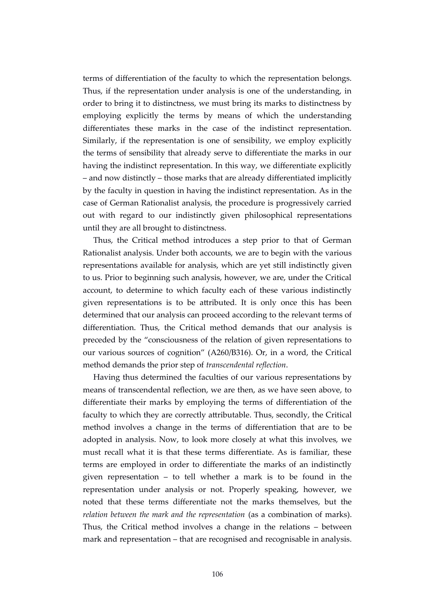terms of diferentiation of the faculty to which the representation belongs. Thus, if the representation under analysis is one of the understanding, in order to bring it to distinctness, we must bring its marks to distinctness by employing explicitly the terms by means of which the understanding diferentiates these marks in the case of the indistinct representation. Similarly, if the representation is one of sensibility, we employ explicitly the terms of sensibility that already serve to diferentiate the marks in our having the indistinct representation. In this way, we diferentiate explicitly – and now distinctly – those marks that are already diferentiated implicitly by the faculty in question in having the indistinct representation. As in the case of German Rationalist analysis, the procedure is progressively carried out with regard to our indistinctly given philosophical representations until they are all brought to distinctness.

Thus, the Critical method introduces a step prior to that of German Rationalist analysis. Under both accounts, we are to begin with the various representations available for analysis, which are yet still indistinctly given to us. Prior to beginning such analysis, however, we are, under the Critical account, to determine to which faculty each of these various indistinctly given representations is to be atributed. It is only once this has been determined that our analysis can proceed according to the relevant terms of diferentiation. Thus, the Critical method demands that our analysis is preceded by the "consciousness of the relation of given representations to our various sources of cognition" (A260/B316). Or, in a word, the Critical method demands the prior step of *transcendental refection*.

Having thus determined the faculties of our various representations by means of transcendental reflection, we are then, as we have seen above, to diferentiate their marks by employing the terms of diferentiation of the faculty to which they are correctly atributable. Thus, secondly, the Critical method involves a change in the terms of diferentiation that are to be adopted in analysis. Now, to look more closely at what this involves, we must recall what it is that these terms diferentiate. As is familiar, these terms are employed in order to diferentiate the marks of an indistinctly given representation – to tell whether a mark is to be found in the representation under analysis or not. Properly speaking, however, we noted that these terms diferentiate not the marks themselves, but the *relation between the mark and the representation* (as a combination of marks). Thus, the Critical method involves a change in the relations – between mark and representation – that are recognised and recognisable in analysis.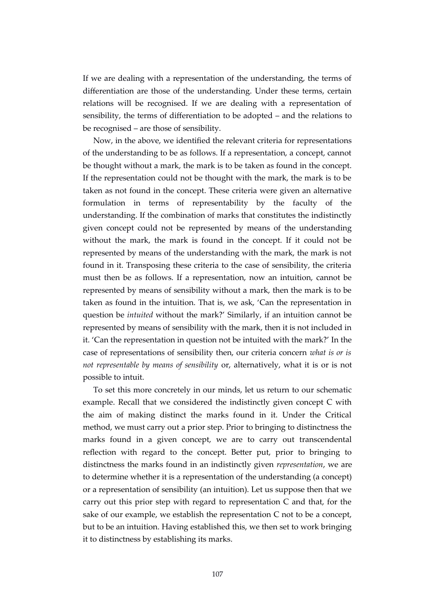If we are dealing with a representation of the understanding, the terms of diferentiation are those of the understanding. Under these terms, certain relations will be recognised. If we are dealing with a representation of sensibility, the terms of diferentiation to be adopted – and the relations to be recognised – are those of sensibility.

Now, in the above, we identifed the relevant criteria for representations of the understanding to be as follows. If a representation, a concept, cannot be thought without a mark, the mark is to be taken as found in the concept. If the representation could not be thought with the mark, the mark is to be taken as not found in the concept. These criteria were given an alternative formulation in terms of representability by the faculty of the understanding. If the combination of marks that constitutes the indistinctly given concept could not be represented by means of the understanding without the mark, the mark is found in the concept. If it could not be represented by means of the understanding with the mark, the mark is not found in it. Transposing these criteria to the case of sensibility, the criteria must then be as follows. If a representation, now an intuition, cannot be represented by means of sensibility without a mark, then the mark is to be taken as found in the intuition. That is, we ask, 'Can the representation in question be *intuited* without the mark?' Similarly, if an intuition cannot be represented by means of sensibility with the mark, then it is not included in it. 'Can the representation in question not be intuited with the mark?' In the case of representations of sensibility then, our criteria concern *what is or is not representable by means of sensibility* or, alternatively, what it is or is not possible to intuit.

To set this more concretely in our minds, let us return to our schematic example. Recall that we considered the indistinctly given concept C with the aim of making distinct the marks found in it. Under the Critical method, we must carry out a prior step. Prior to bringing to distinctness the marks found in a given concept, we are to carry out transcendental reflection with regard to the concept. Better put, prior to bringing to distinctness the marks found in an indistinctly given *representation*, we are to determine whether it is a representation of the understanding (a concept) or a representation of sensibility (an intuition). Let us suppose then that we carry out this prior step with regard to representation C and that, for the sake of our example, we establish the representation C not to be a concept, but to be an intuition. Having established this, we then set to work bringing it to distinctness by establishing its marks.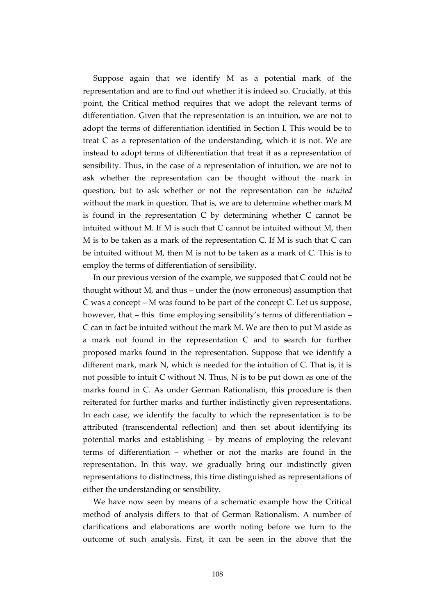Suppose again that we identify M as a potential mark of the representation and are to find out whether it is indeed so. Crucially, at this point, the Critical method requires that we adopt the relevant terms of diferentiation. Given that the representation is an intuition, we are not to adopt the terms of diferentiation identifed in Section I. This would be to treat C as a representation of the understanding, which it is not. We are instead to adopt terms of diferentiation that treat it as a representation of sensibility. Thus, in the case of a representation of intuition, we are not to ask whether the representation can be thought without the mark in question, but to ask whether or not the representation can be *intuited* without the mark in question. That is, we are to determine whether mark M is found in the representation C by determining whether C cannot be intuited without M. If M is such that C cannot be intuited without M, then M is to be taken as a mark of the representation C. If M is such that C can be intuited without M, then M is not to be taken as a mark of C. This is to employ the terms of diferentiation of sensibility.

In our previous version of the example, we supposed that C could not be thought without M, and thus – under the (now erroneous) assumption that C was a concept – M was found to be part of the concept C. Let us suppose, however, that – this time employing sensibility's terms of differentiation – C can in fact be intuited without the mark M. We are then to put M aside as a mark not found in the representation C and to search for further proposed marks found in the representation. Suppose that we identify a diferent mark, mark N, which *is* needed for the intuition of C. That is, it is not possible to intuit C without N. Thus, N is to be put down as one of the marks found in C. As under German Rationalism, this procedure is then reiterated for further marks and further indistinctly given representations. In each case, we identify the faculty to which the representation is to be atributed (transcendental reflection) and then set about identifying its potential marks and establishing – by means of employing the relevant terms of diferentiation – whether or not the marks are found in the representation. In this way, we gradually bring our indistinctly given representations to distinctness, this time distinguished as representations of either the understanding or sensibility.

We have now seen by means of a schematic example how the Critical method of analysis difers to that of German Rationalism. A number of clarifcations and elaborations are worth noting before we turn to the outcome of such analysis. First, it can be seen in the above that the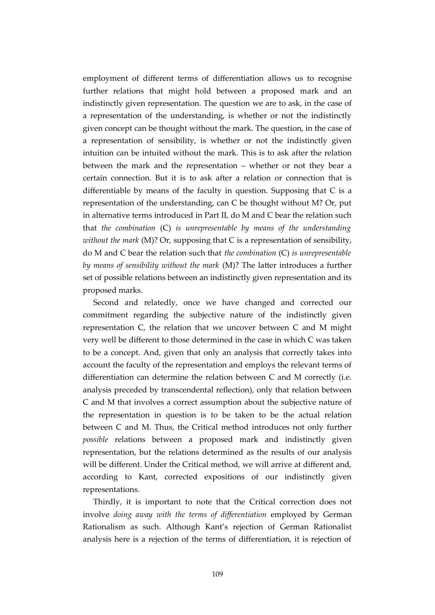employment of diferent terms of diferentiation allows us to recognise further relations that might hold between a proposed mark and an indistinctly given representation. The question we are to ask, in the case of a representation of the understanding, is whether or not the indistinctly given concept can be thought without the mark. The question, in the case of a representation of sensibility, is whether or not the indistinctly given intuition can be intuited without the mark. This is to ask after the relation between the mark and the representation – whether or not they bear a certain connection. But it is to ask after a relation or connection that is diferentiable by means of the faculty in question. Supposing that C is a representation of the understanding, can C be thought without M? Or, put in alternative terms introduced in Part II, do M and C bear the relation such that *the combination* (C) *is unrepresentable by means of the understanding without the mark* (M)? Or, supposing that C is a representation of sensibility, do M and C bear the relation such that *the combination* (C) *is unrepresentable by means of sensibility without the mark* (M)? The later introduces a further set of possible relations between an indistinctly given representation and its proposed marks.

Second and relatedly, once we have changed and corrected our commitment regarding the subjective nature of the indistinctly given representation C, the relation that we uncover between C and M might very well be diferent to those determined in the case in which C was taken to be a concept. And, given that only an analysis that correctly takes into account the faculty of the representation and employs the relevant terms of diferentiation can determine the relation between C and M correctly (i.e. analysis preceded by transcendental reflection), only that relation between C and M that involves a correct assumption about the subjective nature of the representation in question is to be taken to be the actual relation between C and M. Thus, the Critical method introduces not only further *possible* relations between a proposed mark and indistinctly given representation, but the relations determined as the results of our analysis will be diferent. Under the Critical method, we will arrive at diferent and, according to Kant, corrected expositions of our indistinctly given representations.

Thirdly, it is important to note that the Critical correction does not involve *doing away with the terms of diferentiation* employed by German Rationalism as such. Although Kant's rejection of German Rationalist analysis here is a rejection of the terms of diferentiation, it is rejection of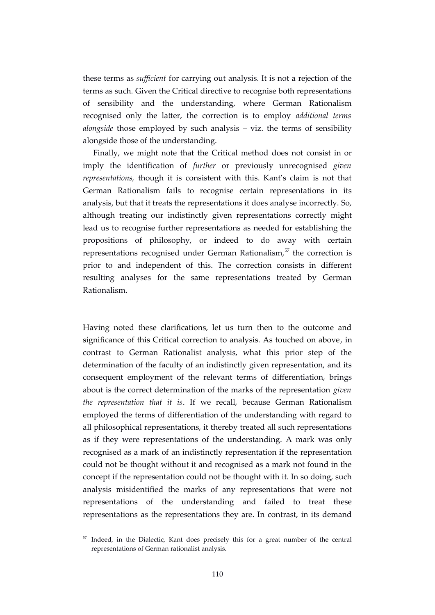these terms as *sufficient* for carrying out analysis. It is not a rejection of the terms as such. Given the Critical directive to recognise both representations of sensibility and the understanding, where German Rationalism recognised only the later, the correction is to employ *additional terms alongside* those employed by such analysis – viz. the terms of sensibility alongside those of the understanding.

Finally, we might note that the Critical method does not consist in or imply the identifcation of *further* or previously unrecognised *given representations,* though it is consistent with this. Kant's claim is not that German Rationalism fails to recognise certain representations in its analysis, but that it treats the representations it does analyse incorrectly. So, although treating our indistinctly given representations correctly might lead us to recognise further representations as needed for establishing the propositions of philosophy, or indeed to do away with certain representations recognised under German Rationalism, $57$  the correction is prior to and independent of this. The correction consists in diferent resulting analyses for the same representations treated by German Rationalism.

Having noted these clarifcations, let us turn then to the outcome and signifcance of this Critical correction to analysis. As touched on above, in contrast to German Rationalist analysis, what this prior step of the determination of the faculty of an indistinctly given representation, and its consequent employment of the relevant terms of diferentiation, brings about is the correct determination of the marks of the representation *given the representation that it is*. If we recall, because German Rationalism employed the terms of diferentiation of the understanding with regard to all philosophical representations, it thereby treated all such representations as if they were representations of the understanding. A mark was only recognised as a mark of an indistinctly representation if the representation could not be thought without it and recognised as a mark not found in the concept if the representation could not be thought with it. In so doing, such analysis misidentifed the marks of any representations that were not representations of the understanding and failed to treat these representations as the representations they are. In contrast, in its demand

<span id="page-109-0"></span> $57$  Indeed, in the Dialectic, Kant does precisely this for a great number of the central representations of German rationalist analysis.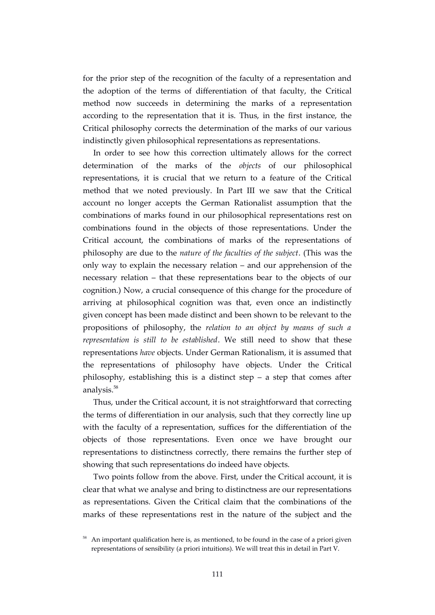for the prior step of the recognition of the faculty of a representation and the adoption of the terms of diferentiation of that faculty, the Critical method now succeeds in determining the marks of a representation according to the representation that it is. Thus, in the frst instance, the Critical philosophy corrects the determination of the marks of our various indistinctly given philosophical representations as representations.

In order to see how this correction ultimately allows for the correct determination of the marks of the *objects* of our philosophical representations, it is crucial that we return to a feature of the Critical method that we noted previously. In Part III we saw that the Critical account no longer accepts the German Rationalist assumption that the combinations of marks found in our philosophical representations rest on combinations found in the objects of those representations. Under the Critical account, the combinations of marks of the representations of philosophy are due to the *nature of the faculties of the subject*. (This was the only way to explain the necessary relation – and our apprehension of the necessary relation – that these representations bear to the objects of our cognition.) Now, a crucial consequence of this change for the procedure of arriving at philosophical cognition was that, even once an indistinctly given concept has been made distinct and been shown to be relevant to the propositions of philosophy, the *relation to an object by means of such a representation is still to be established*. We still need to show that these representations *have* objects. Under German Rationalism, it is assumed that the representations of philosophy have objects. Under the Critical philosophy, establishing this is a distinct step – a step that comes after analysis.<sup>[58](#page-110-0)</sup>

Thus, under the Critical account, it is not straightforward that correcting the terms of diferentiation in our analysis, such that they correctly line up with the faculty of a representation, suffices for the differentiation of the objects of those representations. Even once we have brought our representations to distinctness correctly, there remains the further step of showing that such representations do indeed have objects.

Two points follow from the above. First, under the Critical account, it is clear that what we analyse and bring to distinctness are our representations as representations. Given the Critical claim that the combinations of the marks of these representations rest in the nature of the subject and the

<span id="page-110-0"></span><sup>58</sup> An important qualifcation here is, as mentioned, to be found in the case of a priori given representations of sensibility (a priori intuitions). We will treat this in detail in Part V.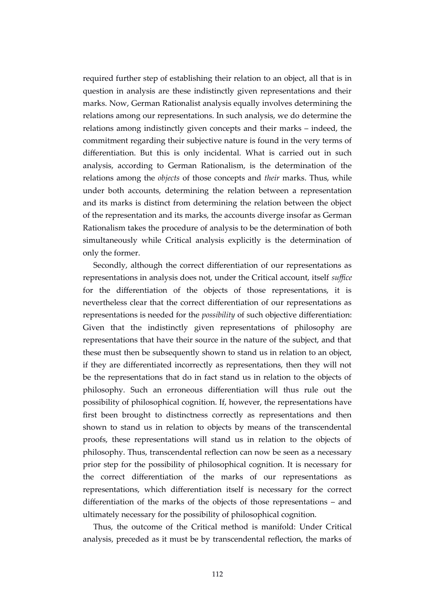required further step of establishing their relation to an object, all that is in question in analysis are these indistinctly given representations and their marks. Now, German Rationalist analysis equally involves determining the relations among our representations. In such analysis, we do determine the relations among indistinctly given concepts and their marks – indeed, the commitment regarding their subjective nature is found in the very terms of diferentiation. But this is only incidental. What is carried out in such analysis, according to German Rationalism, is the determination of the relations among the *objects* of those concepts and *their* marks. Thus, while under both accounts, determining the relation between a representation and its marks is distinct from determining the relation between the object of the representation and its marks, the accounts diverge insofar as German Rationalism takes the procedure of analysis to be the determination of both simultaneously while Critical analysis explicitly is the determination of only the former.

Secondly, although the correct diferentiation of our representations as representations in analysis does not, under the Critical account, itself *suffice* for the diferentiation of the objects of those representations, it is nevertheless clear that the correct diferentiation of our representations as representations is needed for the *possibility* of such objective diferentiation: Given that the indistinctly given representations of philosophy are representations that have their source in the nature of the subject, and that these must then be subsequently shown to stand us in relation to an object, if they are diferentiated incorrectly as representations, then they will not be the representations that do in fact stand us in relation to the objects of philosophy. Such an erroneous diferentiation will thus rule out the possibility of philosophical cognition. If, however, the representations have first been brought to distinctness correctly as representations and then shown to stand us in relation to objects by means of the transcendental proofs, these representations will stand us in relation to the objects of philosophy. Thus, transcendental reflection can now be seen as a necessary prior step for the possibility of philosophical cognition. It is necessary for the correct diferentiation of the marks of our representations as representations, which diferentiation itself is necessary for the correct diferentiation of the marks of the objects of those representations – and ultimately necessary for the possibility of philosophical cognition.

Thus, the outcome of the Critical method is manifold: Under Critical analysis, preceded as it must be by transcendental reflection, the marks of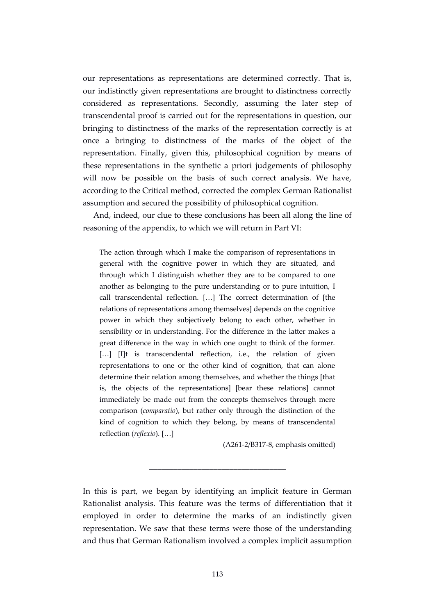our representations as representations are determined correctly. That is, our indistinctly given representations are brought to distinctness correctly considered as representations. Secondly, assuming the later step of transcendental proof is carried out for the representations in question, our bringing to distinctness of the marks of the representation correctly is at once a bringing to distinctness of the marks of the object of the representation. Finally, given this, philosophical cognition by means of these representations in the synthetic a priori judgements of philosophy will now be possible on the basis of such correct analysis. We have, according to the Critical method, corrected the complex German Rationalist assumption and secured the possibility of philosophical cognition.

And, indeed, our clue to these conclusions has been all along the line of reasoning of the appendix, to which we will return in Part VI:

The action through which I make the comparison of representations in general with the cognitive power in which they are situated, and through which I distinguish whether they are to be compared to one another as belonging to the pure understanding or to pure intuition, I call transcendental reflection. […] The correct determination of [the relations of representations among themselves] depends on the cognitive power in which they subjectively belong to each other, whether in sensibility or in understanding. For the difference in the latter makes a great diference in the way in which one ought to think of the former. [...] [I]t is transcendental reflection, i.e., the relation of given representations to one or the other kind of cognition, that can alone determine their relation among themselves, and whether the things [that is, the objects of the representations] [bear these relations] cannot immediately be made out from the concepts themselves through mere comparison (*comparatio*), but rather only through the distinction of the kind of cognition to which they belong, by means of transcendental reflection (*refexio*). […]

(A261-2/B317-8, emphasis omited)

In this is part, we began by identifying an implicit feature in German Rationalist analysis. This feature was the terms of diferentiation that it employed in order to determine the marks of an indistinctly given representation. We saw that these terms were those of the understanding and thus that German Rationalism involved a complex implicit assumption

\_\_\_\_\_\_\_\_\_\_\_\_\_\_\_\_\_\_\_\_\_\_\_\_\_\_\_\_\_\_\_\_\_\_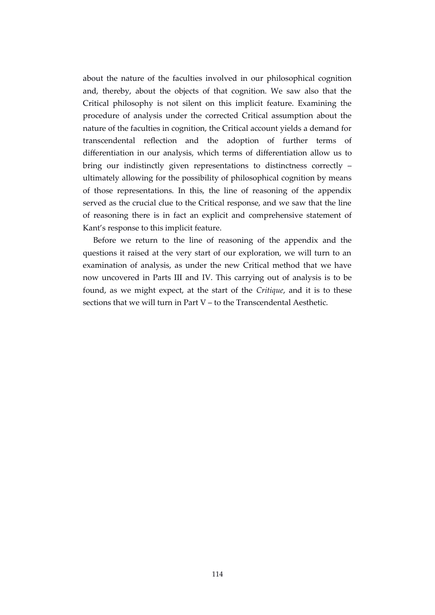about the nature of the faculties involved in our philosophical cognition and, thereby, about the objects of that cognition. We saw also that the Critical philosophy is not silent on this implicit feature. Examining the procedure of analysis under the corrected Critical assumption about the nature of the faculties in cognition, the Critical account yields a demand for transcendental reflection and the adoption of further terms of diferentiation in our analysis, which terms of diferentiation allow us to bring our indistinctly given representations to distinctness correctly – ultimately allowing for the possibility of philosophical cognition by means of those representations. In this, the line of reasoning of the appendix served as the crucial clue to the Critical response, and we saw that the line of reasoning there is in fact an explicit and comprehensive statement of Kant's response to this implicit feature.

Before we return to the line of reasoning of the appendix and the questions it raised at the very start of our exploration, we will turn to an examination of analysis, as under the new Critical method that we have now uncovered in Parts III and IV. This carrying out of analysis is to be found, as we might expect, at the start of the *Critique*, and it is to these sections that we will turn in Part V – to the Transcendental Aesthetic.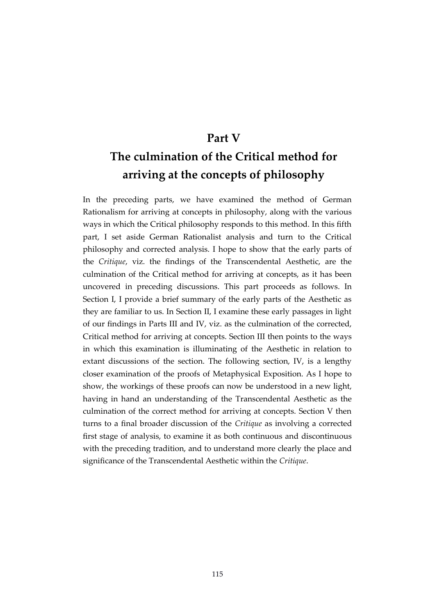# **Part V**

# **The culmination of the Critical method for arriving at the concepts of philosophy**

In the preceding parts, we have examined the method of German Rationalism for arriving at concepts in philosophy, along with the various ways in which the Critical philosophy responds to this method. In this ffth part, I set aside German Rationalist analysis and turn to the Critical philosophy and corrected analysis. I hope to show that the early parts of the *Critique*, viz. the fndings of the Transcendental Aesthetic, are the culmination of the Critical method for arriving at concepts, as it has been uncovered in preceding discussions. This part proceeds as follows. In Section I, I provide a brief summary of the early parts of the Aesthetic as they are familiar to us. In Section II, I examine these early passages in light of our fndings in Parts III and IV, viz. as the culmination of the corrected, Critical method for arriving at concepts. Section III then points to the ways in which this examination is illuminating of the Aesthetic in relation to extant discussions of the section. The following section, IV, is a lengthy closer examination of the proofs of Metaphysical Exposition. As I hope to show, the workings of these proofs can now be understood in a new light, having in hand an understanding of the Transcendental Aesthetic as the culmination of the correct method for arriving at concepts. Section V then turns to a fnal broader discussion of the *Critique* as involving a corrected frst stage of analysis, to examine it as both continuous and discontinuous with the preceding tradition, and to understand more clearly the place and signifcance of the Transcendental Aesthetic within the *Critique*.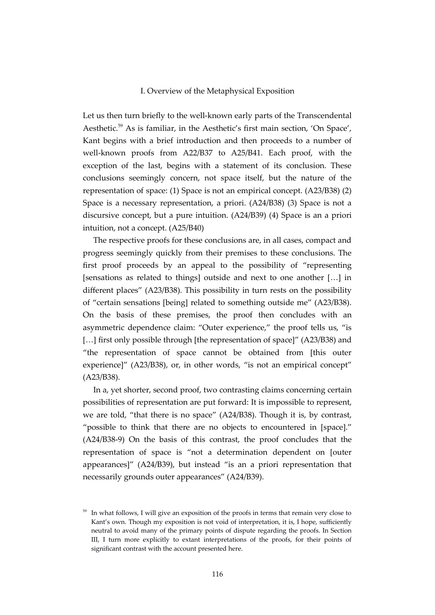# I. Overview of the Metaphysical Exposition

Let us then turn briefly to the well-known early parts of the Transcendental Aesthetic.<sup>[59](#page-115-0)</sup> As is familiar, in the Aesthetic's first main section, 'On Space', Kant begins with a brief introduction and then proceeds to a number of well-known proofs from A22/B37 to A25/B41. Each proof, with the exception of the last, begins with a statement of its conclusion. These conclusions seemingly concern, not space itself, but the nature of the representation of space: (1) Space is not an empirical concept. (A23/B38) (2) Space is a necessary representation, a priori. (A24/B38) (3) Space is not a discursive concept, but a pure intuition. (A24/B39) (4) Space is an a priori intuition, not a concept. (A25/B40)

The respective proofs for these conclusions are, in all cases, compact and progress seemingly quickly from their premises to these conclusions. The first proof proceeds by an appeal to the possibility of "representing [sensations as related to things] outside and next to one another […] in diferent places" (A23/B38). This possibility in turn rests on the possibility of "certain sensations [being] related to something outside me" (A23/B38). On the basis of these premises, the proof then concludes with an asymmetric dependence claim: "Outer experience," the proof tells us, "is [...] first only possible through [the representation of space]" (A23/B38) and "the representation of space cannot be obtained from [this outer experience]" (A23/B38), or, in other words, "is not an empirical concept" (A23/B38).

In a, yet shorter, second proof, two contrasting claims concerning certain possibilities of representation are put forward: It is impossible to represent, we are told, "that there is no space" (A24/B38). Though it is, by contrast, "possible to think that there are no objects to encountered in [space]." (A24/B38-9) On the basis of this contrast, the proof concludes that the representation of space is "not a determination dependent on [outer appearances]" (A24/B39), but instead "is an a priori representation that necessarily grounds outer appearances" (A24/B39).

<span id="page-115-0"></span><sup>&</sup>lt;sup>59</sup> In what follows, I will give an exposition of the proofs in terms that remain very close to Kant's own. Though my exposition is not void of interpretation, it is, I hope, sufficiently neutral to avoid many of the primary points of dispute regarding the proofs. In Section III, I turn more explicitly to extant interpretations of the proofs, for their points of signifcant contrast with the account presented here.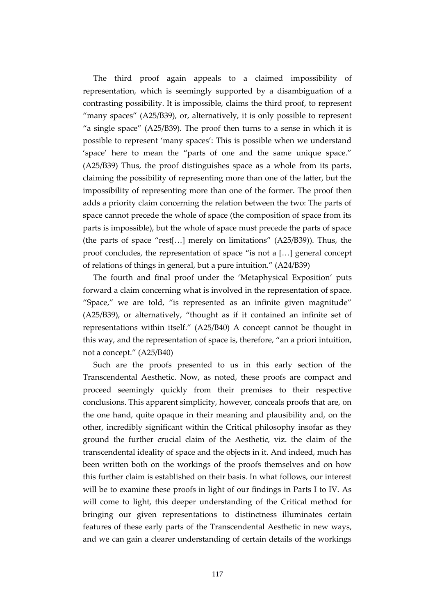The third proof again appeals to a claimed impossibility of representation, which is seemingly supported by a disambiguation of a contrasting possibility. It is impossible, claims the third proof, to represent "many spaces" (A25/B39), or, alternatively, it is only possible to represent "a single space" (A25/B39). The proof then turns to a sense in which it is possible to represent 'many spaces': This is possible when we understand 'space' here to mean the "parts of one and the same unique space." (A25/B39) Thus, the proof distinguishes space as a whole from its parts, claiming the possibility of representing more than one of the later, but the impossibility of representing more than one of the former. The proof then adds a priority claim concerning the relation between the two: The parts of space cannot precede the whole of space (the composition of space from its parts is impossible), but the whole of space must precede the parts of space (the parts of space "rest[…] merely on limitations" (A25/B39)). Thus, the proof concludes, the representation of space "is not a […] general concept of relations of things in general, but a pure intuition." (A24/B39)

The fourth and final proof under the 'Metaphysical Exposition' puts forward a claim concerning what is involved in the representation of space. "Space," we are told, "is represented as an infinite given magnitude" (A25/B39), or alternatively, "thought as if it contained an infnite set of representations within itself." (A25/B40) A concept cannot be thought in this way, and the representation of space is, therefore, "an a priori intuition, not a concept." (A25/B40)

Such are the proofs presented to us in this early section of the Transcendental Aesthetic. Now, as noted, these proofs are compact and proceed seemingly quickly from their premises to their respective conclusions. This apparent simplicity, however, conceals proofs that are, on the one hand, quite opaque in their meaning and plausibility and, on the other, incredibly signifcant within the Critical philosophy insofar as they ground the further crucial claim of the Aesthetic, viz. the claim of the transcendental ideality of space and the objects in it. And indeed, much has been writen both on the workings of the proofs themselves and on how this further claim is established on their basis. In what follows, our interest will be to examine these proofs in light of our findings in Parts I to IV. As will come to light, this deeper understanding of the Critical method for bringing our given representations to distinctness illuminates certain features of these early parts of the Transcendental Aesthetic in new ways, and we can gain a clearer understanding of certain details of the workings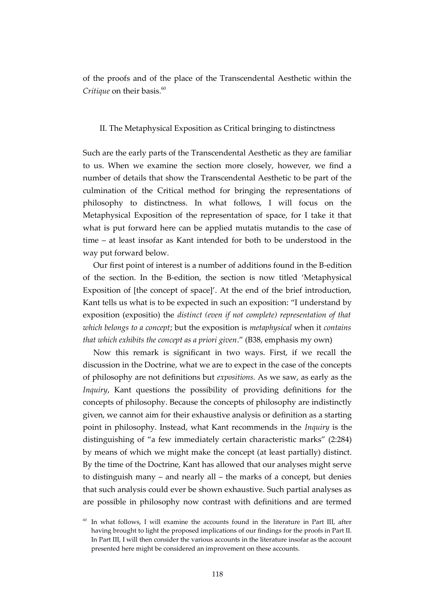of the proofs and of the place of the Transcendental Aesthetic within the *Critique* on their basis.<sup>[60](#page-117-0)</sup>

# II. The Metaphysical Exposition as Critical bringing to distinctness

Such are the early parts of the Transcendental Aesthetic as they are familiar to us. When we examine the section more closely, however, we fnd a number of details that show the Transcendental Aesthetic to be part of the culmination of the Critical method for bringing the representations of philosophy to distinctness. In what follows, I will focus on the Metaphysical Exposition of the representation of space, for I take it that what is put forward here can be applied mutatis mutandis to the case of time – at least insofar as Kant intended for both to be understood in the way put forward below.

Our frst point of interest is a number of additions found in the B-edition of the section. In the B-edition, the section is now titled 'Metaphysical Exposition of [the concept of space]'. At the end of the brief introduction, Kant tells us what is to be expected in such an exposition: "I understand by exposition (expositio) the *distinct (even if not complete) representation of that which belongs to a concept;* but the exposition is *metaphysical* when it *contains that which exhibits the concept as a priori given*." (B38, emphasis my own)

Now this remark is signifcant in two ways. First, if we recall the discussion in the Doctrine, what we are to expect in the case of the concepts of philosophy are not defnitions but *expositions.* As we saw, as early as the *Inquiry*, Kant questions the possibility of providing defnitions for the concepts of philosophy. Because the concepts of philosophy are indistinctly given, we cannot aim for their exhaustive analysis or defnition as a starting point in philosophy. Instead, what Kant recommends in the *Inquiry* is the distinguishing of "a few immediately certain characteristic marks" (2:284) by means of which we might make the concept (at least partially) distinct. By the time of the Doctrine, Kant has allowed that our analyses might serve to distinguish many – and nearly all – the marks of a concept, but denies that such analysis could ever be shown exhaustive. Such partial analyses as are possible in philosophy now contrast with defnitions and are termed

<span id="page-117-0"></span> $60$  In what follows, I will examine the accounts found in the literature in Part III, after having brought to light the proposed implications of our fndings for the proofs in Part II. In Part III, I will then consider the various accounts in the literature insofar as the account presented here might be considered an improvement on these accounts.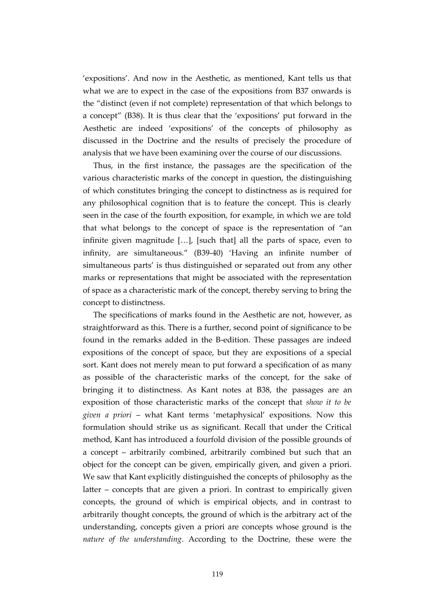'expositions'. And now in the Aesthetic, as mentioned, Kant tells us that what we are to expect in the case of the expositions from B37 onwards is the "distinct (even if not complete) representation of that which belongs to a concept" (B38). It is thus clear that the 'expositions' put forward in the Aesthetic are indeed 'expositions' of the concepts of philosophy as discussed in the Doctrine and the results of precisely the procedure of analysis that we have been examining over the course of our discussions.

Thus, in the first instance, the passages are the specification of the various characteristic marks of the concept in question, the distinguishing of which constitutes bringing the concept to distinctness as is required for any philosophical cognition that is to feature the concept. This is clearly seen in the case of the fourth exposition, for example, in which we are told that what belongs to the concept of space is the representation of "an infnite given magnitude […], [such that] all the parts of space, even to infinity, are simultaneous." (B39-40) 'Having an infinite number of simultaneous parts' is thus distinguished or separated out from any other marks or representations that might be associated with the representation of space as a characteristic mark of the concept, thereby serving to bring the concept to distinctness.

The specifcations of marks found in the Aesthetic are not, however, as straightforward as this. There is a further, second point of signifcance to be found in the remarks added in the B-edition. These passages are indeed expositions of the concept of space, but they are expositions of a special sort. Kant does not merely mean to put forward a specifcation of as many as possible of the characteristic marks of the concept, for the sake of bringing it to distinctness. As Kant notes at B38, the passages are an exposition of those characteristic marks of the concept that *show it to be given a priori* – what Kant terms 'metaphysical' expositions. Now this formulation should strike us as signifcant. Recall that under the Critical method, Kant has introduced a fourfold division of the possible grounds of a concept – arbitrarily combined, arbitrarily combined but such that an object for the concept can be given, empirically given, and given a priori. We saw that Kant explicitly distinguished the concepts of philosophy as the later – concepts that are given a priori. In contrast to empirically given concepts, the ground of which is empirical objects, and in contrast to arbitrarily thought concepts, the ground of which is the arbitrary act of the understanding, concepts given a priori are concepts whose ground is the *nature of the understanding*. According to the Doctrine, these were the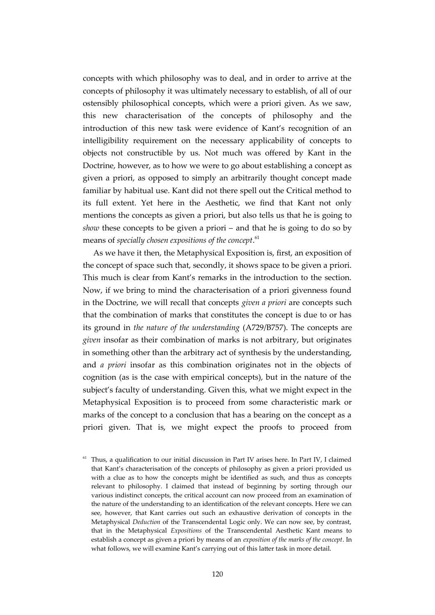concepts with which philosophy was to deal, and in order to arrive at the concepts of philosophy it was ultimately necessary to establish, of all of our ostensibly philosophical concepts, which were a priori given. As we saw, this new characterisation of the concepts of philosophy and the introduction of this new task were evidence of Kant's recognition of an intelligibility requirement on the necessary applicability of concepts to objects not constructible by us. Not much was ofered by Kant in the Doctrine, however, as to how we were to go about establishing a concept as given a priori, as opposed to simply an arbitrarily thought concept made familiar by habitual use. Kant did not there spell out the Critical method to its full extent. Yet here in the Aesthetic, we fnd that Kant not only mentions the concepts as given a priori, but also tells us that he is going to *show* these concepts to be given a priori – and that he is going to do so by means of *specially chosen expositions of the concept*. [61](#page-119-0)

As we have it then, the Metaphysical Exposition is, frst, an exposition of the concept of space such that, secondly, it shows space to be given a priori. This much is clear from Kant's remarks in the introduction to the section. Now, if we bring to mind the characterisation of a priori givenness found in the Doctrine, we will recall that concepts *given a priori* are concepts such that the combination of marks that constitutes the concept is due to or has its ground in *the nature of the understanding* (A729/B757). The concepts are *given* insofar as their combination of marks is not arbitrary, but originates in something other than the arbitrary act of synthesis by the understanding, and *a priori* insofar as this combination originates not in the objects of cognition (as is the case with empirical concepts), but in the nature of the subject's faculty of understanding. Given this, what we might expect in the Metaphysical Exposition is to proceed from some characteristic mark or marks of the concept to a conclusion that has a bearing on the concept as a priori given. That is, we might expect the proofs to proceed from

<span id="page-119-0"></span>Thus, a qualification to our initial discussion in Part IV arises here. In Part IV, I claimed that Kant's characterisation of the concepts of philosophy as given a priori provided us with a clue as to how the concepts might be identifed as such, and thus as concepts relevant to philosophy. I claimed that instead of beginning by sorting through our various indistinct concepts, the critical account can now proceed from an examination of the nature of the understanding to an identifcation of the relevant concepts. Here we can see, however, that Kant carries out such an exhaustive derivation of concepts in the Metaphysical *Deduction* of the Transcendental Logic only. We can now see, by contrast, that in the Metaphysical *Expositions* of the Transcendental Aesthetic Kant means to establish a concept as given a priori by means of an *exposition of the marks of the concept*. In what follows, we will examine Kant's carrying out of this latter task in more detail.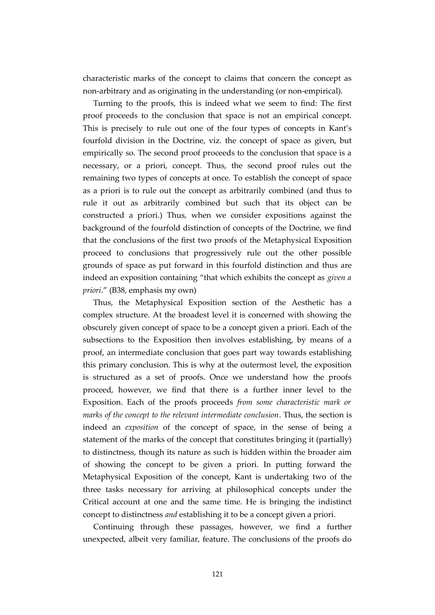characteristic marks of the concept to claims that concern the concept as non-arbitrary and as originating in the understanding (or non-empirical).

Turning to the proofs, this is indeed what we seem to find: The first proof proceeds to the conclusion that space is not an empirical concept. This is precisely to rule out one of the four types of concepts in Kant's fourfold division in the Doctrine, viz. the concept of space as given, but empirically so. The second proof proceeds to the conclusion that space is a necessary, or a priori, concept. Thus, the second proof rules out the remaining two types of concepts at once. To establish the concept of space as a priori is to rule out the concept as arbitrarily combined (and thus to rule it out as arbitrarily combined but such that its object can be constructed a priori.) Thus, when we consider expositions against the background of the fourfold distinction of concepts of the Doctrine, we fnd that the conclusions of the frst two proofs of the Metaphysical Exposition proceed to conclusions that progressively rule out the other possible grounds of space as put forward in this fourfold distinction and thus are indeed an exposition containing "that which exhibits the concept as *given a priori*." (B38, emphasis my own)

Thus, the Metaphysical Exposition section of the Aesthetic has a complex structure. At the broadest level it is concerned with showing the obscurely given concept of space to be a concept given a priori. Each of the subsections to the Exposition then involves establishing, by means of a proof, an intermediate conclusion that goes part way towards establishing this primary conclusion. This is why at the outermost level, the exposition is structured as a set of proofs. Once we understand how the proofs proceed, however, we fnd that there is a further inner level to the Exposition. Each of the proofs proceeds *from some characteristic mark or marks of the concept to the relevant intermediate conclusion*. Thus, the section is indeed an *exposition* of the concept of space, in the sense of being a statement of the marks of the concept that constitutes bringing it (partially) to distinctness, though its nature as such is hidden within the broader aim of showing the concept to be given a priori. In puting forward the Metaphysical Exposition of the concept, Kant is undertaking two of the three tasks necessary for arriving at philosophical concepts under the Critical account at one and the same time. He is bringing the indistinct concept to distinctness *and* establishing it to be a concept given a priori.

Continuing through these passages, however, we find a further unexpected, albeit very familiar, feature. The conclusions of the proofs do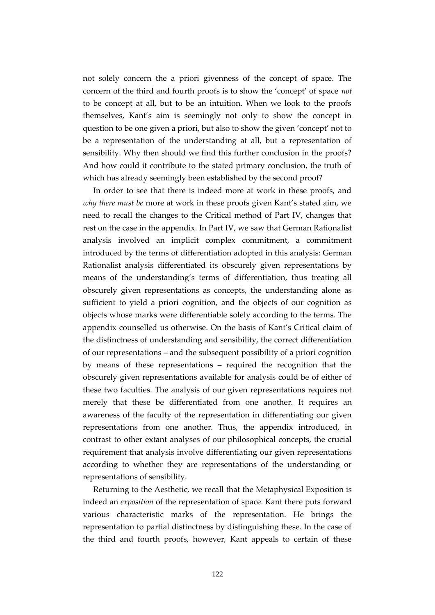not solely concern the a priori givenness of the concept of space. The concern of the third and fourth proofs is to show the 'concept' of space *not* to be concept at all, but to be an intuition. When we look to the proofs themselves, Kant's aim is seemingly not only to show the concept in question to be one given a priori, but also to show the given 'concept' not to be a representation of the understanding at all, but a representation of sensibility. Why then should we fnd this further conclusion in the proofs? And how could it contribute to the stated primary conclusion, the truth of which has already seemingly been established by the second proof?

In order to see that there is indeed more at work in these proofs, and *why there must be* more at work in these proofs given Kant's stated aim, we need to recall the changes to the Critical method of Part IV, changes that rest on the case in the appendix. In Part IV, we saw that German Rationalist analysis involved an implicit complex commitment, a commitment introduced by the terms of diferentiation adopted in this analysis: German Rationalist analysis diferentiated its obscurely given representations by means of the understanding's terms of diferentiation, thus treating all obscurely given representations as concepts, the understanding alone as sufficient to yield a priori cognition, and the objects of our cognition as objects whose marks were diferentiable solely according to the terms. The appendix counselled us otherwise. On the basis of Kant's Critical claim of the distinctness of understanding and sensibility, the correct diferentiation of our representations – and the subsequent possibility of a priori cognition by means of these representations – required the recognition that the obscurely given representations available for analysis could be of either of these two faculties. The analysis of our given representations requires not merely that these be diferentiated from one another. It requires an awareness of the faculty of the representation in diferentiating our given representations from one another. Thus, the appendix introduced, in contrast to other extant analyses of our philosophical concepts, the crucial requirement that analysis involve diferentiating our given representations according to whether they are representations of the understanding or representations of sensibility.

Returning to the Aesthetic, we recall that the Metaphysical Exposition is indeed an *exposition* of the representation of space. Kant there puts forward various characteristic marks of the representation. He brings the representation to partial distinctness by distinguishing these. In the case of the third and fourth proofs, however, Kant appeals to certain of these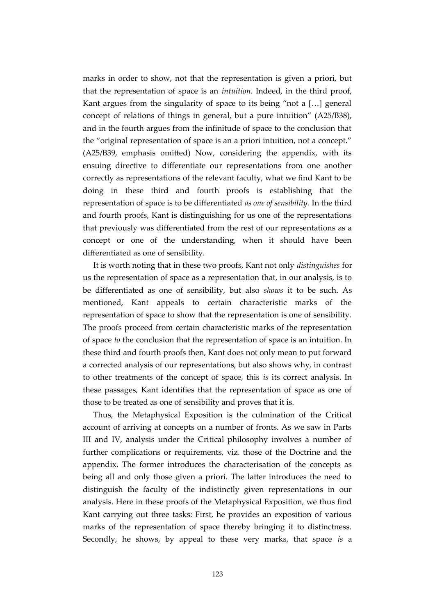marks in order to show, not that the representation is given a priori, but that the representation of space is an *intuition*. Indeed, in the third proof, Kant argues from the singularity of space to its being "not a […] general concept of relations of things in general, but a pure intuition" (A25/B38), and in the fourth argues from the infnitude of space to the conclusion that the "original representation of space is an a priori intuition, not a concept." (A25/B39, emphasis omited) Now, considering the appendix, with its ensuing directive to diferentiate our representations from one another correctly as representations of the relevant faculty, what we fnd Kant to be doing in these third and fourth proofs is establishing that the representation of space is to be diferentiated *as one of sensibility*. In the third and fourth proofs, Kant is distinguishing for us one of the representations that previously was diferentiated from the rest of our representations as a concept or one of the understanding, when it should have been diferentiated as one of sensibility.

It is worth noting that in these two proofs, Kant not only *distinguishes* for us the representation of space as a representation that, in our analysis, is to be diferentiated as one of sensibility, but also *shows* it to be such. As mentioned, Kant appeals to certain characteristic marks of the representation of space to show that the representation is one of sensibility. The proofs proceed from certain characteristic marks of the representation of space *to* the conclusion that the representation of space is an intuition. In these third and fourth proofs then, Kant does not only mean to put forward a corrected analysis of our representations, but also shows why, in contrast to other treatments of the concept of space, this *is* its correct analysis. In these passages, Kant identifes that the representation of space as one of those to be treated as one of sensibility and proves that it is.

Thus, the Metaphysical Exposition is the culmination of the Critical account of arriving at concepts on a number of fronts. As we saw in Parts III and IV, analysis under the Critical philosophy involves a number of further complications or requirements, viz. those of the Doctrine and the appendix. The former introduces the characterisation of the concepts as being all and only those given a priori. The latter introduces the need to distinguish the faculty of the indistinctly given representations in our analysis. Here in these proofs of the Metaphysical Exposition, we thus fnd Kant carrying out three tasks: First, he provides an exposition of various marks of the representation of space thereby bringing it to distinctness. Secondly, he shows, by appeal to these very marks, that space *is* a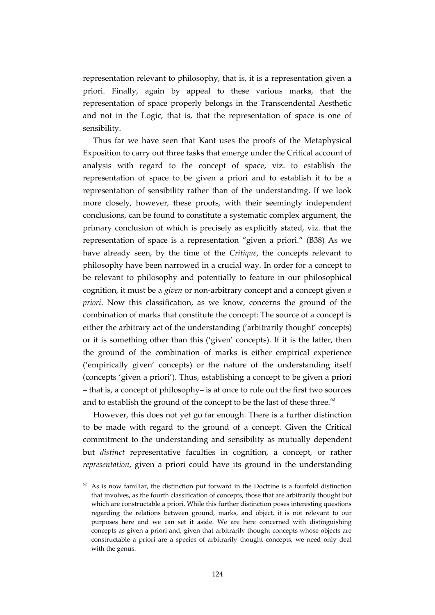representation relevant to philosophy, that is, it is a representation given a priori. Finally, again by appeal to these various marks, that the representation of space properly belongs in the Transcendental Aesthetic and not in the Logic, that is, that the representation of space is one of sensibility.

Thus far we have seen that Kant uses the proofs of the Metaphysical Exposition to carry out three tasks that emerge under the Critical account of analysis with regard to the concept of space, viz. to establish the representation of space to be given a priori and to establish it to be a representation of sensibility rather than of the understanding. If we look more closely, however, these proofs, with their seemingly independent conclusions, can be found to constitute a systematic complex argument, the primary conclusion of which is precisely as explicitly stated, viz. that the representation of space is a representation "given a priori." (B38) As we have already seen, by the time of the *Critique*, the concepts relevant to philosophy have been narrowed in a crucial way. In order for a concept to be relevant to philosophy and potentially to feature in our philosophical cognition, it must be a *given* or non-arbitrary concept and a concept given *a priori*. Now this classifcation, as we know, concerns the ground of the combination of marks that constitute the concept: The source of a concept is either the arbitrary act of the understanding ('arbitrarily thought' concepts) or it is something other than this ('given' concepts). If it is the later, then the ground of the combination of marks is either empirical experience ('empirically given' concepts) or the nature of the understanding itself (concepts 'given a priori'). Thus, establishing a concept to be given a priori – that is, a concept of philosophy– is at once to rule out the frst two sources and to establish the ground of the concept to be the last of these three.<sup>[62](#page-123-0)</sup>

However, this does not yet go far enough. There is a further distinction to be made with regard to the ground of a concept. Given the Critical commitment to the understanding and sensibility as mutually dependent but *distinct* representative faculties in cognition, a concept, or rather *representation*, given a priori could have its ground in the understanding

<span id="page-123-0"></span> $62$  As is now familiar, the distinction put forward in the Doctrine is a fourfold distinction that involves, as the fourth classifcation of concepts, those that are arbitrarily thought but which are constructable a priori. While this further distinction poses interesting questions regarding the relations between ground, marks, and object, it is not relevant to our purposes here and we can set it aside. We are here concerned with distinguishing concepts as given a priori and, given that arbitrarily thought concepts whose objects are constructable a priori are a species of arbitrarily thought concepts, we need only deal with the genus.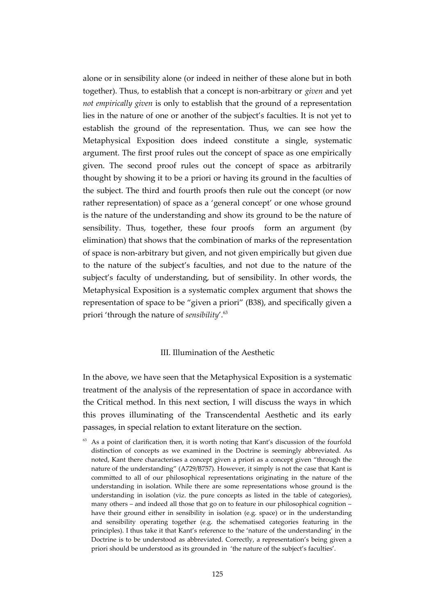alone or in sensibility alone (or indeed in neither of these alone but in both together). Thus, to establish that a concept is non-arbitrary or *given* and yet *not empirically given* is only to establish that the ground of a representation lies in the nature of one or another of the subject's faculties. It is not yet to establish the ground of the representation. Thus, we can see how the Metaphysical Exposition does indeed constitute a single, systematic argument. The first proof rules out the concept of space as one empirically given. The second proof rules out the concept of space as arbitrarily thought by showing it to be a priori or having its ground in the faculties of the subject. The third and fourth proofs then rule out the concept (or now rather representation) of space as a 'general concept' or one whose ground is the nature of the understanding and show its ground to be the nature of sensibility. Thus, together, these four proofs form an argument (by elimination) that shows that the combination of marks of the representation of space is non-arbitrary but given, and not given empirically but given due to the nature of the subject's faculties, and not due to the nature of the subject's faculty of understanding, but of sensibility. In other words, the Metaphysical Exposition is a systematic complex argument that shows the representation of space to be "given a priori" (B38), and specifcally given a priori 'through the nature of *sensibility*'.[63](#page-124-0)

#### III. Illumination of the Aesthetic

In the above, we have seen that the Metaphysical Exposition is a systematic treatment of the analysis of the representation of space in accordance with the Critical method. In this next section, I will discuss the ways in which this proves illuminating of the Transcendental Aesthetic and its early passages, in special relation to extant literature on the section.

<span id="page-124-0"></span> $63$  As a point of clarification then, it is worth noting that Kant's discussion of the fourfold distinction of concepts as we examined in the Doctrine is seemingly abbreviated. As noted, Kant there characterises a concept given a priori as a concept given "through the nature of the understanding" (A729/B757). However, it simply is not the case that Kant is commited to all of our philosophical representations originating in the nature of the understanding in isolation. While there are some representations whose ground is the understanding in isolation (viz. the pure concepts as listed in the table of categories), many others – and indeed all those that go on to feature in our philosophical cognition – have their ground either in sensibility in isolation (e.g. space) or in the understanding and sensibility operating together (e.g. the schematised categories featuring in the principles). I thus take it that Kant's reference to the 'nature of the understanding' in the Doctrine is to be understood as abbreviated. Correctly, a representation's being given a priori should be understood as its grounded in 'the nature of the subject's faculties'.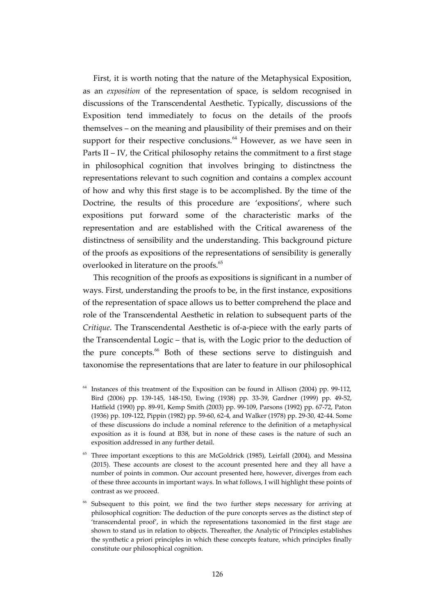First, it is worth noting that the nature of the Metaphysical Exposition, as an *exposition* of the representation of space, is seldom recognised in discussions of the Transcendental Aesthetic. Typically, discussions of the Exposition tend immediately to focus on the details of the proofs themselves – on the meaning and plausibility of their premises and on their support for their respective conclusions. $64$  However, as we have seen in Parts II – IV, the Critical philosophy retains the commitment to a first stage in philosophical cognition that involves bringing to distinctness the representations relevant to such cognition and contains a complex account of how and why this frst stage is to be accomplished. By the time of the Doctrine, the results of this procedure are 'expositions', where such expositions put forward some of the characteristic marks of the representation and are established with the Critical awareness of the distinctness of sensibility and the understanding. This background picture of the proofs as expositions of the representations of sensibility is generally overlooked in literature on the proofs.<sup>[65](#page-125-1)</sup>

This recognition of the proofs as expositions is significant in a number of ways. First, understanding the proofs to be, in the first instance, expositions of the representation of space allows us to beter comprehend the place and role of the Transcendental Aesthetic in relation to subsequent parts of the *Critique*. The Transcendental Aesthetic is of-a-piece with the early parts of the Transcendental Logic – that is, with the Logic prior to the deduction of the pure concepts.<sup>[66](#page-125-2)</sup> Both of these sections serve to distinguish and taxonomise the representations that are later to feature in our philosophical

- <span id="page-125-0"></span><sup>64</sup> Instances of this treatment of the Exposition can be found in Allison (2004) pp. 99-112, Bird (2006) pp. 139-145, 148-150, Ewing (1938) pp. 33-39, Gardner (1999) pp. 49-52, Hatfeld (1990) pp. 89-91, Kemp Smith (2003) pp. 99-109, Parsons (1992) pp. 67-72, Paton (1936) pp. 109-122, Pippin (1982) pp. 59-60, 62-4, and Walker (1978) pp. 29-30, 42-44. Some of these discussions do include a nominal reference to the defnition of a metaphysical exposition as it is found at B38, but in none of these cases is the nature of such an exposition addressed in any further detail.
- <span id="page-125-1"></span> $65$  Three important exceptions to this are McGoldrick (1985), Leirfall (2004), and Messina (2015). These accounts are closest to the account presented here and they all have a number of points in common. Our account presented here, however, diverges from each of these three accounts in important ways. In what follows, I will highlight these points of contrast as we proceed.
- <span id="page-125-2"></span><sup>66</sup> Subsequent to this point, we fnd the two further steps necessary for arriving at philosophical cognition: The deduction of the pure concepts serves as the distinct step of 'transcendental proof', in which the representations taxonomied in the frst stage are shown to stand us in relation to objects. Thereafter, the Analytic of Principles establishes the synthetic a priori principles in which these concepts feature, which principles fnally constitute our philosophical cognition.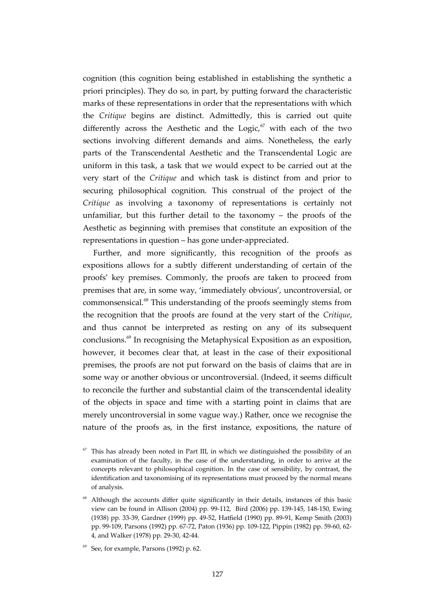cognition (this cognition being established in establishing the synthetic a priori principles). They do so, in part, by puting forward the characteristic marks of these representations in order that the representations with which the *Critique* begins are distinct. Admitedly, this is carried out quite differently across the Aesthetic and the Logic, $\sigma$  with each of the two sections involving diferent demands and aims. Nonetheless, the early parts of the Transcendental Aesthetic and the Transcendental Logic are uniform in this task, a task that we would expect to be carried out at the very start of the *Critique* and which task is distinct from and prior to securing philosophical cognition. This construal of the project of the *Critique* as involving a taxonomy of representations is certainly not unfamiliar, but this further detail to the taxonomy – the proofs of the Aesthetic as beginning with premises that constitute an exposition of the representations in question – has gone under-appreciated.

Further, and more significantly, this recognition of the proofs as expositions allows for a subtly diferent understanding of certain of the proofs' key premises. Commonly, the proofs are taken to proceed from premises that are, in some way, 'immediately obvious', uncontroversial, or commonsensical.[68](#page-126-1) This understanding of the proofs seemingly stems from the recognition that the proofs are found at the very start of the *Critique*, and thus cannot be interpreted as resting on any of its subsequent conclusions.[69](#page-126-2) In recognising the Metaphysical Exposition as an exposition, however, it becomes clear that, at least in the case of their expositional premises, the proofs are not put forward on the basis of claims that are in some way or another obvious or uncontroversial. (Indeed, it seems difficult to reconcile the further and substantial claim of the transcendental ideality of the objects in space and time with a starting point in claims that are merely uncontroversial in some vague way.) Rather, once we recognise the nature of the proofs as, in the frst instance, expositions, the nature of

<span id="page-126-0"></span> $67$  This has already been noted in Part III, in which we distinguished the possibility of an examination of the faculty, in the case of the understanding, in order to arrive at the concepts relevant to philosophical cognition. In the case of sensibility, by contrast, the identifcation and taxonomising of its representations must proceed by the normal means of analysis.

<span id="page-126-1"></span><sup>&</sup>lt;sup>68</sup> Although the accounts differ quite significantly in their details, instances of this basic view can be found in Allison (2004) pp. 99-112, Bird (2006) pp. 139-145, 148-150, Ewing (1938) pp. 33-39, Gardner (1999) pp. 49-52, Hatfeld (1990) pp. 89-91, Kemp Smith (2003) pp. 99-109, Parsons (1992) pp. 67-72, Paton (1936) pp. 109-122, Pippin (1982) pp. 59-60, 62- 4, and Walker (1978) pp. 29-30, 42-44.

<span id="page-126-2"></span> $69$  See, for example, Parsons (1992) p. 62.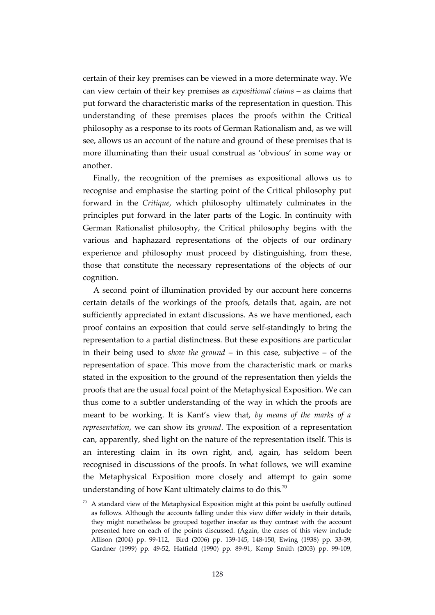certain of their key premises can be viewed in a more determinate way. We can view certain of their key premises as *expositional claims* – as claims that put forward the characteristic marks of the representation in question. This understanding of these premises places the proofs within the Critical philosophy as a response to its roots of German Rationalism and, as we will see, allows us an account of the nature and ground of these premises that is more illuminating than their usual construal as 'obvious' in some way or another.

Finally, the recognition of the premises as expositional allows us to recognise and emphasise the starting point of the Critical philosophy put forward in the *Critique*, which philosophy ultimately culminates in the principles put forward in the later parts of the Logic. In continuity with German Rationalist philosophy, the Critical philosophy begins with the various and haphazard representations of the objects of our ordinary experience and philosophy must proceed by distinguishing, from these, those that constitute the necessary representations of the objects of our cognition.

A second point of illumination provided by our account here concerns certain details of the workings of the proofs, details that, again, are not sufficiently appreciated in extant discussions. As we have mentioned, each proof contains an exposition that could serve self-standingly to bring the representation to a partial distinctness. But these expositions are particular in their being used to *show the ground* – in this case, subjective – of the representation of space. This move from the characteristic mark or marks stated in the exposition to the ground of the representation then yields the proofs that are the usual focal point of the Metaphysical Exposition. We can thus come to a subtler understanding of the way in which the proofs are meant to be working. It is Kant's view that, *by means of the marks of a representation*, we can show its *ground*. The exposition of a representation can, apparently, shed light on the nature of the representation itself. This is an interesting claim in its own right, and, again, has seldom been recognised in discussions of the proofs. In what follows, we will examine the Metaphysical Exposition more closely and atempt to gain some understanding of how Kant ultimately claims to do this.<sup>[70](#page-127-0)</sup>

<span id="page-127-0"></span> $70$  A standard view of the Metaphysical Exposition might at this point be usefully outlined as follows. Although the accounts falling under this view difer widely in their details, they might nonetheless be grouped together insofar as they contrast with the account presented here on each of the points discussed. (Again, the cases of this view include Allison (2004) pp. 99-112, Bird (2006) pp. 139-145, 148-150, Ewing (1938) pp. 33-39, Gardner (1999) pp. 49-52, Hatfeld (1990) pp. 89-91, Kemp Smith (2003) pp. 99-109,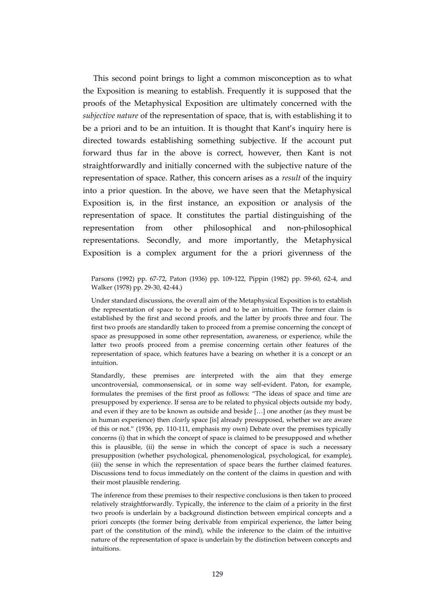This second point brings to light a common misconception as to what the Exposition is meaning to establish. Frequently it is supposed that the proofs of the Metaphysical Exposition are ultimately concerned with the *subjective nature* of the representation of space, that is, with establishing it to be a priori and to be an intuition. It is thought that Kant's inquiry here is directed towards establishing something subjective. If the account put forward thus far in the above is correct, however, then Kant is not straightforwardly and initially concerned with the subjective nature of the representation of space. Rather, this concern arises as a *result* of the inquiry into a prior question. In the above, we have seen that the Metaphysical Exposition is, in the frst instance, an exposition or analysis of the representation of space. It constitutes the partial distinguishing of the representation from other philosophical and non-philosophical representations. Secondly, and more importantly, the Metaphysical Exposition is a complex argument for the a priori givenness of the

Parsons (1992) pp. 67-72, Paton (1936) pp. 109-122, Pippin (1982) pp. 59-60, 62-4, and Walker (1978) pp. 29-30, 42-44.)

Under standard discussions, the overall aim of the Metaphysical Exposition is to establish the representation of space to be a priori and to be an intuition. The former claim is established by the frst and second proofs, and the later by proofs three and four. The first two proofs are standardly taken to proceed from a premise concerning the concept of space as presupposed in some other representation, awareness, or experience, while the later two proofs proceed from a premise concerning certain other features of the representation of space, which features have a bearing on whether it is a concept or an intuition.

Standardly, these premises are interpreted with the aim that they emerge uncontroversial, commonsensical, or in some way self-evident. Paton, for example, formulates the premises of the frst proof as follows: "The ideas of space and time are presupposed by experience. If sensa are to be related to physical objects outside my body, and even if they are to be known as outside and beside […] one another (as they must be in human experience) then *clearly* space [is] already presupposed, whether we are aware of this or not." (1936, pp. 110-111, emphasis my own) Debate over the premises typically concerns (i) that in which the concept of space is claimed to be presupposed and whether this is plausible, (ii) the sense in which the concept of space is such a necessary presupposition (whether psychological, phenomenological, psychological, for example), (iii) the sense in which the representation of space bears the further claimed features. Discussions tend to focus immediately on the content of the claims in question and with their most plausible rendering.

The inference from these premises to their respective conclusions is then taken to proceed relatively straightforwardly. Typically, the inference to the claim of a priority in the frst two proofs is underlain by a background distinction between empirical concepts and a priori concepts (the former being derivable from empirical experience, the later being part of the constitution of the mind), while the inference to the claim of the intuitive nature of the representation of space is underlain by the distinction between concepts and intuitions.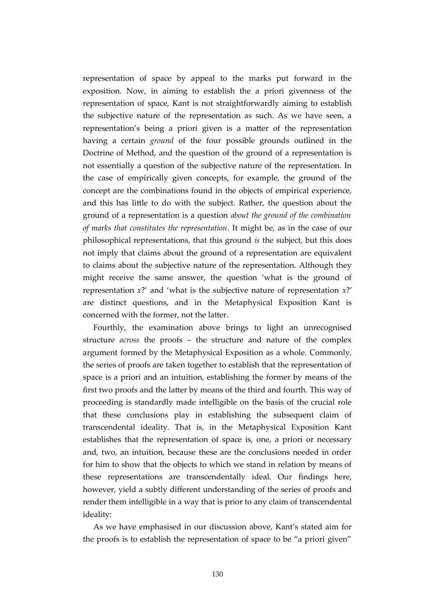representation of space by appeal to the marks put forward in the exposition. Now, in aiming to establish the a priori givenness of the representation of space, Kant is not straightforwardly aiming to establish the subjective nature of the representation as such. As we have seen, a representation's being a priori given is a mater of the representation having a certain *ground* of the four possible grounds outlined in the Doctrine of Method, and the question of the ground of a representation is not essentially a question of the subjective nature of the representation. In the case of empirically given concepts, for example, the ground of the concept are the combinations found in the objects of empirical experience, and this has litle to do with the subject. Rather, the question about the ground of a representation is a question *about the ground of the combination of marks that constitutes the representation*. It might be, as in the case of our philosophical representations, that this ground *is* the subject, but this does not imply that claims about the ground of a representation are equivalent to claims about the subjective nature of the representation. Although they might receive the same answer, the question 'what is the ground of representation *x*?' and 'what is the subjective nature of representation *x*?' are distinct questions, and in the Metaphysical Exposition Kant is concerned with the former, not the later.

Fourthly, the examination above brings to light an unrecognised structure *across* the proofs – the structure and nature of the complex argument formed by the Metaphysical Exposition as a whole. Commonly, the series of proofs are taken together to establish that the representation of space is a priori and an intuition, establishing the former by means of the first two proofs and the latter by means of the third and fourth. This way of proceeding is standardly made intelligible on the basis of the crucial role that these conclusions play in establishing the subsequent claim of transcendental ideality. That is, in the Metaphysical Exposition Kant establishes that the representation of space is, one, a priori or necessary and, two, an intuition, because these are the conclusions needed in order for him to show that the objects to which we stand in relation by means of these representations are transcendentally ideal. Our fndings here, however, yield a subtly diferent understanding of the series of proofs and render them intelligible in a way that is prior to any claim of transcendental ideality:

As we have emphasised in our discussion above, Kant's stated aim for the proofs is to establish the representation of space to be "a priori given"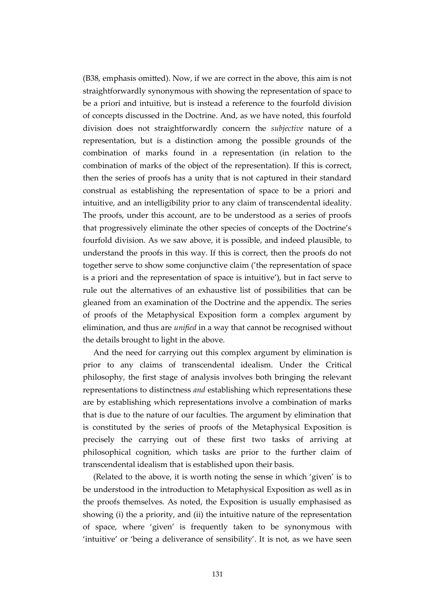(B38, emphasis omited). Now, if we are correct in the above, this aim is not straightforwardly synonymous with showing the representation of space to be a priori and intuitive, but is instead a reference to the fourfold division of concepts discussed in the Doctrine. And, as we have noted, this fourfold division does not straightforwardly concern the *subjective* nature of a representation, but is a distinction among the possible grounds of the combination of marks found in a representation (in relation to the combination of marks of the object of the representation). If this is correct, then the series of proofs has a unity that is not captured in their standard construal as establishing the representation of space to be a priori and intuitive, and an intelligibility prior to any claim of transcendental ideality. The proofs, under this account, are to be understood as a series of proofs that progressively eliminate the other species of concepts of the Doctrine's fourfold division. As we saw above, it is possible, and indeed plausible, to understand the proofs in this way. If this is correct, then the proofs do not together serve to show some conjunctive claim ('the representation of space is a priori and the representation of space is intuitive'), but in fact serve to rule out the alternatives of an exhaustive list of possibilities that can be gleaned from an examination of the Doctrine and the appendix. The series of proofs of the Metaphysical Exposition form a complex argument by elimination, and thus are *unifed* in a way that cannot be recognised without the details brought to light in the above.

And the need for carrying out this complex argument by elimination is prior to any claims of transcendental idealism. Under the Critical philosophy, the frst stage of analysis involves both bringing the relevant representations to distinctness *and* establishing which representations these are by establishing which representations involve a combination of marks that is due to the nature of our faculties. The argument by elimination that is constituted by the series of proofs of the Metaphysical Exposition is precisely the carrying out of these frst two tasks of arriving at philosophical cognition, which tasks are prior to the further claim of transcendental idealism that is established upon their basis.

(Related to the above, it is worth noting the sense in which 'given' is to be understood in the introduction to Metaphysical Exposition as well as in the proofs themselves. As noted, the Exposition is usually emphasised as showing (i) the a priority, and (ii) the intuitive nature of the representation of space, where 'given' is frequently taken to be synonymous with 'intuitive' or 'being a deliverance of sensibility'. It is not, as we have seen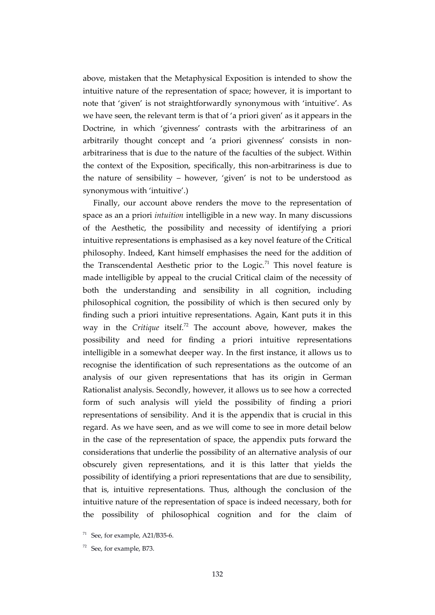above, mistaken that the Metaphysical Exposition is intended to show the intuitive nature of the representation of space; however, it is important to note that 'given' is not straightforwardly synonymous with 'intuitive'. As we have seen, the relevant term is that of 'a priori given' as it appears in the Doctrine, in which 'givenness' contrasts with the arbitrariness of an arbitrarily thought concept and 'a priori givenness' consists in nonarbitrariness that is due to the nature of the faculties of the subject. Within the context of the Exposition, specifcally, this non-arbitrariness is due to the nature of sensibility – however, 'given' is not to be understood as synonymous with 'intuitive'.)

Finally, our account above renders the move to the representation of space as an a priori *intuition* intelligible in a new way. In many discussions of the Aesthetic, the possibility and necessity of identifying a priori intuitive representations is emphasised as a key novel feature of the Critical philosophy. Indeed, Kant himself emphasises the need for the addition of the Transcendental Aesthetic prior to the Logic.<sup>[71](#page-131-0)</sup> This novel feature is made intelligible by appeal to the crucial Critical claim of the necessity of both the understanding and sensibility in all cognition, including philosophical cognition, the possibility of which is then secured only by fnding such a priori intuitive representations. Again, Kant puts it in this way in the *Critique* itself.<sup>[72](#page-131-1)</sup> The account above, however, makes the possibility and need for fnding a priori intuitive representations intelligible in a somewhat deeper way. In the frst instance, it allows us to recognise the identifcation of such representations as the outcome of an analysis of our given representations that has its origin in German Rationalist analysis. Secondly, however, it allows us to see how a corrected form of such analysis will yield the possibility of fnding a priori representations of sensibility. And it is the appendix that is crucial in this regard. As we have seen, and as we will come to see in more detail below in the case of the representation of space, the appendix puts forward the considerations that underlie the possibility of an alternative analysis of our obscurely given representations, and it is this later that yields the possibility of identifying a priori representations that are due to sensibility, that is, intuitive representations. Thus, although the conclusion of the intuitive nature of the representation of space is indeed necessary, both for the possibility of philosophical cognition and for the claim of

<span id="page-131-1"></span> $72$  See, for example, B73.

<span id="page-131-0"></span> $71$  See, for example, A21/B35-6.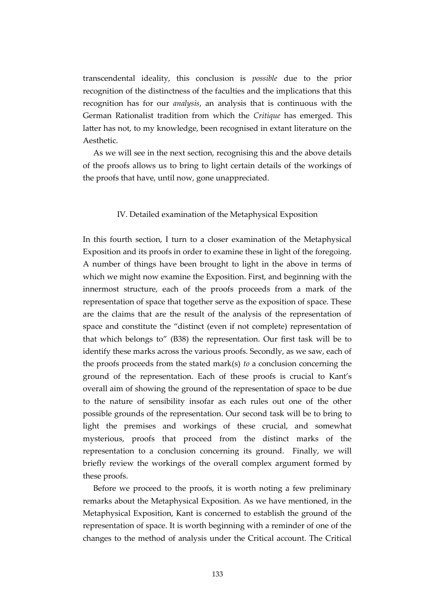transcendental ideality, this conclusion is *possible* due to the prior recognition of the distinctness of the faculties and the implications that this recognition has for our *analysis*, an analysis that is continuous with the German Rationalist tradition from which the *Critique* has emerged. This latter has not, to my knowledge, been recognised in extant literature on the Aesthetic.

As we will see in the next section, recognising this and the above details of the proofs allows us to bring to light certain details of the workings of the proofs that have, until now, gone unappreciated.

# IV. Detailed examination of the Metaphysical Exposition

In this fourth section, I turn to a closer examination of the Metaphysical Exposition and its proofs in order to examine these in light of the foregoing. A number of things have been brought to light in the above in terms of which we might now examine the Exposition. First, and beginning with the innermost structure, each of the proofs proceeds from a mark of the representation of space that together serve as the exposition of space. These are the claims that are the result of the analysis of the representation of space and constitute the "distinct (even if not complete) representation of that which belongs to" (B38) the representation. Our first task will be to identify these marks across the various proofs. Secondly, as we saw, each of the proofs proceeds from the stated mark(s) *to* a conclusion concerning the ground of the representation. Each of these proofs is crucial to Kant's overall aim of showing the ground of the representation of space to be due to the nature of sensibility insofar as each rules out one of the other possible grounds of the representation. Our second task will be to bring to light the premises and workings of these crucial, and somewhat mysterious, proofs that proceed from the distinct marks of the representation to a conclusion concerning its ground. Finally, we will briefly review the workings of the overall complex argument formed by these proofs.

Before we proceed to the proofs, it is worth noting a few preliminary remarks about the Metaphysical Exposition. As we have mentioned, in the Metaphysical Exposition, Kant is concerned to establish the ground of the representation of space. It is worth beginning with a reminder of one of the changes to the method of analysis under the Critical account. The Critical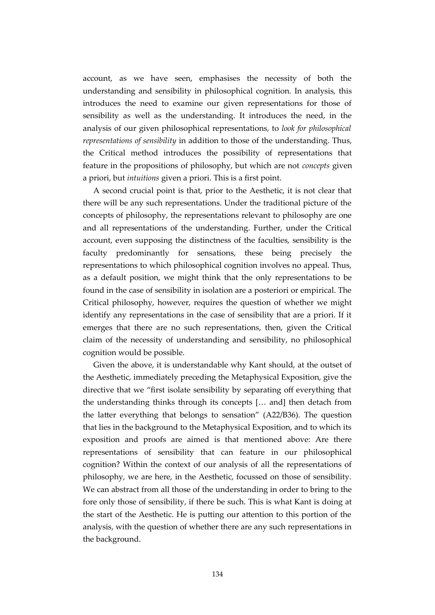account, as we have seen, emphasises the necessity of both the understanding and sensibility in philosophical cognition. In analysis, this introduces the need to examine our given representations for those of sensibility as well as the understanding. It introduces the need, in the analysis of our given philosophical representations, to *look for philosophical representations of sensibility* in addition to those of the understanding. Thus, the Critical method introduces the possibility of representations that feature in the propositions of philosophy, but which are not *concepts* given a priori, but *intuitions* given a priori. This is a frst point.

A second crucial point is that, prior to the Aesthetic, it is not clear that there will be any such representations. Under the traditional picture of the concepts of philosophy, the representations relevant to philosophy are one and all representations of the understanding. Further, under the Critical account, even supposing the distinctness of the faculties, sensibility is the faculty predominantly for sensations, these being precisely the representations to which philosophical cognition involves no appeal. Thus, as a default position, we might think that the only representations to be found in the case of sensibility in isolation are a posteriori or empirical. The Critical philosophy, however, requires the question of whether we might identify any representations in the case of sensibility that are a priori. If it emerges that there are no such representations, then, given the Critical claim of the necessity of understanding and sensibility, no philosophical cognition would be possible.

Given the above, it is understandable why Kant should, at the outset of the Aesthetic, immediately preceding the Metaphysical Exposition, give the directive that we "first isolate sensibility by separating off everything that the understanding thinks through its concepts [… and] then detach from the later everything that belongs to sensation" (A22/B36). The question that lies in the background to the Metaphysical Exposition, and to which its exposition and proofs are aimed is that mentioned above: Are there representations of sensibility that can feature in our philosophical cognition? Within the context of our analysis of all the representations of philosophy, we are here, in the Aesthetic, focussed on those of sensibility. We can abstract from all those of the understanding in order to bring to the fore only those of sensibility, if there be such. This is what Kant is doing at the start of the Aesthetic. He is puting our atention to this portion of the analysis, with the question of whether there are any such representations in the background.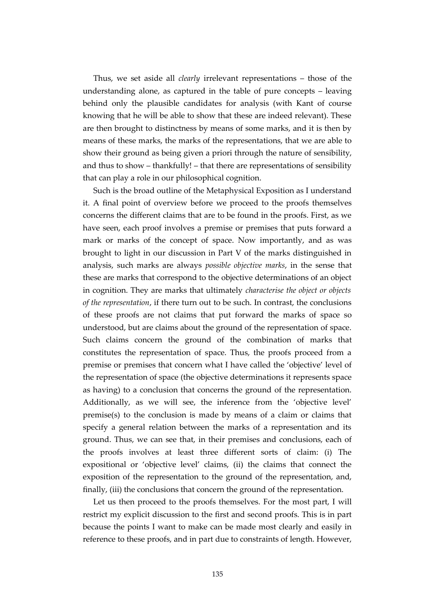Thus, we set aside all *clearly* irrelevant representations – those of the understanding alone, as captured in the table of pure concepts – leaving behind only the plausible candidates for analysis (with Kant of course knowing that he will be able to show that these are indeed relevant). These are then brought to distinctness by means of some marks, and it is then by means of these marks, the marks of the representations, that we are able to show their ground as being given a priori through the nature of sensibility, and thus to show – thankfully! – that there are representations of sensibility that can play a role in our philosophical cognition.

Such is the broad outline of the Metaphysical Exposition as I understand it. A final point of overview before we proceed to the proofs themselves concerns the diferent claims that are to be found in the proofs. First, as we have seen, each proof involves a premise or premises that puts forward a mark or marks of the concept of space. Now importantly, and as was brought to light in our discussion in Part V of the marks distinguished in analysis, such marks are always *possible objective marks*, in the sense that these are marks that correspond to the objective determinations of an object in cognition. They are marks that ultimately *characterise the object or objects of the representation*, if there turn out to be such. In contrast, the conclusions of these proofs are not claims that put forward the marks of space so understood, but are claims about the ground of the representation of space. Such claims concern the ground of the combination of marks that constitutes the representation of space. Thus, the proofs proceed from a premise or premises that concern what I have called the 'objective' level of the representation of space (the objective determinations it represents space as having) to a conclusion that concerns the ground of the representation. Additionally, as we will see, the inference from the 'objective level' premise(s) to the conclusion is made by means of a claim or claims that specify a general relation between the marks of a representation and its ground. Thus, we can see that, in their premises and conclusions, each of the proofs involves at least three diferent sorts of claim: (i) The expositional or 'objective level' claims, (ii) the claims that connect the exposition of the representation to the ground of the representation, and, finally, (iii) the conclusions that concern the ground of the representation.

Let us then proceed to the proofs themselves. For the most part, I will restrict my explicit discussion to the frst and second proofs. This is in part because the points I want to make can be made most clearly and easily in reference to these proofs, and in part due to constraints of length. However,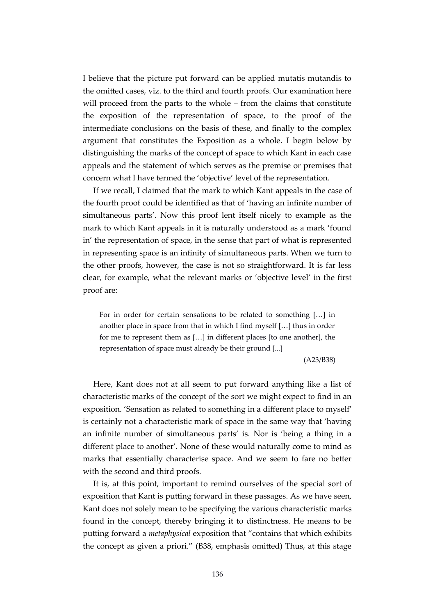I believe that the picture put forward can be applied mutatis mutandis to the omited cases, viz. to the third and fourth proofs. Our examination here will proceed from the parts to the whole – from the claims that constitute the exposition of the representation of space, to the proof of the intermediate conclusions on the basis of these, and fnally to the complex argument that constitutes the Exposition as a whole. I begin below by distinguishing the marks of the concept of space to which Kant in each case appeals and the statement of which serves as the premise or premises that concern what I have termed the 'objective' level of the representation.

If we recall, I claimed that the mark to which Kant appeals in the case of the fourth proof could be identifed as that of 'having an infnite number of simultaneous parts'. Now this proof lent itself nicely to example as the mark to which Kant appeals in it is naturally understood as a mark 'found in' the representation of space, in the sense that part of what is represented in representing space is an infnity of simultaneous parts. When we turn to the other proofs, however, the case is not so straightforward. It is far less clear, for example, what the relevant marks or 'objective level' in the first proof are:

For in order for certain sensations to be related to something […] in another place in space from that in which I find myself [...] thus in order for me to represent them as […] in diferent places [to one another], the representation of space must already be their ground [...]

(A23/B38)

Here, Kant does not at all seem to put forward anything like a list of characteristic marks of the concept of the sort we might expect to fnd in an exposition. 'Sensation as related to something in a diferent place to myself' is certainly not a characteristic mark of space in the same way that 'having an infnite number of simultaneous parts' is. Nor is 'being a thing in a diferent place to another'. None of these would naturally come to mind as marks that essentially characterise space. And we seem to fare no better with the second and third proofs.

It is, at this point, important to remind ourselves of the special sort of exposition that Kant is puting forward in these passages. As we have seen, Kant does not solely mean to be specifying the various characteristic marks found in the concept, thereby bringing it to distinctness. He means to be puting forward a *metaphysical* exposition that "contains that which exhibits the concept as given a priori." (B38, emphasis omited) Thus, at this stage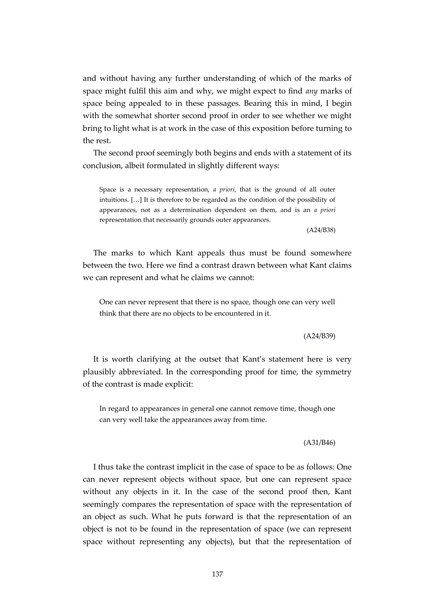and without having any further understanding of which of the marks of space might fulfl this aim and why, we might expect to fnd *any* marks of space being appealed to in these passages. Bearing this in mind, I begin with the somewhat shorter second proof in order to see whether we might bring to light what is at work in the case of this exposition before turning to the rest.

The second proof seemingly both begins and ends with a statement of its conclusion, albeit formulated in slightly diferent ways:

Space is a necessary representation, *a priori*, that is the ground of all outer intuitions. […] It is therefore to be regarded as the condition of the possibility of appearances, not as a determination dependent on them, and is an *a priori* representation that necessarily grounds outer appearances.

(A24/B38)

The marks to which Kant appeals thus must be found somewhere between the two. Here we find a contrast drawn between what Kant claims we can represent and what he claims we cannot:

One can never represent that there is no space, though one can very well think that there are no objects to be encountered in it.

#### (A24/B39)

It is worth clarifying at the outset that Kant's statement here is very plausibly abbreviated. In the corresponding proof for time, the symmetry of the contrast is made explicit:

In regard to appearances in general one cannot remove time, though one can very well take the appearances away from time.

#### (A31/B46)

I thus take the contrast implicit in the case of space to be as follows: One can never represent objects without space, but one can represent space without any objects in it. In the case of the second proof then, Kant seemingly compares the representation of space with the representation of an object as such. What he puts forward is that the representation of an object is not to be found in the representation of space (we can represent space without representing any objects), but that the representation of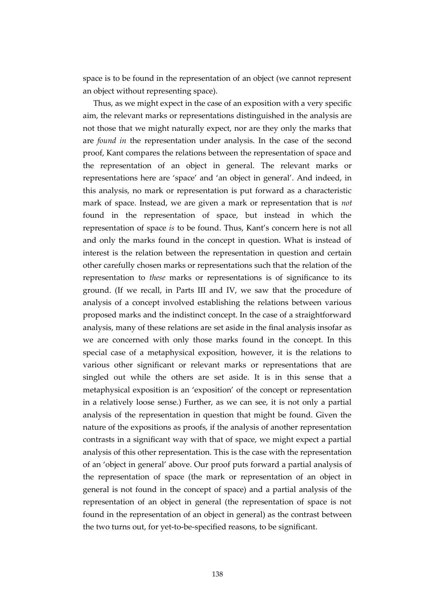space is to be found in the representation of an object (we cannot represent an object without representing space).

Thus, as we might expect in the case of an exposition with a very specifc aim, the relevant marks or representations distinguished in the analysis are not those that we might naturally expect, nor are they only the marks that are *found in* the representation under analysis. In the case of the second proof, Kant compares the relations between the representation of space and the representation of an object in general. The relevant marks or representations here are 'space' and 'an object in general'. And indeed, in this analysis, no mark or representation is put forward as a characteristic mark of space. Instead, we are given a mark or representation that is *not* found in the representation of space, but instead in which the representation of space *is* to be found. Thus, Kant's concern here is not all and only the marks found in the concept in question. What is instead of interest is the relation between the representation in question and certain other carefully chosen marks or representations such that the relation of the representation to *these* marks or representations is of signifcance to its ground. (If we recall, in Parts III and IV, we saw that the procedure of analysis of a concept involved establishing the relations between various proposed marks and the indistinct concept. In the case of a straightforward analysis, many of these relations are set aside in the fnal analysis insofar as we are concerned with only those marks found in the concept. In this special case of a metaphysical exposition, however, it is the relations to various other signifcant or relevant marks or representations that are singled out while the others are set aside. It is in this sense that a metaphysical exposition is an 'exposition' of the concept or representation in a relatively loose sense.) Further, as we can see, it is not only a partial analysis of the representation in question that might be found. Given the nature of the expositions as proofs, if the analysis of another representation contrasts in a signifcant way with that of space, we might expect a partial analysis of this other representation. This is the case with the representation of an 'object in general' above. Our proof puts forward a partial analysis of the representation of space (the mark or representation of an object in general is not found in the concept of space) and a partial analysis of the representation of an object in general (the representation of space is not found in the representation of an object in general) as the contrast between the two turns out, for yet-to-be-specifed reasons, to be signifcant.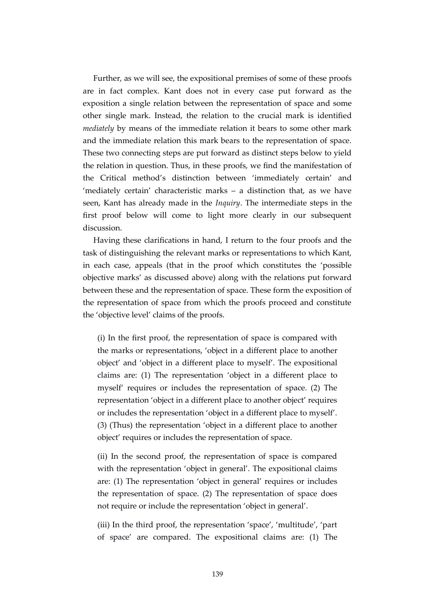Further, as we will see, the expositional premises of some of these proofs are in fact complex. Kant does not in every case put forward as the exposition a single relation between the representation of space and some other single mark. Instead, the relation to the crucial mark is identifed *mediately* by means of the immediate relation it bears to some other mark and the immediate relation this mark bears to the representation of space. These two connecting steps are put forward as distinct steps below to yield the relation in question. Thus, in these proofs, we fnd the manifestation of the Critical method's distinction between 'immediately certain' and 'mediately certain' characteristic marks – a distinction that, as we have seen, Kant has already made in the *Inquiry*. The intermediate steps in the frst proof below will come to light more clearly in our subsequent discussion.

Having these clarifcations in hand, I return to the four proofs and the task of distinguishing the relevant marks or representations to which Kant, in each case, appeals (that in the proof which constitutes the 'possible objective marks' as discussed above) along with the relations put forward between these and the representation of space. These form the exposition of the representation of space from which the proofs proceed and constitute the 'objective level' claims of the proofs.

(i) In the frst proof, the representation of space is compared with the marks or representations, 'object in a diferent place to another object' and 'object in a diferent place to myself'. The expositional claims are: (1) The representation 'object in a diferent place to myself' requires or includes the representation of space. (2) The representation 'object in a diferent place to another object' requires or includes the representation 'object in a diferent place to myself'. (3) (Thus) the representation 'object in a diferent place to another object' requires or includes the representation of space.

(ii) In the second proof, the representation of space is compared with the representation 'object in general'. The expositional claims are: (1) The representation 'object in general' requires or includes the representation of space. (2) The representation of space does not require or include the representation 'object in general'.

(iii) In the third proof, the representation 'space', 'multitude', 'part of space' are compared. The expositional claims are: (1) The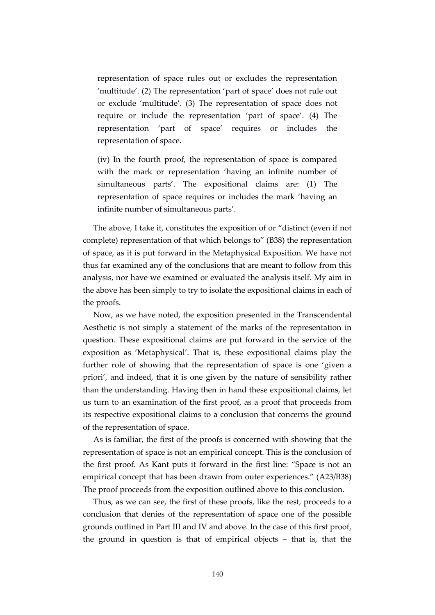representation of space rules out or excludes the representation 'multitude'. (2) The representation 'part of space' does not rule out or exclude 'multitude'. (3) The representation of space does not require or include the representation 'part of space'. (4) The representation 'part of space' requires or includes the representation of space.

(iv) In the fourth proof, the representation of space is compared with the mark or representation 'having an infinite number of simultaneous parts'. The expositional claims are: (1) The representation of space requires or includes the mark 'having an infinite number of simultaneous parts'.

The above, I take it, constitutes the exposition of or "distinct (even if not complete) representation of that which belongs to" (B38) the representation of space, as it is put forward in the Metaphysical Exposition. We have not thus far examined any of the conclusions that are meant to follow from this analysis, nor have we examined or evaluated the analysis itself. My aim in the above has been simply to try to isolate the expositional claims in each of the proofs.

Now, as we have noted, the exposition presented in the Transcendental Aesthetic is not simply a statement of the marks of the representation in question. These expositional claims are put forward in the service of the exposition as 'Metaphysical'. That is, these expositional claims play the further role of showing that the representation of space is one 'given a priori', and indeed, that it is one given by the nature of sensibility rather than the understanding. Having then in hand these expositional claims, let us turn to an examination of the frst proof, as a proof that proceeds from its respective expositional claims to a conclusion that concerns the ground of the representation of space.

As is familiar, the frst of the proofs is concerned with showing that the representation of space is not an empirical concept. This is the conclusion of the first proof. As Kant puts it forward in the first line: "Space is not an empirical concept that has been drawn from outer experiences." (A23/B38) The proof proceeds from the exposition outlined above to this conclusion.

Thus, as we can see, the frst of these proofs, like the rest, proceeds to a conclusion that denies of the representation of space one of the possible grounds outlined in Part III and IV and above. In the case of this frst proof, the ground in question is that of empirical objects – that is, that the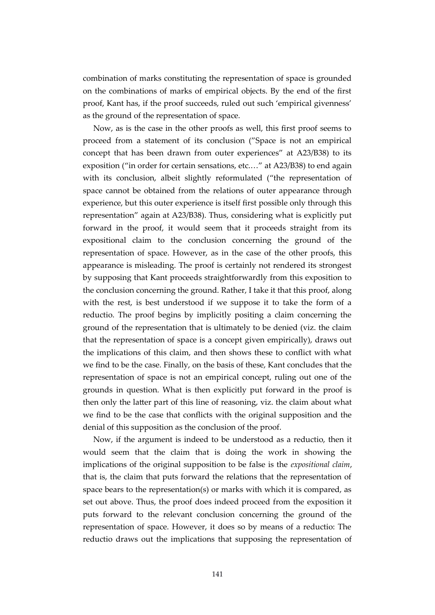combination of marks constituting the representation of space is grounded on the combinations of marks of empirical objects. By the end of the frst proof, Kant has, if the proof succeeds, ruled out such 'empirical givenness' as the ground of the representation of space.

Now, as is the case in the other proofs as well, this first proof seems to proceed from a statement of its conclusion ("Space is not an empirical concept that has been drawn from outer experiences" at A23/B38) to its exposition ("in order for certain sensations, etc.…" at A23/B38) to end again with its conclusion, albeit slightly reformulated ("the representation of space cannot be obtained from the relations of outer appearance through experience, but this outer experience is itself frst possible only through this representation" again at A23/B38). Thus, considering what is explicitly put forward in the proof, it would seem that it proceeds straight from its expositional claim to the conclusion concerning the ground of the representation of space. However, as in the case of the other proofs, this appearance is misleading. The proof is certainly not rendered its strongest by supposing that Kant proceeds straightforwardly from this exposition to the conclusion concerning the ground. Rather, I take it that this proof, along with the rest, is best understood if we suppose it to take the form of a reductio. The proof begins by implicitly positing a claim concerning the ground of the representation that is ultimately to be denied (viz. the claim that the representation of space is a concept given empirically), draws out the implications of this claim, and then shows these to conflict with what we fnd to be the case. Finally, on the basis of these, Kant concludes that the representation of space is not an empirical concept, ruling out one of the grounds in question. What is then explicitly put forward in the proof is then only the later part of this line of reasoning, viz. the claim about what we fnd to be the case that conflicts with the original supposition and the denial of this supposition as the conclusion of the proof.

Now, if the argument is indeed to be understood as a reductio, then it would seem that the claim that is doing the work in showing the implications of the original supposition to be false is the *expositional claim*, that is, the claim that puts forward the relations that the representation of space bears to the representation(s) or marks with which it is compared, as set out above. Thus, the proof does indeed proceed from the exposition it puts forward to the relevant conclusion concerning the ground of the representation of space. However, it does so by means of a reductio: The reductio draws out the implications that supposing the representation of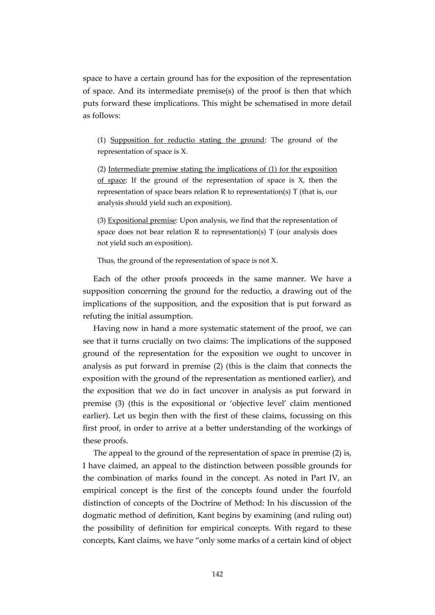space to have a certain ground has for the exposition of the representation of space. And its intermediate premise(s) of the proof is then that which puts forward these implications. This might be schematised in more detail as follows:

(1) Supposition for reductio stating the ground: The ground of the representation of space is X.

(2) Intermediate premise stating the implications of (1) for the exposition of space: If the ground of the representation of space is X, then the representation of space bears relation R to representation(s) T (that is, our analysis should yield such an exposition).

(3) Expositional premise: Upon analysis, we fnd that the representation of space does not bear relation R to representation(s) T (our analysis does not yield such an exposition).

Thus, the ground of the representation of space is not X.

Each of the other proofs proceeds in the same manner. We have a supposition concerning the ground for the reductio, a drawing out of the implications of the supposition, and the exposition that is put forward as refuting the initial assumption.

Having now in hand a more systematic statement of the proof, we can see that it turns crucially on two claims: The implications of the supposed ground of the representation for the exposition we ought to uncover in analysis as put forward in premise (2) (this is the claim that connects the exposition with the ground of the representation as mentioned earlier), and the exposition that we do in fact uncover in analysis as put forward in premise (3) (this is the expositional or 'objective level' claim mentioned earlier). Let us begin then with the frst of these claims, focussing on this first proof, in order to arrive at a better understanding of the workings of these proofs.

The appeal to the ground of the representation of space in premise (2) is, I have claimed, an appeal to the distinction between possible grounds for the combination of marks found in the concept. As noted in Part IV, an empirical concept is the frst of the concepts found under the fourfold distinction of concepts of the Doctrine of Method: In his discussion of the dogmatic method of defnition, Kant begins by examining (and ruling out) the possibility of defnition for empirical concepts. With regard to these concepts, Kant claims, we have "only some marks of a certain kind of object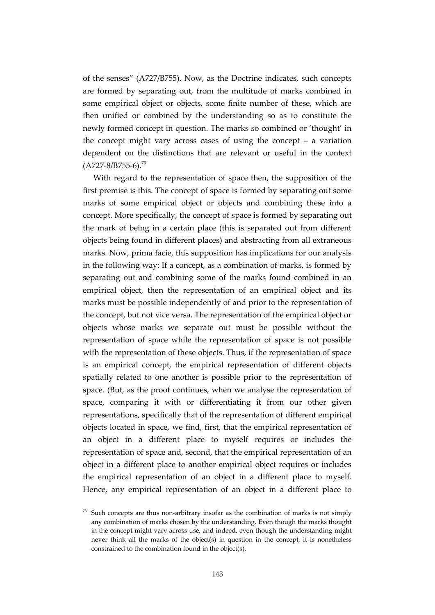of the senses" (A727/B755). Now, as the Doctrine indicates, such concepts are formed by separating out, from the multitude of marks combined in some empirical object or objects, some finite number of these, which are then unifed or combined by the understanding so as to constitute the newly formed concept in question. The marks so combined or 'thought' in the concept might vary across cases of using the concept – a variation dependent on the distinctions that are relevant or useful in the context  $(A727-8/B755-6)^{73}$  $(A727-8/B755-6)^{73}$  $(A727-8/B755-6)^{73}$ 

With regard to the representation of space then, the supposition of the first premise is this. The concept of space is formed by separating out some marks of some empirical object or objects and combining these into a concept. More specifically, the concept of space is formed by separating out the mark of being in a certain place (this is separated out from diferent objects being found in diferent places) and abstracting from all extraneous marks. Now, prima facie, this supposition has implications for our analysis in the following way: If a concept, as a combination of marks, is formed by separating out and combining some of the marks found combined in an empirical object, then the representation of an empirical object and its marks must be possible independently of and prior to the representation of the concept, but not vice versa. The representation of the empirical object or objects whose marks we separate out must be possible without the representation of space while the representation of space is not possible with the representation of these objects. Thus, if the representation of space is an empirical concept, the empirical representation of diferent objects spatially related to one another is possible prior to the representation of space. (But, as the proof continues, when we analyse the representation of space, comparing it with or diferentiating it from our other given representations, specifcally that of the representation of diferent empirical objects located in space, we fnd, frst, that the empirical representation of an object in a diferent place to myself requires or includes the representation of space and, second, that the empirical representation of an object in a diferent place to another empirical object requires or includes the empirical representation of an object in a diferent place to myself. Hence, any empirical representation of an object in a diferent place to

<span id="page-142-0"></span> $73$  Such concepts are thus non-arbitrary insofar as the combination of marks is not simply any combination of marks chosen by the understanding. Even though the marks thought in the concept might vary across use, and indeed, even though the understanding might never think all the marks of the object(s) in question in the concept, it is nonetheless constrained to the combination found in the object(s).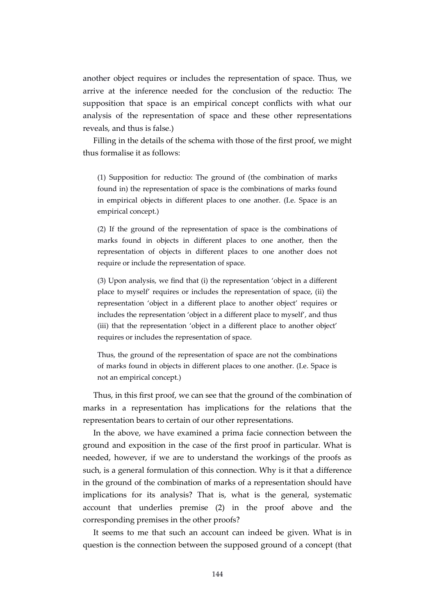another object requires or includes the representation of space. Thus, we arrive at the inference needed for the conclusion of the reductio: The supposition that space is an empirical concept conflicts with what our analysis of the representation of space and these other representations reveals, and thus is false.)

Filling in the details of the schema with those of the first proof, we might thus formalise it as follows:

(1) Supposition for reductio: The ground of (the combination of marks found in) the representation of space is the combinations of marks found in empirical objects in diferent places to one another. (I.e. Space is an empirical concept.)

(2) If the ground of the representation of space is the combinations of marks found in objects in diferent places to one another, then the representation of objects in diferent places to one another does not require or include the representation of space.

(3) Upon analysis, we fnd that (i) the representation 'object in a diferent place to myself' requires or includes the representation of space, (ii) the representation 'object in a diferent place to another object' requires or includes the representation 'object in a diferent place to myself', and thus (iii) that the representation 'object in a diferent place to another object' requires or includes the representation of space.

Thus, the ground of the representation of space are not the combinations of marks found in objects in diferent places to one another. (I.e. Space is not an empirical concept.)

Thus, in this frst proof, we can see that the ground of the combination of marks in a representation has implications for the relations that the representation bears to certain of our other representations.

In the above, we have examined a prima facie connection between the ground and exposition in the case of the frst proof in particular. What is needed, however, if we are to understand the workings of the proofs as such, is a general formulation of this connection. Why is it that a diference in the ground of the combination of marks of a representation should have implications for its analysis? That is, what is the general, systematic account that underlies premise (2) in the proof above and the corresponding premises in the other proofs?

It seems to me that such an account can indeed be given. What is in question is the connection between the supposed ground of a concept (that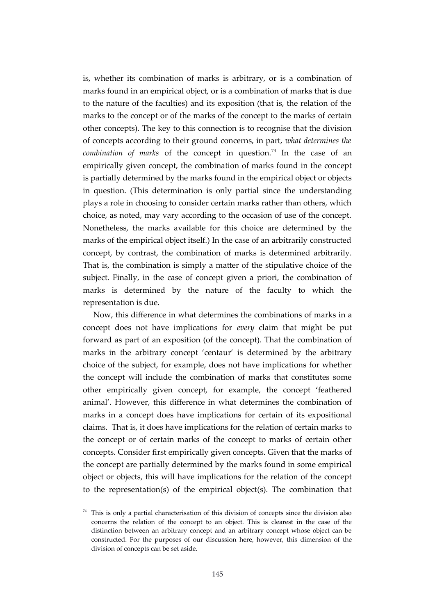is, whether its combination of marks is arbitrary, or is a combination of marks found in an empirical object, or is a combination of marks that is due to the nature of the faculties) and its exposition (that is, the relation of the marks to the concept or of the marks of the concept to the marks of certain other concepts). The key to this connection is to recognise that the division of concepts according to their ground concerns, in part, *what determines the combination of marks* of the concept in question.<sup>[74](#page-144-0)</sup> In the case of an empirically given concept, the combination of marks found in the concept is partially determined by the marks found in the empirical object or objects in question. (This determination is only partial since the understanding plays a role in choosing to consider certain marks rather than others, which choice, as noted, may vary according to the occasion of use of the concept. Nonetheless, the marks available for this choice are determined by the marks of the empirical object itself.) In the case of an arbitrarily constructed concept, by contrast, the combination of marks is determined arbitrarily. That is, the combination is simply a mater of the stipulative choice of the subject. Finally, in the case of concept given a priori, the combination of marks is determined by the nature of the faculty to which the representation is due.

Now, this diference in what determines the combinations of marks in a concept does not have implications for *every* claim that might be put forward as part of an exposition (of the concept). That the combination of marks in the arbitrary concept 'centaur' is determined by the arbitrary choice of the subject, for example, does not have implications for whether the concept will include the combination of marks that constitutes some other empirically given concept, for example, the concept 'feathered animal'. However, this diference in what determines the combination of marks in a concept does have implications for certain of its expositional claims. That is, it does have implications for the relation of certain marks to the concept or of certain marks of the concept to marks of certain other concepts. Consider frst empirically given concepts. Given that the marks of the concept are partially determined by the marks found in some empirical object or objects, this will have implications for the relation of the concept to the representation(s) of the empirical object(s). The combination that

<span id="page-144-0"></span> $74$  This is only a partial characterisation of this division of concepts since the division also concerns the relation of the concept to an object. This is clearest in the case of the distinction between an arbitrary concept and an arbitrary concept whose object can be constructed. For the purposes of our discussion here, however, this dimension of the division of concepts can be set aside.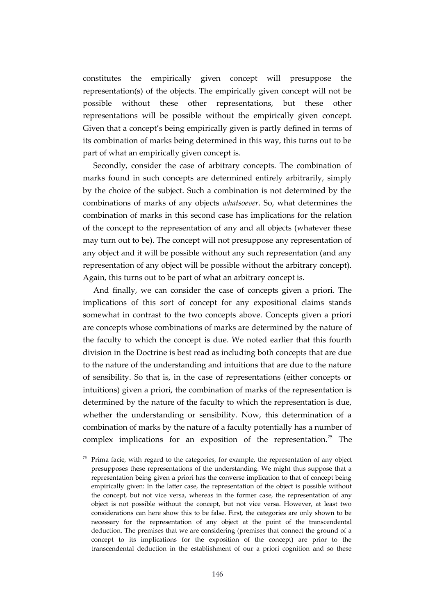constitutes the empirically given concept will presuppose the representation(s) of the objects. The empirically given concept will not be possible without these other representations, but these other representations will be possible without the empirically given concept. Given that a concept's being empirically given is partly defined in terms of its combination of marks being determined in this way, this turns out to be part of what an empirically given concept is.

Secondly, consider the case of arbitrary concepts. The combination of marks found in such concepts are determined entirely arbitrarily, simply by the choice of the subject. Such a combination is not determined by the combinations of marks of any objects *whatsoever*. So, what determines the combination of marks in this second case has implications for the relation of the concept to the representation of any and all objects (whatever these may turn out to be). The concept will not presuppose any representation of any object and it will be possible without any such representation (and any representation of any object will be possible without the arbitrary concept). Again, this turns out to be part of what an arbitrary concept is.

And fnally, we can consider the case of concepts given a priori. The implications of this sort of concept for any expositional claims stands somewhat in contrast to the two concepts above. Concepts given a priori are concepts whose combinations of marks are determined by the nature of the faculty to which the concept is due. We noted earlier that this fourth division in the Doctrine is best read as including both concepts that are due to the nature of the understanding and intuitions that are due to the nature of sensibility. So that is, in the case of representations (either concepts or intuitions) given a priori, the combination of marks of the representation is determined by the nature of the faculty to which the representation is due, whether the understanding or sensibility. Now, this determination of a combination of marks by the nature of a faculty potentially has a number of complex implications for an exposition of the representation.<sup>[75](#page-145-0)</sup> The

<span id="page-145-0"></span>Prima facie, with regard to the categories, for example, the representation of any object presupposes these representations of the understanding. We might thus suppose that a representation being given a priori has the converse implication to that of concept being empirically given: In the later case, the representation of the object is possible without the concept, but not vice versa, whereas in the former case, the representation of any object is not possible without the concept, but not vice versa. However, at least two considerations can here show this to be false. First, the categories are only shown to be necessary for the representation of any object at the point of the transcendental deduction. The premises that we are considering (premises that connect the ground of a concept to its implications for the exposition of the concept) are prior to the transcendental deduction in the establishment of our a priori cognition and so these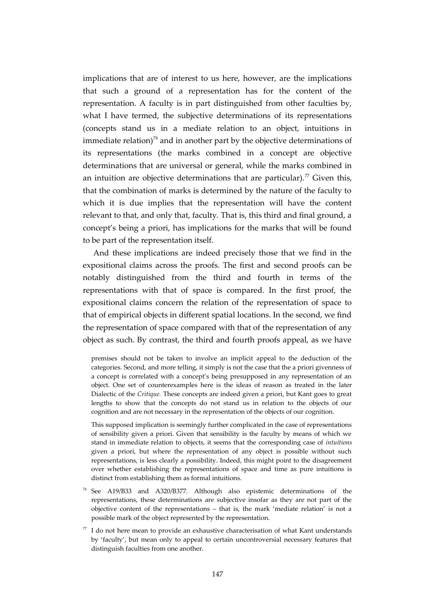implications that are of interest to us here, however, are the implications that such a ground of a representation has for the content of the representation. A faculty is in part distinguished from other faculties by, what I have termed, the subjective determinations of its representations (concepts stand us in a mediate relation to an object, intuitions in immediate relation)<sup>[76](#page-146-0)</sup> and in another part by the objective determinations of its representations (the marks combined in a concept are objective determinations that are universal or general, while the marks combined in an intuition are objective determinations that are particular).<sup>[77](#page-146-1)</sup> Given this, that the combination of marks is determined by the nature of the faculty to which it is due implies that the representation will have the content relevant to that, and only that, faculty. That is, this third and final ground, a concept's being a priori, has implications for the marks that will be found to be part of the representation itself.

And these implications are indeed precisely those that we fnd in the expositional claims across the proofs. The frst and second proofs can be notably distinguished from the third and fourth in terms of the representations with that of space is compared. In the frst proof, the expositional claims concern the relation of the representation of space to that of empirical objects in diferent spatial locations. In the second, we fnd the representation of space compared with that of the representation of any object as such. By contrast, the third and fourth proofs appeal, as we have

premises should not be taken to involve an implicit appeal to the deduction of the categories. Second, and more telling, it simply is not the case that the a priori givenness of a concept is correlated with a concept's being presupposed in any representation of an object. One set of counterexamples here is the ideas of reason as treated in the later Dialectic of the *Critique.* These concepts are indeed given a priori, but Kant goes to great lengths to show that the concepts do not stand us in relation to the objects of our cognition and are not necessary in the representation of the objects of our cognition.

This supposed implication is seemingly further complicated in the case of representations of sensibility given a priori. Given that sensibility is the faculty by means of which we stand in immediate relation to objects, it seems that the corresponding case of *intuitions* given a priori, but where the representation of any object is possible without such representations, is less clearly a possibility. Indeed, this might point to the disagreement over whether establishing the representations of space and time as pure intuitions is distinct from establishing them as formal intuitions.

- <span id="page-146-0"></span>See A19/B33 and A320/B377. Although also epistemic determinations of the representations, these determinations are subjective insofar as they are not part of the objective content of the representations – that is, the mark 'mediate relation' is not a possible mark of the object represented by the representation.
- <span id="page-146-1"></span> $77$  I do not here mean to provide an exhaustive characterisation of what Kant understands by 'faculty', but mean only to appeal to certain uncontroversial necessary features that distinguish faculties from one another.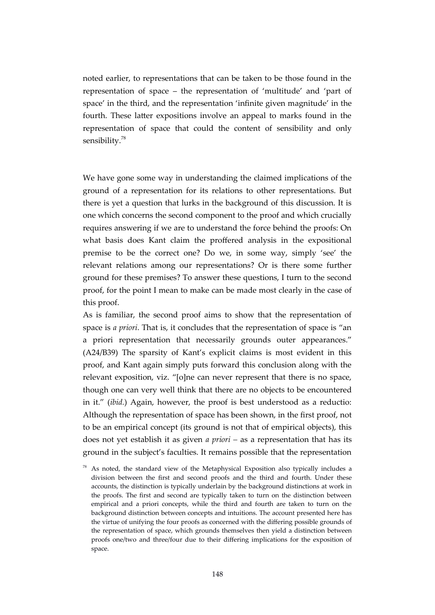noted earlier, to representations that can be taken to be those found in the representation of space – the representation of 'multitude' and 'part of space' in the third, and the representation 'infinite given magnitude' in the fourth. These later expositions involve an appeal to marks found in the representation of space that could the content of sensibility and only sensibility.<sup>[78](#page-147-0)</sup>

We have gone some way in understanding the claimed implications of the ground of a representation for its relations to other representations. But there is yet a question that lurks in the background of this discussion. It is one which concerns the second component to the proof and which crucially requires answering if we are to understand the force behind the proofs: On what basis does Kant claim the proffered analysis in the expositional premise to be the correct one? Do we, in some way, simply 'see' the relevant relations among our representations? Or is there some further ground for these premises? To answer these questions, I turn to the second proof, for the point I mean to make can be made most clearly in the case of this proof.

As is familiar, the second proof aims to show that the representation of space is *a priori*. That is, it concludes that the representation of space is "an a priori representation that necessarily grounds outer appearances." (A24/B39) The sparsity of Kant's explicit claims is most evident in this proof, and Kant again simply puts forward this conclusion along with the relevant exposition, viz. "[o]ne can never represent that there is no space, though one can very well think that there are no objects to be encountered in it." (*ibid.*) Again, however, the proof is best understood as a reductio: Although the representation of space has been shown, in the first proof, not to be an empirical concept (its ground is not that of empirical objects), this does not yet establish it as given *a priori –* as a representation that has its ground in the subject's faculties. It remains possible that the representation

<span id="page-147-0"></span>As noted, the standard view of the Metaphysical Exposition also typically includes a division between the frst and second proofs and the third and fourth. Under these accounts, the distinction is typically underlain by the background distinctions at work in the proofs. The frst and second are typically taken to turn on the distinction between empirical and a priori concepts, while the third and fourth are taken to turn on the background distinction between concepts and intuitions. The account presented here has the virtue of unifying the four proofs as concerned with the difering possible grounds of the representation of space, which grounds themselves then yield a distinction between proofs one/two and three/four due to their difering implications for the exposition of space.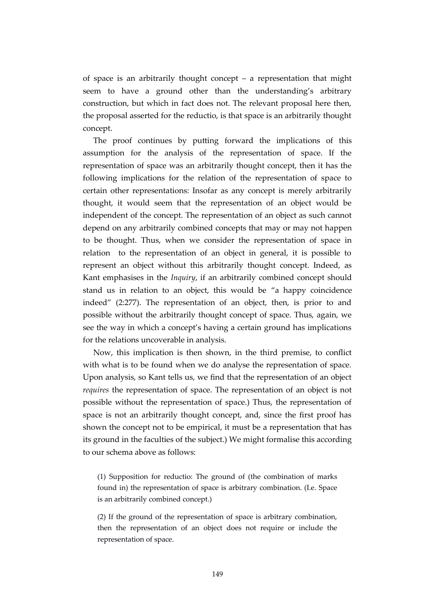of space is an arbitrarily thought concept – a representation that might seem to have a ground other than the understanding's arbitrary construction, but which in fact does not. The relevant proposal here then, the proposal asserted for the reductio, is that space is an arbitrarily thought concept.

The proof continues by puting forward the implications of this assumption for the analysis of the representation of space. If the representation of space was an arbitrarily thought concept, then it has the following implications for the relation of the representation of space to certain other representations: Insofar as any concept is merely arbitrarily thought, it would seem that the representation of an object would be independent of the concept. The representation of an object as such cannot depend on any arbitrarily combined concepts that may or may not happen to be thought. Thus, when we consider the representation of space in relation to the representation of an object in general, it is possible to represent an object without this arbitrarily thought concept. Indeed, as Kant emphasises in the *Inquiry*, if an arbitrarily combined concept should stand us in relation to an object, this would be "a happy coincidence indeed" (2:277). The representation of an object, then, is prior to and possible without the arbitrarily thought concept of space. Thus, again, we see the way in which a concept's having a certain ground has implications for the relations uncoverable in analysis.

Now, this implication is then shown, in the third premise, to conflict with what is to be found when we do analyse the representation of space. Upon analysis, so Kant tells us, we fnd that the representation of an object *requires* the representation of space. The representation of an object is not possible without the representation of space.) Thus, the representation of space is not an arbitrarily thought concept, and, since the first proof has shown the concept not to be empirical, it must be a representation that has its ground in the faculties of the subject.) We might formalise this according to our schema above as follows:

(1) Supposition for reductio: The ground of (the combination of marks found in) the representation of space is arbitrary combination. (I.e. Space is an arbitrarily combined concept.)

(2) If the ground of the representation of space is arbitrary combination, then the representation of an object does not require or include the representation of space.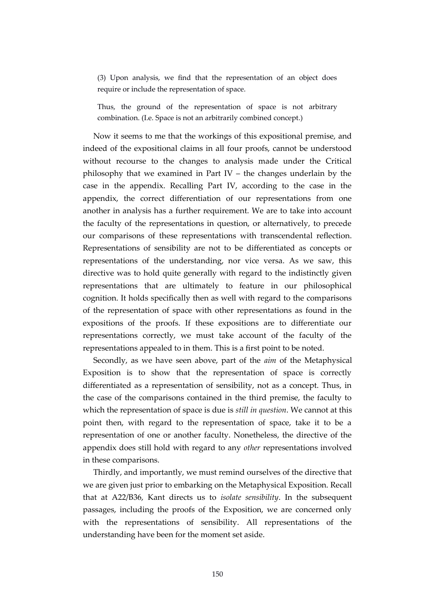(3) Upon analysis, we fnd that the representation of an object does require or include the representation of space.

Thus, the ground of the representation of space is not arbitrary combination. (I.e. Space is not an arbitrarily combined concept.)

Now it seems to me that the workings of this expositional premise, and indeed of the expositional claims in all four proofs, cannot be understood without recourse to the changes to analysis made under the Critical philosophy that we examined in Part IV – the changes underlain by the case in the appendix. Recalling Part IV, according to the case in the appendix, the correct diferentiation of our representations from one another in analysis has a further requirement. We are to take into account the faculty of the representations in question, or alternatively, to precede our comparisons of these representations with transcendental reflection. Representations of sensibility are not to be diferentiated as concepts or representations of the understanding, nor vice versa. As we saw, this directive was to hold quite generally with regard to the indistinctly given representations that are ultimately to feature in our philosophical cognition. It holds specifically then as well with regard to the comparisons of the representation of space with other representations as found in the expositions of the proofs. If these expositions are to diferentiate our representations correctly, we must take account of the faculty of the representations appealed to in them. This is a first point to be noted.

Secondly, as we have seen above, part of the *aim* of the Metaphysical Exposition is to show that the representation of space is correctly diferentiated as a representation of sensibility, not as a concept. Thus, in the case of the comparisons contained in the third premise, the faculty to which the representation of space is due is *still in question*. We cannot at this point then, with regard to the representation of space, take it to be a representation of one or another faculty. Nonetheless, the directive of the appendix does still hold with regard to any *other* representations involved in these comparisons.

Thirdly, and importantly, we must remind ourselves of the directive that we are given just prior to embarking on the Metaphysical Exposition. Recall that at A22/B36, Kant directs us to *isolate sensibility*. In the subsequent passages, including the proofs of the Exposition, we are concerned only with the representations of sensibility. All representations of the understanding have been for the moment set aside.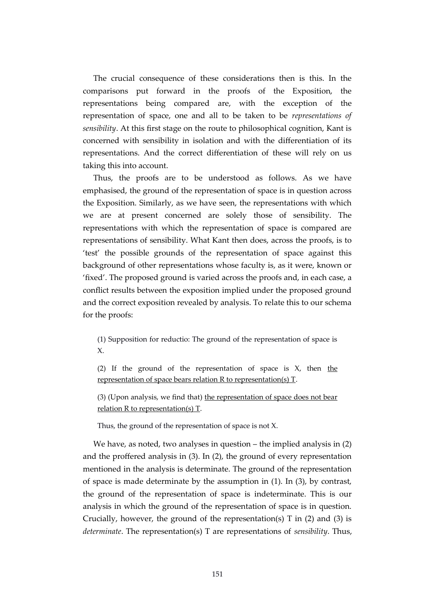The crucial consequence of these considerations then is this. In the comparisons put forward in the proofs of the Exposition, the representations being compared are, with the exception of the representation of space, one and all to be taken to be *representations of sensibility*. At this first stage on the route to philosophical cognition, Kant is concerned with sensibility in isolation and with the diferentiation of its representations. And the correct diferentiation of these will rely on us taking this into account.

Thus, the proofs are to be understood as follows. As we have emphasised, the ground of the representation of space is in question across the Exposition. Similarly, as we have seen, the representations with which we are at present concerned are solely those of sensibility. The representations with which the representation of space is compared are representations of sensibility. What Kant then does, across the proofs, is to 'test' the possible grounds of the representation of space against this background of other representations whose faculty is, as it were, known or 'fxed'. The proposed ground is varied across the proofs and, in each case, a conflict results between the exposition implied under the proposed ground and the correct exposition revealed by analysis. To relate this to our schema for the proofs:

(1) Supposition for reductio: The ground of the representation of space is X.

(2) If the ground of the representation of space is  $X$ , then the representation of space bears relation R to representation(s) T.

(3) (Upon analysis, we find that) the representation of space does not bear relation R to representation(s) T.

Thus, the ground of the representation of space is not X.

We have, as noted, two analyses in question – the implied analysis in  $(2)$ and the profered analysis in (3). In (2), the ground of every representation mentioned in the analysis is determinate. The ground of the representation of space is made determinate by the assumption in (1). In (3), by contrast, the ground of the representation of space is indeterminate. This is our analysis in which the ground of the representation of space is in question. Crucially, however, the ground of the representation(s)  $T$  in (2) and (3) is *determinate*. The representation(s) T are representations of *sensibility*. Thus,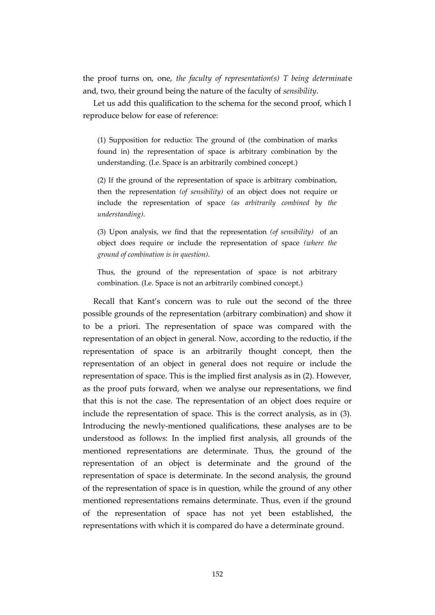the proof turns on, one, *the faculty of representation(s) T being determinat*e and, two, their ground being the nature of the faculty of *sensibility*.

Let us add this qualification to the schema for the second proof, which I reproduce below for ease of reference:

(1) Supposition for reductio: The ground of (the combination of marks found in) the representation of space is arbitrary combination by the understanding. (I.e. Space is an arbitrarily combined concept.)

(2) If the ground of the representation of space is arbitrary combination, then the representation *(of sensibility)* of an object does not require or include the representation of space *(as arbitrarily combined by the understanding)*.

(3) Upon analysis, we fnd that the representation *(of sensibility)* of an object does require or include the representation of space *(where the ground of combination is in question)*.

Thus, the ground of the representation of space is not arbitrary combination. (I.e. Space is not an arbitrarily combined concept.)

Recall that Kant's concern was to rule out the second of the three possible grounds of the representation (arbitrary combination) and show it to be a priori. The representation of space was compared with the representation of an object in general. Now, according to the reductio, if the representation of space is an arbitrarily thought concept, then the representation of an object in general does not require or include the representation of space. This is the implied frst analysis as in (2). However, as the proof puts forward, when we analyse our representations, we fnd that this is not the case. The representation of an object does require or include the representation of space. This is the correct analysis, as in (3). Introducing the newly-mentioned qualifcations, these analyses are to be understood as follows: In the implied frst analysis, all grounds of the mentioned representations are determinate. Thus, the ground of the representation of an object is determinate and the ground of the representation of space is determinate. In the second analysis, the ground of the representation of space is in question, while the ground of any other mentioned representations remains determinate. Thus, even if the ground of the representation of space has not yet been established, the representations with which it is compared do have a determinate ground.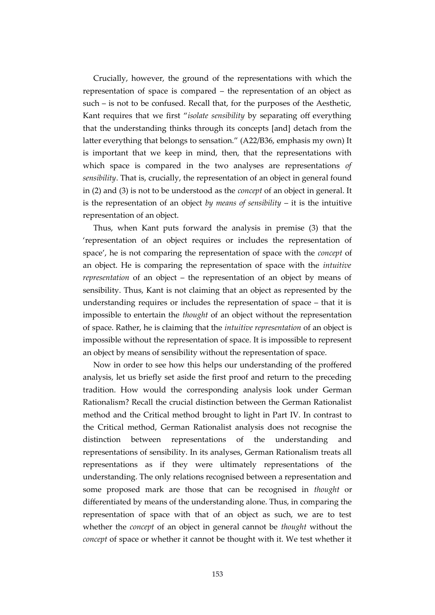Crucially, however, the ground of the representations with which the representation of space is compared – the representation of an object as such – is not to be confused. Recall that, for the purposes of the Aesthetic, Kant requires that we first "*isolate sensibility* by separating off everything that the understanding thinks through its concepts [and] detach from the later everything that belongs to sensation." (A22/B36, emphasis my own) It is important that we keep in mind, then, that the representations with which space is compared in the two analyses are representations *of sensibility*. That is, crucially, the representation of an object in general found in (2) and (3) is not to be understood as the *concept* of an object in general. It is the representation of an object *by means of sensibility* – it is the intuitive representation of an object.

Thus, when Kant puts forward the analysis in premise (3) that the 'representation of an object requires or includes the representation of space', he is not comparing the representation of space with the *concept* of an object. He is comparing the representation of space with the *intuitive representation* of an object – the representation of an object by means of sensibility. Thus, Kant is not claiming that an object as represented by the understanding requires or includes the representation of space – that it is impossible to entertain the *thought* of an object without the representation of space. Rather, he is claiming that the *intuitive representation* of an object is impossible without the representation of space. It is impossible to represent an object by means of sensibility without the representation of space.

Now in order to see how this helps our understanding of the profered analysis, let us briefly set aside the frst proof and return to the preceding tradition. How would the corresponding analysis look under German Rationalism? Recall the crucial distinction between the German Rationalist method and the Critical method brought to light in Part IV. In contrast to the Critical method, German Rationalist analysis does not recognise the distinction between representations of the understanding and representations of sensibility. In its analyses, German Rationalism treats all representations as if they were ultimately representations of the understanding. The only relations recognised between a representation and some proposed mark are those that can be recognised in *thought* or diferentiated by means of the understanding alone. Thus, in comparing the representation of space with that of an object as such, we are to test whether the *concept* of an object in general cannot be *thought* without the *concept* of space or whether it cannot be thought with it. We test whether it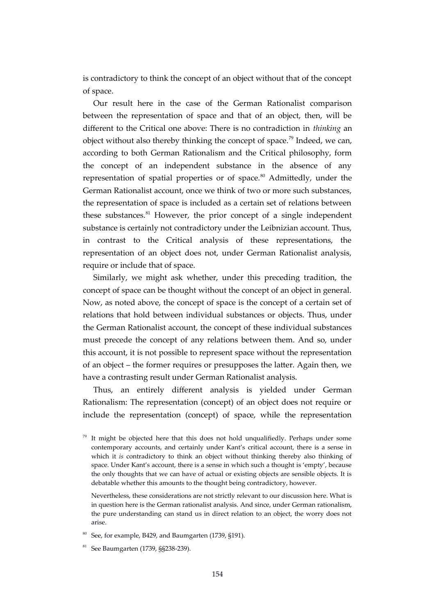is contradictory to think the concept of an object without that of the concept of space.

Our result here in the case of the German Rationalist comparison between the representation of space and that of an object, then, will be diferent to the Critical one above: There is no contradiction in *thinking* an object without also thereby thinking the concept of space.<sup>[79](#page-153-0)</sup> Indeed, we can, according to both German Rationalism and the Critical philosophy, form the concept of an independent substance in the absence of any representation of spatial properties or of space. $80$  Admittedly, under the German Rationalist account, once we think of two or more such substances, the representation of space is included as a certain set of relations between these substances. $81$  However, the prior concept of a single independent substance is certainly not contradictory under the Leibnizian account. Thus, in contrast to the Critical analysis of these representations, the representation of an object does not, under German Rationalist analysis, require or include that of space.

Similarly, we might ask whether, under this preceding tradition, the concept of space can be thought without the concept of an object in general. Now, as noted above, the concept of space is the concept of a certain set of relations that hold between individual substances or objects. Thus, under the German Rationalist account, the concept of these individual substances must precede the concept of any relations between them. And so, under this account, it is not possible to represent space without the representation of an object – the former requires or presupposes the later. Again then, we have a contrasting result under German Rationalist analysis.

Thus, an entirely diferent analysis is yielded under German Rationalism: The representation (concept) of an object does not require or include the representation (concept) of space, while the representation

Nevertheless, these considerations are not strictly relevant to our discussion here. What is in question here is the German rationalist analysis. And since, under German rationalism, the pure understanding can stand us in direct relation to an object, the worry does not arise.

<span id="page-153-1"></span>See, for example, B429, and Baumgarten (1739, §191).

<span id="page-153-2"></span>See Baumgarten (1739, §§238-239).

<span id="page-153-0"></span> $79$  It might be objected here that this does not hold unqualifiedly. Perhaps under some contemporary accounts, and certainly under Kant's critical account, there is a sense in which it *is* contradictory to think an object without thinking thereby also thinking of space. Under Kant's account, there is a sense in which such a thought is 'empty', because the only thoughts that we can have of actual or existing objects are sensible objects. It is debatable whether this amounts to the thought being contradictory, however.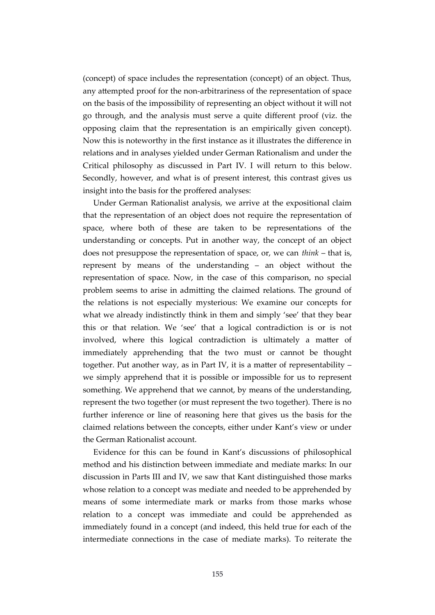(concept) of space includes the representation (concept) of an object. Thus, any atempted proof for the non-arbitrariness of the representation of space on the basis of the impossibility of representing an object without it will not go through, and the analysis must serve a quite diferent proof (viz. the opposing claim that the representation is an empirically given concept). Now this is noteworthy in the frst instance as it illustrates the diference in relations and in analyses yielded under German Rationalism and under the Critical philosophy as discussed in Part IV. I will return to this below. Secondly, however, and what is of present interest, this contrast gives us insight into the basis for the proffered analyses:

Under German Rationalist analysis, we arrive at the expositional claim that the representation of an object does not require the representation of space, where both of these are taken to be representations of the understanding or concepts. Put in another way, the concept of an object does not presuppose the representation of space, or, we can *think* – that is, represent by means of the understanding – an object without the representation of space. Now, in the case of this comparison, no special problem seems to arise in admiting the claimed relations. The ground of the relations is not especially mysterious: We examine our concepts for what we already indistinctly think in them and simply 'see' that they bear this or that relation. We 'see' that a logical contradiction is or is not involved, where this logical contradiction is ultimately a mater of immediately apprehending that the two must or cannot be thought together. Put another way, as in Part IV, it is a mater of representability – we simply apprehend that it is possible or impossible for us to represent something. We apprehend that we cannot, by means of the understanding, represent the two together (or must represent the two together). There is no further inference or line of reasoning here that gives us the basis for the claimed relations between the concepts, either under Kant's view or under the German Rationalist account.

Evidence for this can be found in Kant's discussions of philosophical method and his distinction between immediate and mediate marks: In our discussion in Parts III and IV, we saw that Kant distinguished those marks whose relation to a concept was mediate and needed to be apprehended by means of some intermediate mark or marks from those marks whose relation to a concept was immediate and could be apprehended as immediately found in a concept (and indeed, this held true for each of the intermediate connections in the case of mediate marks). To reiterate the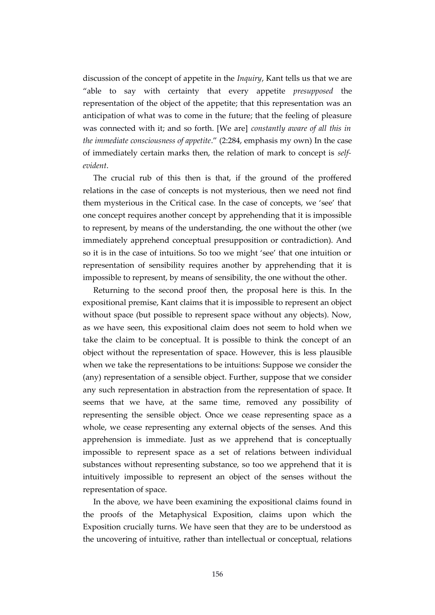discussion of the concept of appetite in the *Inquiry*, Kant tells us that we are "able to say with certainty that every appetite *presupposed* the representation of the object of the appetite; that this representation was an anticipation of what was to come in the future; that the feeling of pleasure was connected with it; and so forth. [We are] *constantly aware of all this in the immediate consciousness of appetite*." (2:284, emphasis my own) In the case of immediately certain marks then, the relation of mark to concept is *selfevident*.

The crucial rub of this then is that, if the ground of the proffered relations in the case of concepts is not mysterious, then we need not fnd them mysterious in the Critical case. In the case of concepts, we 'see' that one concept requires another concept by apprehending that it is impossible to represent, by means of the understanding, the one without the other (we immediately apprehend conceptual presupposition or contradiction). And so it is in the case of intuitions. So too we might 'see' that one intuition or representation of sensibility requires another by apprehending that it is impossible to represent, by means of sensibility, the one without the other.

Returning to the second proof then, the proposal here is this. In the expositional premise, Kant claims that it is impossible to represent an object without space (but possible to represent space without any objects). Now, as we have seen, this expositional claim does not seem to hold when we take the claim to be conceptual. It is possible to think the concept of an object without the representation of space. However, this is less plausible when we take the representations to be intuitions: Suppose we consider the (any) representation of a sensible object. Further, suppose that we consider any such representation in abstraction from the representation of space. It seems that we have, at the same time, removed any possibility of representing the sensible object. Once we cease representing space as a whole, we cease representing any external objects of the senses. And this apprehension is immediate. Just as we apprehend that is conceptually impossible to represent space as a set of relations between individual substances without representing substance, so too we apprehend that it is intuitively impossible to represent an object of the senses without the representation of space.

In the above, we have been examining the expositional claims found in the proofs of the Metaphysical Exposition, claims upon which the Exposition crucially turns. We have seen that they are to be understood as the uncovering of intuitive, rather than intellectual or conceptual, relations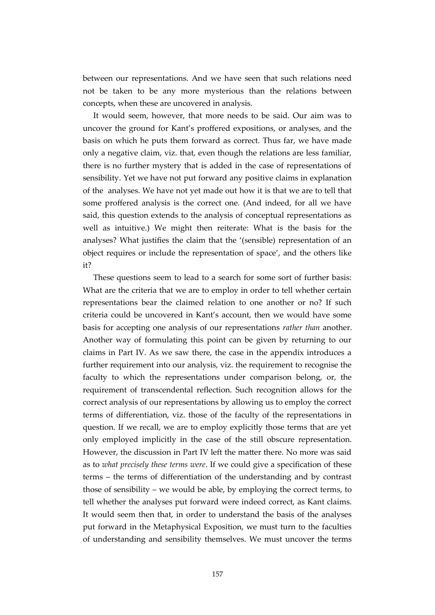between our representations. And we have seen that such relations need not be taken to be any more mysterious than the relations between concepts, when these are uncovered in analysis.

It would seem, however, that more needs to be said. Our aim was to uncover the ground for Kant's profered expositions, or analyses, and the basis on which he puts them forward as correct. Thus far, we have made only a negative claim, viz. that, even though the relations are less familiar, there is no further mystery that is added in the case of representations of sensibility. Yet we have not put forward any positive claims in explanation of the analyses. We have not yet made out how it is that we are to tell that some proffered analysis is the correct one. (And indeed, for all we have said, this question extends to the analysis of conceptual representations as well as intuitive.) We might then reiterate: What is the basis for the analyses? What justifes the claim that the '(sensible) representation of an object requires or include the representation of space', and the others like it?

These questions seem to lead to a search for some sort of further basis: What are the criteria that we are to employ in order to tell whether certain representations bear the claimed relation to one another or no? If such criteria could be uncovered in Kant's account, then we would have some basis for accepting one analysis of our representations *rather than* another. Another way of formulating this point can be given by returning to our claims in Part IV. As we saw there, the case in the appendix introduces a further requirement into our analysis, viz. the requirement to recognise the faculty to which the representations under comparison belong, or, the requirement of transcendental reflection. Such recognition allows for the correct analysis of our representations by allowing us to employ the correct terms of diferentiation, viz. those of the faculty of the representations in question. If we recall, we are to employ explicitly those terms that are yet only employed implicitly in the case of the still obscure representation. However, the discussion in Part IV left the mater there. No more was said as to *what precisely these terms were*. If we could give a specifcation of these terms – the terms of diferentiation of the understanding and by contrast those of sensibility – we would be able, by employing the correct terms, to tell whether the analyses put forward were indeed correct, as Kant claims. It would seem then that, in order to understand the basis of the analyses put forward in the Metaphysical Exposition, we must turn to the faculties of understanding and sensibility themselves. We must uncover the terms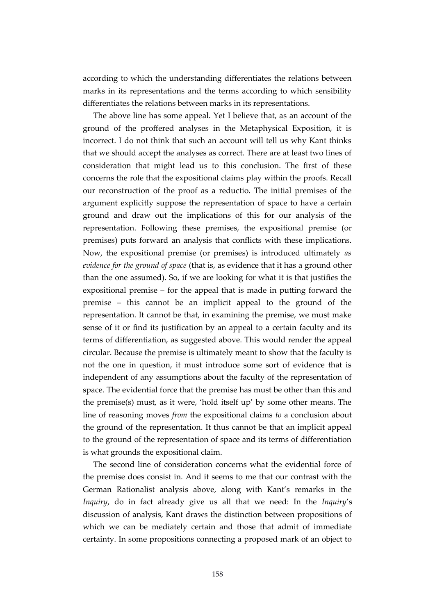according to which the understanding diferentiates the relations between marks in its representations and the terms according to which sensibility diferentiates the relations between marks in its representations.

The above line has some appeal. Yet I believe that, as an account of the ground of the profered analyses in the Metaphysical Exposition, it is incorrect. I do not think that such an account will tell us why Kant thinks that we should accept the analyses as correct. There are at least two lines of consideration that might lead us to this conclusion. The frst of these concerns the role that the expositional claims play within the proofs. Recall our reconstruction of the proof as a reductio. The initial premises of the argument explicitly suppose the representation of space to have a certain ground and draw out the implications of this for our analysis of the representation. Following these premises, the expositional premise (or premises) puts forward an analysis that conflicts with these implications. Now, the expositional premise (or premises) is introduced ultimately *as evidence for the ground of space* (that is, as evidence that it has a ground other than the one assumed). So, if we are looking for what it is that justifes the expositional premise – for the appeal that is made in puting forward the premise – this cannot be an implicit appeal to the ground of the representation. It cannot be that, in examining the premise, we must make sense of it or fnd its justifcation by an appeal to a certain faculty and its terms of diferentiation, as suggested above. This would render the appeal circular. Because the premise is ultimately meant to show that the faculty is not the one in question, it must introduce some sort of evidence that is independent of any assumptions about the faculty of the representation of space. The evidential force that the premise has must be other than this and the premise(s) must, as it were, 'hold itself up' by some other means. The line of reasoning moves *from* the expositional claims *to* a conclusion about the ground of the representation. It thus cannot be that an implicit appeal to the ground of the representation of space and its terms of diferentiation is what grounds the expositional claim.

The second line of consideration concerns what the evidential force of the premise does consist in. And it seems to me that our contrast with the German Rationalist analysis above, along with Kant's remarks in the *Inquiry*, do in fact already give us all that we need: In the *Inquiry*'s discussion of analysis, Kant draws the distinction between propositions of which we can be mediately certain and those that admit of immediate certainty. In some propositions connecting a proposed mark of an object to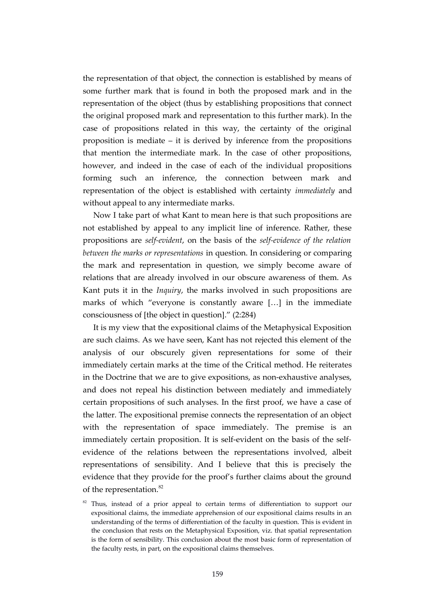the representation of that object, the connection is established by means of some further mark that is found in both the proposed mark and in the representation of the object (thus by establishing propositions that connect the original proposed mark and representation to this further mark). In the case of propositions related in this way, the certainty of the original proposition is mediate – it is derived by inference from the propositions that mention the intermediate mark. In the case of other propositions, however, and indeed in the case of each of the individual propositions forming such an inference, the connection between mark and representation of the object is established with certainty *immediately* and without appeal to any intermediate marks.

Now I take part of what Kant to mean here is that such propositions are not established by appeal to any implicit line of inference. Rather, these propositions are *self-evident*, on the basis of the *self-evidence of the relation between the marks or representations* in question. In considering or comparing the mark and representation in question, we simply become aware of relations that are already involved in our obscure awareness of them. As Kant puts it in the *Inquiry*, the marks involved in such propositions are marks of which "everyone is constantly aware […] in the immediate consciousness of [the object in question]." (2:284)

It is my view that the expositional claims of the Metaphysical Exposition are such claims. As we have seen, Kant has not rejected this element of the analysis of our obscurely given representations for some of their immediately certain marks at the time of the Critical method. He reiterates in the Doctrine that we are to give expositions, as non-exhaustive analyses, and does not repeal his distinction between mediately and immediately certain propositions of such analyses. In the frst proof, we have a case of the later. The expositional premise connects the representation of an object with the representation of space immediately. The premise is an immediately certain proposition. It is self-evident on the basis of the selfevidence of the relations between the representations involved, albeit representations of sensibility. And I believe that this is precisely the evidence that they provide for the proof's further claims about the ground of the representation.<sup>[82](#page-158-0)</sup>

<span id="page-158-0"></span><sup>&</sup>lt;sup>82</sup> Thus, instead of a prior appeal to certain terms of differentiation to support our expositional claims, the immediate apprehension of our expositional claims results in an understanding of the terms of diferentiation of the faculty in question. This is evident in the conclusion that rests on the Metaphysical Exposition, viz. that spatial representation is the form of sensibility. This conclusion about the most basic form of representation of the faculty rests, in part, on the expositional claims themselves.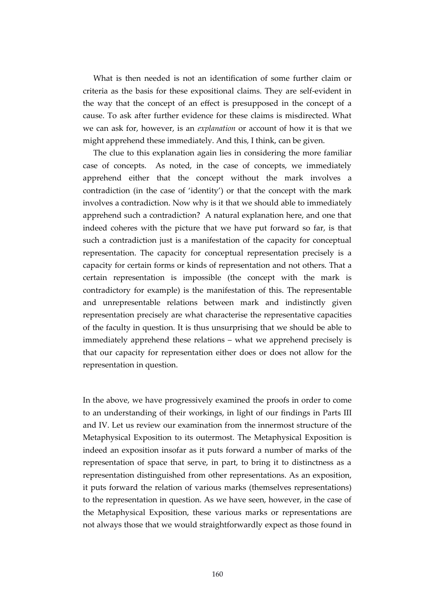What is then needed is not an identification of some further claim or criteria as the basis for these expositional claims. They are self-evident in the way that the concept of an efect is presupposed in the concept of a cause. To ask after further evidence for these claims is misdirected. What we can ask for, however, is an *explanation* or account of how it is that we might apprehend these immediately. And this, I think, can be given.

The clue to this explanation again lies in considering the more familiar case of concepts. As noted, in the case of concepts, we immediately apprehend either that the concept without the mark involves a contradiction (in the case of 'identity') or that the concept with the mark involves a contradiction. Now why is it that we should able to immediately apprehend such a contradiction? A natural explanation here, and one that indeed coheres with the picture that we have put forward so far, is that such a contradiction just is a manifestation of the capacity for conceptual representation. The capacity for conceptual representation precisely is a capacity for certain forms or kinds of representation and not others. That a certain representation is impossible (the concept with the mark is contradictory for example) is the manifestation of this. The representable and unrepresentable relations between mark and indistinctly given representation precisely are what characterise the representative capacities of the faculty in question. It is thus unsurprising that we should be able to immediately apprehend these relations – what we apprehend precisely is that our capacity for representation either does or does not allow for the representation in question.

In the above, we have progressively examined the proofs in order to come to an understanding of their workings, in light of our fndings in Parts III and IV. Let us review our examination from the innermost structure of the Metaphysical Exposition to its outermost. The Metaphysical Exposition is indeed an exposition insofar as it puts forward a number of marks of the representation of space that serve, in part, to bring it to distinctness as a representation distinguished from other representations. As an exposition, it puts forward the relation of various marks (themselves representations) to the representation in question. As we have seen, however, in the case of the Metaphysical Exposition, these various marks or representations are not always those that we would straightforwardly expect as those found in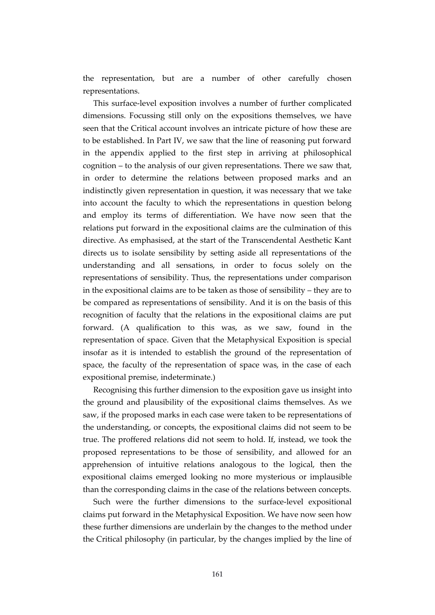the representation, but are a number of other carefully chosen representations.

This surface-level exposition involves a number of further complicated dimensions. Focussing still only on the expositions themselves, we have seen that the Critical account involves an intricate picture of how these are to be established. In Part IV, we saw that the line of reasoning put forward in the appendix applied to the frst step in arriving at philosophical cognition – to the analysis of our given representations. There we saw that, in order to determine the relations between proposed marks and an indistinctly given representation in question, it was necessary that we take into account the faculty to which the representations in question belong and employ its terms of diferentiation. We have now seen that the relations put forward in the expositional claims are the culmination of this directive. As emphasised, at the start of the Transcendental Aesthetic Kant directs us to isolate sensibility by seting aside all representations of the understanding and all sensations, in order to focus solely on the representations of sensibility. Thus, the representations under comparison in the expositional claims are to be taken as those of sensibility – they are to be compared as representations of sensibility. And it is on the basis of this recognition of faculty that the relations in the expositional claims are put forward. (A qualifcation to this was, as we saw, found in the representation of space. Given that the Metaphysical Exposition is special insofar as it is intended to establish the ground of the representation of space, the faculty of the representation of space was, in the case of each expositional premise, indeterminate.)

Recognising this further dimension to the exposition gave us insight into the ground and plausibility of the expositional claims themselves. As we saw, if the proposed marks in each case were taken to be representations of the understanding, or concepts, the expositional claims did not seem to be true. The profered relations did not seem to hold. If, instead, we took the proposed representations to be those of sensibility, and allowed for an apprehension of intuitive relations analogous to the logical, then the expositional claims emerged looking no more mysterious or implausible than the corresponding claims in the case of the relations between concepts.

Such were the further dimensions to the surface-level expositional claims put forward in the Metaphysical Exposition. We have now seen how these further dimensions are underlain by the changes to the method under the Critical philosophy (in particular, by the changes implied by the line of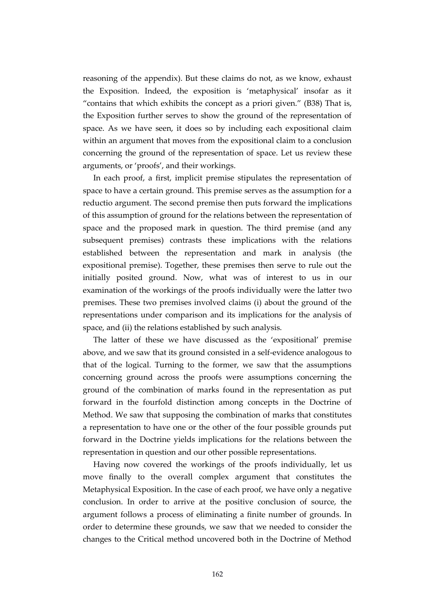reasoning of the appendix). But these claims do not, as we know, exhaust the Exposition. Indeed, the exposition is 'metaphysical' insofar as it "contains that which exhibits the concept as a priori given." (B38) That is, the Exposition further serves to show the ground of the representation of space. As we have seen, it does so by including each expositional claim within an argument that moves from the expositional claim to a conclusion concerning the ground of the representation of space. Let us review these arguments, or 'proofs', and their workings.

In each proof, a frst, implicit premise stipulates the representation of space to have a certain ground. This premise serves as the assumption for a reductio argument. The second premise then puts forward the implications of this assumption of ground for the relations between the representation of space and the proposed mark in question. The third premise (and any subsequent premises) contrasts these implications with the relations established between the representation and mark in analysis (the expositional premise). Together, these premises then serve to rule out the initially posited ground. Now, what was of interest to us in our examination of the workings of the proofs individually were the latter two premises. These two premises involved claims (i) about the ground of the representations under comparison and its implications for the analysis of space, and (ii) the relations established by such analysis.

The latter of these we have discussed as the 'expositional' premise above, and we saw that its ground consisted in a self-evidence analogous to that of the logical. Turning to the former, we saw that the assumptions concerning ground across the proofs were assumptions concerning the ground of the combination of marks found in the representation as put forward in the fourfold distinction among concepts in the Doctrine of Method. We saw that supposing the combination of marks that constitutes a representation to have one or the other of the four possible grounds put forward in the Doctrine yields implications for the relations between the representation in question and our other possible representations.

Having now covered the workings of the proofs individually, let us move fnally to the overall complex argument that constitutes the Metaphysical Exposition. In the case of each proof, we have only a negative conclusion. In order to arrive at the positive conclusion of source, the argument follows a process of eliminating a finite number of grounds. In order to determine these grounds, we saw that we needed to consider the changes to the Critical method uncovered both in the Doctrine of Method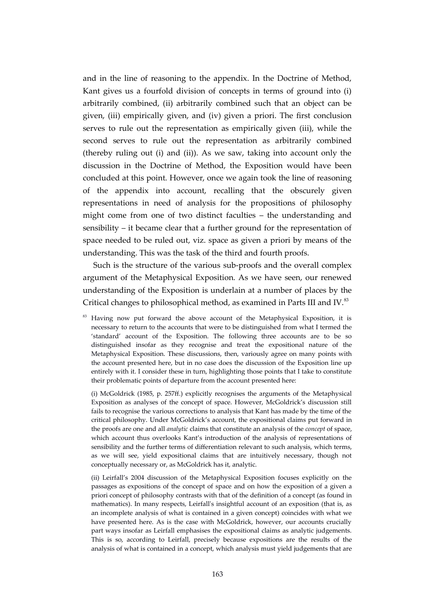and in the line of reasoning to the appendix. In the Doctrine of Method, Kant gives us a fourfold division of concepts in terms of ground into (i) arbitrarily combined, (ii) arbitrarily combined such that an object can be given, (iii) empirically given, and (iv) given a priori. The frst conclusion serves to rule out the representation as empirically given (iii), while the second serves to rule out the representation as arbitrarily combined (thereby ruling out (i) and (ii)). As we saw, taking into account only the discussion in the Doctrine of Method, the Exposition would have been concluded at this point. However, once we again took the line of reasoning of the appendix into account, recalling that the obscurely given representations in need of analysis for the propositions of philosophy might come from one of two distinct faculties – the understanding and sensibility – it became clear that a further ground for the representation of space needed to be ruled out, viz. space as given a priori by means of the understanding. This was the task of the third and fourth proofs.

Such is the structure of the various sub-proofs and the overall complex argument of the Metaphysical Exposition. As we have seen, our renewed understanding of the Exposition is underlain at a number of places by the Critical changes to philosophical method, as examined in Parts III and IV.<sup>[83](#page-162-0)</sup>

<span id="page-162-0"></span><sup>83</sup> Having now put forward the above account of the Metaphysical Exposition, it is necessary to return to the accounts that were to be distinguished from what I termed the 'standard' account of the Exposition. The following three accounts are to be so distinguished insofar as they recognise and treat the expositional nature of the Metaphysical Exposition. These discussions, then, variously agree on many points with the account presented here, but in no case does the discussion of the Exposition line up entirely with it. I consider these in turn, highlighting those points that I take to constitute their problematic points of departure from the account presented here:

(i) McGoldrick (1985, p. 257f.) explicitly recognises the arguments of the Metaphysical Exposition as analyses of the concept of space. However, McGoldrick's discussion still fails to recognise the various corrections to analysis that Kant has made by the time of the critical philosophy. Under McGoldrick's account, the expositional claims put forward in the proofs are one and all *analytic* claims that constitute an analysis of the *concept* of space, which account thus overlooks Kant's introduction of the analysis of representations of sensibility and the further terms of diferentiation relevant to such analysis, which terms, as we will see, yield expositional claims that are intuitively necessary, though not conceptually necessary or, as McGoldrick has it, analytic.

(ii) Leirfall's 2004 discussion of the Metaphysical Exposition focuses explicitly on the passages as expositions of the concept of space and on how the exposition of a given a priori concept of philosophy contrasts with that of the defnition of a concept (as found in mathematics). In many respects, Leirfall's insightful account of an exposition (that is, as an incomplete analysis of what is contained in a given concept) coincides with what we have presented here. As is the case with McGoldrick, however, our accounts crucially part ways insofar as Leirfall emphasises the expositional claims as analytic judgements. This is so, according to Leirfall, precisely because expositions are the results of the analysis of what is contained in a concept, which analysis must yield judgements that are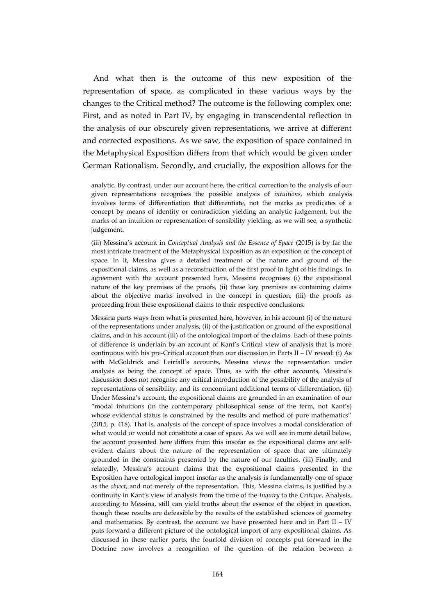And what then is the outcome of this new exposition of the representation of space, as complicated in these various ways by the changes to the Critical method? The outcome is the following complex one: First, and as noted in Part IV, by engaging in transcendental reflection in the analysis of our obscurely given representations, we arrive at diferent and corrected expositions. As we saw, the exposition of space contained in the Metaphysical Exposition difers from that which would be given under German Rationalism. Secondly, and crucially, the exposition allows for the

analytic. By contrast, under our account here, the critical correction to the analysis of our given representations recognises the possible analysis of *intuitions*, which analysis involves terms of diferentiation that diferentiate, not the marks as predicates of a concept by means of identity or contradiction yielding an analytic judgement, but the marks of an intuition or representation of sensibility yielding, as we will see, a synthetic judgement.

(iii) Messina's account in *Conceptual Analysis and the Essence of Space* (2015) is by far the most intricate treatment of the Metaphysical Exposition as an exposition of the concept of space. In it, Messina gives a detailed treatment of the nature and ground of the expositional claims, as well as a reconstruction of the frst proof in light of his fndings. In agreement with the account presented here, Messina recognises (i) the expositional nature of the key premises of the proofs, (ii) these key premises as containing claims about the objective marks involved in the concept in question, (iii) the proofs as proceeding from these expositional claims to their respective conclusions.

Messina parts ways from what is presented here, however, in his account (i) of the nature of the representations under analysis, (ii) of the justifcation or ground of the expositional claims, and in his account (iii) of the ontological import of the claims. Each of these points of diference is underlain by an account of Kant's Critical view of analysis that is more continuous with his pre-Critical account than our discussion in Parts II – IV reveal: (i) As with McGoldrick and Leirfall's accounts, Messina views the representation under analysis as being the concept of space. Thus, as with the other accounts, Messina's discussion does not recognise any critical introduction of the possibility of the analysis of representations of sensibility, and its concomitant additional terms of diferentiation. (ii) Under Messina's account, the expositional claims are grounded in an examination of our "modal intuitions (in the contemporary philosophical sense of the term, not Kant's) whose evidential status is constrained by the results and method of pure mathematics" (2015, p. 418). That is, analysis of the concept of space involves a modal consideration of what would or would not constitute a case of space. As we will see in more detail below, the account presented here difers from this insofar as the expositional claims are selfevident claims about the nature of the representation of space that are ultimately grounded in the constraints presented by the nature of our faculties. (iii) Finally, and relatedly, Messina's account claims that the expositional claims presented in the Exposition have ontological import insofar as the analysis is fundamentally one of space as the *object*, and not merely of the representation. This, Messina claims, is justifed by a continuity in Kant's view of analysis from the time of the *Inquiry* to the *Critique*. Analysis, according to Messina, still can yield truths about the essence of the object in question, though these results are defeasible by the results of the established sciences of geometry and mathematics. By contrast, the account we have presented here and in Part  $II - IV$ puts forward a diferent picture of the ontological import of any expositional claims. As discussed in these earlier parts, the fourfold division of concepts put forward in the Doctrine now involves a recognition of the question of the relation between a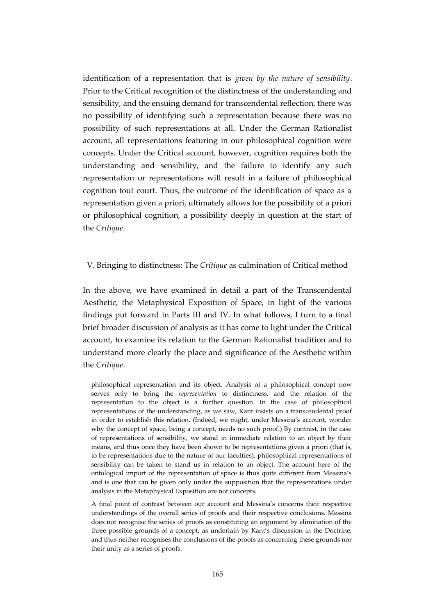identifcation of a representation that is *given by the nature of sensibility*. Prior to the Critical recognition of the distinctness of the understanding and sensibility, and the ensuing demand for transcendental reflection, there was no possibility of identifying such a representation because there was no possibility of such representations at all. Under the German Rationalist account, all representations featuring in our philosophical cognition were concepts. Under the Critical account, however, cognition requires both the understanding and sensibility, and the failure to identify any such representation or representations will result in a failure of philosophical cognition tout court. Thus, the outcome of the identifcation of space as a representation given a priori, ultimately allows for the possibility of a priori or philosophical cognition, a possibility deeply in question at the start of the *Critique*.

## V. Bringing to distinctness: The *Critique* as culmination of Critical method

In the above, we have examined in detail a part of the Transcendental Aesthetic, the Metaphysical Exposition of Space, in light of the various fndings put forward in Parts III and IV. In what follows, I turn to a fnal brief broader discussion of analysis as it has come to light under the Critical account, to examine its relation to the German Rationalist tradition and to understand more clearly the place and signifcance of the Aesthetic within the *Critique*.

philosophical representation and its object. Analysis of a philosophical concept now serves only to bring the *representation* to distinctness, and the relation of the representation to the object is a further question. In the case of philosophical representations of the understanding, as we saw, Kant insists on a transcendental proof in order to establish this relation. (Indeed, we might, under Messina's account, wonder why the concept of space, being a concept, needs no such proof.) By contrast, in the case of representations of sensibility, we stand in immediate relation to an object by their means, and thus once they have been shown to be representations given a priori (that is, to be representations due to the nature of our faculties), philosophical representations of sensibility can be taken to stand us in relation to an object. The account here of the ontological import of the representation of space is thus quite diferent from Messina's and is one that can be given only under the supposition that the representations under analysis in the Metaphysical Exposition are not concepts.

A fnal point of contrast between our account and Messina's concerns their respective understandings of the overall series of proofs and their respective conclusions. Messina does not recognise the series of proofs as constituting an argument by elimination of the three possible grounds of a concept, as underlain by Kant's discussion in the Doctrine, and thus neither recognises the conclusions of the proofs as concerning these grounds nor their unity as a series of proofs.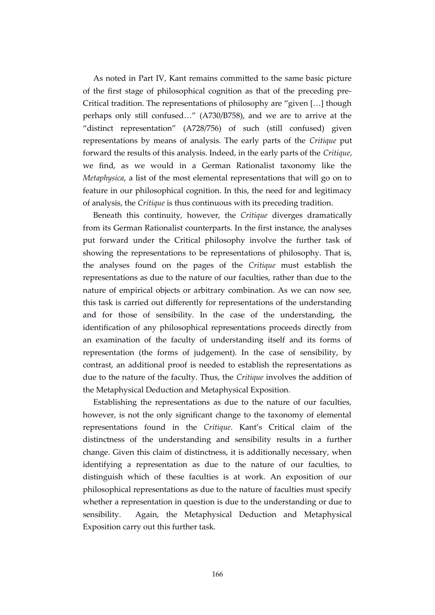As noted in Part IV, Kant remains commited to the same basic picture of the frst stage of philosophical cognition as that of the preceding pre-Critical tradition. The representations of philosophy are "given […] though perhaps only still confused…" (A730/B758), and we are to arrive at the "distinct representation" (A728/756) of such (still confused) given representations by means of analysis. The early parts of the *Critique* put forward the results of this analysis. Indeed, in the early parts of the *Critique*, we fnd, as we would in a German Rationalist taxonomy like the *Metaphysica*, a list of the most elemental representations that will go on to feature in our philosophical cognition. In this, the need for and legitimacy of analysis, the *Critique* is thus continuous with its preceding tradition.

Beneath this continuity, however, the *Critique* diverges dramatically from its German Rationalist counterparts. In the frst instance, the analyses put forward under the Critical philosophy involve the further task of showing the representations to be representations of philosophy. That is, the analyses found on the pages of the *Critique* must establish the representations as due to the nature of our faculties, rather than due to the nature of empirical objects or arbitrary combination. As we can now see, this task is carried out diferently for representations of the understanding and for those of sensibility. In the case of the understanding, the identifcation of any philosophical representations proceeds directly from an examination of the faculty of understanding itself and its forms of representation (the forms of judgement). In the case of sensibility, by contrast, an additional proof is needed to establish the representations as due to the nature of the faculty. Thus, the *Critique* involves the addition of the Metaphysical Deduction and Metaphysical Exposition.

Establishing the representations as due to the nature of our faculties, however, is not the only signifcant change to the taxonomy of elemental representations found in the *Critique*. Kant's Critical claim of the distinctness of the understanding and sensibility results in a further change. Given this claim of distinctness, it is additionally necessary, when identifying a representation as due to the nature of our faculties, to distinguish which of these faculties is at work. An exposition of our philosophical representations as due to the nature of faculties must specify whether a representation in question is due to the understanding or due to sensibility. Again, the Metaphysical Deduction and Metaphysical Exposition carry out this further task.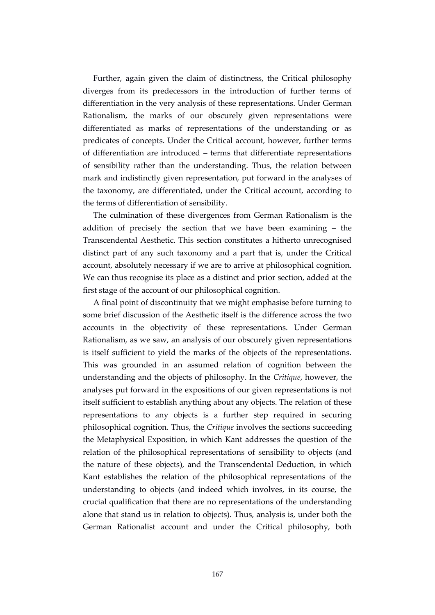Further, again given the claim of distinctness, the Critical philosophy diverges from its predecessors in the introduction of further terms of diferentiation in the very analysis of these representations. Under German Rationalism, the marks of our obscurely given representations were diferentiated as marks of representations of the understanding or as predicates of concepts. Under the Critical account, however, further terms of diferentiation are introduced – terms that diferentiate representations of sensibility rather than the understanding. Thus, the relation between mark and indistinctly given representation, put forward in the analyses of the taxonomy, are diferentiated, under the Critical account, according to the terms of diferentiation of sensibility.

The culmination of these divergences from German Rationalism is the addition of precisely the section that we have been examining – the Transcendental Aesthetic. This section constitutes a hitherto unrecognised distinct part of any such taxonomy and a part that is, under the Critical account, absolutely necessary if we are to arrive at philosophical cognition. We can thus recognise its place as a distinct and prior section, added at the frst stage of the account of our philosophical cognition.

A fnal point of discontinuity that we might emphasise before turning to some brief discussion of the Aesthetic itself is the diference across the two accounts in the objectivity of these representations. Under German Rationalism, as we saw, an analysis of our obscurely given representations is itself sufficient to yield the marks of the objects of the representations. This was grounded in an assumed relation of cognition between the understanding and the objects of philosophy. In the *Critique*, however, the analyses put forward in the expositions of our given representations is not itself sufficient to establish anything about any objects. The relation of these representations to any objects is a further step required in securing philosophical cognition. Thus, the *Critique* involves the sections succeeding the Metaphysical Exposition, in which Kant addresses the question of the relation of the philosophical representations of sensibility to objects (and the nature of these objects), and the Transcendental Deduction, in which Kant establishes the relation of the philosophical representations of the understanding to objects (and indeed which involves, in its course, the crucial qualifcation that there are no representations of the understanding alone that stand us in relation to objects). Thus, analysis is, under both the German Rationalist account and under the Critical philosophy, both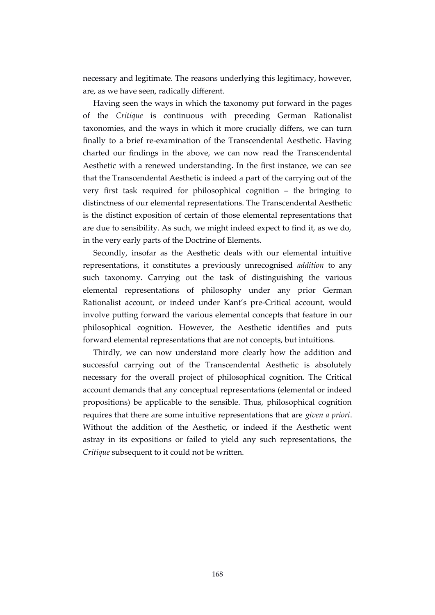necessary and legitimate. The reasons underlying this legitimacy, however, are, as we have seen, radically diferent.

Having seen the ways in which the taxonomy put forward in the pages of the *Critique* is continuous with preceding German Rationalist taxonomies, and the ways in which it more crucially difers, we can turn fnally to a brief re-examination of the Transcendental Aesthetic. Having charted our fndings in the above, we can now read the Transcendental Aesthetic with a renewed understanding. In the first instance, we can see that the Transcendental Aesthetic is indeed a part of the carrying out of the very frst task required for philosophical cognition – the bringing to distinctness of our elemental representations. The Transcendental Aesthetic is the distinct exposition of certain of those elemental representations that are due to sensibility. As such, we might indeed expect to find it, as we do, in the very early parts of the Doctrine of Elements.

Secondly, insofar as the Aesthetic deals with our elemental intuitive representations, it constitutes a previously unrecognised *addition* to any such taxonomy. Carrying out the task of distinguishing the various elemental representations of philosophy under any prior German Rationalist account, or indeed under Kant's pre-Critical account, would involve puting forward the various elemental concepts that feature in our philosophical cognition. However, the Aesthetic identifes and puts forward elemental representations that are not concepts, but intuitions.

Thirdly, we can now understand more clearly how the addition and successful carrying out of the Transcendental Aesthetic is absolutely necessary for the overall project of philosophical cognition. The Critical account demands that any conceptual representations (elemental or indeed propositions) be applicable to the sensible. Thus, philosophical cognition requires that there are some intuitive representations that are *given a priori*. Without the addition of the Aesthetic, or indeed if the Aesthetic went astray in its expositions or failed to yield any such representations, the *Critique* subsequent to it could not be writen.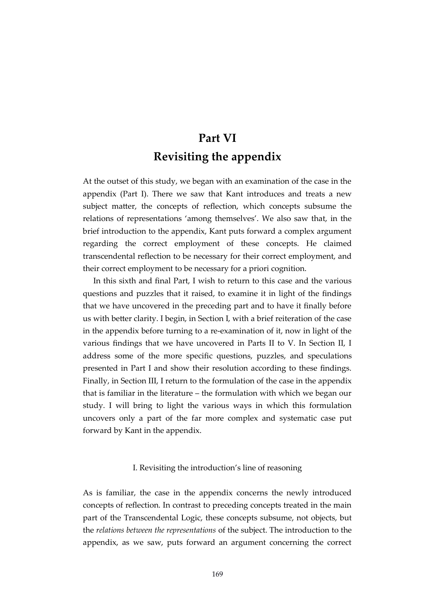## **Part VI Revisiting the appendix**

At the outset of this study, we began with an examination of the case in the appendix (Part I). There we saw that Kant introduces and treats a new subject matter, the concepts of reflection, which concepts subsume the relations of representations 'among themselves'. We also saw that, in the brief introduction to the appendix, Kant puts forward a complex argument regarding the correct employment of these concepts. He claimed transcendental reflection to be necessary for their correct employment, and their correct employment to be necessary for a priori cognition.

In this sixth and fnal Part, I wish to return to this case and the various questions and puzzles that it raised, to examine it in light of the fndings that we have uncovered in the preceding part and to have it finally before us with beter clarity. I begin, in Section I, with a brief reiteration of the case in the appendix before turning to a re-examination of it, now in light of the various fndings that we have uncovered in Parts II to V. In Section II, I address some of the more specific questions, puzzles, and speculations presented in Part I and show their resolution according to these fndings. Finally, in Section III, I return to the formulation of the case in the appendix that is familiar in the literature – the formulation with which we began our study. I will bring to light the various ways in which this formulation uncovers only a part of the far more complex and systematic case put forward by Kant in the appendix.

## I. Revisiting the introduction's line of reasoning

As is familiar, the case in the appendix concerns the newly introduced concepts of reflection. In contrast to preceding concepts treated in the main part of the Transcendental Logic, these concepts subsume, not objects, but the *relations between the representations* of the subject. The introduction to the appendix, as we saw, puts forward an argument concerning the correct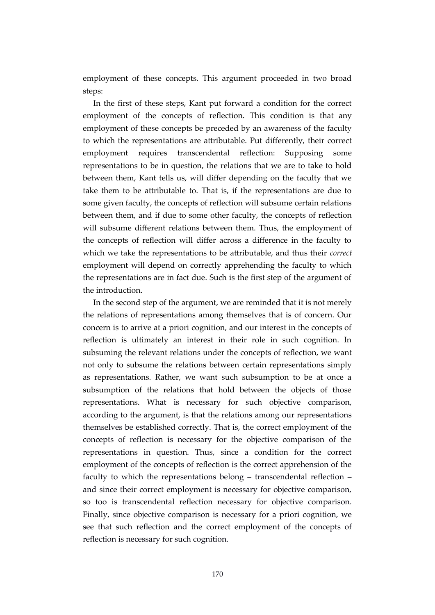employment of these concepts. This argument proceeded in two broad steps:

In the frst of these steps, Kant put forward a condition for the correct employment of the concepts of reflection. This condition is that any employment of these concepts be preceded by an awareness of the faculty to which the representations are atributable. Put diferently, their correct employment requires transcendental reflection: Supposing some representations to be in question, the relations that we are to take to hold between them, Kant tells us, will difer depending on the faculty that we take them to be atributable to. That is, if the representations are due to some given faculty, the concepts of reflection will subsume certain relations between them, and if due to some other faculty, the concepts of reflection will subsume diferent relations between them. Thus, the employment of the concepts of reflection will difer across a diference in the faculty to which we take the representations to be atributable, and thus their *correct* employment will depend on correctly apprehending the faculty to which the representations are in fact due. Such is the frst step of the argument of the introduction.

In the second step of the argument, we are reminded that it is not merely the relations of representations among themselves that is of concern. Our concern is to arrive at a priori cognition, and our interest in the concepts of reflection is ultimately an interest in their role in such cognition. In subsuming the relevant relations under the concepts of reflection, we want not only to subsume the relations between certain representations simply as representations. Rather, we want such subsumption to be at once a subsumption of the relations that hold between the objects of those representations. What is necessary for such objective comparison, according to the argument, is that the relations among our representations themselves be established correctly. That is, the correct employment of the concepts of reflection is necessary for the objective comparison of the representations in question. Thus, since a condition for the correct employment of the concepts of reflection is the correct apprehension of the faculty to which the representations belong – transcendental reflection – and since their correct employment is necessary for objective comparison, so too is transcendental reflection necessary for objective comparison. Finally, since objective comparison is necessary for a priori cognition, we see that such reflection and the correct employment of the concepts of reflection is necessary for such cognition.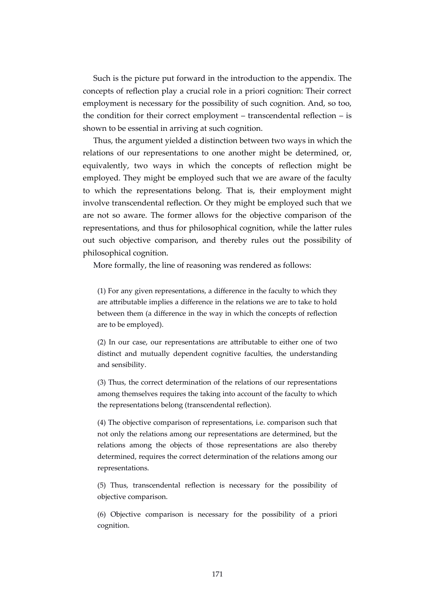Such is the picture put forward in the introduction to the appendix. The concepts of reflection play a crucial role in a priori cognition: Their correct employment is necessary for the possibility of such cognition. And, so too, the condition for their correct employment – transcendental reflection – is shown to be essential in arriving at such cognition.

Thus, the argument yielded a distinction between two ways in which the relations of our representations to one another might be determined, or, equivalently, two ways in which the concepts of reflection might be employed. They might be employed such that we are aware of the faculty to which the representations belong. That is, their employment might involve transcendental reflection. Or they might be employed such that we are not so aware. The former allows for the objective comparison of the representations, and thus for philosophical cognition, while the later rules out such objective comparison, and thereby rules out the possibility of philosophical cognition.

More formally, the line of reasoning was rendered as follows:

(1) For any given representations, a diference in the faculty to which they are atributable implies a diference in the relations we are to take to hold between them (a diference in the way in which the concepts of reflection are to be employed).

(2) In our case, our representations are atributable to either one of two distinct and mutually dependent cognitive faculties, the understanding and sensibility.

(3) Thus, the correct determination of the relations of our representations among themselves requires the taking into account of the faculty to which the representations belong (transcendental reflection).

(4) The objective comparison of representations, i.e. comparison such that not only the relations among our representations are determined, but the relations among the objects of those representations are also thereby determined, requires the correct determination of the relations among our representations.

(5) Thus, transcendental reflection is necessary for the possibility of objective comparison.

(6) Objective comparison is necessary for the possibility of a priori cognition.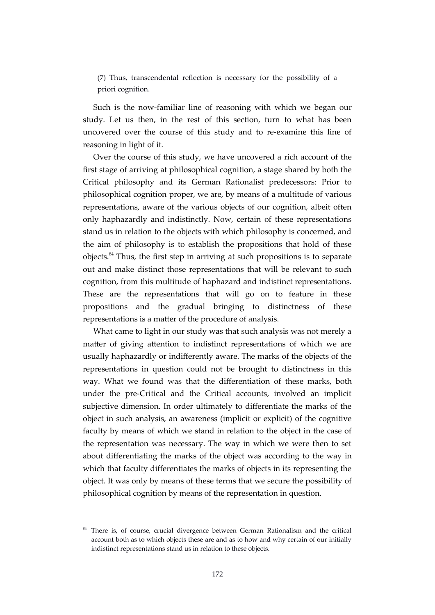(7) Thus, transcendental reflection is necessary for the possibility of a priori cognition.

Such is the now-familiar line of reasoning with which we began our study. Let us then, in the rest of this section, turn to what has been uncovered over the course of this study and to re-examine this line of reasoning in light of it.

Over the course of this study, we have uncovered a rich account of the frst stage of arriving at philosophical cognition, a stage shared by both the Critical philosophy and its German Rationalist predecessors: Prior to philosophical cognition proper, we are, by means of a multitude of various representations, aware of the various objects of our cognition, albeit often only haphazardly and indistinctly. Now, certain of these representations stand us in relation to the objects with which philosophy is concerned, and the aim of philosophy is to establish the propositions that hold of these objects.[84](#page-171-0) Thus, the frst step in arriving at such propositions is to separate out and make distinct those representations that will be relevant to such cognition, from this multitude of haphazard and indistinct representations. These are the representations that will go on to feature in these propositions and the gradual bringing to distinctness of these representations is a mater of the procedure of analysis.

What came to light in our study was that such analysis was not merely a mater of giving atention to indistinct representations of which we are usually haphazardly or indiferently aware. The marks of the objects of the representations in question could not be brought to distinctness in this way. What we found was that the diferentiation of these marks, both under the pre-Critical and the Critical accounts, involved an implicit subjective dimension. In order ultimately to diferentiate the marks of the object in such analysis, an awareness (implicit or explicit) of the cognitive faculty by means of which we stand in relation to the object in the case of the representation was necessary. The way in which we were then to set about diferentiating the marks of the object was according to the way in which that faculty diferentiates the marks of objects in its representing the object. It was only by means of these terms that we secure the possibility of philosophical cognition by means of the representation in question.

<span id="page-171-0"></span><sup>&</sup>lt;sup>84</sup> There is, of course, crucial divergence between German Rationalism and the critical account both as to which objects these are and as to how and why certain of our initially indistinct representations stand us in relation to these objects.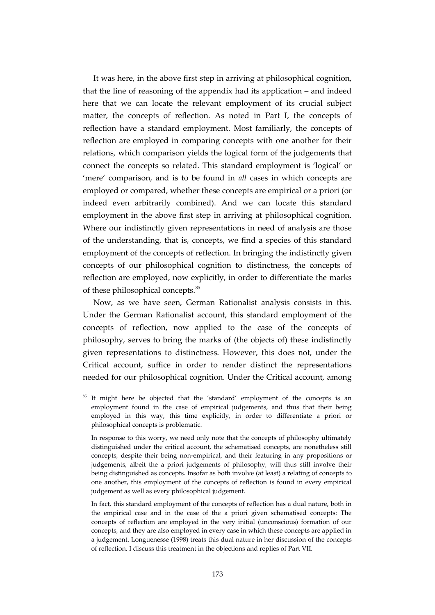It was here, in the above frst step in arriving at philosophical cognition, that the line of reasoning of the appendix had its application – and indeed here that we can locate the relevant employment of its crucial subject mater, the concepts of reflection. As noted in Part I, the concepts of reflection have a standard employment. Most familiarly, the concepts of reflection are employed in comparing concepts with one another for their relations, which comparison yields the logical form of the judgements that connect the concepts so related. This standard employment is 'logical' or 'mere' comparison, and is to be found in *all* cases in which concepts are employed or compared, whether these concepts are empirical or a priori (or indeed even arbitrarily combined). And we can locate this standard employment in the above frst step in arriving at philosophical cognition. Where our indistinctly given representations in need of analysis are those of the understanding, that is, concepts, we fnd a species of this standard employment of the concepts of reflection. In bringing the indistinctly given concepts of our philosophical cognition to distinctness, the concepts of reflection are employed, now explicitly, in order to diferentiate the marks of these philosophical concepts.<sup>[85](#page-172-0)</sup>

Now, as we have seen, German Rationalist analysis consists in this. Under the German Rationalist account, this standard employment of the concepts of reflection, now applied to the case of the concepts of philosophy, serves to bring the marks of (the objects of) these indistinctly given representations to distinctness. However, this does not, under the Critical account, suffice in order to render distinct the representations needed for our philosophical cognition. Under the Critical account, among

In response to this worry, we need only note that the concepts of philosophy ultimately distinguished under the critical account, the schematised concepts, are nonetheless still concepts, despite their being non-empirical, and their featuring in any propositions or judgements, albeit the a priori judgements of philosophy, will thus still involve their being distinguished as concepts. Insofar as both involve (at least) a relating of concepts to one another, this employment of the concepts of reflection is found in every empirical judgement as well as every philosophical judgement.

In fact, this standard employment of the concepts of reflection has a dual nature, both in the empirical case and in the case of the a priori given schematised concepts: The concepts of reflection are employed in the very initial (unconscious) formation of our concepts, and they are also employed in every case in which these concepts are applied in a judgement. Longuenesse (1998) treats this dual nature in her discussion of the concepts of reflection. I discuss this treatment in the objections and replies of Part VII.

<span id="page-172-0"></span><sup>&</sup>lt;sup>85</sup> It might here be objected that the 'standard' employment of the concepts is an employment found in the case of empirical judgements, and thus that their being employed in this way, this time explicitly, in order to diferentiate a priori or philosophical concepts is problematic.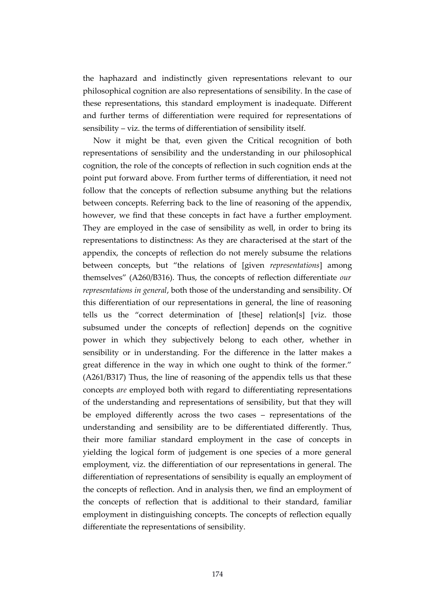the haphazard and indistinctly given representations relevant to our philosophical cognition are also representations of sensibility. In the case of these representations, this standard employment is inadequate. Diferent and further terms of diferentiation were required for representations of sensibility – viz. the terms of diferentiation of sensibility itself.

Now it might be that, even given the Critical recognition of both representations of sensibility and the understanding in our philosophical cognition, the role of the concepts of reflection in such cognition ends at the point put forward above. From further terms of diferentiation, it need not follow that the concepts of reflection subsume anything but the relations between concepts. Referring back to the line of reasoning of the appendix, however, we fnd that these concepts in fact have a further employment. They are employed in the case of sensibility as well, in order to bring its representations to distinctness: As they are characterised at the start of the appendix, the concepts of reflection do not merely subsume the relations between concepts, but "the relations of [given *representations*] among themselves" (A260/B316). Thus, the concepts of reflection diferentiate *our representations in general*, both those of the understanding and sensibility. Of this diferentiation of our representations in general, the line of reasoning tells us the "correct determination of [these] relation[s] [viz. those subsumed under the concepts of reflection] depends on the cognitive power in which they subjectively belong to each other, whether in sensibility or in understanding. For the difference in the latter makes a great diference in the way in which one ought to think of the former." (A261/B317) Thus, the line of reasoning of the appendix tells us that these concepts *are* employed both with regard to diferentiating representations of the understanding and representations of sensibility, but that they will be employed diferently across the two cases – representations of the understanding and sensibility are to be diferentiated diferently. Thus, their more familiar standard employment in the case of concepts in yielding the logical form of judgement is one species of a more general employment, viz. the diferentiation of our representations in general. The diferentiation of representations of sensibility is equally an employment of the concepts of reflection. And in analysis then, we fnd an employment of the concepts of reflection that is additional to their standard, familiar employment in distinguishing concepts. The concepts of reflection equally diferentiate the representations of sensibility.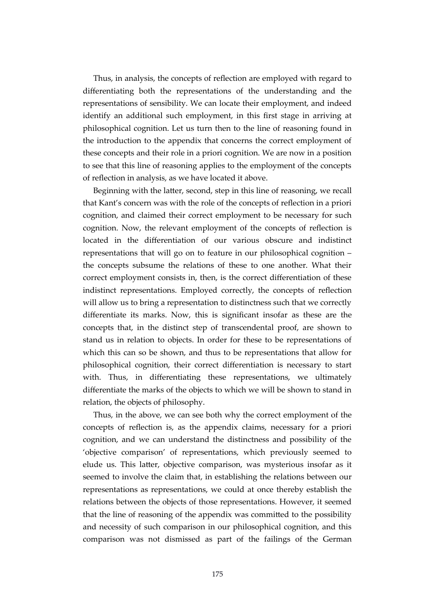Thus, in analysis, the concepts of reflection are employed with regard to diferentiating both the representations of the understanding and the representations of sensibility. We can locate their employment, and indeed identify an additional such employment, in this first stage in arriving at philosophical cognition. Let us turn then to the line of reasoning found in the introduction to the appendix that concerns the correct employment of these concepts and their role in a priori cognition. We are now in a position to see that this line of reasoning applies to the employment of the concepts of reflection in analysis, as we have located it above.

Beginning with the later, second, step in this line of reasoning, we recall that Kant's concern was with the role of the concepts of reflection in a priori cognition, and claimed their correct employment to be necessary for such cognition. Now, the relevant employment of the concepts of reflection is located in the diferentiation of our various obscure and indistinct representations that will go on to feature in our philosophical cognition – the concepts subsume the relations of these to one another. What their correct employment consists in, then, is the correct diferentiation of these indistinct representations. Employed correctly, the concepts of reflection will allow us to bring a representation to distinctness such that we correctly diferentiate its marks. Now, this is signifcant insofar as these are the concepts that, in the distinct step of transcendental proof, are shown to stand us in relation to objects. In order for these to be representations of which this can so be shown, and thus to be representations that allow for philosophical cognition, their correct diferentiation is necessary to start with. Thus, in diferentiating these representations, we ultimately diferentiate the marks of the objects to which we will be shown to stand in relation, the objects of philosophy.

Thus, in the above, we can see both why the correct employment of the concepts of reflection is, as the appendix claims, necessary for a priori cognition, and we can understand the distinctness and possibility of the 'objective comparison' of representations, which previously seemed to elude us. This latter, objective comparison, was mysterious insofar as it seemed to involve the claim that, in establishing the relations between our representations as representations, we could at once thereby establish the relations between the objects of those representations. However, it seemed that the line of reasoning of the appendix was commited to the possibility and necessity of such comparison in our philosophical cognition, and this comparison was not dismissed as part of the failings of the German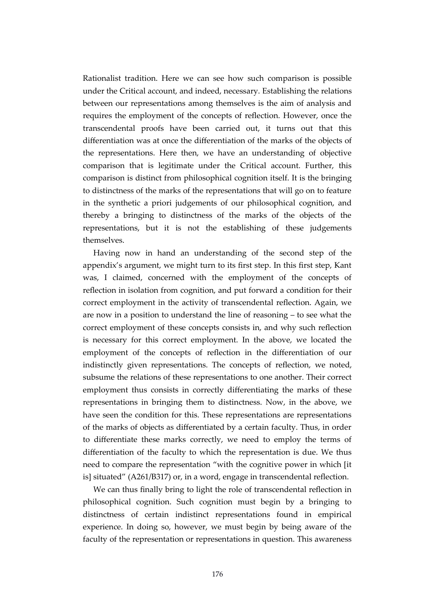Rationalist tradition. Here we can see how such comparison is possible under the Critical account, and indeed, necessary. Establishing the relations between our representations among themselves is the aim of analysis and requires the employment of the concepts of reflection. However, once the transcendental proofs have been carried out, it turns out that this diferentiation was at once the diferentiation of the marks of the objects of the representations. Here then, we have an understanding of objective comparison that is legitimate under the Critical account. Further, this comparison is distinct from philosophical cognition itself. It is the bringing to distinctness of the marks of the representations that will go on to feature in the synthetic a priori judgements of our philosophical cognition, and thereby a bringing to distinctness of the marks of the objects of the representations, but it is not the establishing of these judgements themselves.

Having now in hand an understanding of the second step of the appendix's argument, we might turn to its first step. In this first step, Kant was, I claimed, concerned with the employment of the concepts of reflection in isolation from cognition, and put forward a condition for their correct employment in the activity of transcendental reflection. Again, we are now in a position to understand the line of reasoning – to see what the correct employment of these concepts consists in, and why such reflection is necessary for this correct employment. In the above, we located the employment of the concepts of reflection in the diferentiation of our indistinctly given representations. The concepts of reflection, we noted, subsume the relations of these representations to one another. Their correct employment thus consists in correctly diferentiating the marks of these representations in bringing them to distinctness. Now, in the above, we have seen the condition for this. These representations are representations of the marks of objects as diferentiated by a certain faculty. Thus, in order to diferentiate these marks correctly, we need to employ the terms of diferentiation of the faculty to which the representation is due. We thus need to compare the representation "with the cognitive power in which [it is] situated" (A261/B317) or, in a word, engage in transcendental reflection.

We can thus fnally bring to light the role of transcendental reflection in philosophical cognition. Such cognition must begin by a bringing to distinctness of certain indistinct representations found in empirical experience. In doing so, however, we must begin by being aware of the faculty of the representation or representations in question. This awareness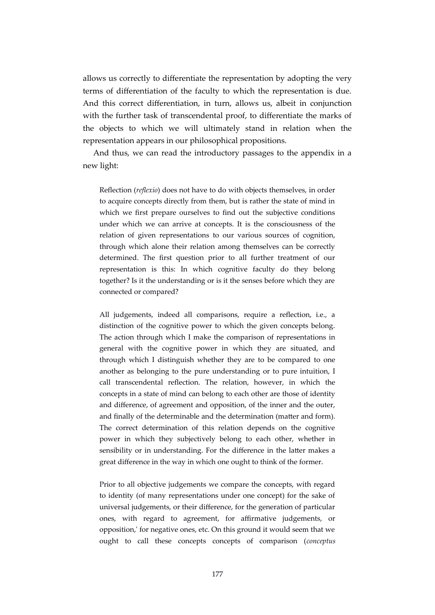allows us correctly to diferentiate the representation by adopting the very terms of diferentiation of the faculty to which the representation is due. And this correct diferentiation, in turn, allows us, albeit in conjunction with the further task of transcendental proof, to diferentiate the marks of the objects to which we will ultimately stand in relation when the representation appears in our philosophical propositions.

And thus, we can read the introductory passages to the appendix in a new light:

Reflection (*refexio*) does not have to do with objects themselves, in order to acquire concepts directly from them, but is rather the state of mind in which we frst prepare ourselves to fnd out the subjective conditions under which we can arrive at concepts. It is the consciousness of the relation of given representations to our various sources of cognition, through which alone their relation among themselves can be correctly determined. The frst question prior to all further treatment of our representation is this: In which cognitive faculty do they belong together? Is it the understanding or is it the senses before which they are connected or compared?

All judgements, indeed all comparisons, require a reflection, i.e., a distinction of the cognitive power to which the given concepts belong. The action through which I make the comparison of representations in general with the cognitive power in which they are situated, and through which I distinguish whether they are to be compared to one another as belonging to the pure understanding or to pure intuition, I call transcendental reflection. The relation, however, in which the concepts in a state of mind can belong to each other are those of identity and diference, of agreement and opposition, of the inner and the outer, and finally of the determinable and the determination (matter and form). The correct determination of this relation depends on the cognitive power in which they subjectively belong to each other, whether in sensibility or in understanding. For the difference in the latter makes a great diference in the way in which one ought to think of the former.

Prior to all objective judgements we compare the concepts, with regard to identity (of many representations under one concept) for the sake of universal judgements, or their diference, for the generation of particular ones, with regard to agreement, for affirmative judgements, or opposition,' for negative ones, etc. On this ground it would seem that we ought to call these concepts concepts of comparison (*conceptus*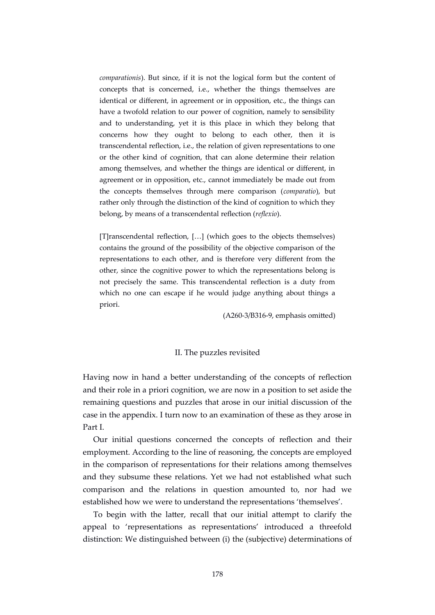*comparationis*). But since, if it is not the logical form but the content of concepts that is concerned, i.e., whether the things themselves are identical or diferent, in agreement or in opposition, etc., the things can have a twofold relation to our power of cognition, namely to sensibility and to understanding, yet it is this place in which they belong that concerns how they ought to belong to each other, then it is transcendental reflection, i.e., the relation of given representations to one or the other kind of cognition, that can alone determine their relation among themselves, and whether the things are identical or diferent, in agreement or in opposition, etc., cannot immediately be made out from the concepts themselves through mere comparison (*comparatio*), but rather only through the distinction of the kind of cognition to which they belong, by means of a transcendental reflection (*refexio*).

[T]ranscendental reflection, […] (which goes to the objects themselves) contains the ground of the possibility of the objective comparison of the representations to each other, and is therefore very diferent from the other, since the cognitive power to which the representations belong is not precisely the same. This transcendental reflection is a duty from which no one can escape if he would judge anything about things a priori.

(A260-3/B316-9, emphasis omited)

## II. The puzzles revisited

Having now in hand a better understanding of the concepts of reflection and their role in a priori cognition, we are now in a position to set aside the remaining questions and puzzles that arose in our initial discussion of the case in the appendix. I turn now to an examination of these as they arose in Part I.

Our initial questions concerned the concepts of reflection and their employment. According to the line of reasoning, the concepts are employed in the comparison of representations for their relations among themselves and they subsume these relations. Yet we had not established what such comparison and the relations in question amounted to, nor had we established how we were to understand the representations 'themselves'.

To begin with the later, recall that our initial atempt to clarify the appeal to 'representations as representations' introduced a threefold distinction: We distinguished between (i) the (subjective) determinations of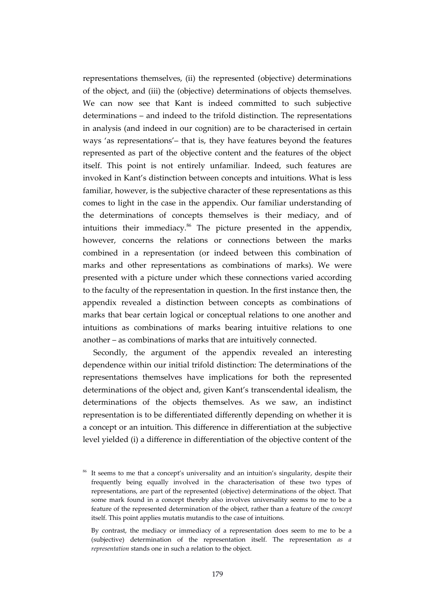representations themselves, (ii) the represented (objective) determinations of the object, and (iii) the (objective) determinations of objects themselves. We can now see that Kant is indeed commited to such subjective determinations – and indeed to the trifold distinction. The representations in analysis (and indeed in our cognition) are to be characterised in certain ways 'as representations'– that is, they have features beyond the features represented as part of the objective content and the features of the object itself. This point is not entirely unfamiliar. Indeed, such features are invoked in Kant's distinction between concepts and intuitions. What is less familiar, however, is the subjective character of these representations as this comes to light in the case in the appendix. Our familiar understanding of the determinations of concepts themselves is their mediacy, and of intuitions their immediacy.<sup>[86](#page-178-0)</sup> The picture presented in the appendix, however, concerns the relations or connections between the marks combined in a representation (or indeed between this combination of marks and other representations as combinations of marks). We were presented with a picture under which these connections varied according to the faculty of the representation in question. In the frst instance then, the appendix revealed a distinction between concepts as combinations of marks that bear certain logical or conceptual relations to one another and intuitions as combinations of marks bearing intuitive relations to one another – as combinations of marks that are intuitively connected.

Secondly, the argument of the appendix revealed an interesting dependence within our initial trifold distinction: The determinations of the representations themselves have implications for both the represented determinations of the object and, given Kant's transcendental idealism, the determinations of the objects themselves. As we saw, an indistinct representation is to be diferentiated diferently depending on whether it is a concept or an intuition. This diference in diferentiation at the subjective level yielded (i) a diference in diferentiation of the objective content of the

By contrast, the mediacy or immediacy of a representation does seem to me to be a (subjective) determination of the representation itself. The representation *as a representation* stands one in such a relation to the object.

<span id="page-178-0"></span>It seems to me that a concept's universality and an intuition's singularity, despite their frequently being equally involved in the characterisation of these two types of representations, are part of the represented (objective) determinations of the object. That some mark found in a concept thereby also involves universality seems to me to be a feature of the represented determination of the object, rather than a feature of the *concept* itself. This point applies mutatis mutandis to the case of intuitions.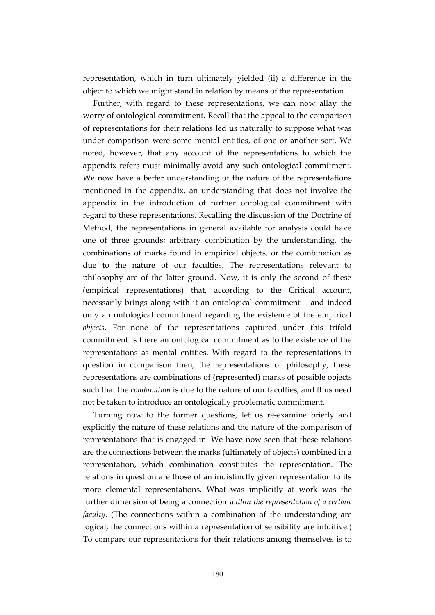representation, which in turn ultimately yielded (ii) a diference in the object to which we might stand in relation by means of the representation.

Further, with regard to these representations, we can now allay the worry of ontological commitment. Recall that the appeal to the comparison of representations for their relations led us naturally to suppose what was under comparison were some mental entities, of one or another sort. We noted, however, that any account of the representations to which the appendix refers must minimally avoid any such ontological commitment. We now have a better understanding of the nature of the representations mentioned in the appendix, an understanding that does not involve the appendix in the introduction of further ontological commitment with regard to these representations. Recalling the discussion of the Doctrine of Method, the representations in general available for analysis could have one of three grounds; arbitrary combination by the understanding, the combinations of marks found in empirical objects, or the combination as due to the nature of our faculties. The representations relevant to philosophy are of the later ground. Now, it is only the second of these (empirical representations) that, according to the Critical account, necessarily brings along with it an ontological commitment – and indeed only an ontological commitment regarding the existence of the empirical *objects*. For none of the representations captured under this trifold commitment is there an ontological commitment as to the existence of the representations as mental entities. With regard to the representations in question in comparison then, the representations of philosophy, these representations are combinations of (represented) marks of possible objects such that the *combination* is due to the nature of our faculties, and thus need not be taken to introduce an ontologically problematic commitment.

Turning now to the former questions, let us re-examine briefly and explicitly the nature of these relations and the nature of the comparison of representations that is engaged in. We have now seen that these relations are the connections between the marks (ultimately of objects) combined in a representation, which combination constitutes the representation. The relations in question are those of an indistinctly given representation to its more elemental representations. What was implicitly at work was the further dimension of being a connection *within the representation of a certain faculty*. (The connections within a combination of the understanding are logical; the connections within a representation of sensibility are intuitive.) To compare our representations for their relations among themselves is to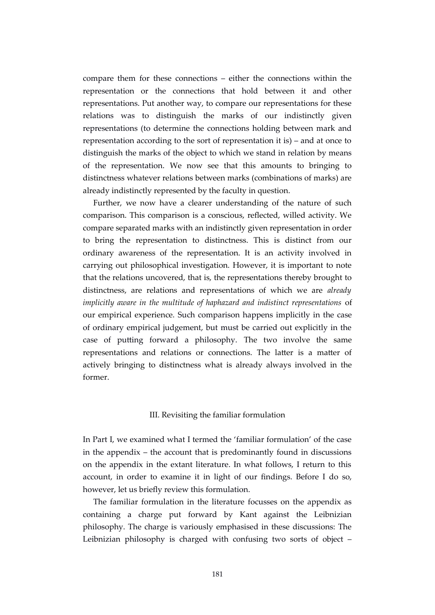compare them for these connections – either the connections within the representation or the connections that hold between it and other representations. Put another way, to compare our representations for these relations was to distinguish the marks of our indistinctly given representations (to determine the connections holding between mark and representation according to the sort of representation it is) – and at once to distinguish the marks of the object to which we stand in relation by means of the representation. We now see that this amounts to bringing to distinctness whatever relations between marks (combinations of marks) are already indistinctly represented by the faculty in question.

Further, we now have a clearer understanding of the nature of such comparison. This comparison is a conscious, reflected, willed activity. We compare separated marks with an indistinctly given representation in order to bring the representation to distinctness. This is distinct from our ordinary awareness of the representation. It is an activity involved in carrying out philosophical investigation. However, it is important to note that the relations uncovered, that is, the representations thereby brought to distinctness, are relations and representations of which we are *already implicitly aware in the multitude of haphazard and indistinct representations* of our empirical experience. Such comparison happens implicitly in the case of ordinary empirical judgement, but must be carried out explicitly in the case of puting forward a philosophy. The two involve the same representations and relations or connections. The later is a mater of actively bringing to distinctness what is already always involved in the former.

#### III. Revisiting the familiar formulation

In Part I, we examined what I termed the 'familiar formulation' of the case in the appendix – the account that is predominantly found in discussions on the appendix in the extant literature. In what follows, I return to this account, in order to examine it in light of our fndings. Before I do so, however, let us briefly review this formulation.

The familiar formulation in the literature focusses on the appendix as containing a charge put forward by Kant against the Leibnizian philosophy. The charge is variously emphasised in these discussions: The Leibnizian philosophy is charged with confusing two sorts of object –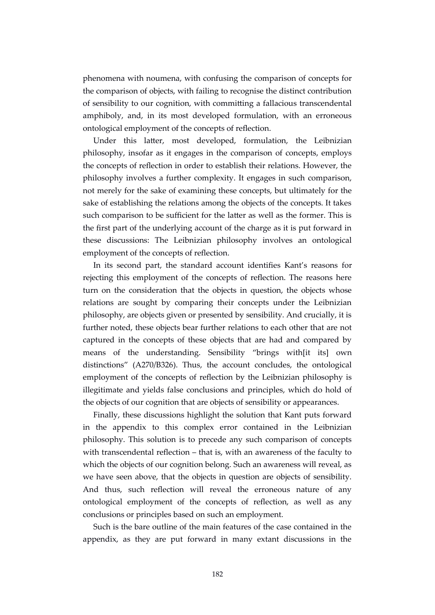phenomena with noumena, with confusing the comparison of concepts for the comparison of objects, with failing to recognise the distinct contribution of sensibility to our cognition, with commiting a fallacious transcendental amphiboly, and, in its most developed formulation, with an erroneous ontological employment of the concepts of reflection.

Under this later, most developed, formulation, the Leibnizian philosophy, insofar as it engages in the comparison of concepts, employs the concepts of reflection in order to establish their relations. However, the philosophy involves a further complexity. It engages in such comparison, not merely for the sake of examining these concepts, but ultimately for the sake of establishing the relations among the objects of the concepts. It takes such comparison to be sufficient for the latter as well as the former. This is the frst part of the underlying account of the charge as it is put forward in these discussions: The Leibnizian philosophy involves an ontological employment of the concepts of reflection.

In its second part, the standard account identifes Kant's reasons for rejecting this employment of the concepts of reflection. The reasons here turn on the consideration that the objects in question, the objects whose relations are sought by comparing their concepts under the Leibnizian philosophy, are objects given or presented by sensibility. And crucially, it is further noted, these objects bear further relations to each other that are not captured in the concepts of these objects that are had and compared by means of the understanding. Sensibility "brings with[it its] own distinctions" (A270/B326). Thus, the account concludes, the ontological employment of the concepts of reflection by the Leibnizian philosophy is illegitimate and yields false conclusions and principles, which do hold of the objects of our cognition that are objects of sensibility or appearances.

Finally, these discussions highlight the solution that Kant puts forward in the appendix to this complex error contained in the Leibnizian philosophy. This solution is to precede any such comparison of concepts with transcendental reflection – that is, with an awareness of the faculty to which the objects of our cognition belong. Such an awareness will reveal, as we have seen above, that the objects in question are objects of sensibility. And thus, such reflection will reveal the erroneous nature of any ontological employment of the concepts of reflection, as well as any conclusions or principles based on such an employment.

Such is the bare outline of the main features of the case contained in the appendix, as they are put forward in many extant discussions in the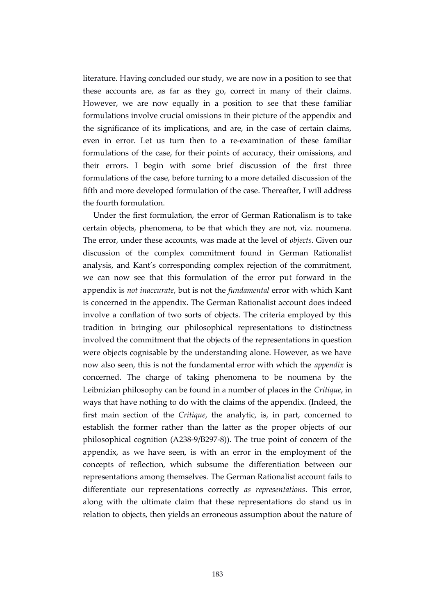literature. Having concluded our study, we are now in a position to see that these accounts are, as far as they go, correct in many of their claims. However, we are now equally in a position to see that these familiar formulations involve crucial omissions in their picture of the appendix and the signifcance of its implications, and are, in the case of certain claims, even in error. Let us turn then to a re-examination of these familiar formulations of the case, for their points of accuracy, their omissions, and their errors. I begin with some brief discussion of the frst three formulations of the case, before turning to a more detailed discussion of the ffth and more developed formulation of the case. Thereafter, I will address the fourth formulation.

Under the frst formulation, the error of German Rationalism is to take certain objects, phenomena, to be that which they are not, viz. noumena. The error, under these accounts, was made at the level of *objects*. Given our discussion of the complex commitment found in German Rationalist analysis, and Kant's corresponding complex rejection of the commitment, we can now see that this formulation of the error put forward in the appendix is *not inaccurate*, but is not the *fundamental* error with which Kant is concerned in the appendix. The German Rationalist account does indeed involve a conflation of two sorts of objects. The criteria employed by this tradition in bringing our philosophical representations to distinctness involved the commitment that the objects of the representations in question were objects cognisable by the understanding alone. However, as we have now also seen, this is not the fundamental error with which the *appendix* is concerned. The charge of taking phenomena to be noumena by the Leibnizian philosophy can be found in a number of places in the *Critique*, in ways that have nothing to do with the claims of the appendix. (Indeed, the frst main section of the *Critique*, the analytic, is, in part, concerned to establish the former rather than the later as the proper objects of our philosophical cognition (A238-9/B297-8)). The true point of concern of the appendix, as we have seen, is with an error in the employment of the concepts of reflection, which subsume the diferentiation between our representations among themselves. The German Rationalist account fails to diferentiate our representations correctly *as representations*. This error, along with the ultimate claim that these representations do stand us in relation to objects, then yields an erroneous assumption about the nature of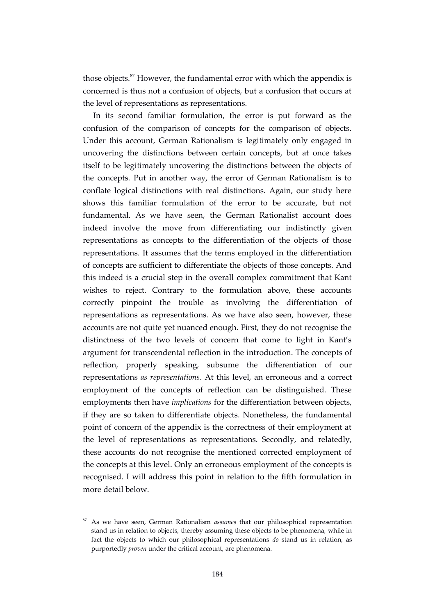those objects. $87$  However, the fundamental error with which the appendix is concerned is thus not a confusion of objects, but a confusion that occurs at the level of representations as representations.

In its second familiar formulation, the error is put forward as the confusion of the comparison of concepts for the comparison of objects. Under this account, German Rationalism is legitimately only engaged in uncovering the distinctions between certain concepts, but at once takes itself to be legitimately uncovering the distinctions between the objects of the concepts. Put in another way, the error of German Rationalism is to conflate logical distinctions with real distinctions. Again, our study here shows this familiar formulation of the error to be accurate, but not fundamental. As we have seen, the German Rationalist account does indeed involve the move from diferentiating our indistinctly given representations as concepts to the diferentiation of the objects of those representations. It assumes that the terms employed in the diferentiation of concepts are sufficient to differentiate the objects of those concepts. And this indeed is a crucial step in the overall complex commitment that Kant wishes to reject. Contrary to the formulation above, these accounts correctly pinpoint the trouble as involving the diferentiation of representations as representations. As we have also seen, however, these accounts are not quite yet nuanced enough. First, they do not recognise the distinctness of the two levels of concern that come to light in Kant's argument for transcendental reflection in the introduction. The concepts of reflection, properly speaking, subsume the diferentiation of our representations *as representations*. At this level, an erroneous and a correct employment of the concepts of reflection can be distinguished. These employments then have *implications* for the diferentiation between objects, if they are so taken to diferentiate objects. Nonetheless, the fundamental point of concern of the appendix is the correctness of their employment at the level of representations as representations. Secondly, and relatedly, these accounts do not recognise the mentioned corrected employment of the concepts at this level. Only an erroneous employment of the concepts is recognised. I will address this point in relation to the ffth formulation in more detail below.

<span id="page-183-0"></span><sup>87</sup> As we have seen, German Rationalism *assumes* that our philosophical representation stand us in relation to objects, thereby assuming these objects to be phenomena, while in fact the objects to which our philosophical representations *do* stand us in relation, as purportedly *proven* under the critical account, are phenomena.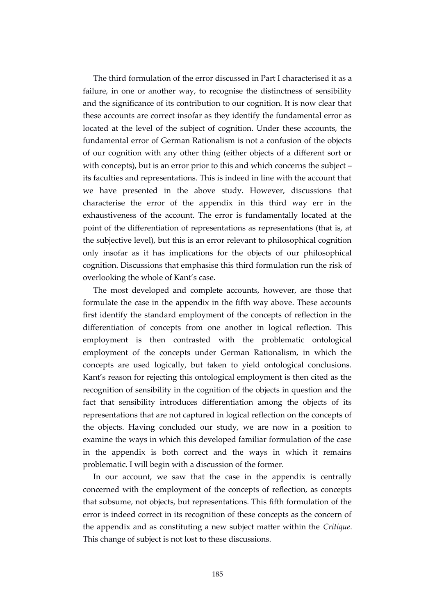The third formulation of the error discussed in Part I characterised it as a failure, in one or another way, to recognise the distinctness of sensibility and the signifcance of its contribution to our cognition. It is now clear that these accounts are correct insofar as they identify the fundamental error as located at the level of the subject of cognition. Under these accounts, the fundamental error of German Rationalism is not a confusion of the objects of our cognition with any other thing (either objects of a diferent sort or with concepts), but is an error prior to this and which concerns the subject – its faculties and representations. This is indeed in line with the account that we have presented in the above study. However, discussions that characterise the error of the appendix in this third way err in the exhaustiveness of the account. The error is fundamentally located at the point of the diferentiation of representations as representations (that is, at the subjective level), but this is an error relevant to philosophical cognition only insofar as it has implications for the objects of our philosophical cognition. Discussions that emphasise this third formulation run the risk of overlooking the whole of Kant's case.

The most developed and complete accounts, however, are those that formulate the case in the appendix in the ffth way above. These accounts frst identify the standard employment of the concepts of reflection in the diferentiation of concepts from one another in logical reflection. This employment is then contrasted with the problematic ontological employment of the concepts under German Rationalism, in which the concepts are used logically, but taken to yield ontological conclusions. Kant's reason for rejecting this ontological employment is then cited as the recognition of sensibility in the cognition of the objects in question and the fact that sensibility introduces diferentiation among the objects of its representations that are not captured in logical reflection on the concepts of the objects. Having concluded our study, we are now in a position to examine the ways in which this developed familiar formulation of the case in the appendix is both correct and the ways in which it remains problematic. I will begin with a discussion of the former.

In our account, we saw that the case in the appendix is centrally concerned with the employment of the concepts of reflection, as concepts that subsume, not objects, but representations. This ffth formulation of the error is indeed correct in its recognition of these concepts as the concern of the appendix and as constituting a new subject mater within the *Critique*. This change of subject is not lost to these discussions.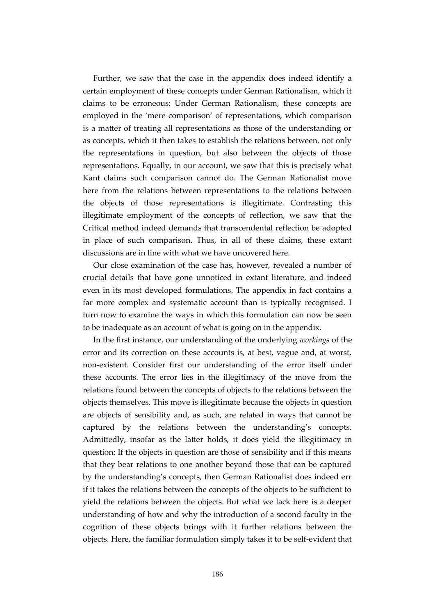Further, we saw that the case in the appendix does indeed identify a certain employment of these concepts under German Rationalism, which it claims to be erroneous: Under German Rationalism, these concepts are employed in the 'mere comparison' of representations, which comparison is a mater of treating all representations as those of the understanding or as concepts, which it then takes to establish the relations between, not only the representations in question, but also between the objects of those representations. Equally, in our account, we saw that this is precisely what Kant claims such comparison cannot do. The German Rationalist move here from the relations between representations to the relations between the objects of those representations is illegitimate. Contrasting this illegitimate employment of the concepts of reflection, we saw that the Critical method indeed demands that transcendental reflection be adopted in place of such comparison. Thus, in all of these claims, these extant discussions are in line with what we have uncovered here.

Our close examination of the case has, however, revealed a number of crucial details that have gone unnoticed in extant literature, and indeed even in its most developed formulations. The appendix in fact contains a far more complex and systematic account than is typically recognised. I turn now to examine the ways in which this formulation can now be seen to be inadequate as an account of what is going on in the appendix.

In the frst instance, our understanding of the underlying *workings* of the error and its correction on these accounts is, at best, vague and, at worst, non-existent. Consider frst our understanding of the error itself under these accounts. The error lies in the illegitimacy of the move from the relations found between the concepts of objects to the relations between the objects themselves. This move is illegitimate because the objects in question are objects of sensibility and, as such, are related in ways that cannot be captured by the relations between the understanding's concepts. Admitedly, insofar as the later holds, it does yield the illegitimacy in question: If the objects in question are those of sensibility and if this means that they bear relations to one another beyond those that can be captured by the understanding's concepts, then German Rationalist does indeed err if it takes the relations between the concepts of the objects to be sufficient to yield the relations between the objects. But what we lack here is a deeper understanding of how and why the introduction of a second faculty in the cognition of these objects brings with it further relations between the objects. Here, the familiar formulation simply takes it to be self-evident that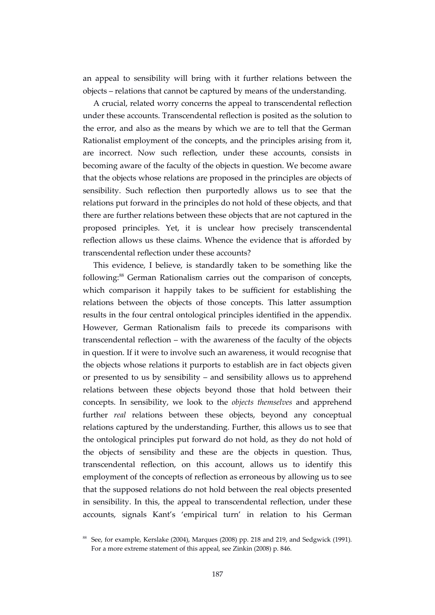an appeal to sensibility will bring with it further relations between the objects – relations that cannot be captured by means of the understanding.

A crucial, related worry concerns the appeal to transcendental reflection under these accounts. Transcendental reflection is posited as the solution to the error, and also as the means by which we are to tell that the German Rationalist employment of the concepts, and the principles arising from it, are incorrect. Now such reflection, under these accounts, consists in becoming aware of the faculty of the objects in question. We become aware that the objects whose relations are proposed in the principles are objects of sensibility. Such reflection then purportedly allows us to see that the relations put forward in the principles do not hold of these objects, and that there are further relations between these objects that are not captured in the proposed principles. Yet, it is unclear how precisely transcendental reflection allows us these claims. Whence the evidence that is aforded by transcendental reflection under these accounts?

This evidence, I believe, is standardly taken to be something like the following:<sup>[88](#page-186-0)</sup> German Rationalism carries out the comparison of concepts, which comparison it happily takes to be sufficient for establishing the relations between the objects of those concepts. This later assumption results in the four central ontological principles identifed in the appendix. However, German Rationalism fails to precede its comparisons with transcendental reflection – with the awareness of the faculty of the objects in question. If it were to involve such an awareness, it would recognise that the objects whose relations it purports to establish are in fact objects given or presented to us by sensibility – and sensibility allows us to apprehend relations between these objects beyond those that hold between their concepts. In sensibility, we look to the *objects themselves* and apprehend further *real* relations between these objects, beyond any conceptual relations captured by the understanding. Further, this allows us to see that the ontological principles put forward do not hold, as they do not hold of the objects of sensibility and these are the objects in question. Thus, transcendental reflection, on this account, allows us to identify this employment of the concepts of reflection as erroneous by allowing us to see that the supposed relations do not hold between the real objects presented in sensibility. In this, the appeal to transcendental reflection, under these accounts, signals Kant's 'empirical turn' in relation to his German

<span id="page-186-0"></span><sup>88</sup> See, for example, Kerslake (2004), Marques (2008) pp. 218 and 219, and Sedgwick (1991). For a more extreme statement of this appeal, see Zinkin (2008) p. 846.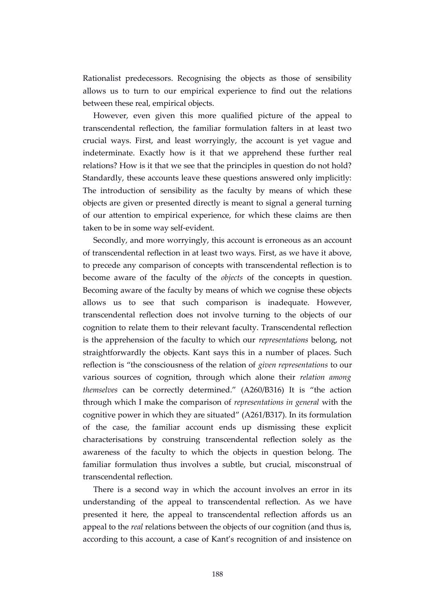Rationalist predecessors. Recognising the objects as those of sensibility allows us to turn to our empirical experience to fnd out the relations between these real, empirical objects.

However, even given this more qualifed picture of the appeal to transcendental reflection, the familiar formulation falters in at least two crucial ways. First, and least worryingly, the account is yet vague and indeterminate. Exactly how is it that we apprehend these further real relations? How is it that we see that the principles in question do not hold? Standardly, these accounts leave these questions answered only implicitly: The introduction of sensibility as the faculty by means of which these objects are given or presented directly is meant to signal a general turning of our atention to empirical experience, for which these claims are then taken to be in some way self-evident.

Secondly, and more worryingly, this account is erroneous as an account of transcendental reflection in at least two ways. First, as we have it above, to precede any comparison of concepts with transcendental reflection is to become aware of the faculty of the *objects* of the concepts in question. Becoming aware of the faculty by means of which we cognise these objects allows us to see that such comparison is inadequate. However, transcendental reflection does not involve turning to the objects of our cognition to relate them to their relevant faculty. Transcendental reflection is the apprehension of the faculty to which our *representations* belong, not straightforwardly the objects. Kant says this in a number of places. Such reflection is "the consciousness of the relation of *given representations* to our various sources of cognition, through which alone their *relation among themselves* can be correctly determined." (A260/B316) It is "the action through which I make the comparison of *representations in general* with the cognitive power in which they are situated" (A261/B317). In its formulation of the case, the familiar account ends up dismissing these explicit characterisations by construing transcendental reflection solely as the awareness of the faculty to which the objects in question belong. The familiar formulation thus involves a subtle, but crucial, misconstrual of transcendental reflection.

There is a second way in which the account involves an error in its understanding of the appeal to transcendental reflection. As we have presented it here, the appeal to transcendental reflection affords us an appeal to the *real* relations between the objects of our cognition (and thus is, according to this account, a case of Kant's recognition of and insistence on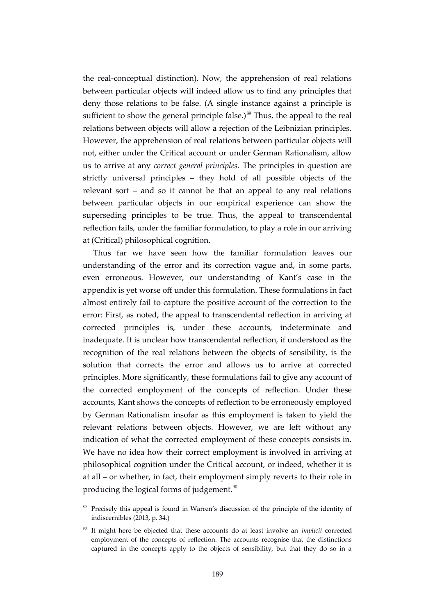the real-conceptual distinction). Now, the apprehension of real relations between particular objects will indeed allow us to fnd any principles that deny those relations to be false. (A single instance against a principle is sufficient to show the general principle false.) $89$  Thus, the appeal to the real relations between objects will allow a rejection of the Leibnizian principles. However, the apprehension of real relations between particular objects will not, either under the Critical account or under German Rationalism, allow us to arrive at any *correct general principles*. The principles in question are strictly universal principles – they hold of all possible objects of the relevant sort – and so it cannot be that an appeal to any real relations between particular objects in our empirical experience can show the superseding principles to be true. Thus, the appeal to transcendental reflection fails, under the familiar formulation, to play a role in our arriving at (Critical) philosophical cognition.

Thus far we have seen how the familiar formulation leaves our understanding of the error and its correction vague and, in some parts, even erroneous. However, our understanding of Kant's case in the appendix is yet worse off under this formulation. These formulations in fact almost entirely fail to capture the positive account of the correction to the error: First, as noted, the appeal to transcendental reflection in arriving at corrected principles is, under these accounts, indeterminate and inadequate. It is unclear how transcendental reflection, if understood as the recognition of the real relations between the objects of sensibility, is the solution that corrects the error and allows us to arrive at corrected principles. More signifcantly, these formulations fail to give any account of the corrected employment of the concepts of reflection. Under these accounts, Kant shows the concepts of reflection to be erroneously employed by German Rationalism insofar as this employment is taken to yield the relevant relations between objects. However, we are left without any indication of what the corrected employment of these concepts consists in. We have no idea how their correct employment is involved in arriving at philosophical cognition under the Critical account, or indeed, whether it is at all – or whether, in fact, their employment simply reverts to their role in producing the logical forms of judgement. $90$ 

<span id="page-188-0"></span><sup>&</sup>lt;sup>89</sup> Precisely this appeal is found in Warren's discussion of the principle of the identity of indiscernibles (2013, p. 34.)

<span id="page-188-1"></span><sup>90</sup> It might here be objected that these accounts do at least involve an *implicit* corrected employment of the concepts of reflection: The accounts recognise that the distinctions captured in the concepts apply to the objects of sensibility, but that they do so in a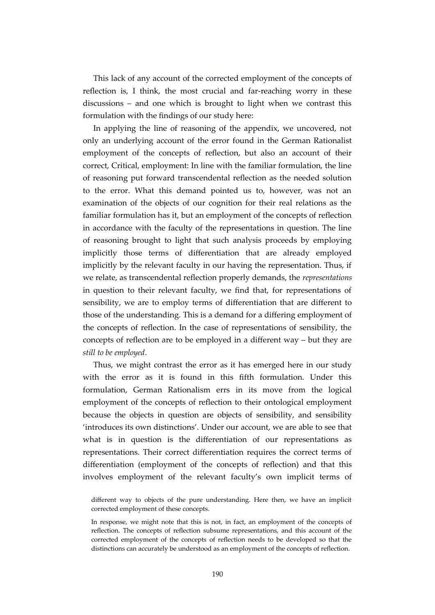This lack of any account of the corrected employment of the concepts of reflection is, I think, the most crucial and far-reaching worry in these discussions – and one which is brought to light when we contrast this formulation with the fndings of our study here:

In applying the line of reasoning of the appendix, we uncovered, not only an underlying account of the error found in the German Rationalist employment of the concepts of reflection, but also an account of their correct, Critical, employment: In line with the familiar formulation, the line of reasoning put forward transcendental reflection as the needed solution to the error. What this demand pointed us to, however, was not an examination of the objects of our cognition for their real relations as the familiar formulation has it, but an employment of the concepts of reflection in accordance with the faculty of the representations in question. The line of reasoning brought to light that such analysis proceeds by employing implicitly those terms of diferentiation that are already employed implicitly by the relevant faculty in our having the representation. Thus, if we relate, as transcendental reflection properly demands, the *representations* in question to their relevant faculty, we fnd that, for representations of sensibility, we are to employ terms of diferentiation that are diferent to those of the understanding. This is a demand for a difering employment of the concepts of reflection. In the case of representations of sensibility, the concepts of reflection are to be employed in a diferent way – but they are *still to be employed*.

Thus, we might contrast the error as it has emerged here in our study with the error as it is found in this ffth formulation. Under this formulation, German Rationalism errs in its move from the logical employment of the concepts of reflection to their ontological employment because the objects in question are objects of sensibility, and sensibility 'introduces its own distinctions'. Under our account, we are able to see that what is in question is the diferentiation of our representations as representations. Their correct diferentiation requires the correct terms of diferentiation (employment of the concepts of reflection) and that this involves employment of the relevant faculty's own implicit terms of

diferent way to objects of the pure understanding. Here then, we have an implicit corrected employment of these concepts.

In response, we might note that this is not, in fact, an employment of the concepts of reflection. The concepts of reflection subsume representations, and this account of the corrected employment of the concepts of reflection needs to be developed so that the distinctions can accurately be understood as an employment of the concepts of reflection.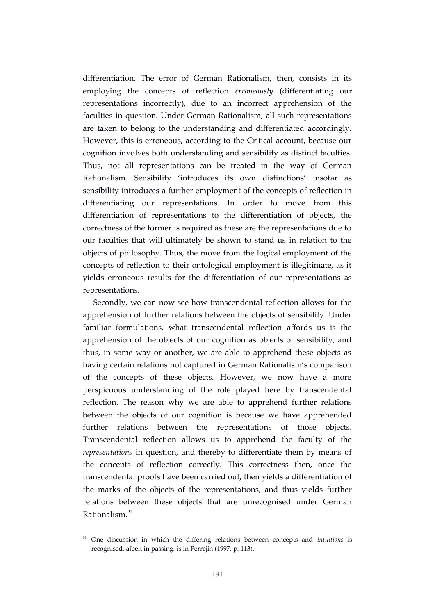diferentiation. The error of German Rationalism, then, consists in its employing the concepts of reflection *erroneously* (diferentiating our representations incorrectly), due to an incorrect apprehension of the faculties in question. Under German Rationalism, all such representations are taken to belong to the understanding and diferentiated accordingly. However, this is erroneous, according to the Critical account, because our cognition involves both understanding and sensibility as distinct faculties. Thus, not all representations can be treated in the way of German Rationalism. Sensibility 'introduces its own distinctions' insofar as sensibility introduces a further employment of the concepts of reflection in diferentiating our representations. In order to move from this diferentiation of representations to the diferentiation of objects, the correctness of the former is required as these are the representations due to our faculties that will ultimately be shown to stand us in relation to the objects of philosophy. Thus, the move from the logical employment of the concepts of reflection to their ontological employment is illegitimate, as it yields erroneous results for the diferentiation of our representations as representations.

Secondly, we can now see how transcendental reflection allows for the apprehension of further relations between the objects of sensibility. Under familiar formulations, what transcendental reflection affords us is the apprehension of the objects of our cognition as objects of sensibility, and thus, in some way or another, we are able to apprehend these objects as having certain relations not captured in German Rationalism's comparison of the concepts of these objects. However, we now have a more perspicuous understanding of the role played here by transcendental reflection. The reason why we are able to apprehend further relations between the objects of our cognition is because we have apprehended further relations between the representations of those objects. Transcendental reflection allows us to apprehend the faculty of the *representations* in question, and thereby to diferentiate them by means of the concepts of reflection correctly. This correctness then, once the transcendental proofs have been carried out, then yields a diferentiation of the marks of the objects of the representations, and thus yields further relations between these objects that are unrecognised under German Rationalism.<sup>[91](#page-190-0)</sup>

<span id="page-190-0"></span><sup>&</sup>lt;sup>91</sup> One discussion in which the differing relations between concepts and *intuitions* is recognised, albeit in passing, is in Perrejin (1997, p. 113).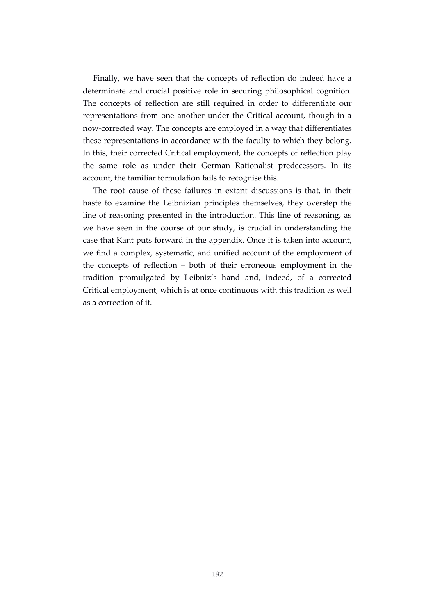Finally, we have seen that the concepts of reflection do indeed have a determinate and crucial positive role in securing philosophical cognition. The concepts of reflection are still required in order to diferentiate our representations from one another under the Critical account, though in a now-corrected way. The concepts are employed in a way that diferentiates these representations in accordance with the faculty to which they belong. In this, their corrected Critical employment, the concepts of reflection play the same role as under their German Rationalist predecessors. In its account, the familiar formulation fails to recognise this.

The root cause of these failures in extant discussions is that, in their haste to examine the Leibnizian principles themselves, they overstep the line of reasoning presented in the introduction. This line of reasoning, as we have seen in the course of our study, is crucial in understanding the case that Kant puts forward in the appendix. Once it is taken into account, we fnd a complex, systematic, and unifed account of the employment of the concepts of reflection – both of their erroneous employment in the tradition promulgated by Leibniz's hand and, indeed, of a corrected Critical employment, which is at once continuous with this tradition as well as a correction of it.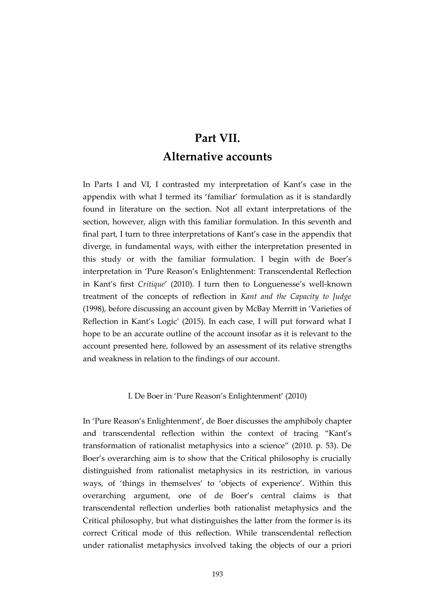# **Part VII. Alternative accounts**

In Parts I and VI, I contrasted my interpretation of Kant's case in the appendix with what I termed its 'familiar' formulation as it is standardly found in literature on the section. Not all extant interpretations of the section, however, align with this familiar formulation. In this seventh and fnal part, I turn to three interpretations of Kant's case in the appendix that diverge, in fundamental ways, with either the interpretation presented in this study or with the familiar formulation. I begin with de Boer's interpretation in 'Pure Reason's Enlightenment: Transcendental Reflection in Kant's frst *Critique*' (2010). I turn then to Longuenesse's well-known treatment of the concepts of reflection in *Kant and the Capacity to Judge* (1998), before discussing an account given by McBay Merrit in 'Varieties of Reflection in Kant's Logic' (2015). In each case, I will put forward what I hope to be an accurate outline of the account insofar as it is relevant to the account presented here, followed by an assessment of its relative strengths and weakness in relation to the fndings of our account.

### I. De Boer in 'Pure Reason's Enlightenment' (2010)

In 'Pure Reason's Enlightenment', de Boer discusses the amphiboly chapter and transcendental reflection within the context of tracing "Kant's transformation of rationalist metaphysics into a science" (2010. p. 53). De Boer's overarching aim is to show that the Critical philosophy is crucially distinguished from rationalist metaphysics in its restriction, in various ways, of 'things in themselves' to 'objects of experience'. Within this overarching argument, one of de Boer's central claims is that transcendental reflection underlies both rationalist metaphysics and the Critical philosophy, but what distinguishes the later from the former is its correct Critical mode of this reflection. While transcendental reflection under rationalist metaphysics involved taking the objects of our a priori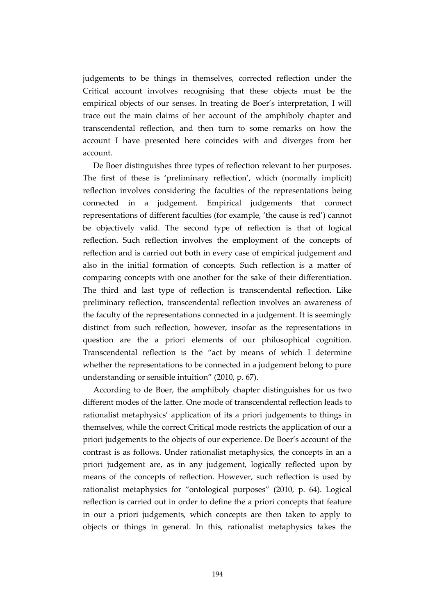judgements to be things in themselves, corrected reflection under the Critical account involves recognising that these objects must be the empirical objects of our senses. In treating de Boer's interpretation, I will trace out the main claims of her account of the amphiboly chapter and transcendental reflection, and then turn to some remarks on how the account I have presented here coincides with and diverges from her account.

De Boer distinguishes three types of reflection relevant to her purposes. The frst of these is 'preliminary reflection', which (normally implicit) reflection involves considering the faculties of the representations being connected in a judgement. Empirical judgements that connect representations of diferent faculties (for example, 'the cause is red') cannot be objectively valid. The second type of reflection is that of logical reflection. Such reflection involves the employment of the concepts of reflection and is carried out both in every case of empirical judgement and also in the initial formation of concepts. Such reflection is a mater of comparing concepts with one another for the sake of their diferentiation. The third and last type of reflection is transcendental reflection. Like preliminary reflection, transcendental reflection involves an awareness of the faculty of the representations connected in a judgement. It is seemingly distinct from such reflection, however, insofar as the representations in question are the a priori elements of our philosophical cognition. Transcendental reflection is the "act by means of which I determine whether the representations to be connected in a judgement belong to pure understanding or sensible intuition" (2010, p. 67).

According to de Boer, the amphiboly chapter distinguishes for us two diferent modes of the later. One mode of transcendental reflection leads to rationalist metaphysics' application of its a priori judgements to things in themselves, while the correct Critical mode restricts the application of our a priori judgements to the objects of our experience. De Boer's account of the contrast is as follows. Under rationalist metaphysics, the concepts in an a priori judgement are, as in any judgement, logically reflected upon by means of the concepts of reflection. However, such reflection is used by rationalist metaphysics for "ontological purposes" (2010, p. 64). Logical reflection is carried out in order to defne the a priori concepts that feature in our a priori judgements, which concepts are then taken to apply to objects or things in general. In this, rationalist metaphysics takes the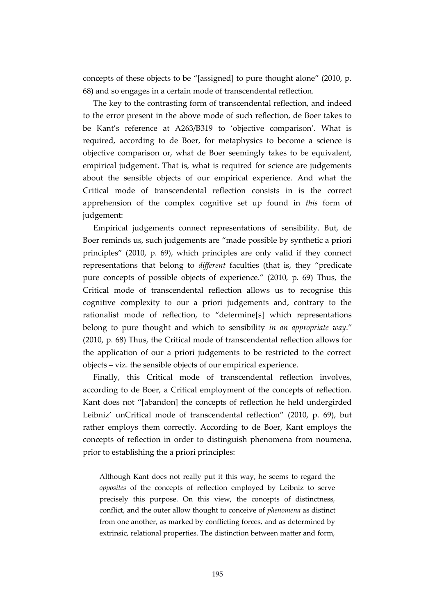concepts of these objects to be "[assigned] to pure thought alone" (2010, p. 68) and so engages in a certain mode of transcendental reflection.

The key to the contrasting form of transcendental reflection, and indeed to the error present in the above mode of such reflection, de Boer takes to be Kant's reference at A263/B319 to 'objective comparison'. What is required, according to de Boer, for metaphysics to become a science is objective comparison or, what de Boer seemingly takes to be equivalent, empirical judgement. That is, what is required for science are judgements about the sensible objects of our empirical experience. And what the Critical mode of transcendental reflection consists in is the correct apprehension of the complex cognitive set up found in *this* form of judgement:

Empirical judgements connect representations of sensibility. But, de Boer reminds us, such judgements are "made possible by synthetic a priori principles" (2010, p. 69), which principles are only valid if they connect representations that belong to *diferent* faculties (that is, they "predicate pure concepts of possible objects of experience." (2010, p. 69) Thus, the Critical mode of transcendental reflection allows us to recognise this cognitive complexity to our a priori judgements and, contrary to the rationalist mode of reflection, to "determine[s] which representations belong to pure thought and which to sensibility *in an appropriate way*." (2010, p. 68) Thus, the Critical mode of transcendental reflection allows for the application of our a priori judgements to be restricted to the correct objects – viz. the sensible objects of our empirical experience.

Finally, this Critical mode of transcendental reflection involves, according to de Boer, a Critical employment of the concepts of reflection. Kant does not "[abandon] the concepts of reflection he held undergirded Leibniz' unCritical mode of transcendental reflection" (2010, p. 69), but rather employs them correctly. According to de Boer, Kant employs the concepts of reflection in order to distinguish phenomena from noumena, prior to establishing the a priori principles:

Although Kant does not really put it this way, he seems to regard the *opposites* of the concepts of reflection employed by Leibniz to serve precisely this purpose. On this view, the concepts of distinctness, conflict, and the outer allow thought to conceive of *phenomena* as distinct from one another, as marked by conflicting forces, and as determined by extrinsic, relational properties. The distinction between matter and form,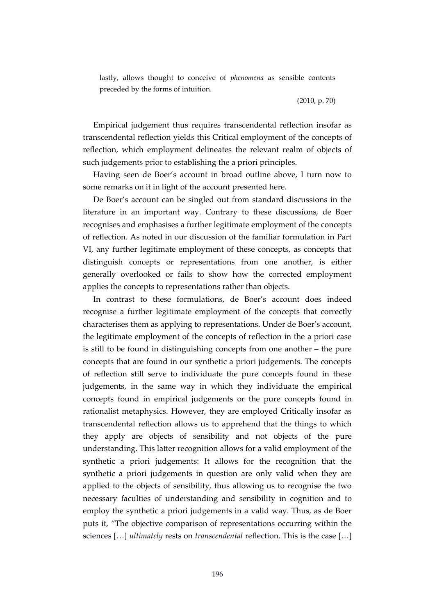lastly, allows thought to conceive of *phenomena* as sensible contents preceded by the forms of intuition.

(2010, p. 70)

Empirical judgement thus requires transcendental reflection insofar as transcendental reflection yields this Critical employment of the concepts of reflection, which employment delineates the relevant realm of objects of such judgements prior to establishing the a priori principles.

Having seen de Boer's account in broad outline above, I turn now to some remarks on it in light of the account presented here.

De Boer's account can be singled out from standard discussions in the literature in an important way. Contrary to these discussions, de Boer recognises and emphasises a further legitimate employment of the concepts of reflection. As noted in our discussion of the familiar formulation in Part VI, any further legitimate employment of these concepts, as concepts that distinguish concepts or representations from one another, is either generally overlooked or fails to show how the corrected employment applies the concepts to representations rather than objects.

In contrast to these formulations, de Boer's account does indeed recognise a further legitimate employment of the concepts that correctly characterises them as applying to representations. Under de Boer's account, the legitimate employment of the concepts of reflection in the a priori case is still to be found in distinguishing concepts from one another – the pure concepts that are found in our synthetic a priori judgements. The concepts of reflection still serve to individuate the pure concepts found in these judgements, in the same way in which they individuate the empirical concepts found in empirical judgements or the pure concepts found in rationalist metaphysics. However, they are employed Critically insofar as transcendental reflection allows us to apprehend that the things to which they apply are objects of sensibility and not objects of the pure understanding. This later recognition allows for a valid employment of the synthetic a priori judgements: It allows for the recognition that the synthetic a priori judgements in question are only valid when they are applied to the objects of sensibility, thus allowing us to recognise the two necessary faculties of understanding and sensibility in cognition and to employ the synthetic a priori judgements in a valid way. Thus, as de Boer puts it, "The objective comparison of representations occurring within the sciences […] *ultimately* rests on *transcendental* reflection. This is the case […]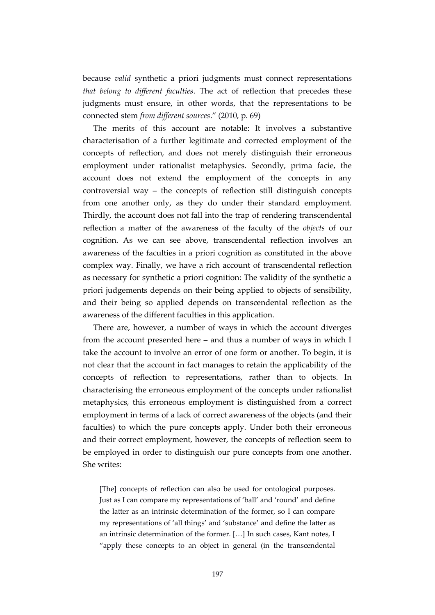because *valid* synthetic a priori judgments must connect representations *that belong to diferent faculties*. The act of reflection that precedes these judgments must ensure, in other words, that the representations to be connected stem *from diferent sources*." (2010, p. 69)

The merits of this account are notable: It involves a substantive characterisation of a further legitimate and corrected employment of the concepts of reflection, and does not merely distinguish their erroneous employment under rationalist metaphysics. Secondly, prima facie, the account does not extend the employment of the concepts in any controversial way – the concepts of reflection still distinguish concepts from one another only, as they do under their standard employment. Thirdly, the account does not fall into the trap of rendering transcendental reflection a mater of the awareness of the faculty of the *objects* of our cognition. As we can see above, transcendental reflection involves an awareness of the faculties in a priori cognition as constituted in the above complex way. Finally, we have a rich account of transcendental reflection as necessary for synthetic a priori cognition: The validity of the synthetic a priori judgements depends on their being applied to objects of sensibility, and their being so applied depends on transcendental reflection as the awareness of the diferent faculties in this application.

There are, however, a number of ways in which the account diverges from the account presented here – and thus a number of ways in which I take the account to involve an error of one form or another. To begin, it is not clear that the account in fact manages to retain the applicability of the concepts of reflection to representations, rather than to objects. In characterising the erroneous employment of the concepts under rationalist metaphysics, this erroneous employment is distinguished from a correct employment in terms of a lack of correct awareness of the objects (and their faculties) to which the pure concepts apply. Under both their erroneous and their correct employment, however, the concepts of reflection seem to be employed in order to distinguish our pure concepts from one another. She writes:

[The] concepts of reflection can also be used for ontological purposes. Just as I can compare my representations of 'ball' and 'round' and defne the later as an intrinsic determination of the former, so I can compare my representations of 'all things' and 'substance' and defne the later as an intrinsic determination of the former. […] In such cases, Kant notes, I "apply these concepts to an object in general (in the transcendental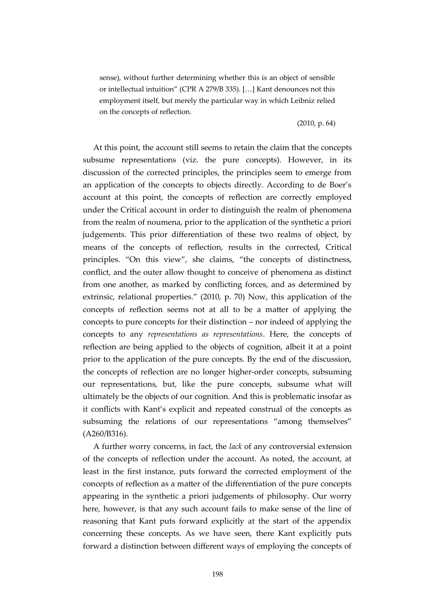sense), without further determining whether this is an object of sensible or intellectual intuition" (CPR A 279/B 335). […] Kant denounces not this employment itself, but merely the particular way in which Leibniz relied on the concepts of reflection.

(2010, p. 64)

At this point, the account still seems to retain the claim that the concepts subsume representations (viz. the pure concepts). However, in its discussion of the corrected principles, the principles seem to emerge from an application of the concepts to objects directly. According to de Boer's account at this point, the concepts of reflection are correctly employed under the Critical account in order to distinguish the realm of phenomena from the realm of noumena, prior to the application of the synthetic a priori judgements. This prior diferentiation of these two realms of object, by means of the concepts of reflection, results in the corrected, Critical principles. "On this view", she claims, "the concepts of distinctness, conflict, and the outer allow thought to conceive of phenomena as distinct from one another, as marked by conflicting forces, and as determined by extrinsic, relational properties." (2010, p. 70) Now, this application of the concepts of reflection seems not at all to be a mater of applying the concepts to pure concepts for their distinction – nor indeed of applying the concepts to any *representations as representations*. Here, the concepts of reflection are being applied to the objects of cognition, albeit it at a point prior to the application of the pure concepts. By the end of the discussion, the concepts of reflection are no longer higher-order concepts, subsuming our representations, but, like the pure concepts, subsume what will ultimately be the objects of our cognition. And this is problematic insofar as it conflicts with Kant's explicit and repeated construal of the concepts as subsuming the relations of our representations "among themselves" (A260/B316).

A further worry concerns, in fact, the *lack* of any controversial extension of the concepts of reflection under the account. As noted, the account, at least in the frst instance, puts forward the corrected employment of the concepts of reflection as a mater of the diferentiation of the pure concepts appearing in the synthetic a priori judgements of philosophy. Our worry here, however, is that any such account fails to make sense of the line of reasoning that Kant puts forward explicitly at the start of the appendix concerning these concepts. As we have seen, there Kant explicitly puts forward a distinction between diferent ways of employing the concepts of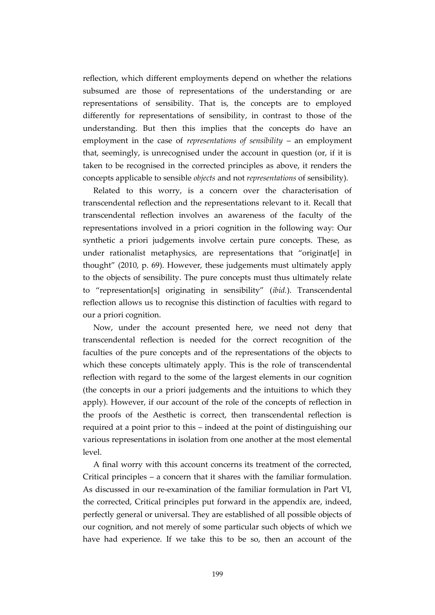reflection, which diferent employments depend on whether the relations subsumed are those of representations of the understanding or are representations of sensibility. That is, the concepts are to employed diferently for representations of sensibility, in contrast to those of the understanding. But then this implies that the concepts do have an employment in the case of *representations of sensibility* – an employment that, seemingly, is unrecognised under the account in question (or, if it is taken to be recognised in the corrected principles as above, it renders the concepts applicable to sensible *objects* and not *representations* of sensibility).

Related to this worry, is a concern over the characterisation of transcendental reflection and the representations relevant to it. Recall that transcendental reflection involves an awareness of the faculty of the representations involved in a priori cognition in the following way: Our synthetic a priori judgements involve certain pure concepts. These, as under rationalist metaphysics, are representations that "originat[e] in thought" (2010, p. 69). However, these judgements must ultimately apply to the objects of sensibility. The pure concepts must thus ultimately relate to "representation[s] originating in sensibility" (*ibid.*). Transcendental reflection allows us to recognise this distinction of faculties with regard to our a priori cognition.

Now, under the account presented here, we need not deny that transcendental reflection is needed for the correct recognition of the faculties of the pure concepts and of the representations of the objects to which these concepts ultimately apply. This is the role of transcendental reflection with regard to the some of the largest elements in our cognition (the concepts in our a priori judgements and the intuitions to which they apply). However, if our account of the role of the concepts of reflection in the proofs of the Aesthetic is correct, then transcendental reflection is required at a point prior to this – indeed at the point of distinguishing our various representations in isolation from one another at the most elemental level.

A fnal worry with this account concerns its treatment of the corrected, Critical principles – a concern that it shares with the familiar formulation. As discussed in our re-examination of the familiar formulation in Part VI, the corrected, Critical principles put forward in the appendix are, indeed, perfectly general or universal. They are established of all possible objects of our cognition, and not merely of some particular such objects of which we have had experience. If we take this to be so, then an account of the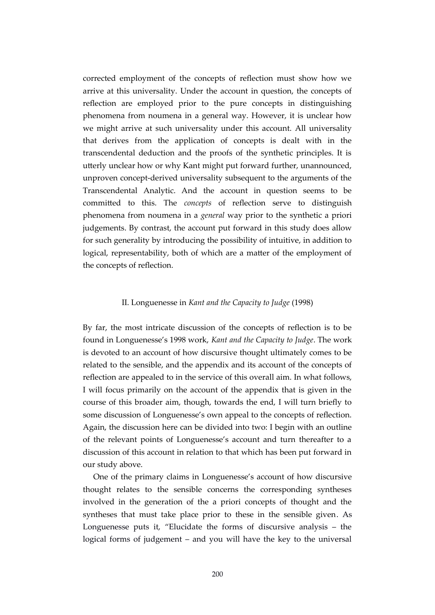corrected employment of the concepts of reflection must show how we arrive at this universality. Under the account in question, the concepts of reflection are employed prior to the pure concepts in distinguishing phenomena from noumena in a general way. However, it is unclear how we might arrive at such universality under this account. All universality that derives from the application of concepts is dealt with in the transcendental deduction and the proofs of the synthetic principles. It is uterly unclear how or why Kant might put forward further, unannounced, unproven concept-derived universality subsequent to the arguments of the Transcendental Analytic. And the account in question seems to be commited to this. The *concepts* of reflection serve to distinguish phenomena from noumena in a *general* way prior to the synthetic a priori judgements. By contrast, the account put forward in this study does allow for such generality by introducing the possibility of intuitive, in addition to logical, representability, both of which are a matter of the employment of the concepts of reflection.

#### II. Longuenesse in *Kant and the Capacity to Judge* (1998)

By far, the most intricate discussion of the concepts of reflection is to be found in Longuenesse's 1998 work, *Kant and the Capacity to Judge*. The work is devoted to an account of how discursive thought ultimately comes to be related to the sensible, and the appendix and its account of the concepts of reflection are appealed to in the service of this overall aim. In what follows, I will focus primarily on the account of the appendix that is given in the course of this broader aim, though, towards the end, I will turn briefly to some discussion of Longuenesse's own appeal to the concepts of reflection. Again, the discussion here can be divided into two: I begin with an outline of the relevant points of Longuenesse's account and turn thereafter to a discussion of this account in relation to that which has been put forward in our study above.

One of the primary claims in Longuenesse's account of how discursive thought relates to the sensible concerns the corresponding syntheses involved in the generation of the a priori concepts of thought and the syntheses that must take place prior to these in the sensible given. As Longuenesse puts it, "Elucidate the forms of discursive analysis – the logical forms of judgement – and you will have the key to the universal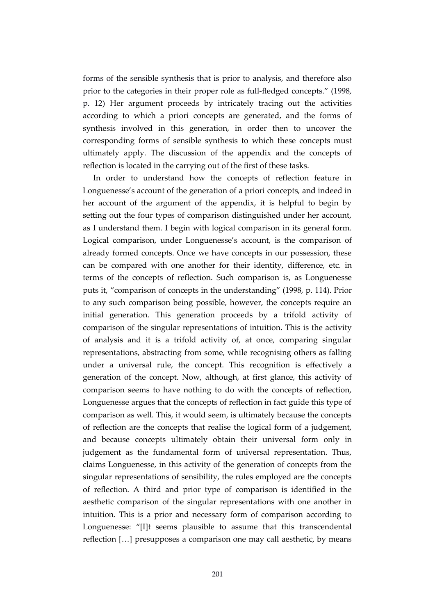forms of the sensible synthesis that is prior to analysis, and therefore also prior to the categories in their proper role as full-fledged concepts." (1998, p. 12) Her argument proceeds by intricately tracing out the activities according to which a priori concepts are generated, and the forms of synthesis involved in this generation, in order then to uncover the corresponding forms of sensible synthesis to which these concepts must ultimately apply. The discussion of the appendix and the concepts of reflection is located in the carrying out of the frst of these tasks.

In order to understand how the concepts of reflection feature in Longuenesse's account of the generation of a priori concepts, and indeed in her account of the argument of the appendix, it is helpful to begin by seting out the four types of comparison distinguished under her account, as I understand them. I begin with logical comparison in its general form. Logical comparison, under Longuenesse's account, is the comparison of already formed concepts. Once we have concepts in our possession, these can be compared with one another for their identity, diference, etc. in terms of the concepts of reflection. Such comparison is, as Longuenesse puts it, "comparison of concepts in the understanding" (1998, p. 114). Prior to any such comparison being possible, however, the concepts require an initial generation. This generation proceeds by a trifold activity of comparison of the singular representations of intuition. This is the activity of analysis and it is a trifold activity of, at once, comparing singular representations, abstracting from some, while recognising others as falling under a universal rule, the concept. This recognition is efectively a generation of the concept. Now, although, at frst glance, this activity of comparison seems to have nothing to do with the concepts of reflection, Longuenesse argues that the concepts of reflection in fact guide this type of comparison as well. This, it would seem, is ultimately because the concepts of reflection are the concepts that realise the logical form of a judgement, and because concepts ultimately obtain their universal form only in judgement as the fundamental form of universal representation. Thus, claims Longuenesse, in this activity of the generation of concepts from the singular representations of sensibility, the rules employed are the concepts of reflection. A third and prior type of comparison is identifed in the aesthetic comparison of the singular representations with one another in intuition. This is a prior and necessary form of comparison according to Longuenesse: "[I]t seems plausible to assume that this transcendental reflection […] presupposes a comparison one may call aesthetic, by means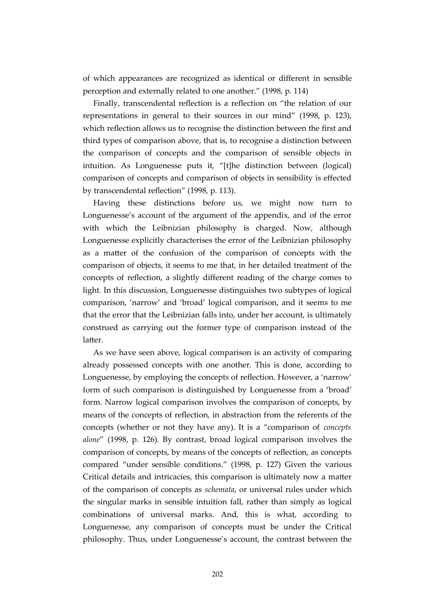of which appearances are recognized as identical or diferent in sensible perception and externally related to one another." (1998, p. 114)

Finally, transcendental reflection is a reflection on "the relation of our representations in general to their sources in our mind" (1998, p. 123), which reflection allows us to recognise the distinction between the frst and third types of comparison above, that is, to recognise a distinction between the comparison of concepts and the comparison of sensible objects in intuition. As Longuenesse puts it, "[t]he distinction between (logical) comparison of concepts and comparison of objects in sensibility is efected by transcendental reflection" (1998, p. 113).

Having these distinctions before us, we might now turn to Longuenesse's account of the argument of the appendix, and of the error with which the Leibnizian philosophy is charged. Now, although Longuenesse explicitly characterises the error of the Leibnizian philosophy as a mater of the confusion of the comparison of concepts with the comparison of objects, it seems to me that, in her detailed treatment of the concepts of reflection, a slightly diferent reading of the charge comes to light. In this discussion, Longuenesse distinguishes two subtypes of logical comparison, 'narrow' and 'broad' logical comparison, and it seems to me that the error that the Leibnizian falls into, under her account, is ultimately construed as carrying out the former type of comparison instead of the latter.

As we have seen above, logical comparison is an activity of comparing already possessed concepts with one another. This is done, according to Longuenesse, by employing the concepts of reflection. However, a 'narrow' form of such comparison is distinguished by Longuenesse from a 'broad' form. Narrow logical comparison involves the comparison of concepts, by means of the concepts of reflection, in abstraction from the referents of the concepts (whether or not they have any). It is a "comparison of *concepts alone*" (1998, p. 126). By contrast, broad logical comparison involves the comparison of concepts, by means of the concepts of reflection, as concepts compared "under sensible conditions." (1998, p. 127) Given the various Critical details and intricacies, this comparison is ultimately now a mater of the comparison of concepts as *schemata*, or universal rules under which the singular marks in sensible intuition fall, rather than simply as logical combinations of universal marks. And, this is what, according to Longuenesse, any comparison of concepts must be under the Critical philosophy. Thus, under Longuenesse's account, the contrast between the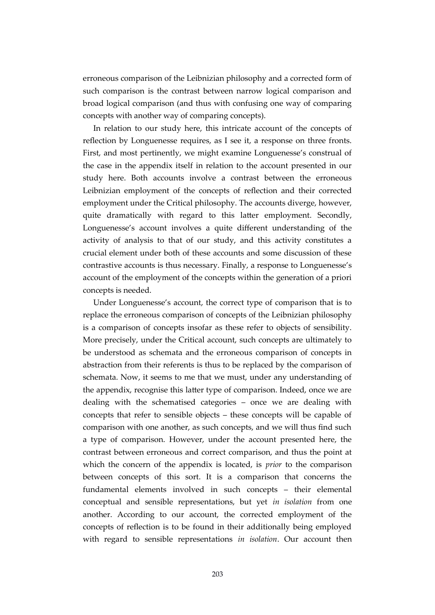erroneous comparison of the Leibnizian philosophy and a corrected form of such comparison is the contrast between narrow logical comparison and broad logical comparison (and thus with confusing one way of comparing concepts with another way of comparing concepts).

In relation to our study here, this intricate account of the concepts of reflection by Longuenesse requires, as I see it, a response on three fronts. First, and most pertinently, we might examine Longuenesse's construal of the case in the appendix itself in relation to the account presented in our study here. Both accounts involve a contrast between the erroneous Leibnizian employment of the concepts of reflection and their corrected employment under the Critical philosophy. The accounts diverge, however, quite dramatically with regard to this latter employment. Secondly, Longuenesse's account involves a quite diferent understanding of the activity of analysis to that of our study, and this activity constitutes a crucial element under both of these accounts and some discussion of these contrastive accounts is thus necessary. Finally, a response to Longuenesse's account of the employment of the concepts within the generation of a priori concepts is needed.

Under Longuenesse's account, the correct type of comparison that is to replace the erroneous comparison of concepts of the Leibnizian philosophy is a comparison of concepts insofar as these refer to objects of sensibility. More precisely, under the Critical account, such concepts are ultimately to be understood as schemata and the erroneous comparison of concepts in abstraction from their referents is thus to be replaced by the comparison of schemata. Now, it seems to me that we must, under any understanding of the appendix, recognise this later type of comparison. Indeed, once we are dealing with the schematised categories – once we are dealing with concepts that refer to sensible objects – these concepts will be capable of comparison with one another, as such concepts, and we will thus find such a type of comparison. However, under the account presented here, the contrast between erroneous and correct comparison, and thus the point at which the concern of the appendix is located, is *prior* to the comparison between concepts of this sort. It is a comparison that concerns the fundamental elements involved in such concepts – their elemental conceptual and sensible representations, but yet *in isolation* from one another. According to our account, the corrected employment of the concepts of reflection is to be found in their additionally being employed with regard to sensible representations *in isolation*. Our account then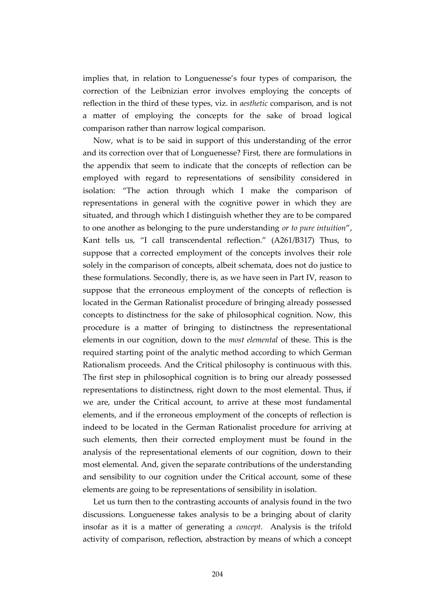implies that, in relation to Longuenesse's four types of comparison, the correction of the Leibnizian error involves employing the concepts of reflection in the third of these types, viz. in *aesthetic* comparison, and is not a mater of employing the concepts for the sake of broad logical comparison rather than narrow logical comparison.

Now, what is to be said in support of this understanding of the error and its correction over that of Longuenesse? First, there are formulations in the appendix that seem to indicate that the concepts of reflection can be employed with regard to representations of sensibility considered in isolation: "The action through which I make the comparison of representations in general with the cognitive power in which they are situated, and through which I distinguish whether they are to be compared to one another as belonging to the pure understanding *or to pure intuition*", Kant tells us, "I call transcendental reflection." (A261/B317) Thus, to suppose that a corrected employment of the concepts involves their role solely in the comparison of concepts, albeit schemata, does not do justice to these formulations. Secondly, there is, as we have seen in Part IV, reason to suppose that the erroneous employment of the concepts of reflection is located in the German Rationalist procedure of bringing already possessed concepts to distinctness for the sake of philosophical cognition. Now, this procedure is a mater of bringing to distinctness the representational elements in our cognition, down to the *most elemental* of these. This is the required starting point of the analytic method according to which German Rationalism proceeds. And the Critical philosophy is continuous with this. The first step in philosophical cognition is to bring our already possessed representations to distinctness, right down to the most elemental. Thus, if we are, under the Critical account, to arrive at these most fundamental elements, and if the erroneous employment of the concepts of reflection is indeed to be located in the German Rationalist procedure for arriving at such elements, then their corrected employment must be found in the analysis of the representational elements of our cognition, down to their most elemental. And, given the separate contributions of the understanding and sensibility to our cognition under the Critical account, some of these elements are going to be representations of sensibility in isolation.

Let us turn then to the contrasting accounts of analysis found in the two discussions. Longuenesse takes analysis to be a bringing about of clarity insofar as it is a mater of generating a *concept*. Analysis is the trifold activity of comparison, reflection, abstraction by means of which a concept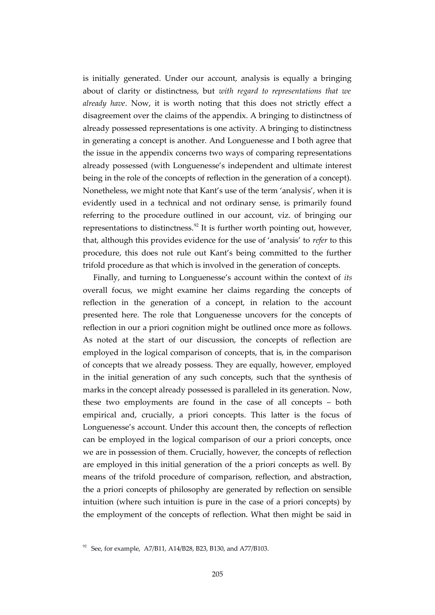is initially generated. Under our account, analysis is equally a bringing about of clarity or distinctness, but *with regard to representations that we already have*. Now, it is worth noting that this does not strictly efect a disagreement over the claims of the appendix. A bringing to distinctness of already possessed representations is one activity. A bringing to distinctness in generating a concept is another. And Longuenesse and I both agree that the issue in the appendix concerns two ways of comparing representations already possessed (with Longuenesse's independent and ultimate interest being in the role of the concepts of reflection in the generation of a concept). Nonetheless, we might note that Kant's use of the term 'analysis', when it is evidently used in a technical and not ordinary sense, is primarily found referring to the procedure outlined in our account, viz. of bringing our representations to distinctness.<sup>[92](#page-204-0)</sup> It is further worth pointing out, however, that, although this provides evidence for the use of 'analysis' to *refer* to this procedure, this does not rule out Kant's being commited to the further trifold procedure as that which is involved in the generation of concepts.

Finally, and turning to Longuenesse's account within the context of *its* overall focus, we might examine her claims regarding the concepts of reflection in the generation of a concept, in relation to the account presented here. The role that Longuenesse uncovers for the concepts of reflection in our a priori cognition might be outlined once more as follows. As noted at the start of our discussion, the concepts of reflection are employed in the logical comparison of concepts, that is, in the comparison of concepts that we already possess. They are equally, however, employed in the initial generation of any such concepts, such that the synthesis of marks in the concept already possessed is paralleled in its generation. Now, these two employments are found in the case of all concepts – both empirical and, crucially, a priori concepts. This latter is the focus of Longuenesse's account. Under this account then, the concepts of reflection can be employed in the logical comparison of our a priori concepts, once we are in possession of them. Crucially, however, the concepts of reflection are employed in this initial generation of the a priori concepts as well. By means of the trifold procedure of comparison, reflection, and abstraction, the a priori concepts of philosophy are generated by reflection on sensible intuition (where such intuition is pure in the case of a priori concepts) by the employment of the concepts of reflection. What then might be said in

<span id="page-204-0"></span> $92$  See, for example, A7/B11, A14/B28, B23, B130, and A77/B103.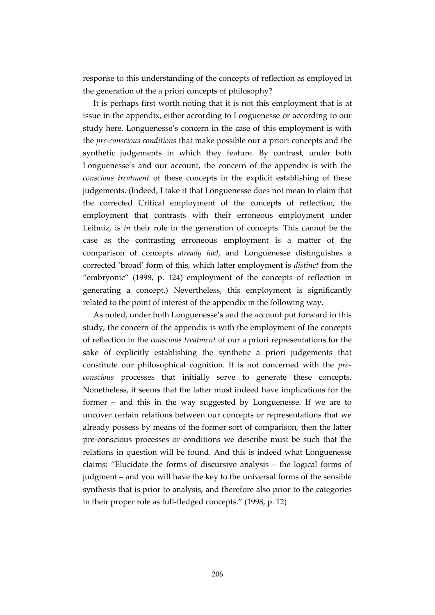response to this understanding of the concepts of reflection as employed in the generation of the a priori concepts of philosophy?

It is perhaps frst worth noting that it is not this employment that is at issue in the appendix, either according to Longuenesse or according to our study here. Longuenesse's concern in the case of this employment is with the *pre-conscious conditions* that make possible our a priori concepts and the synthetic judgements in which they feature. By contrast, under both Longuenesse's and our account, the concern of the appendix is with the *conscious treatment* of these concepts in the explicit establishing of these judgements. (Indeed, I take it that Longuenesse does not mean to claim that the corrected Critical employment of the concepts of reflection, the employment that contrasts with their erroneous employment under Leibniz, is *in* their role in the generation of concepts. This cannot be the case as the contrasting erroneous employment is a mater of the comparison of concepts *already had*, and Longuenesse distinguishes a corrected 'broad' form of this, which later employment is *distinct* from the "embryonic" (1998, p. 124) employment of the concepts of reflection in generating a concept.) Nevertheless, this employment is signifcantly related to the point of interest of the appendix in the following way.

As noted, under both Longuenesse's and the account put forward in this study, the concern of the appendix is with the employment of the concepts of reflection in the *conscious treatment* of our a priori representations for the sake of explicitly establishing the synthetic a priori judgements that constitute our philosophical cognition. It is not concerned with the *preconscious* processes that initially serve to generate these concepts. Nonetheless, it seems that the later must indeed have implications for the former – and this in the way suggested by Longuenesse. If we are to uncover certain relations between our concepts or representations that we already possess by means of the former sort of comparison, then the later pre-conscious processes or conditions we describe must be such that the relations in question will be found. And this is indeed what Longuenesse claims: "Elucidate the forms of discursive analysis – the logical forms of judgment – and you will have the key to the universal forms of the sensible synthesis that is prior to analysis, and therefore also prior to the categories in their proper role as full-fledged concepts." (1998, p. 12)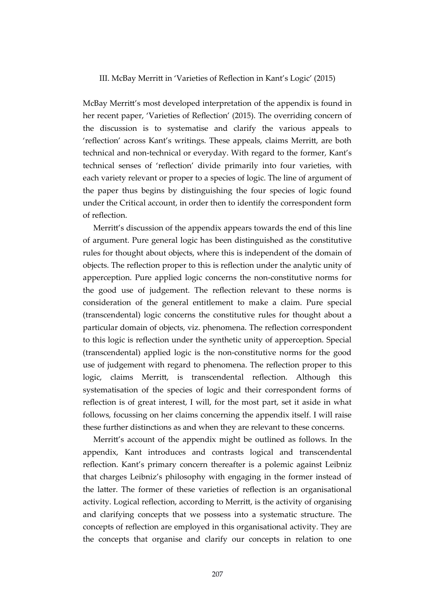#### III. McBay Merrit in 'Varieties of Reflection in Kant's Logic' (2015)

McBay Merrit's most developed interpretation of the appendix is found in her recent paper, 'Varieties of Reflection' (2015). The overriding concern of the discussion is to systematise and clarify the various appeals to 'reflection' across Kant's writings. These appeals, claims Merrit, are both technical and non-technical or everyday. With regard to the former, Kant's technical senses of 'reflection' divide primarily into four varieties, with each variety relevant or proper to a species of logic. The line of argument of the paper thus begins by distinguishing the four species of logic found under the Critical account, in order then to identify the correspondent form of reflection.

Merrit's discussion of the appendix appears towards the end of this line of argument. Pure general logic has been distinguished as the constitutive rules for thought about objects, where this is independent of the domain of objects. The reflection proper to this is reflection under the analytic unity of apperception. Pure applied logic concerns the non-constitutive norms for the good use of judgement. The reflection relevant to these norms is consideration of the general entitlement to make a claim. Pure special (transcendental) logic concerns the constitutive rules for thought about a particular domain of objects, viz. phenomena. The reflection correspondent to this logic is reflection under the synthetic unity of apperception. Special (transcendental) applied logic is the non-constitutive norms for the good use of judgement with regard to phenomena. The reflection proper to this logic, claims Merrit, is transcendental reflection. Although this systematisation of the species of logic and their correspondent forms of reflection is of great interest, I will, for the most part, set it aside in what follows, focussing on her claims concerning the appendix itself. I will raise these further distinctions as and when they are relevant to these concerns.

Merrit's account of the appendix might be outlined as follows. In the appendix, Kant introduces and contrasts logical and transcendental reflection. Kant's primary concern thereafter is a polemic against Leibniz that charges Leibniz's philosophy with engaging in the former instead of the latter. The former of these varieties of reflection is an organisational activity. Logical reflection, according to Merrit, is the activity of organising and clarifying concepts that we possess into a systematic structure. The concepts of reflection are employed in this organisational activity. They are the concepts that organise and clarify our concepts in relation to one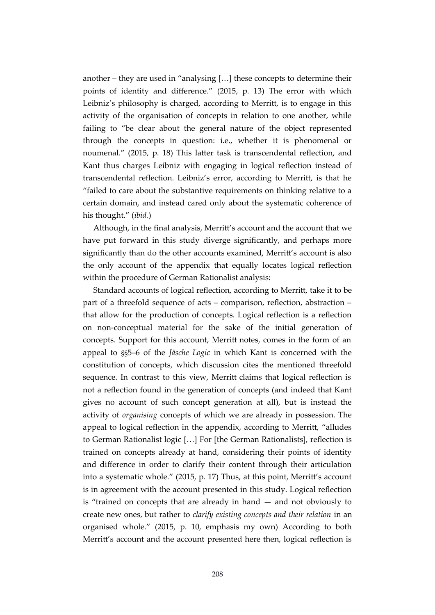another – they are used in "analysing […] these concepts to determine their points of identity and diference." (2015, p. 13) The error with which Leibniz's philosophy is charged, according to Merrit, is to engage in this activity of the organisation of concepts in relation to one another, while failing to "be clear about the general nature of the object represented through the concepts in question: i.e., whether it is phenomenal or noumenal." (2015, p. 18) This latter task is transcendental reflection, and Kant thus charges Leibniz with engaging in logical reflection instead of transcendental reflection. Leibniz's error, according to Merrit, is that he "failed to care about the substantive requirements on thinking relative to a certain domain, and instead cared only about the systematic coherence of his thought." (*ibid.*)

Although, in the fnal analysis, Merrit's account and the account that we have put forward in this study diverge significantly, and perhaps more significantly than do the other accounts examined, Merritt's account is also the only account of the appendix that equally locates logical reflection within the procedure of German Rationalist analysis:

Standard accounts of logical reflection, according to Merrit, take it to be part of a threefold sequence of acts – comparison, reflection, abstraction – that allow for the production of concepts. Logical reflection is a reflection on non-conceptual material for the sake of the initial generation of concepts. Support for this account, Merritt notes, comes in the form of an appeal to §§5–6 of the *Jäsche Logic* in which Kant is concerned with the constitution of concepts, which discussion cites the mentioned threefold sequence. In contrast to this view, Merrit claims that logical reflection is not a reflection found in the generation of concepts (and indeed that Kant gives no account of such concept generation at all), but is instead the activity of *organising* concepts of which we are already in possession. The appeal to logical reflection in the appendix, according to Merrit, "alludes to German Rationalist logic […] For [the German Rationalists], reflection is trained on concepts already at hand, considering their points of identity and diference in order to clarify their content through their articulation into a systematic whole." (2015, p. 17) Thus, at this point, Merrit's account is in agreement with the account presented in this study. Logical reflection is "trained on concepts that are already in hand — and not obviously to create new ones, but rather to *clarify existing concepts and their relation* in an organised whole." (2015, p. 10, emphasis my own) According to both Merrit's account and the account presented here then, logical reflection is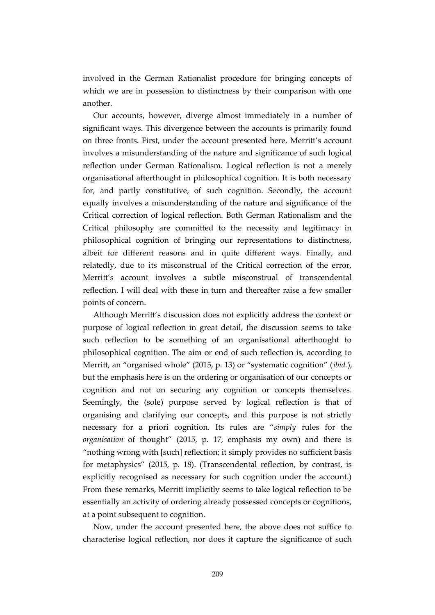involved in the German Rationalist procedure for bringing concepts of which we are in possession to distinctness by their comparison with one another.

Our accounts, however, diverge almost immediately in a number of significant ways. This divergence between the accounts is primarily found on three fronts. First, under the account presented here, Merrit's account involves a misunderstanding of the nature and signifcance of such logical reflection under German Rationalism. Logical reflection is not a merely organisational afterthought in philosophical cognition. It is both necessary for, and partly constitutive, of such cognition. Secondly, the account equally involves a misunderstanding of the nature and signifcance of the Critical correction of logical reflection. Both German Rationalism and the Critical philosophy are commited to the necessity and legitimacy in philosophical cognition of bringing our representations to distinctness, albeit for diferent reasons and in quite diferent ways. Finally, and relatedly, due to its misconstrual of the Critical correction of the error, Merrit's account involves a subtle misconstrual of transcendental reflection. I will deal with these in turn and thereafter raise a few smaller points of concern.

Although Merrit's discussion does not explicitly address the context or purpose of logical reflection in great detail, the discussion seems to take such reflection to be something of an organisational afterthought to philosophical cognition. The aim or end of such reflection is, according to Merrit, an "organised whole" (2015, p. 13) or "systematic cognition" (*ibid.*), but the emphasis here is on the ordering or organisation of our concepts or cognition and not on securing any cognition or concepts themselves. Seemingly, the (sole) purpose served by logical reflection is that of organising and clarifying our concepts, and this purpose is not strictly necessary for a priori cognition. Its rules are "*simply* rules for the *organisation* of thought" (2015, p. 17, emphasis my own) and there is "nothing wrong with [such] reflection; it simply provides no sufficient basis for metaphysics" (2015, p. 18). (Transcendental reflection, by contrast, is explicitly recognised as necessary for such cognition under the account.) From these remarks, Merrit implicitly seems to take logical reflection to be essentially an activity of ordering already possessed concepts or cognitions, at a point subsequent to cognition.

Now, under the account presented here, the above does not suffice to characterise logical reflection, nor does it capture the signifcance of such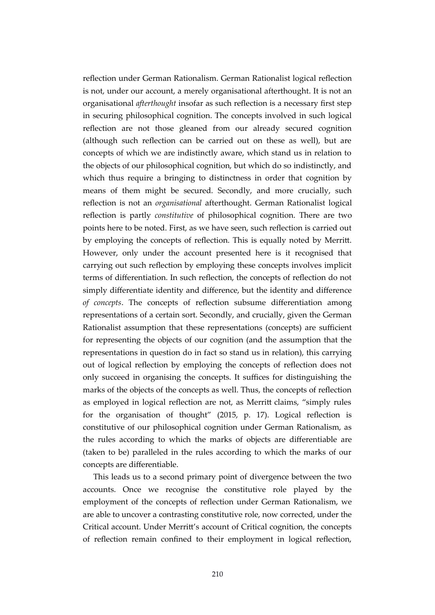reflection under German Rationalism. German Rationalist logical reflection is not, under our account, a merely organisational afterthought. It is not an organisational *afterthought* insofar as such reflection is a necessary frst step in securing philosophical cognition. The concepts involved in such logical reflection are not those gleaned from our already secured cognition (although such reflection can be carried out on these as well), but are concepts of which we are indistinctly aware, which stand us in relation to the objects of our philosophical cognition, but which do so indistinctly, and which thus require a bringing to distinctness in order that cognition by means of them might be secured. Secondly, and more crucially, such reflection is not an *organisational* afterthought. German Rationalist logical reflection is partly *constitutive* of philosophical cognition. There are two points here to be noted. First, as we have seen, such reflection is carried out by employing the concepts of reflection. This is equally noted by Merrit. However, only under the account presented here is it recognised that carrying out such reflection by employing these concepts involves implicit terms of diferentiation. In such reflection, the concepts of reflection do not simply diferentiate identity and diference, but the identity and diference *of concepts*. The concepts of reflection subsume diferentiation among representations of a certain sort. Secondly, and crucially, given the German Rationalist assumption that these representations (concepts) are sufficient for representing the objects of our cognition (and the assumption that the representations in question do in fact so stand us in relation), this carrying out of logical reflection by employing the concepts of reflection does not only succeed in organising the concepts. It suffices for distinguishing the marks of the objects of the concepts as well. Thus, the concepts of reflection as employed in logical reflection are not, as Merrit claims, "simply rules for the organisation of thought" (2015, p. 17). Logical reflection is constitutive of our philosophical cognition under German Rationalism, as the rules according to which the marks of objects are diferentiable are (taken to be) paralleled in the rules according to which the marks of our concepts are diferentiable.

This leads us to a second primary point of divergence between the two accounts. Once we recognise the constitutive role played by the employment of the concepts of reflection under German Rationalism, we are able to uncover a contrasting constitutive role, now corrected, under the Critical account. Under Merrit's account of Critical cognition, the concepts of reflection remain confned to their employment in logical reflection,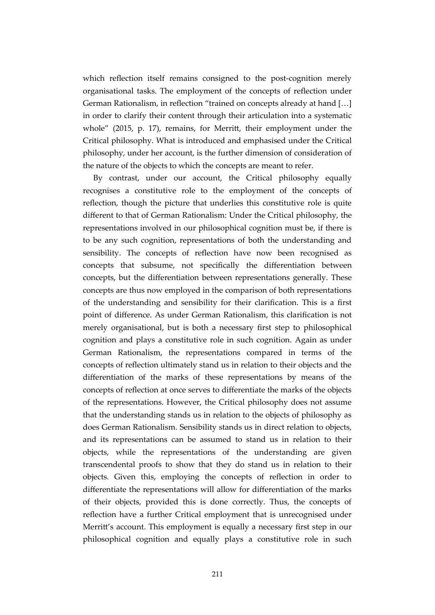which reflection itself remains consigned to the post-cognition merely organisational tasks. The employment of the concepts of reflection under German Rationalism, in reflection "trained on concepts already at hand […] in order to clarify their content through their articulation into a systematic whole" (2015, p. 17), remains, for Merritt, their employment under the Critical philosophy. What is introduced and emphasised under the Critical philosophy, under her account, is the further dimension of consideration of the nature of the objects to which the concepts are meant to refer.

By contrast, under our account, the Critical philosophy equally recognises a constitutive role to the employment of the concepts of reflection, though the picture that underlies this constitutive role is quite diferent to that of German Rationalism: Under the Critical philosophy, the representations involved in our philosophical cognition must be, if there is to be any such cognition, representations of both the understanding and sensibility. The concepts of reflection have now been recognised as concepts that subsume, not specifcally the diferentiation between concepts, but the diferentiation between representations generally. These concepts are thus now employed in the comparison of both representations of the understanding and sensibility for their clarifcation. This is a frst point of diference. As under German Rationalism, this clarifcation is not merely organisational, but is both a necessary frst step to philosophical cognition and plays a constitutive role in such cognition. Again as under German Rationalism, the representations compared in terms of the concepts of reflection ultimately stand us in relation to their objects and the diferentiation of the marks of these representations by means of the concepts of reflection at once serves to diferentiate the marks of the objects of the representations. However, the Critical philosophy does not assume that the understanding stands us in relation to the objects of philosophy as does German Rationalism. Sensibility stands us in direct relation to objects, and its representations can be assumed to stand us in relation to their objects, while the representations of the understanding are given transcendental proofs to show that they do stand us in relation to their objects. Given this, employing the concepts of reflection in order to diferentiate the representations will allow for diferentiation of the marks of their objects, provided this is done correctly. Thus, the concepts of reflection have a further Critical employment that is unrecognised under Merritt's account. This employment is equally a necessary first step in our philosophical cognition and equally plays a constitutive role in such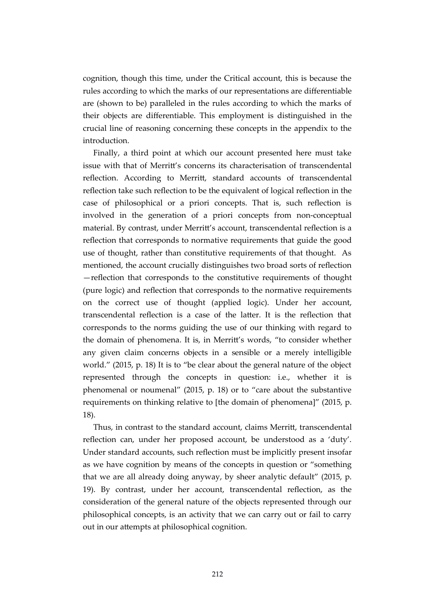cognition, though this time, under the Critical account, this is because the rules according to which the marks of our representations are diferentiable are (shown to be) paralleled in the rules according to which the marks of their objects are diferentiable. This employment is distinguished in the crucial line of reasoning concerning these concepts in the appendix to the introduction.

Finally, a third point at which our account presented here must take issue with that of Merrit's concerns its characterisation of transcendental reflection. According to Merrit, standard accounts of transcendental reflection take such reflection to be the equivalent of logical reflection in the case of philosophical or a priori concepts. That is, such reflection is involved in the generation of a priori concepts from non-conceptual material. By contrast, under Merrit's account, transcendental reflection is a reflection that corresponds to normative requirements that guide the good use of thought, rather than constitutive requirements of that thought. As mentioned, the account crucially distinguishes two broad sorts of reflection —reflection that corresponds to the constitutive requirements of thought (pure logic) and reflection that corresponds to the normative requirements on the correct use of thought (applied logic). Under her account, transcendental reflection is a case of the later. It is the reflection that corresponds to the norms guiding the use of our thinking with regard to the domain of phenomena. It is, in Merrit's words, "to consider whether any given claim concerns objects in a sensible or a merely intelligible world." (2015, p. 18) It is to "be clear about the general nature of the object represented through the concepts in question: i.e., whether it is phenomenal or noumenal" (2015, p. 18) or to "care about the substantive requirements on thinking relative to [the domain of phenomena]" (2015, p. 18).

Thus, in contrast to the standard account, claims Merrit, transcendental reflection can, under her proposed account, be understood as a 'duty'. Under standard accounts, such reflection must be implicitly present insofar as we have cognition by means of the concepts in question or "something that we are all already doing anyway, by sheer analytic default" (2015, p. 19). By contrast, under her account, transcendental reflection, as the consideration of the general nature of the objects represented through our philosophical concepts, is an activity that we can carry out or fail to carry out in our atempts at philosophical cognition.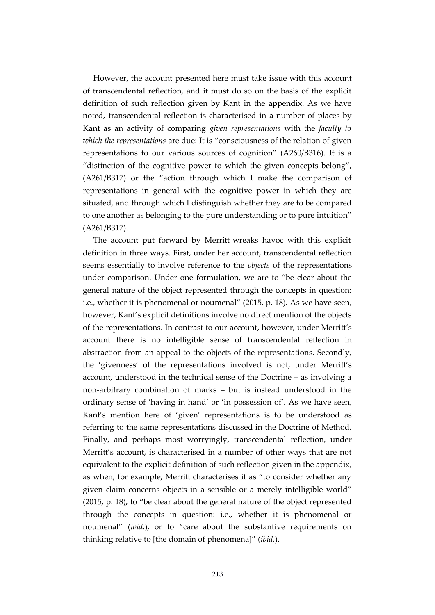However, the account presented here must take issue with this account of transcendental reflection, and it must do so on the basis of the explicit defnition of such reflection given by Kant in the appendix. As we have noted, transcendental reflection is characterised in a number of places by Kant as an activity of comparing *given representations* with the *faculty to which the representations* are due: It is "consciousness of the relation of given representations to our various sources of cognition" (A260/B316). It is a "distinction of the cognitive power to which the given concepts belong", (A261/B317) or the "action through which I make the comparison of representations in general with the cognitive power in which they are situated, and through which I distinguish whether they are to be compared to one another as belonging to the pure understanding or to pure intuition" (A261/B317).

The account put forward by Merrit wreaks havoc with this explicit defnition in three ways. First, under her account, transcendental reflection seems essentially to involve reference to the *objects* of the representations under comparison. Under one formulation, we are to "be clear about the general nature of the object represented through the concepts in question: i.e., whether it is phenomenal or noumenal" (2015, p. 18). As we have seen, however, Kant's explicit definitions involve no direct mention of the objects of the representations. In contrast to our account, however, under Merrit's account there is no intelligible sense of transcendental reflection in abstraction from an appeal to the objects of the representations. Secondly, the 'givenness' of the representations involved is not, under Merrit's account, understood in the technical sense of the Doctrine – as involving a non-arbitrary combination of marks – but is instead understood in the ordinary sense of 'having in hand' or 'in possession of'. As we have seen, Kant's mention here of 'given' representations is to be understood as referring to the same representations discussed in the Doctrine of Method. Finally, and perhaps most worryingly, transcendental reflection, under Merrit's account, is characterised in a number of other ways that are not equivalent to the explicit defnition of such reflection given in the appendix, as when, for example, Merrit characterises it as "to consider whether any given claim concerns objects in a sensible or a merely intelligible world" (2015, p. 18), to "be clear about the general nature of the object represented through the concepts in question: i.e., whether it is phenomenal or noumenal" (*ibid.*), or to "care about the substantive requirements on thinking relative to [the domain of phenomena]" (*ibid.*).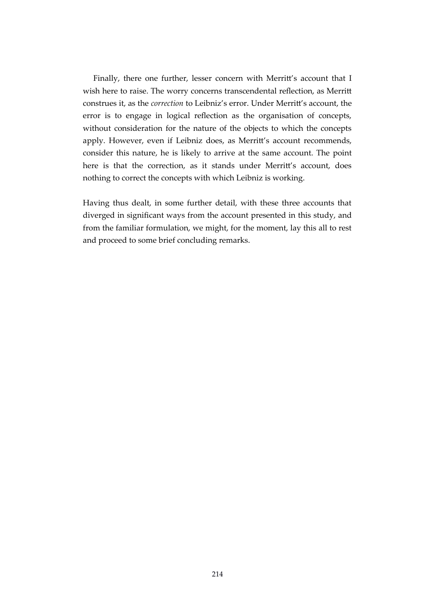Finally, there one further, lesser concern with Merrit's account that I wish here to raise. The worry concerns transcendental reflection, as Merrit construes it, as the *correction* to Leibniz's error. Under Merrit's account, the error is to engage in logical reflection as the organisation of concepts, without consideration for the nature of the objects to which the concepts apply. However, even if Leibniz does, as Merrit's account recommends, consider this nature, he is likely to arrive at the same account. The point here is that the correction, as it stands under Merrit's account, does nothing to correct the concepts with which Leibniz is working.

Having thus dealt, in some further detail, with these three accounts that diverged in signifcant ways from the account presented in this study, and from the familiar formulation, we might, for the moment, lay this all to rest and proceed to some brief concluding remarks.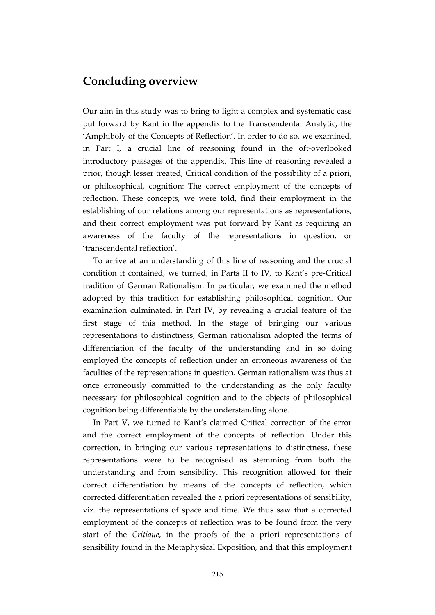## **Concluding overview**

Our aim in this study was to bring to light a complex and systematic case put forward by Kant in the appendix to the Transcendental Analytic, the 'Amphiboly of the Concepts of Reflection'. In order to do so, we examined, in Part I, a crucial line of reasoning found in the oft-overlooked introductory passages of the appendix. This line of reasoning revealed a prior, though lesser treated, Critical condition of the possibility of a priori, or philosophical, cognition: The correct employment of the concepts of reflection. These concepts, we were told, fnd their employment in the establishing of our relations among our representations as representations, and their correct employment was put forward by Kant as requiring an awareness of the faculty of the representations in question, or 'transcendental reflection'.

To arrive at an understanding of this line of reasoning and the crucial condition it contained, we turned, in Parts II to IV, to Kant's pre-Critical tradition of German Rationalism. In particular, we examined the method adopted by this tradition for establishing philosophical cognition. Our examination culminated, in Part IV, by revealing a crucial feature of the frst stage of this method. In the stage of bringing our various representations to distinctness, German rationalism adopted the terms of diferentiation of the faculty of the understanding and in so doing employed the concepts of reflection under an erroneous awareness of the faculties of the representations in question. German rationalism was thus at once erroneously commited to the understanding as the only faculty necessary for philosophical cognition and to the objects of philosophical cognition being diferentiable by the understanding alone.

In Part V, we turned to Kant's claimed Critical correction of the error and the correct employment of the concepts of reflection. Under this correction, in bringing our various representations to distinctness, these representations were to be recognised as stemming from both the understanding and from sensibility. This recognition allowed for their correct diferentiation by means of the concepts of reflection, which corrected diferentiation revealed the a priori representations of sensibility, viz. the representations of space and time. We thus saw that a corrected employment of the concepts of reflection was to be found from the very start of the *Critique*, in the proofs of the a priori representations of sensibility found in the Metaphysical Exposition, and that this employment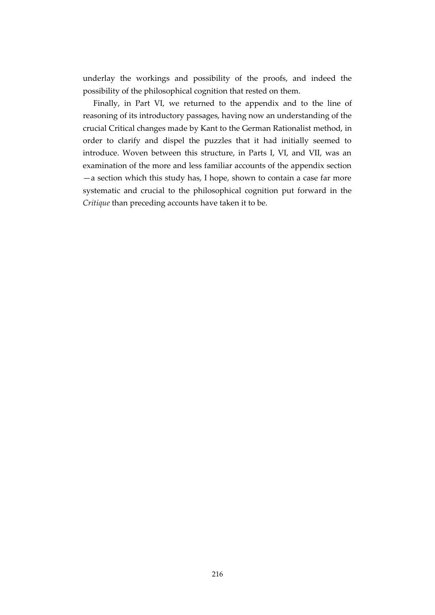underlay the workings and possibility of the proofs, and indeed the possibility of the philosophical cognition that rested on them.

Finally, in Part VI, we returned to the appendix and to the line of reasoning of its introductory passages, having now an understanding of the crucial Critical changes made by Kant to the German Rationalist method, in order to clarify and dispel the puzzles that it had initially seemed to introduce. Woven between this structure, in Parts I, VI, and VII, was an examination of the more and less familiar accounts of the appendix section —a section which this study has, I hope, shown to contain a case far more systematic and crucial to the philosophical cognition put forward in the *Critique* than preceding accounts have taken it to be.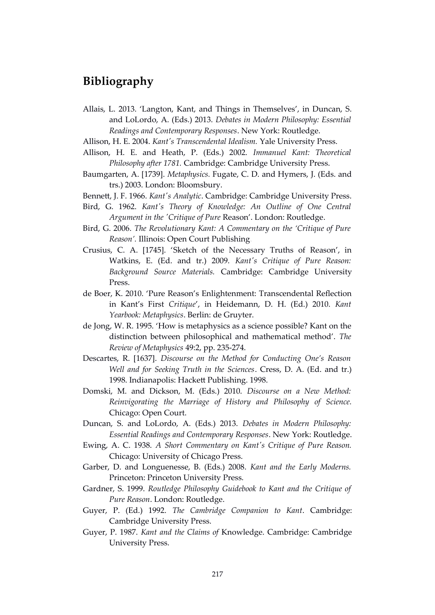## **Bibliography**

- Allais, L. 2013. 'Langton, Kant, and Things in Themselves', in Duncan, S. and LoLordo, A. (Eds.) 2013. *Debates in Modern Philosophy: Essential Readings and Contemporary Responses*. New York: Routledge.
- Allison, H. E. 2004. *Kant's Transcendental Idealism.* Yale University Press.
- Allison, H. E. and Heath, P. (Eds.) 2002. *Immanuel Kant: Theoretical Philosophy after 1781.* Cambridge: Cambridge University Press.
- Baumgarten, A. [1739]. *Metaphysics.* Fugate, C. D. and Hymers, J. (Eds. and trs.) 2003. London: Bloomsbury.
- Bennet, J. F. 1966. *Kant's Analytic*. Cambridge: Cambridge University Press.
- Bird, G. 1962. *Kant's Theory of Knowledge: An Outline of One Central Argument in the 'Critique of Pure* Reason'. London: Routledge.
- Bird, G. 2006. *The Revolutionary Kant: A Commentary on the 'Critique of Pure Reason'.* Illinois: Open Court Publishing.
- Crusius, C. A. [1745]. 'Sketch of the Necessary Truths of Reason', in Watkins, E. (Ed. and tr.) 2009. *Kant's Critique of Pure Reason: Background Source Materials.* Cambridge: Cambridge University Press.
- de Boer, K. 2010. 'Pure Reason's Enlightenment: Transcendental Reflection in Kant's First *Critique*', in Heidemann, D. H. (Ed.) 2010. *Kant Yearbook: Metaphysics*. Berlin: de Gruyter.
- de Jong, W. R. 1995. 'How is metaphysics as a science possible? Kant on the distinction between philosophical and mathematical method'. *The Review of Metaphysics* 49:2, pp. 235-274.
- Descartes, R. [1637]. *Discourse on the Method for Conducting One's Reason Well and for Seeking Truth in the Sciences*. Cress, D. A. (Ed. and tr.) 1998. Indianapolis: Hackett Publishing. 1998.
- Domski, M. and Dickson, M. (Eds.) 2010. *Discourse on a New Method: Reinvigorating the Marriage of History and Philosophy of Science.* Chicago: Open Court.
- Duncan, S. and LoLordo, A. (Eds.) 2013. *Debates in Modern Philosophy: Essential Readings and Contemporary Responses*. New York: Routledge.
- Ewing, A. C. 1938. *A Short Commentary on Kant's Critique of Pure Reason.* Chicago: University of Chicago Press.
- Garber, D. and Longuenesse, B. (Eds.) 2008. *Kant and the Early Moderns.* Princeton: Princeton University Press.
- Gardner, S. 1999. *Routledge Philosophy Guidebook to Kant and the Critique of Pure Reason*. London: Routledge.
- Guyer, P. (Ed.) 1992. *The Cambridge Companion to Kant*. Cambridge: Cambridge University Press.
- Guyer, P. 1987. *Kant and the Claims of* Knowledge. Cambridge: Cambridge University Press.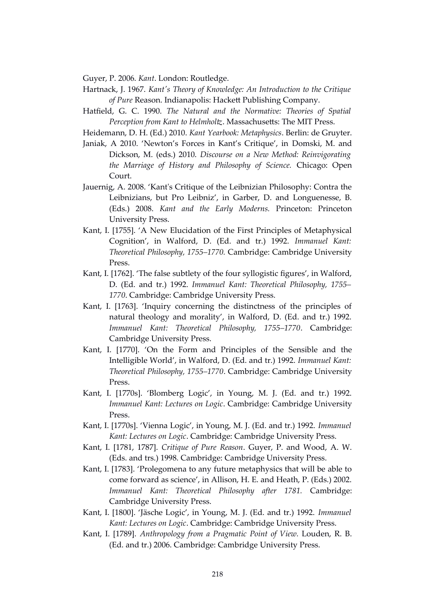Guyer, P. 2006. *Kant*. London: Routledge.

- Hartnack, J. 1967. *Kant's Theory of Knowledge: An Introduction to the Critique of Pure* Reason. Indianapolis: Hacket Publishing Company.
- Hatfeld, G. C. 1990. *The Natural and the Normative: Theories of Spatial Perception from Kant to Helmholt*. Massachusets: The MIT Press.
- Heidemann, D. H. (Ed.) 2010. *Kant Yearbook: Metaphysics*. Berlin: de Gruyter.
- Janiak, A 2010. 'Newton's Forces in Kant's Critique', in Domski, M. and Dickson, M. (eds.) 2010. *Discourse on a New Method: Reinvigorating the Marriage of History and Philosophy of Science.* Chicago: Open Court.
- Jauernig, A. 2008. 'Kant's Critique of the Leibnizian Philosophy: Contra the Leibnizians, but Pro Leibniz', in Garber, D. and Longuenesse, B. (Eds.) 2008. *Kant and the Early Moderns.* Princeton: Princeton University Press.
- Kant, I. [1755]. 'A New Elucidation of the First Principles of Metaphysical Cognition', in Walford, D. (Ed. and tr.) 1992. *Immanuel Kant: Theoretical Philosophy, 1755–1770.* Cambridge: Cambridge University Press.
- Kant, I. [1762]. 'The false subtlety of the four syllogistic figures', in Walford, D. (Ed. and tr.) 1992. *Immanuel Kant: Theoretical Philosophy, 1755– 1770*. Cambridge: Cambridge University Press.
- Kant, I. [1763]. 'Inquiry concerning the distinctness of the principles of natural theology and morality', in Walford, D. (Ed. and tr.) 1992. *Immanuel Kant: Theoretical Philosophy, 1755–1770*. Cambridge: Cambridge University Press.
- Kant, I. [1770]. 'On the Form and Principles of the Sensible and the Intelligible World', in Walford, D. (Ed. and tr.) 1992. *Immanuel Kant: Theoretical Philosophy, 1755–1770*. Cambridge: Cambridge University Press.
- Kant, I. [1770s]. 'Blomberg Logic', in Young, M. J. (Ed. and tr.) 1992. *Immanuel Kant: Lectures on Logic*. Cambridge: Cambridge University Press.
- Kant, I. [1770s]. 'Vienna Logic', in Young, M. J. (Ed. and tr.) 1992. *Immanuel Kant: Lectures on Logic*. Cambridge: Cambridge University Press.
- Kant, I. [1781, 1787]. *Critique of Pure Reason*. Guyer, P. and Wood, A. W. (Eds. and trs.) 1998. Cambridge: Cambridge University Press.
- Kant, I. [1783]. 'Prolegomena to any future metaphysics that will be able to come forward as science', in Allison, H. E. and Heath, P. (Eds.) 2002. *Immanuel Kant: Theoretical Philosophy after 1781.* Cambridge: Cambridge University Press.
- Kant, I. [1800]. 'Jäsche Logic', in Young, M. J. (Ed. and tr.) 1992. *Immanuel Kant: Lectures on Logic*. Cambridge: Cambridge University Press.
- Kant, I. [1789]. *Anthropology from a Pragmatic Point of View.* Louden, R. B. (Ed. and tr.) 2006. Cambridge: Cambridge University Press.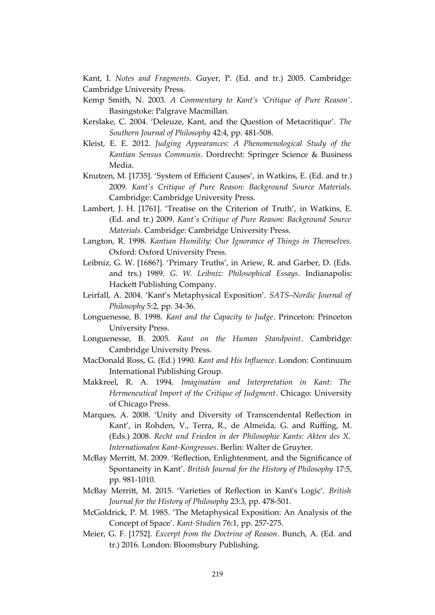Kant, I. *Notes and Fragments*. Guyer, P. (Ed. and tr.) 2005. Cambridge: Cambridge University Press.

- Kemp Smith, N. 2003. *A Commentary to Kant's 'Critique of Pure Reason'*. Basingstoke: Palgrave Macmillan.
- Kerslake, C. 2004. 'Deleuze, Kant, and the Question of Metacritique'. *The Southern Journal of Philosophy* 42:4, pp. 481-508.
- Kleist, E. E. 2012. *Judging Appearances: A Phenomenological Study of the Kantian Sensus Communis*. Dordrecht: Springer Science & Business Media.
- Knutzen, M. [1735]. 'System of Efficient Causes', in Watkins, E. (Ed. and tr.) 2009. *Kant's Critique of Pure Reason: Background Source Materials.* Cambridge: Cambridge University Press.
- Lambert, J. H. [1761]. 'Treatise on the Criterion of Truth', in Watkins, E. (Ed. and tr.) 2009. *Kant's Critique of Pure Reason: Background Source Materials.* Cambridge: Cambridge University Press.
- Langton, R. 1998. *Kantian Humility: Our Ignorance of Things in Themselves.* Oxford: Oxford University Press.
- Leibniz, G. W. [1686?]. 'Primary Truths', in Ariew, R. and Garber, D. (Eds. and trs.) 1989. *G. W. Leibniz: Philosophical Essays*. Indianapolis: Hackett Publishing Company.
- Leirfall, A. 2004. 'Kant's Metaphysical Exposition'. *SATS–Nordic Journal of Philosophy* 5:2, pp. 34-36.
- Longuenesse, B. 1998. *Kant and the Capacity to Judge*. Princeton: Princeton University Press.
- Longuenesse, B. 2005. *Kant on the Human Standpoint*. Cambridge: Cambridge University Press.
- MacDonald Ross, G. (Ed.) 1990. *Kant and His Infuence*. London: Continuum International Publishing Group.
- Makkreel, R. A. 1994. *Imagination and Interpretation in Kant: The Hermeneutical Import of the Critique of Judgment*. Chicago: University of Chicago Press.
- Marques, A. 2008. 'Unity and Diversity of Transcendental Reflection in Kant', in Rohden, V., Terra, R., de Almeida, G. and Ruffing, M. (Eds.) 2008. *Recht und Frieden in der Philosophie Kants: Akten des X. Internationalen Kant-Kongresses*. Berlin: Walter de Gruyter.
- McBay Merrit, M. 2009. 'Reflection, Enlightenment, and the Signifcance of Spontaneity in Kant'. *British Journal for the History of Philosophy* 17:5, pp. 981-1010.
- McBay Merrit, M. 2015. 'Varieties of Reflection in Kant's Logic'. *British Journal for the History of Philosophy* 23:3, pp. 478-501.
- McGoldrick, P. M. 1985. 'The Metaphysical Exposition: An Analysis of the Concept of Space'. *Kant-Studien* 76:1, pp. 257-275.
- Meier, G. F. [1752]. *Excerpt from the Doctrine of Reason*. Bunch, A. (Ed. and tr.) 2016. London: Bloomsbury Publishing.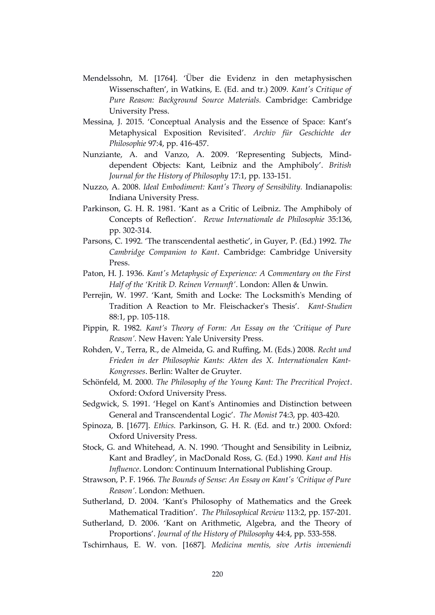- Mendelssohn, M. [1764]. 'Über die Evidenz in den metaphysischen Wissenschaften', in Watkins, E. (Ed. and tr.) 2009. *Kant's Critique of Pure Reason: Background Source Materials.* Cambridge: Cambridge University Press.
- Messina, J. 2015. 'Conceptual Analysis and the Essence of Space: Kant's Metaphysical Exposition Revisited'. *Archiv für Geschichte der Philosophie* 97:4, pp. 416-457.
- Nunziante, A. and Vanzo, A. 2009. 'Representing Subjects, Minddependent Objects: Kant, Leibniz and the Amphiboly'. *British Journal for the History of Philosophy* 17:1, pp. 133-151.
- Nuzzo, A. 2008. *Ideal Embodiment: Kant's Theory of Sensibility.* Indianapolis: Indiana University Press.
- Parkinson, G. H. R. 1981. 'Kant as a Critic of Leibniz. The Amphiboly of Concepts of Reflection'. *Revue Internationale de Philosophie* 35:136, pp. 302-314.
- Parsons, C. 1992. 'The transcendental aesthetic', in Guyer, P. (Ed.) 1992. *The Cambridge Companion to Kant*. Cambridge: Cambridge University Press.
- Paton, H. J. 1936. *Kant's Metaphysic of Experience: A Commentary on the First Half of the 'Kritik D. Reinen Vernunft'*. London: Allen & Unwin.
- Perrejin, W. 1997. 'Kant, Smith and Locke: The Locksmith's Mending of Tradition A Reaction to Mr. Fleischacker's Thesis'. *Kant-Studien* 88:1, pp. 105-118.
- Pippin, R. 1982. *Kant's Theory of Form: An Essay on the 'Critique of Pure Reason'.* New Haven: Yale University Press.
- Rohden, V., Terra, R., de Almeida, G. and Ruffing, M. (Eds.) 2008. *Recht und Frieden in der Philosophie Kants: Akten des X. Internationalen Kant-Kongresses*. Berlin: Walter de Gruyter.
- Schönfeld, M. 2000. *The Philosophy of the Young Kant: The Precritical Project*. Oxford: Oxford University Press.
- Sedgwick, S. 1991. 'Hegel on Kant's Antinomies and Distinction between General and Transcendental Logic'. *The Monist* 74:3, pp. 403-420.
- Spinoza, B. [1677]. *Ethics.* Parkinson, G. H. R. (Ed. and tr.) 2000. Oxford: Oxford University Press.
- Stock, G. and Whitehead, A. N. 1990. 'Thought and Sensibility in Leibniz, Kant and Bradley', in MacDonald Ross, G. (Ed.) 1990. *Kant and His Infuence*. London: Continuum International Publishing Group.
- Strawson, P. F. 1966. *The Bounds of Sense: An Essay on Kant's 'Critique of Pure Reason'*. London: Methuen.
- Sutherland, D. 2004. 'Kant's Philosophy of Mathematics and the Greek Mathematical Tradition'. *The Philosophical Review* 113:2, pp. 157-201.
- Sutherland, D. 2006. 'Kant on Arithmetic, Algebra, and the Theory of Proportions'. *Journal of the History of Philosophy* 44:4, pp. 533-558.
- Tschirnhaus, E. W. von. [1687]. *Medicina mentis, sive Artis inveniendi*